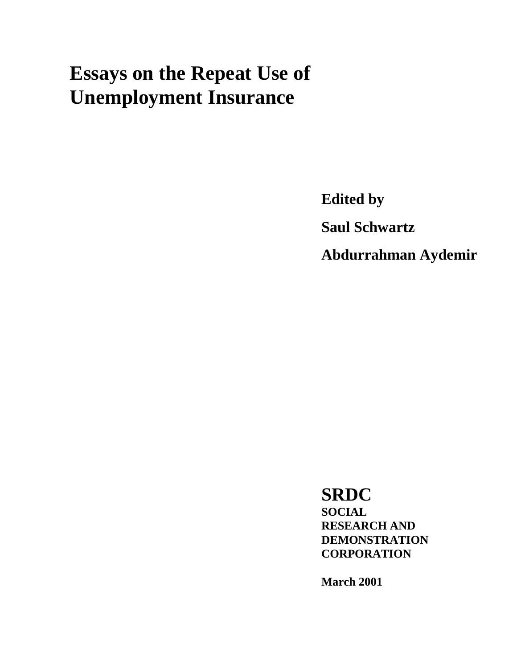# **Essays on the Repeat Use of Unemployment Insurance**

**Edited by Saul Schwartz Abdurrahman Aydemir** 

**SRDC SOCIAL RESEARCH AND DEMONSTRATION CORPORATION** 

**March 2001**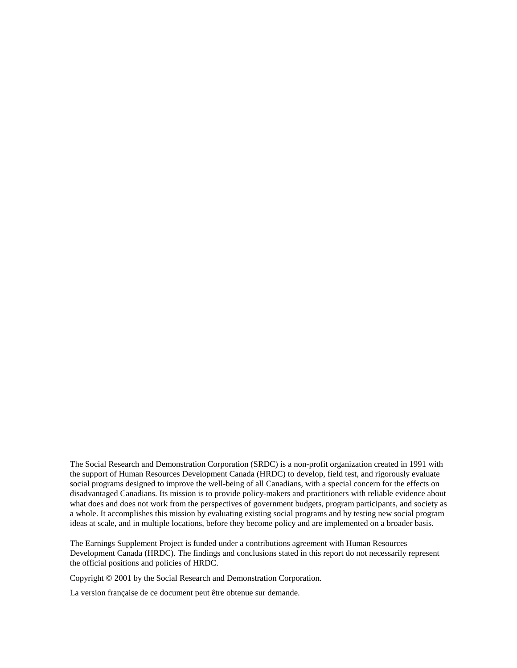The Social Research and Demonstration Corporation (SRDC) is a non-profit organization created in 1991 with the support of Human Resources Development Canada (HRDC) to develop, field test, and rigorously evaluate social programs designed to improve the well-being of all Canadians, with a special concern for the effects on disadvantaged Canadians. Its mission is to provide policy-makers and practitioners with reliable evidence about what does and does not work from the perspectives of government budgets, program participants, and society as a whole. It accomplishes this mission by evaluating existing social programs and by testing new social program ideas at scale, and in multiple locations, before they become policy and are implemented on a broader basis.

The Earnings Supplement Project is funded under a contributions agreement with Human Resources Development Canada (HRDC). The findings and conclusions stated in this report do not necessarily represent the official positions and policies of HRDC.

Copyright © 2001 by the Social Research and Demonstration Corporation.

La version française de ce document peut être obtenue sur demande.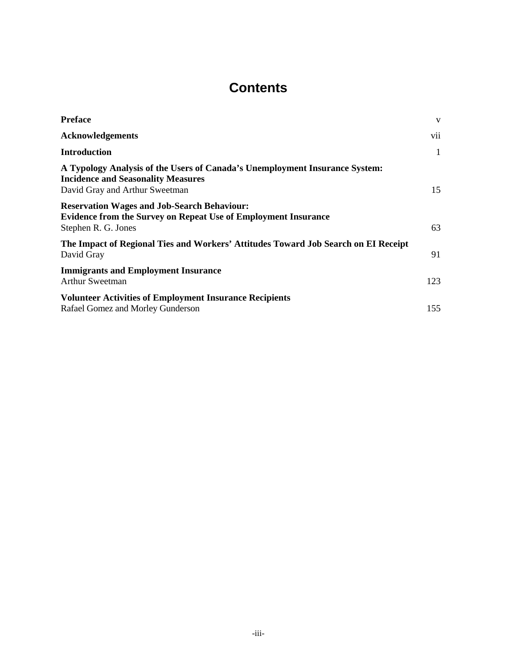# **Contents**

| <b>Preface</b>                                                                                                                                             | V   |
|------------------------------------------------------------------------------------------------------------------------------------------------------------|-----|
| <b>Acknowledgements</b>                                                                                                                                    | vii |
| <b>Introduction</b>                                                                                                                                        | 1   |
| A Typology Analysis of the Users of Canada's Unemployment Insurance System:<br><b>Incidence and Seasonality Measures</b><br>David Gray and Arthur Sweetman | 15  |
| <b>Reservation Wages and Job-Search Behaviour:</b><br><b>Evidence from the Survey on Repeat Use of Employment Insurance</b><br>Stephen R. G. Jones         | 63  |
| The Impact of Regional Ties and Workers' Attitudes Toward Job Search on EI Receipt<br>David Gray                                                           | 91  |
| <b>Immigrants and Employment Insurance</b><br><b>Arthur Sweetman</b>                                                                                       | 123 |
| <b>Volunteer Activities of Employment Insurance Recipients</b><br>Rafael Gomez and Morley Gunderson                                                        | 155 |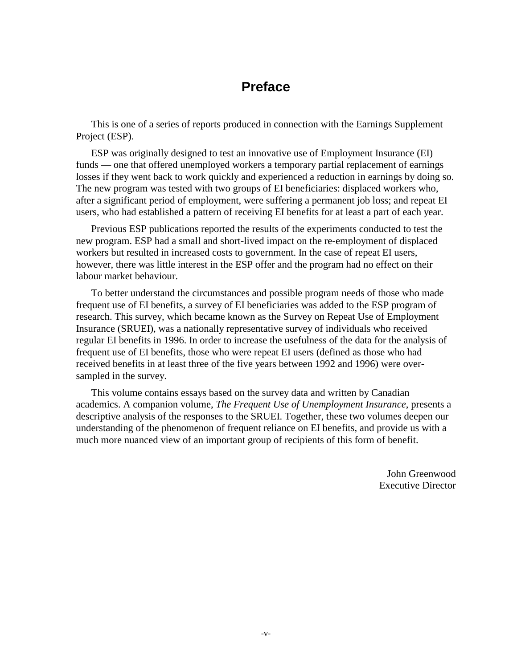# **Preface**

This is one of a series of reports produced in connection with the Earnings Supplement Project (ESP).

ESP was originally designed to test an innovative use of Employment Insurance (EI) funds — one that offered unemployed workers a temporary partial replacement of earnings losses if they went back to work quickly and experienced a reduction in earnings by doing so. The new program was tested with two groups of EI beneficiaries: displaced workers who, after a significant period of employment, were suffering a permanent job loss; and repeat EI users, who had established a pattern of receiving EI benefits for at least a part of each year.

Previous ESP publications reported the results of the experiments conducted to test the new program. ESP had a small and short-lived impact on the re-employment of displaced workers but resulted in increased costs to government. In the case of repeat EI users, however, there was little interest in the ESP offer and the program had no effect on their labour market behaviour.

To better understand the circumstances and possible program needs of those who made frequent use of EI benefits, a survey of EI beneficiaries was added to the ESP program of research. This survey, which became known as the Survey on Repeat Use of Employment Insurance (SRUEI), was a nationally representative survey of individuals who received regular EI benefits in 1996. In order to increase the usefulness of the data for the analysis of frequent use of EI benefits, those who were repeat EI users (defined as those who had received benefits in at least three of the five years between 1992 and 1996) were oversampled in the survey.

This volume contains essays based on the survey data and written by Canadian academics. A companion volume, *The Frequent Use of Unemployment Insurance*, presents a descriptive analysis of the responses to the SRUEI. Together, these two volumes deepen our understanding of the phenomenon of frequent reliance on EI benefits, and provide us with a much more nuanced view of an important group of recipients of this form of benefit.

> John Greenwood Executive Director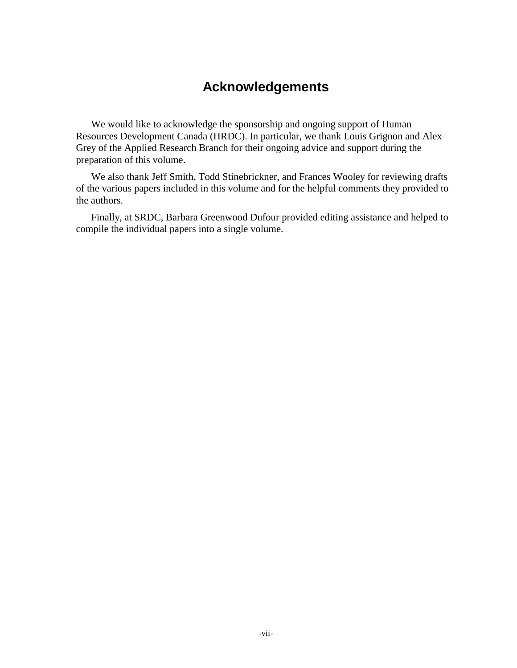## **Acknowledgements**

We would like to acknowledge the sponsorship and ongoing support of Human Resources Development Canada (HRDC). In particular, we thank Louis Grignon and Alex Grey of the Applied Research Branch for their ongoing advice and support during the preparation of this volume.

We also thank Jeff Smith, Todd Stinebrickner, and Frances Wooley for reviewing drafts of the various papers included in this volume and for the helpful comments they provided to the authors.

Finally, at SRDC, Barbara Greenwood Dufour provided editing assistance and helped to compile the individual papers into a single volume.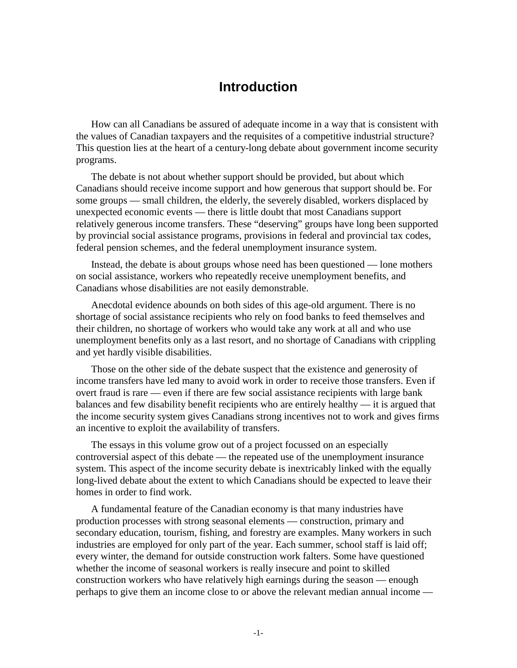## **Introduction**

How can all Canadians be assured of adequate income in a way that is consistent with the values of Canadian taxpayers and the requisites of a competitive industrial structure? This question lies at the heart of a century-long debate about government income security programs.

The debate is not about whether support should be provided, but about which Canadians should receive income support and how generous that support should be. For some groups — small children, the elderly, the severely disabled, workers displaced by unexpected economic events — there is little doubt that most Canadians support relatively generous income transfers. These "deserving" groups have long been supported by provincial social assistance programs, provisions in federal and provincial tax codes, federal pension schemes, and the federal unemployment insurance system.

Instead, the debate is about groups whose need has been questioned — lone mothers on social assistance, workers who repeatedly receive unemployment benefits, and Canadians whose disabilities are not easily demonstrable.

Anecdotal evidence abounds on both sides of this age-old argument. There is no shortage of social assistance recipients who rely on food banks to feed themselves and their children, no shortage of workers who would take any work at all and who use unemployment benefits only as a last resort, and no shortage of Canadians with crippling and yet hardly visible disabilities.

Those on the other side of the debate suspect that the existence and generosity of income transfers have led many to avoid work in order to receive those transfers. Even if overt fraud is rare — even if there are few social assistance recipients with large bank balances and few disability benefit recipients who are entirely healthy — it is argued that the income security system gives Canadians strong incentives not to work and gives firms an incentive to exploit the availability of transfers.

The essays in this volume grow out of a project focussed on an especially controversial aspect of this debate — the repeated use of the unemployment insurance system. This aspect of the income security debate is inextricably linked with the equally long-lived debate about the extent to which Canadians should be expected to leave their homes in order to find work.

A fundamental feature of the Canadian economy is that many industries have production processes with strong seasonal elements — construction, primary and secondary education, tourism, fishing, and forestry are examples. Many workers in such industries are employed for only part of the year. Each summer, school staff is laid off; every winter, the demand for outside construction work falters. Some have questioned whether the income of seasonal workers is really insecure and point to skilled construction workers who have relatively high earnings during the season — enough perhaps to give them an income close to or above the relevant median annual income —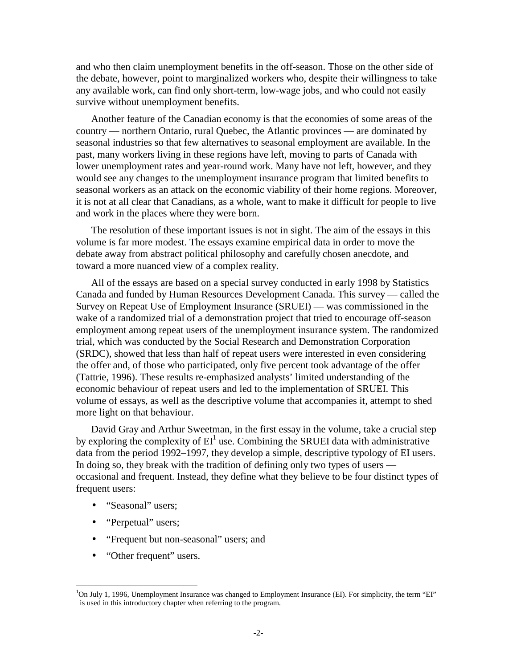and who then claim unemployment benefits in the off-season. Those on the other side of the debate, however, point to marginalized workers who, despite their willingness to take any available work, can find only short-term, low-wage jobs, and who could not easily survive without unemployment benefits.

Another feature of the Canadian economy is that the economies of some areas of the country — northern Ontario, rural Quebec, the Atlantic provinces — are dominated by seasonal industries so that few alternatives to seasonal employment are available. In the past, many workers living in these regions have left, moving to parts of Canada with lower unemployment rates and year-round work. Many have not left, however, and they would see any changes to the unemployment insurance program that limited benefits to seasonal workers as an attack on the economic viability of their home regions. Moreover, it is not at all clear that Canadians, as a whole, want to make it difficult for people to live and work in the places where they were born.

The resolution of these important issues is not in sight. The aim of the essays in this volume is far more modest. The essays examine empirical data in order to move the debate away from abstract political philosophy and carefully chosen anecdote, and toward a more nuanced view of a complex reality.

All of the essays are based on a special survey conducted in early 1998 by Statistics Canada and funded by Human Resources Development Canada. This survey — called the Survey on Repeat Use of Employment Insurance (SRUEI) — was commissioned in the wake of a randomized trial of a demonstration project that tried to encourage off-season employment among repeat users of the unemployment insurance system. The randomized trial, which was conducted by the Social Research and Demonstration Corporation (SRDC), showed that less than half of repeat users were interested in even considering the offer and, of those who participated, only five percent took advantage of the offer (Tattrie, 1996). These results re-emphasized analysts' limited understanding of the economic behaviour of repeat users and led to the implementation of SRUEI. This volume of essays, as well as the descriptive volume that accompanies it, attempt to shed more light on that behaviour.

David Gray and Arthur Sweetman, in the first essay in the volume, take a crucial step by exploring the complexity of  $EI^1$  use. Combining the SRUEI data with administrative data from the period 1992–1997, they develop a simple, descriptive typology of EI users. In doing so, they break with the tradition of defining only two types of users occasional and frequent. Instead, they define what they believe to be four distinct types of frequent users:

- "Seasonal" users:
- "Perpetual" users;

- "Frequent but non-seasonal" users; and
- "Other frequent" users.

<sup>&</sup>lt;sup>1</sup>On July 1, 1996, Unemployment Insurance was changed to Employment Insurance (EI). For simplicity, the term "EI" is used in this introductory chapter when referring to the program.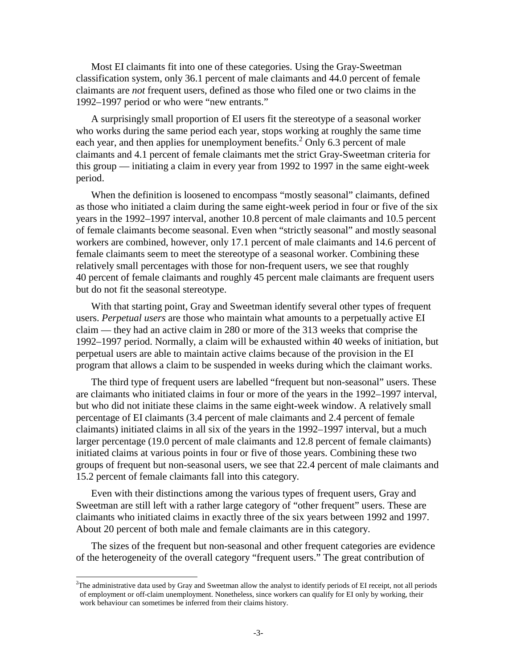Most EI claimants fit into one of these categories. Using the Gray-Sweetman classification system, only 36.1 percent of male claimants and 44.0 percent of female claimants are *not* frequent users, defined as those who filed one or two claims in the 1992–1997 period or who were "new entrants."

A surprisingly small proportion of EI users fit the stereotype of a seasonal worker who works during the same period each year, stops working at roughly the same time each year, and then applies for unemployment benefits.<sup>2</sup> Only 6.3 percent of male claimants and 4.1 percent of female claimants met the strict Gray-Sweetman criteria for this group — initiating a claim in every year from 1992 to 1997 in the same eight-week period.

When the definition is loosened to encompass "mostly seasonal" claimants, defined as those who initiated a claim during the same eight-week period in four or five of the six years in the 1992–1997 interval, another 10.8 percent of male claimants and 10.5 percent of female claimants become seasonal. Even when "strictly seasonal" and mostly seasonal workers are combined, however, only 17.1 percent of male claimants and 14.6 percent of female claimants seem to meet the stereotype of a seasonal worker. Combining these relatively small percentages with those for non-frequent users, we see that roughly 40 percent of female claimants and roughly 45 percent male claimants are frequent users but do not fit the seasonal stereotype.

With that starting point, Gray and Sweetman identify several other types of frequent users. *Perpetual users* are those who maintain what amounts to a perpetually active EI claim — they had an active claim in 280 or more of the 313 weeks that comprise the 1992–1997 period. Normally, a claim will be exhausted within 40 weeks of initiation, but perpetual users are able to maintain active claims because of the provision in the EI program that allows a claim to be suspended in weeks during which the claimant works.

The third type of frequent users are labelled "frequent but non-seasonal" users. These are claimants who initiated claims in four or more of the years in the 1992–1997 interval, but who did not initiate these claims in the same eight-week window. A relatively small percentage of EI claimants (3.4 percent of male claimants and 2.4 percent of female claimants) initiated claims in all six of the years in the 1992–1997 interval, but a much larger percentage (19.0 percent of male claimants and 12.8 percent of female claimants) initiated claims at various points in four or five of those years. Combining these two groups of frequent but non-seasonal users, we see that 22.4 percent of male claimants and 15.2 percent of female claimants fall into this category.

Even with their distinctions among the various types of frequent users, Gray and Sweetman are still left with a rather large category of "other frequent" users. These are claimants who initiated claims in exactly three of the six years between 1992 and 1997. About 20 percent of both male and female claimants are in this category.

The sizes of the frequent but non-seasonal and other frequent categories are evidence of the heterogeneity of the overall category "frequent users." The great contribution of

<sup>&</sup>lt;sup>2</sup>The administrative data used by Gray and Sweetman allow the analyst to identify periods of EI receipt, not all periods of employment or off-claim unemployment. Nonetheless, since workers can qualify for EI only by working, their work behaviour can sometimes be inferred from their claims history.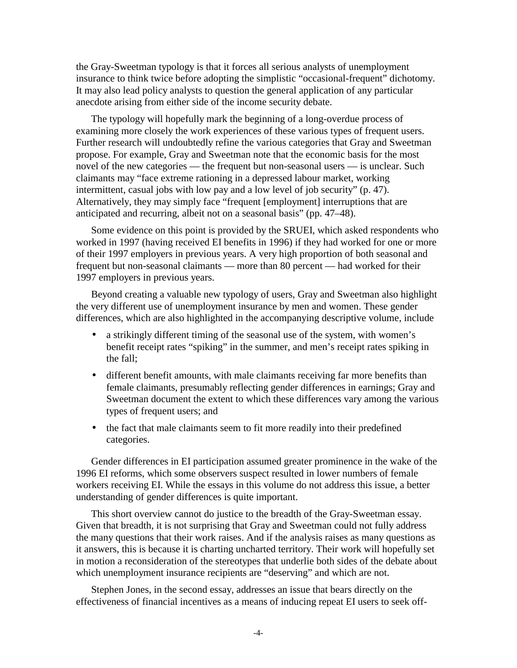the Gray-Sweetman typology is that it forces all serious analysts of unemployment insurance to think twice before adopting the simplistic "occasional-frequent" dichotomy. It may also lead policy analysts to question the general application of any particular anecdote arising from either side of the income security debate.

The typology will hopefully mark the beginning of a long-overdue process of examining more closely the work experiences of these various types of frequent users. Further research will undoubtedly refine the various categories that Gray and Sweetman propose. For example, Gray and Sweetman note that the economic basis for the most novel of the new categories — the frequent but non-seasonal users — is unclear. Such claimants may "face extreme rationing in a depressed labour market, working intermittent, casual jobs with low pay and a low level of job security" (p. 47). Alternatively, they may simply face "frequent [employment] interruptions that are anticipated and recurring, albeit not on a seasonal basis" (pp. 47–48).

Some evidence on this point is provided by the SRUEI, which asked respondents who worked in 1997 (having received EI benefits in 1996) if they had worked for one or more of their 1997 employers in previous years. A very high proportion of both seasonal and frequent but non-seasonal claimants — more than 80 percent — had worked for their 1997 employers in previous years.

Beyond creating a valuable new typology of users, Gray and Sweetman also highlight the very different use of unemployment insurance by men and women. These gender differences, which are also highlighted in the accompanying descriptive volume, include

- a strikingly different timing of the seasonal use of the system, with women's benefit receipt rates "spiking" in the summer, and men's receipt rates spiking in the fall;
- different benefit amounts, with male claimants receiving far more benefits than female claimants, presumably reflecting gender differences in earnings; Gray and Sweetman document the extent to which these differences vary among the various types of frequent users; and
- the fact that male claimants seem to fit more readily into their predefined categories.

Gender differences in EI participation assumed greater prominence in the wake of the 1996 EI reforms, which some observers suspect resulted in lower numbers of female workers receiving EI. While the essays in this volume do not address this issue, a better understanding of gender differences is quite important.

This short overview cannot do justice to the breadth of the Gray-Sweetman essay. Given that breadth, it is not surprising that Gray and Sweetman could not fully address the many questions that their work raises. And if the analysis raises as many questions as it answers, this is because it is charting uncharted territory. Their work will hopefully set in motion a reconsideration of the stereotypes that underlie both sides of the debate about which unemployment insurance recipients are "deserving" and which are not.

Stephen Jones, in the second essay, addresses an issue that bears directly on the effectiveness of financial incentives as a means of inducing repeat EI users to seek off-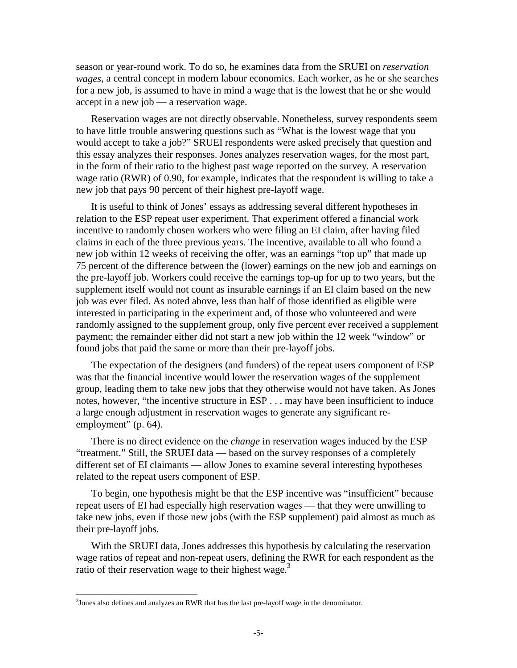season or year-round work. To do so, he examines data from the SRUEI on *reservation wages*, a central concept in modern labour economics. Each worker, as he or she searches for a new job, is assumed to have in mind a wage that is the lowest that he or she would accept in a new job — a reservation wage.

Reservation wages are not directly observable. Nonetheless, survey respondents seem to have little trouble answering questions such as "What is the lowest wage that you would accept to take a job?" SRUEI respondents were asked precisely that question and this essay analyzes their responses. Jones analyzes reservation wages, for the most part, in the form of their ratio to the highest past wage reported on the survey. A reservation wage ratio (RWR) of 0.90, for example, indicates that the respondent is willing to take a new job that pays 90 percent of their highest pre-layoff wage.

It is useful to think of Jones' essays as addressing several different hypotheses in relation to the ESP repeat user experiment. That experiment offered a financial work incentive to randomly chosen workers who were filing an EI claim, after having filed claims in each of the three previous years. The incentive, available to all who found a new job within 12 weeks of receiving the offer, was an earnings "top up" that made up 75 percent of the difference between the (lower) earnings on the new job and earnings on the pre-layoff job. Workers could receive the earnings top-up for up to two years, but the supplement itself would not count as insurable earnings if an EI claim based on the new job was ever filed. As noted above, less than half of those identified as eligible were interested in participating in the experiment and, of those who volunteered and were randomly assigned to the supplement group, only five percent ever received a supplement payment; the remainder either did not start a new job within the 12 week "window" or found jobs that paid the same or more than their pre-layoff jobs.

The expectation of the designers (and funders) of the repeat users component of ESP was that the financial incentive would lower the reservation wages of the supplement group, leading them to take new jobs that they otherwise would not have taken. As Jones notes, however, "the incentive structure in ESP . . . may have been insufficient to induce a large enough adjustment in reservation wages to generate any significant reemployment" (p. 64).

There is no direct evidence on the *change* in reservation wages induced by the ESP "treatment." Still, the SRUEI data — based on the survey responses of a completely different set of EI claimants — allow Jones to examine several interesting hypotheses related to the repeat users component of ESP.

To begin, one hypothesis might be that the ESP incentive was "insufficient" because repeat users of EI had especially high reservation wages — that they were unwilling to take new jobs, even if those new jobs (with the ESP supplement) paid almost as much as their pre-layoff jobs.

With the SRUEI data, Jones addresses this hypothesis by calculating the reservation wage ratios of repeat and non-repeat users, defining the RWR for each respondent as the ratio of their reservation wage to their highest wage.<sup>3</sup>

 $3$ Jones also defines and analyzes an RWR that has the last pre-layoff wage in the denominator.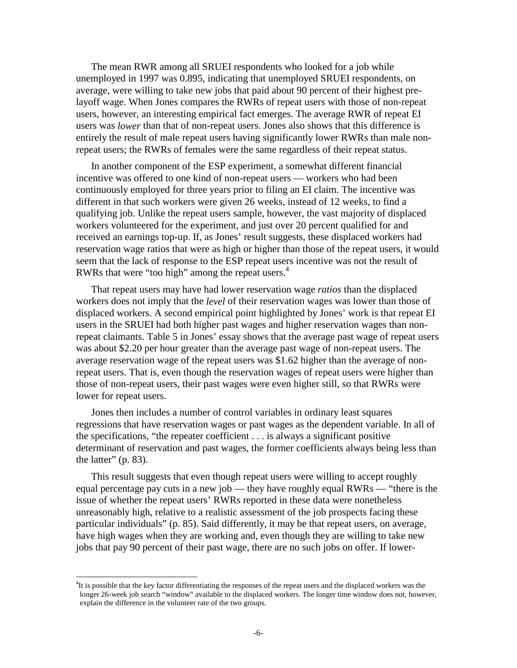The mean RWR among all SRUEI respondents who looked for a job while unemployed in 1997 was 0.895, indicating that unemployed SRUEI respondents, on average, were willing to take new jobs that paid about 90 percent of their highest prelayoff wage. When Jones compares the RWRs of repeat users with those of non-repeat users, however, an interesting empirical fact emerges. The average RWR of repeat EI users was *lower* than that of non-repeat users. Jones also shows that this difference is entirely the result of male repeat users having significantly lower RWRs than male nonrepeat users; the RWRs of females were the same regardless of their repeat status.

In another component of the ESP experiment, a somewhat different financial incentive was offered to one kind of non-repeat users — workers who had been continuously employed for three years prior to filing an EI claim. The incentive was different in that such workers were given 26 weeks, instead of 12 weeks, to find a qualifying job. Unlike the repeat users sample, however, the vast majority of displaced workers volunteered for the experiment, and just over 20 percent qualified for and received an earnings top-up. If, as Jones' result suggests, these displaced workers had reservation wage ratios that were as high or higher than those of the repeat users, it would seem that the lack of response to the ESP repeat users incentive was not the result of RWRs that were "too high" among the repeat users. $4$ 

That repeat users may have had lower reservation wage *ratios* than the displaced workers does not imply that the *level* of their reservation wages was lower than those of displaced workers. A second empirical point highlighted by Jones' work is that repeat EI users in the SRUEI had both higher past wages and higher reservation wages than nonrepeat claimants. Table 5 in Jones' essay shows that the average past wage of repeat users was about \$2.20 per hour greater than the average past wage of non-repeat users. The average reservation wage of the repeat users was \$1.62 higher than the average of nonrepeat users. That is, even though the reservation wages of repeat users were higher than those of non-repeat users, their past wages were even higher still, so that RWRs were lower for repeat users.

Jones then includes a number of control variables in ordinary least squares regressions that have reservation wages or past wages as the dependent variable. In all of the specifications, "the repeater coefficient . . . is always a significant positive determinant of reservation and past wages, the former coefficients always being less than the latter"  $(p. 83)$ .

This result suggests that even though repeat users were willing to accept roughly equal percentage pay cuts in a new job — they have roughly equal RWRs — "there is the issue of whether the repeat users' RWRs reported in these data were nonetheless unreasonably high, relative to a realistic assessment of the job prospects facing these particular individuals" (p. 85). Said differently, it may be that repeat users, on average, have high wages when they are working and, even though they are willing to take new jobs that pay 90 percent of their past wage, there are no such jobs on offer. If lower-

<sup>&</sup>lt;sup>4</sup>It is possible that the key factor differentiating the responses of the repeat users and the displaced workers was the longer 26-week job search "window" available to the displaced workers. The longer time window does not, however, explain the difference in the volunteer rate of the two groups.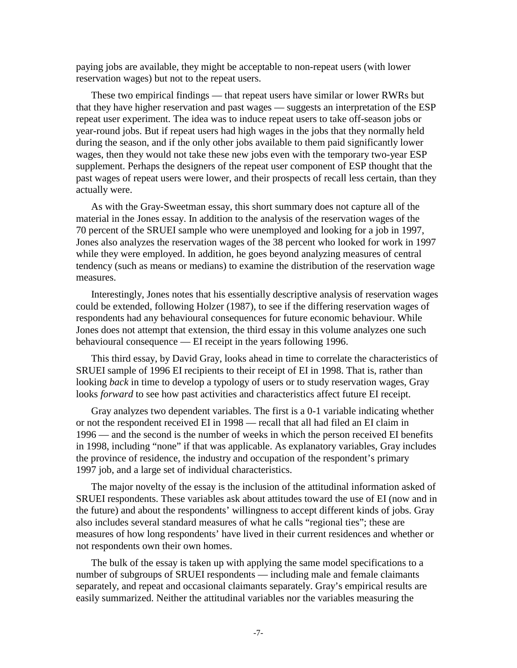paying jobs are available, they might be acceptable to non-repeat users (with lower reservation wages) but not to the repeat users.

These two empirical findings — that repeat users have similar or lower RWRs but that they have higher reservation and past wages — suggests an interpretation of the ESP repeat user experiment. The idea was to induce repeat users to take off-season jobs or year-round jobs. But if repeat users had high wages in the jobs that they normally held during the season, and if the only other jobs available to them paid significantly lower wages, then they would not take these new jobs even with the temporary two-year ESP supplement. Perhaps the designers of the repeat user component of ESP thought that the past wages of repeat users were lower, and their prospects of recall less certain, than they actually were.

As with the Gray-Sweetman essay, this short summary does not capture all of the material in the Jones essay. In addition to the analysis of the reservation wages of the 70 percent of the SRUEI sample who were unemployed and looking for a job in 1997, Jones also analyzes the reservation wages of the 38 percent who looked for work in 1997 while they were employed. In addition, he goes beyond analyzing measures of central tendency (such as means or medians) to examine the distribution of the reservation wage measures.

Interestingly, Jones notes that his essentially descriptive analysis of reservation wages could be extended, following Holzer (1987), to see if the differing reservation wages of respondents had any behavioural consequences for future economic behaviour. While Jones does not attempt that extension, the third essay in this volume analyzes one such behavioural consequence — EI receipt in the years following 1996.

This third essay, by David Gray, looks ahead in time to correlate the characteristics of SRUEI sample of 1996 EI recipients to their receipt of EI in 1998. That is, rather than looking *back* in time to develop a typology of users or to study reservation wages, Gray looks *forward* to see how past activities and characteristics affect future EI receipt.

Gray analyzes two dependent variables. The first is a 0-1 variable indicating whether or not the respondent received EI in 1998 — recall that all had filed an EI claim in 1996 — and the second is the number of weeks in which the person received EI benefits in 1998, including "none" if that was applicable. As explanatory variables, Gray includes the province of residence, the industry and occupation of the respondent's primary 1997 job, and a large set of individual characteristics.

The major novelty of the essay is the inclusion of the attitudinal information asked of SRUEI respondents. These variables ask about attitudes toward the use of EI (now and in the future) and about the respondents' willingness to accept different kinds of jobs. Gray also includes several standard measures of what he calls "regional ties"; these are measures of how long respondents' have lived in their current residences and whether or not respondents own their own homes.

The bulk of the essay is taken up with applying the same model specifications to a number of subgroups of SRUEI respondents — including male and female claimants separately, and repeat and occasional claimants separately. Gray's empirical results are easily summarized. Neither the attitudinal variables nor the variables measuring the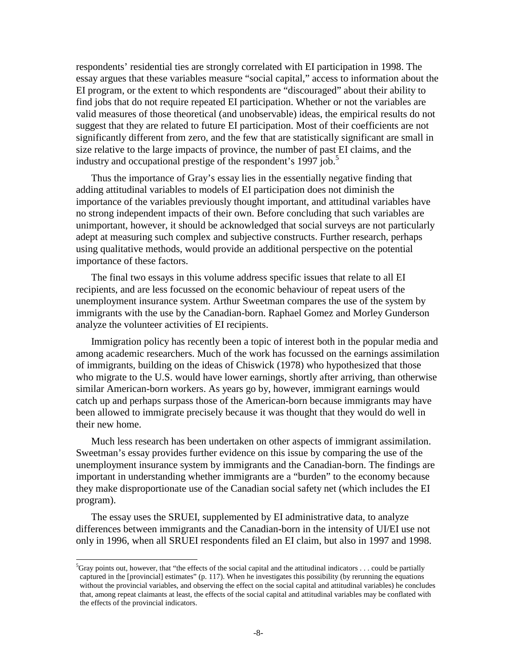respondents' residential ties are strongly correlated with EI participation in 1998. The essay argues that these variables measure "social capital," access to information about the EI program, or the extent to which respondents are "discouraged" about their ability to find jobs that do not require repeated EI participation. Whether or not the variables are valid measures of those theoretical (and unobservable) ideas, the empirical results do not suggest that they are related to future EI participation. Most of their coefficients are not significantly different from zero, and the few that are statistically significant are small in size relative to the large impacts of province, the number of past EI claims, and the industry and occupational prestige of the respondent's 1997 job.<sup>5</sup>

Thus the importance of Gray's essay lies in the essentially negative finding that adding attitudinal variables to models of EI participation does not diminish the importance of the variables previously thought important, and attitudinal variables have no strong independent impacts of their own. Before concluding that such variables are unimportant, however, it should be acknowledged that social surveys are not particularly adept at measuring such complex and subjective constructs. Further research, perhaps using qualitative methods, would provide an additional perspective on the potential importance of these factors.

The final two essays in this volume address specific issues that relate to all EI recipients, and are less focussed on the economic behaviour of repeat users of the unemployment insurance system. Arthur Sweetman compares the use of the system by immigrants with the use by the Canadian-born. Raphael Gomez and Morley Gunderson analyze the volunteer activities of EI recipients.

Immigration policy has recently been a topic of interest both in the popular media and among academic researchers. Much of the work has focussed on the earnings assimilation of immigrants, building on the ideas of Chiswick (1978) who hypothesized that those who migrate to the U.S. would have lower earnings, shortly after arriving, than otherwise similar American-born workers. As years go by, however, immigrant earnings would catch up and perhaps surpass those of the American-born because immigrants may have been allowed to immigrate precisely because it was thought that they would do well in their new home.

Much less research has been undertaken on other aspects of immigrant assimilation. Sweetman's essay provides further evidence on this issue by comparing the use of the unemployment insurance system by immigrants and the Canadian-born. The findings are important in understanding whether immigrants are a "burden" to the economy because they make disproportionate use of the Canadian social safety net (which includes the EI program).

The essay uses the SRUEI, supplemented by EI administrative data, to analyze differences between immigrants and the Canadian-born in the intensity of UI/EI use not only in 1996, when all SRUEI respondents filed an EI claim, but also in 1997 and 1998.

 ${}^{5}$ Gray points out, however, that "the effects of the social capital and the attitudinal indicators ... could be partially captured in the [provincial] estimates" (p. 117). When he investigates this possibility (by rerunning the equations without the provincial variables, and observing the effect on the social capital and attitudinal variables) he concludes that, among repeat claimants at least, the effects of the social capital and attitudinal variables may be conflated with the effects of the provincial indicators.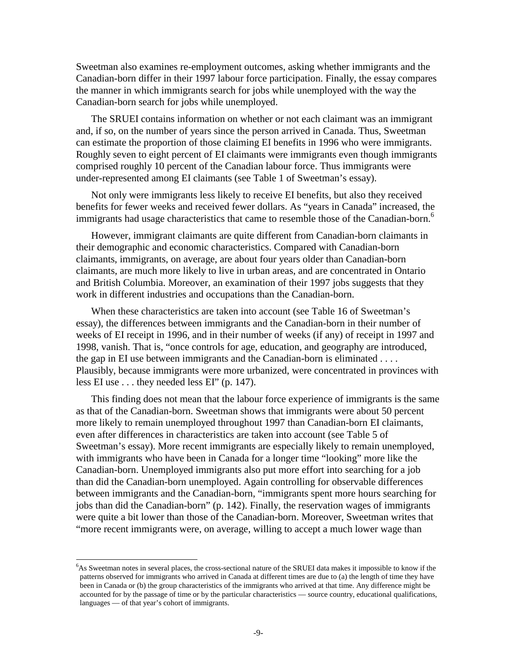Sweetman also examines re-employment outcomes, asking whether immigrants and the Canadian-born differ in their 1997 labour force participation. Finally, the essay compares the manner in which immigrants search for jobs while unemployed with the way the Canadian-born search for jobs while unemployed.

The SRUEI contains information on whether or not each claimant was an immigrant and, if so, on the number of years since the person arrived in Canada. Thus, Sweetman can estimate the proportion of those claiming EI benefits in 1996 who were immigrants. Roughly seven to eight percent of EI claimants were immigrants even though immigrants comprised roughly 10 percent of the Canadian labour force. Thus immigrants were under-represented among EI claimants (see Table 1 of Sweetman's essay).

Not only were immigrants less likely to receive EI benefits, but also they received benefits for fewer weeks and received fewer dollars. As "years in Canada" increased, the immigrants had usage characteristics that came to resemble those of the Canadian-born.<sup>6</sup>

However, immigrant claimants are quite different from Canadian-born claimants in their demographic and economic characteristics. Compared with Canadian-born claimants, immigrants, on average, are about four years older than Canadian-born claimants, are much more likely to live in urban areas, and are concentrated in Ontario and British Columbia. Moreover, an examination of their 1997 jobs suggests that they work in different industries and occupations than the Canadian-born.

When these characteristics are taken into account (see Table 16 of Sweetman's essay), the differences between immigrants and the Canadian-born in their number of weeks of EI receipt in 1996, and in their number of weeks (if any) of receipt in 1997 and 1998, vanish. That is, "once controls for age, education, and geography are introduced, the gap in EI use between immigrants and the Canadian-born is eliminated . . . . Plausibly, because immigrants were more urbanized, were concentrated in provinces with less EI use . . . they needed less EI" (p. 147).

This finding does not mean that the labour force experience of immigrants is the same as that of the Canadian-born. Sweetman shows that immigrants were about 50 percent more likely to remain unemployed throughout 1997 than Canadian-born EI claimants, even after differences in characteristics are taken into account (see Table 5 of Sweetman's essay). More recent immigrants are especially likely to remain unemployed, with immigrants who have been in Canada for a longer time "looking" more like the Canadian-born. Unemployed immigrants also put more effort into searching for a job than did the Canadian-born unemployed. Again controlling for observable differences between immigrants and the Canadian-born, "immigrants spent more hours searching for jobs than did the Canadian-born" (p. 142). Finally, the reservation wages of immigrants were quite a bit lower than those of the Canadian-born. Moreover, Sweetman writes that "more recent immigrants were, on average, willing to accept a much lower wage than

<sup>&</sup>lt;sup>6</sup>As Sweetman notes in several places, the cross-sectional nature of the SRUEI data makes it impossible to know if the patterns observed for immigrants who arrived in Canada at different times are due to (a) the length of time they have been in Canada or (b) the group characteristics of the immigrants who arrived at that time. Any difference might be accounted for by the passage of time or by the particular characteristics — source country, educational qualifications, languages — of that year's cohort of immigrants.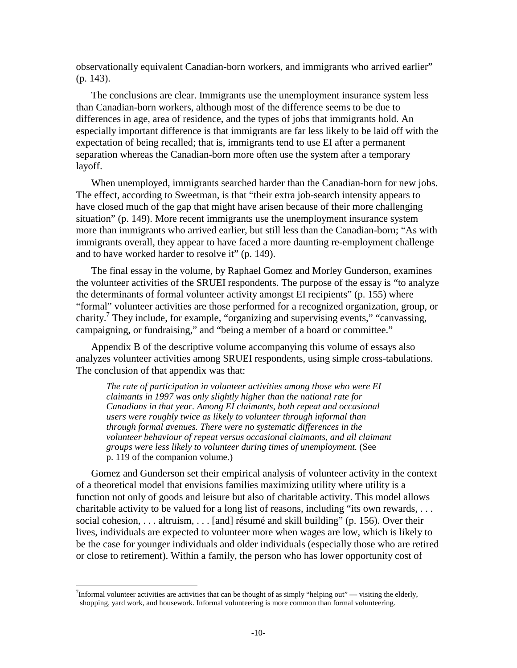observationally equivalent Canadian-born workers, and immigrants who arrived earlier" (p. 143).

The conclusions are clear. Immigrants use the unemployment insurance system less than Canadian-born workers, although most of the difference seems to be due to differences in age, area of residence, and the types of jobs that immigrants hold. An especially important difference is that immigrants are far less likely to be laid off with the expectation of being recalled; that is, immigrants tend to use EI after a permanent separation whereas the Canadian-born more often use the system after a temporary layoff.

When unemployed, immigrants searched harder than the Canadian-born for new jobs. The effect, according to Sweetman, is that "their extra job-search intensity appears to have closed much of the gap that might have arisen because of their more challenging situation" (p. 149). More recent immigrants use the unemployment insurance system more than immigrants who arrived earlier, but still less than the Canadian-born; "As with immigrants overall, they appear to have faced a more daunting re-employment challenge and to have worked harder to resolve it" (p. 149).

The final essay in the volume, by Raphael Gomez and Morley Gunderson, examines the volunteer activities of the SRUEI respondents. The purpose of the essay is "to analyze the determinants of formal volunteer activity amongst EI recipients" (p. 155) where "formal" volunteer activities are those performed for a recognized organization, group, or charity.<sup>7</sup> They include, for example, "organizing and supervising events," "canvassing, campaigning, or fundraising," and "being a member of a board or committee."

Appendix B of the descriptive volume accompanying this volume of essays also analyzes volunteer activities among SRUEI respondents, using simple cross-tabulations. The conclusion of that appendix was that:

*The rate of participation in volunteer activities among those who were EI claimants in 1997 was only slightly higher than the national rate for Canadians in that year. Among EI claimants, both repeat and occasional users were roughly twice as likely to volunteer through informal than through formal avenues. There were no systematic differences in the volunteer behaviour of repeat versus occasional claimants, and all claimant groups were less likely to volunteer during times of unemployment.* (See p. 119 of the companion volume.)

Gomez and Gunderson set their empirical analysis of volunteer activity in the context of a theoretical model that envisions families maximizing utility where utility is a function not only of goods and leisure but also of charitable activity. This model allows charitable activity to be valued for a long list of reasons, including "its own rewards, . . . social cohesion, . . . altruism, . . . [and] résumé and skill building" (p. 156). Over their lives, individuals are expected to volunteer more when wages are low, which is likely to be the case for younger individuals and older individuals (especially those who are retired or close to retirement). Within a family, the person who has lower opportunity cost of

<sup>&</sup>lt;sup>7</sup>Informal volunteer activities are activities that can be thought of as simply "helping out" — visiting the elderly, shopping, yard work, and housework. Informal volunteering is more common than formal volunteering.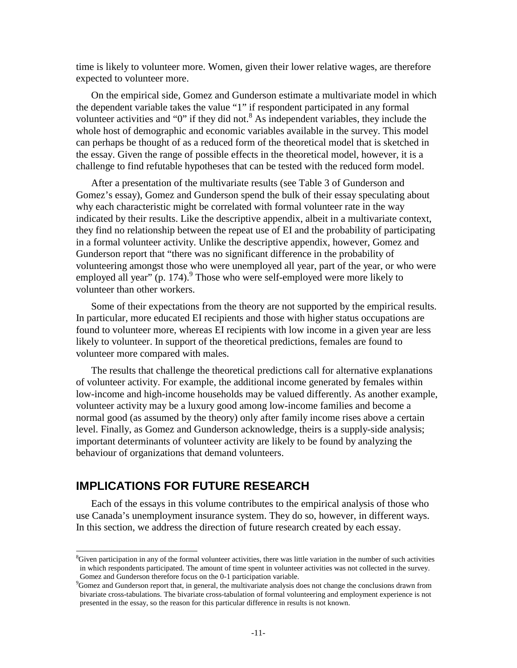time is likely to volunteer more. Women, given their lower relative wages, are therefore expected to volunteer more.

On the empirical side, Gomez and Gunderson estimate a multivariate model in which the dependent variable takes the value "1" if respondent participated in any formal volunteer activities and "0" if they did not.<sup>8</sup> As independent variables, they include the whole host of demographic and economic variables available in the survey. This model can perhaps be thought of as a reduced form of the theoretical model that is sketched in the essay. Given the range of possible effects in the theoretical model, however, it is a challenge to find refutable hypotheses that can be tested with the reduced form model.

After a presentation of the multivariate results (see Table 3 of Gunderson and Gomez's essay), Gomez and Gunderson spend the bulk of their essay speculating about why each characteristic might be correlated with formal volunteer rate in the way indicated by their results. Like the descriptive appendix, albeit in a multivariate context, they find no relationship between the repeat use of EI and the probability of participating in a formal volunteer activity. Unlike the descriptive appendix, however, Gomez and Gunderson report that "there was no significant difference in the probability of volunteering amongst those who were unemployed all year, part of the year, or who were employed all year" (p. 174).<sup>9</sup> Those who were self-employed were more likely to volunteer than other workers.

Some of their expectations from the theory are not supported by the empirical results. In particular, more educated EI recipients and those with higher status occupations are found to volunteer more, whereas EI recipients with low income in a given year are less likely to volunteer. In support of the theoretical predictions, females are found to volunteer more compared with males.

The results that challenge the theoretical predictions call for alternative explanations of volunteer activity. For example, the additional income generated by females within low-income and high-income households may be valued differently. As another example, volunteer activity may be a luxury good among low-income families and become a normal good (as assumed by the theory) only after family income rises above a certain level. Finally, as Gomez and Gunderson acknowledge, theirs is a supply-side analysis; important determinants of volunteer activity are likely to be found by analyzing the behaviour of organizations that demand volunteers.

## **IMPLICATIONS FOR FUTURE RESEARCH**

 $\overline{a}$ 

Each of the essays in this volume contributes to the empirical analysis of those who use Canada's unemployment insurance system. They do so, however, in different ways. In this section, we address the direction of future research created by each essay.

<sup>&</sup>lt;sup>8</sup>Given participation in any of the formal volunteer activities, there was little variation in the number of such activities in which respondents participated. The amount of time spent in volunteer activities was not collected in the survey. Gomez and Gunderson therefore focus on the 0-1 participation variable.

<sup>&</sup>lt;sup>9</sup>Gomez and Gunderson report that, in general, the multivariate analysis does not change the conclusions drawn from bivariate cross-tabulations. The bivariate cross-tabulation of formal volunteering and employment experience is not presented in the essay, so the reason for this particular difference in results is not known.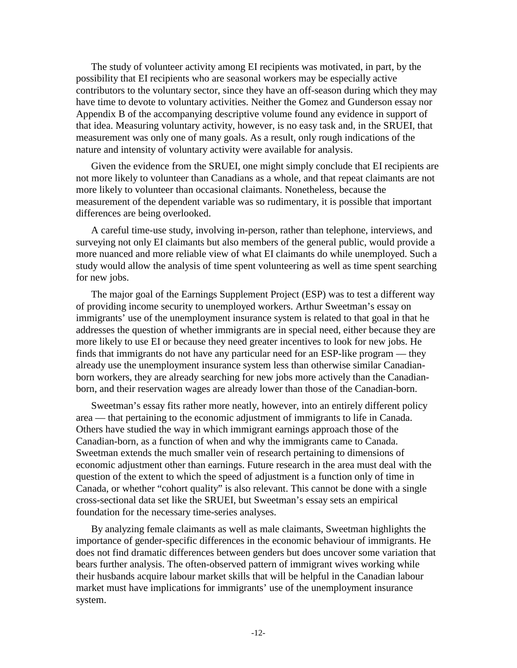The study of volunteer activity among EI recipients was motivated, in part, by the possibility that EI recipients who are seasonal workers may be especially active contributors to the voluntary sector, since they have an off-season during which they may have time to devote to voluntary activities. Neither the Gomez and Gunderson essay nor Appendix B of the accompanying descriptive volume found any evidence in support of that idea. Measuring voluntary activity, however, is no easy task and, in the SRUEI, that measurement was only one of many goals. As a result, only rough indications of the nature and intensity of voluntary activity were available for analysis.

Given the evidence from the SRUEI, one might simply conclude that EI recipients are not more likely to volunteer than Canadians as a whole, and that repeat claimants are not more likely to volunteer than occasional claimants. Nonetheless, because the measurement of the dependent variable was so rudimentary, it is possible that important differences are being overlooked.

A careful time-use study, involving in-person, rather than telephone, interviews, and surveying not only EI claimants but also members of the general public, would provide a more nuanced and more reliable view of what EI claimants do while unemployed. Such a study would allow the analysis of time spent volunteering as well as time spent searching for new jobs.

The major goal of the Earnings Supplement Project (ESP) was to test a different way of providing income security to unemployed workers. Arthur Sweetman's essay on immigrants' use of the unemployment insurance system is related to that goal in that he addresses the question of whether immigrants are in special need, either because they are more likely to use EI or because they need greater incentives to look for new jobs. He finds that immigrants do not have any particular need for an ESP-like program — they already use the unemployment insurance system less than otherwise similar Canadianborn workers, they are already searching for new jobs more actively than the Canadianborn, and their reservation wages are already lower than those of the Canadian-born.

Sweetman's essay fits rather more neatly, however, into an entirely different policy area — that pertaining to the economic adjustment of immigrants to life in Canada. Others have studied the way in which immigrant earnings approach those of the Canadian-born, as a function of when and why the immigrants came to Canada. Sweetman extends the much smaller vein of research pertaining to dimensions of economic adjustment other than earnings. Future research in the area must deal with the question of the extent to which the speed of adjustment is a function only of time in Canada, or whether "cohort quality" is also relevant. This cannot be done with a single cross-sectional data set like the SRUEI, but Sweetman's essay sets an empirical foundation for the necessary time-series analyses.

By analyzing female claimants as well as male claimants, Sweetman highlights the importance of gender-specific differences in the economic behaviour of immigrants. He does not find dramatic differences between genders but does uncover some variation that bears further analysis. The often-observed pattern of immigrant wives working while their husbands acquire labour market skills that will be helpful in the Canadian labour market must have implications for immigrants' use of the unemployment insurance system.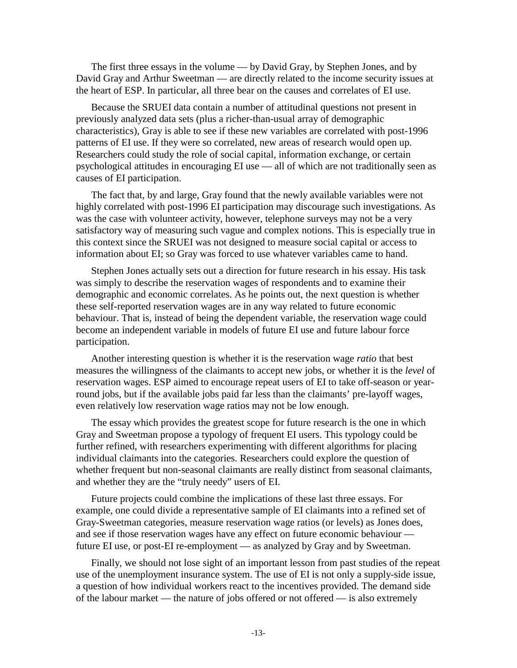The first three essays in the volume — by David Gray, by Stephen Jones, and by David Gray and Arthur Sweetman — are directly related to the income security issues at the heart of ESP. In particular, all three bear on the causes and correlates of EI use.

Because the SRUEI data contain a number of attitudinal questions not present in previously analyzed data sets (plus a richer-than-usual array of demographic characteristics), Gray is able to see if these new variables are correlated with post-1996 patterns of EI use. If they were so correlated, new areas of research would open up. Researchers could study the role of social capital, information exchange, or certain psychological attitudes in encouraging EI use — all of which are not traditionally seen as causes of EI participation.

The fact that, by and large, Gray found that the newly available variables were not highly correlated with post-1996 EI participation may discourage such investigations. As was the case with volunteer activity, however, telephone surveys may not be a very satisfactory way of measuring such vague and complex notions. This is especially true in this context since the SRUEI was not designed to measure social capital or access to information about EI; so Gray was forced to use whatever variables came to hand.

Stephen Jones actually sets out a direction for future research in his essay. His task was simply to describe the reservation wages of respondents and to examine their demographic and economic correlates. As he points out, the next question is whether these self-reported reservation wages are in any way related to future economic behaviour. That is, instead of being the dependent variable, the reservation wage could become an independent variable in models of future EI use and future labour force participation.

Another interesting question is whether it is the reservation wage *ratio* that best measures the willingness of the claimants to accept new jobs, or whether it is the *level* of reservation wages. ESP aimed to encourage repeat users of EI to take off-season or yearround jobs, but if the available jobs paid far less than the claimants' pre-layoff wages, even relatively low reservation wage ratios may not be low enough.

The essay which provides the greatest scope for future research is the one in which Gray and Sweetman propose a typology of frequent EI users. This typology could be further refined, with researchers experimenting with different algorithms for placing individual claimants into the categories. Researchers could explore the question of whether frequent but non-seasonal claimants are really distinct from seasonal claimants, and whether they are the "truly needy" users of EI.

Future projects could combine the implications of these last three essays. For example, one could divide a representative sample of EI claimants into a refined set of Gray-Sweetman categories, measure reservation wage ratios (or levels) as Jones does, and see if those reservation wages have any effect on future economic behaviour future EI use, or post-EI re-employment — as analyzed by Gray and by Sweetman.

Finally, we should not lose sight of an important lesson from past studies of the repeat use of the unemployment insurance system. The use of EI is not only a supply-side issue, a question of how individual workers react to the incentives provided. The demand side of the labour market — the nature of jobs offered or not offered — is also extremely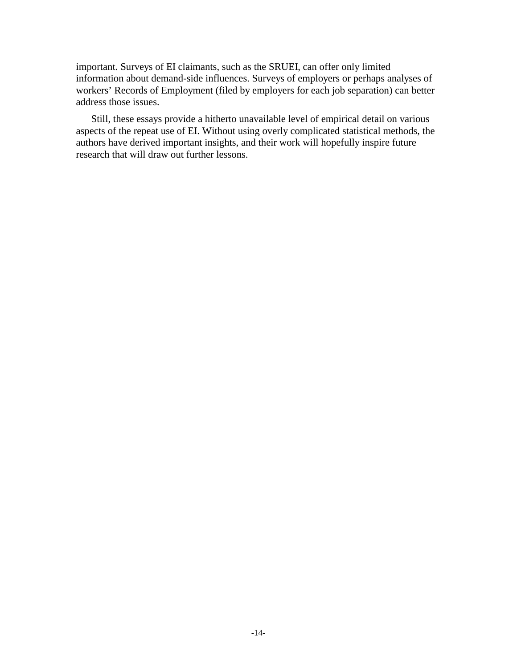important. Surveys of EI claimants, such as the SRUEI, can offer only limited information about demand-side influences. Surveys of employers or perhaps analyses of workers' Records of Employment (filed by employers for each job separation) can better address those issues.

Still, these essays provide a hitherto unavailable level of empirical detail on various aspects of the repeat use of EI. Without using overly complicated statistical methods, the authors have derived important insights, and their work will hopefully inspire future research that will draw out further lessons.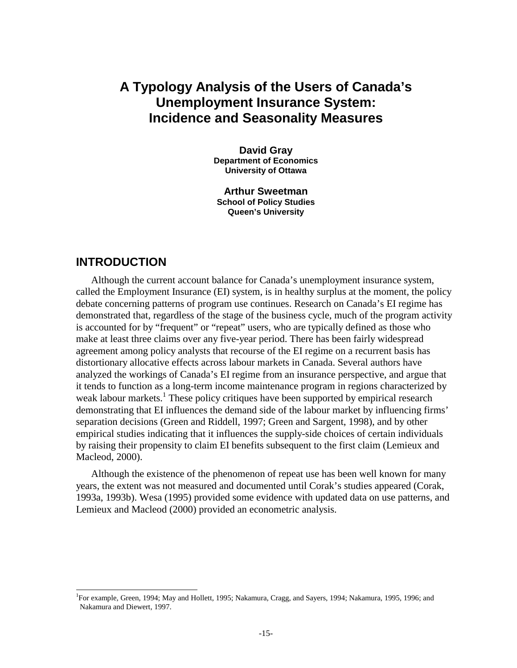# **A Typology Analysis of the Users of Canada's Unemployment Insurance System: Incidence and Seasonality Measures**

**David Gray Department of Economics University of Ottawa** 

**Arthur Sweetman School of Policy Studies Queen's University** 

#### **INTRODUCTION**

l

Although the current account balance for Canada's unemployment insurance system, called the Employment Insurance (EI) system, is in healthy surplus at the moment, the policy debate concerning patterns of program use continues. Research on Canada's EI regime has demonstrated that, regardless of the stage of the business cycle, much of the program activity is accounted for by "frequent" or "repeat" users, who are typically defined as those who make at least three claims over any five-year period. There has been fairly widespread agreement among policy analysts that recourse of the EI regime on a recurrent basis has distortionary allocative effects across labour markets in Canada. Several authors have analyzed the workings of Canada's EI regime from an insurance perspective, and argue that it tends to function as a long-term income maintenance program in regions characterized by weak labour markets.<sup>1</sup> These policy critiques have been supported by empirical research demonstrating that EI influences the demand side of the labour market by influencing firms' separation decisions (Green and Riddell, 1997; Green and Sargent, 1998), and by other empirical studies indicating that it influences the supply-side choices of certain individuals by raising their propensity to claim EI benefits subsequent to the first claim (Lemieux and Macleod, 2000).

Although the existence of the phenomenon of repeat use has been well known for many years, the extent was not measured and documented until Corak's studies appeared (Corak, 1993a, 1993b). Wesa (1995) provided some evidence with updated data on use patterns, and Lemieux and Macleod (2000) provided an econometric analysis.

<sup>&</sup>lt;sup>1</sup>For example, Green, 1994; May and Hollett, 1995; Nakamura, Cragg, and Sayers, 1994; Nakamura, 1995, 1996; and Nakamura and Diewert, 1997.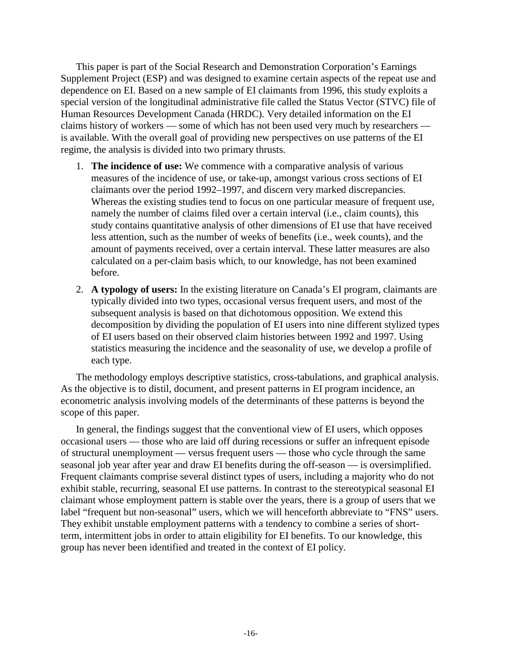This paper is part of the Social Research and Demonstration Corporation's Earnings Supplement Project (ESP) and was designed to examine certain aspects of the repeat use and dependence on EI. Based on a new sample of EI claimants from 1996, this study exploits a special version of the longitudinal administrative file called the Status Vector (STVC) file of Human Resources Development Canada (HRDC). Very detailed information on the EI claims history of workers — some of which has not been used very much by researchers is available. With the overall goal of providing new perspectives on use patterns of the EI regime, the analysis is divided into two primary thrusts.

- 1. **The incidence of use:** We commence with a comparative analysis of various measures of the incidence of use, or take-up, amongst various cross sections of EI claimants over the period 1992–1997, and discern very marked discrepancies. Whereas the existing studies tend to focus on one particular measure of frequent use, namely the number of claims filed over a certain interval (i.e., claim counts), this study contains quantitative analysis of other dimensions of EI use that have received less attention, such as the number of weeks of benefits (i.e., week counts), and the amount of payments received, over a certain interval. These latter measures are also calculated on a per-claim basis which, to our knowledge, has not been examined before.
- 2. **A typology of users:** In the existing literature on Canada's EI program, claimants are typically divided into two types, occasional versus frequent users, and most of the subsequent analysis is based on that dichotomous opposition. We extend this decomposition by dividing the population of EI users into nine different stylized types of EI users based on their observed claim histories between 1992 and 1997. Using statistics measuring the incidence and the seasonality of use, we develop a profile of each type.

The methodology employs descriptive statistics, cross-tabulations, and graphical analysis. As the objective is to distil, document, and present patterns in EI program incidence, an econometric analysis involving models of the determinants of these patterns is beyond the scope of this paper.

In general, the findings suggest that the conventional view of EI users, which opposes occasional users — those who are laid off during recessions or suffer an infrequent episode of structural unemployment — versus frequent users — those who cycle through the same seasonal job year after year and draw EI benefits during the off-season — is oversimplified. Frequent claimants comprise several distinct types of users, including a majority who do not exhibit stable, recurring, seasonal EI use patterns. In contrast to the stereotypical seasonal EI claimant whose employment pattern is stable over the years, there is a group of users that we label "frequent but non-seasonal" users, which we will henceforth abbreviate to "FNS" users. They exhibit unstable employment patterns with a tendency to combine a series of shortterm, intermittent jobs in order to attain eligibility for EI benefits. To our knowledge, this group has never been identified and treated in the context of EI policy.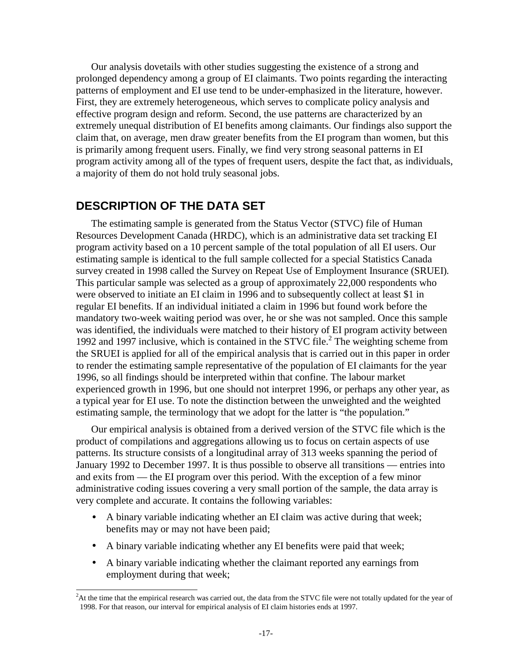Our analysis dovetails with other studies suggesting the existence of a strong and prolonged dependency among a group of EI claimants. Two points regarding the interacting patterns of employment and EI use tend to be under-emphasized in the literature, however. First, they are extremely heterogeneous, which serves to complicate policy analysis and effective program design and reform. Second, the use patterns are characterized by an extremely unequal distribution of EI benefits among claimants. Our findings also support the claim that, on average, men draw greater benefits from the EI program than women, but this is primarily among frequent users. Finally, we find very strong seasonal patterns in EI program activity among all of the types of frequent users, despite the fact that, as individuals, a majority of them do not hold truly seasonal jobs.

#### **DESCRIPTION OF THE DATA SET**

l

The estimating sample is generated from the Status Vector (STVC) file of Human Resources Development Canada (HRDC), which is an administrative data set tracking EI program activity based on a 10 percent sample of the total population of all EI users. Our estimating sample is identical to the full sample collected for a special Statistics Canada survey created in 1998 called the Survey on Repeat Use of Employment Insurance (SRUEI)*.*  This particular sample was selected as a group of approximately 22,000 respondents who were observed to initiate an EI claim in 1996 and to subsequently collect at least \$1 in regular EI benefits. If an individual initiated a claim in 1996 but found work before the mandatory two-week waiting period was over, he or she was not sampled. Once this sample was identified, the individuals were matched to their history of EI program activity between 1992 and 1997 inclusive, which is contained in the STVC file.<sup>2</sup> The weighting scheme from the SRUEI is applied for all of the empirical analysis that is carried out in this paper in order to render the estimating sample representative of the population of EI claimants for the year 1996, so all findings should be interpreted within that confine. The labour market experienced growth in 1996, but one should not interpret 1996, or perhaps any other year, as a typical year for EI use. To note the distinction between the unweighted and the weighted estimating sample, the terminology that we adopt for the latter is "the population."

Our empirical analysis is obtained from a derived version of the STVC file which is the product of compilations and aggregations allowing us to focus on certain aspects of use patterns. Its structure consists of a longitudinal array of 313 weeks spanning the period of January 1992 to December 1997. It is thus possible to observe all transitions — entries into and exits from — the EI program over this period. With the exception of a few minor administrative coding issues covering a very small portion of the sample, the data array is very complete and accurate. It contains the following variables:

- A binary variable indicating whether an EI claim was active during that week; benefits may or may not have been paid;
- A binary variable indicating whether any EI benefits were paid that week;
- A binary variable indicating whether the claimant reported any earnings from employment during that week;

<sup>&</sup>lt;sup>2</sup>At the time that the empirical research was carried out, the data from the STVC file were not totally updated for the year of 1998. For that reason, our interval for empirical analysis of EI claim histories ends at 1997.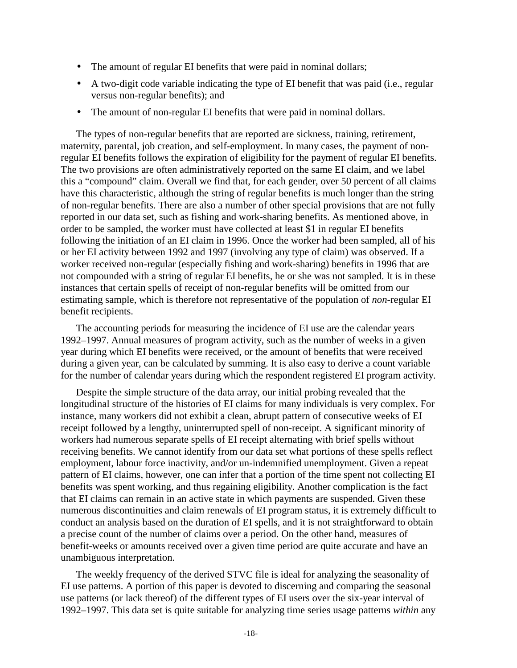- The amount of regular EI benefits that were paid in nominal dollars;
- A two-digit code variable indicating the type of EI benefit that was paid (i.e., regular versus non-regular benefits); and
- The amount of non-regular EI benefits that were paid in nominal dollars.

The types of non-regular benefits that are reported are sickness, training, retirement, maternity, parental, job creation, and self-employment. In many cases, the payment of nonregular EI benefits follows the expiration of eligibility for the payment of regular EI benefits. The two provisions are often administratively reported on the same EI claim, and we label this a "compound" claim. Overall we find that, for each gender, over 50 percent of all claims have this characteristic, although the string of regular benefits is much longer than the string of non-regular benefits. There are also a number of other special provisions that are not fully reported in our data set, such as fishing and work-sharing benefits. As mentioned above, in order to be sampled, the worker must have collected at least \$1 in regular EI benefits following the initiation of an EI claim in 1996. Once the worker had been sampled, all of his or her EI activity between 1992 and 1997 (involving any type of claim) was observed. If a worker received non-regular (especially fishing and work-sharing) benefits in 1996 that are not compounded with a string of regular EI benefits, he or she was not sampled. It is in these instances that certain spells of receipt of non-regular benefits will be omitted from our estimating sample, which is therefore not representative of the population of *non*-regular EI benefit recipients.

The accounting periods for measuring the incidence of EI use are the calendar years 1992–1997. Annual measures of program activity, such as the number of weeks in a given year during which EI benefits were received, or the amount of benefits that were received during a given year, can be calculated by summing. It is also easy to derive a count variable for the number of calendar years during which the respondent registered EI program activity.

Despite the simple structure of the data array, our initial probing revealed that the longitudinal structure of the histories of EI claims for many individuals is very complex. For instance, many workers did not exhibit a clean, abrupt pattern of consecutive weeks of EI receipt followed by a lengthy, uninterrupted spell of non-receipt. A significant minority of workers had numerous separate spells of EI receipt alternating with brief spells without receiving benefits. We cannot identify from our data set what portions of these spells reflect employment, labour force inactivity, and/or un-indemnified unemployment. Given a repeat pattern of EI claims, however, one can infer that a portion of the time spent not collecting EI benefits was spent working, and thus regaining eligibility. Another complication is the fact that EI claims can remain in an active state in which payments are suspended. Given these numerous discontinuities and claim renewals of EI program status, it is extremely difficult to conduct an analysis based on the duration of EI spells, and it is not straightforward to obtain a precise count of the number of claims over a period. On the other hand, measures of benefit-weeks or amounts received over a given time period are quite accurate and have an unambiguous interpretation.

The weekly frequency of the derived STVC file is ideal for analyzing the seasonality of EI use patterns. A portion of this paper is devoted to discerning and comparing the seasonal use patterns (or lack thereof) of the different types of EI users over the six-year interval of 1992–1997. This data set is quite suitable for analyzing time series usage patterns *within* any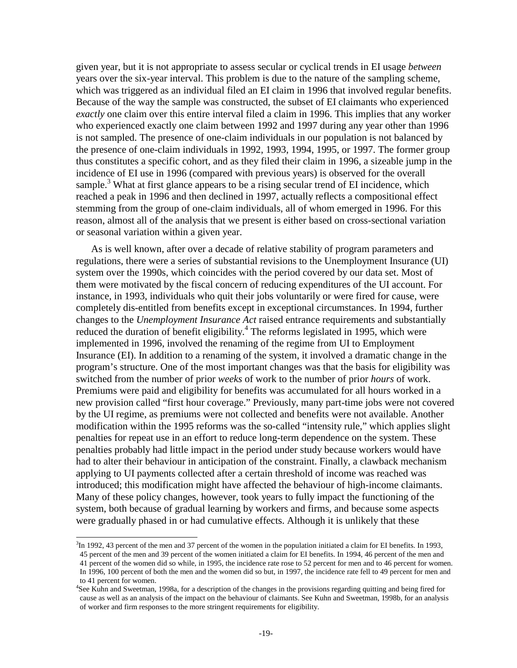given year, but it is not appropriate to assess secular or cyclical trends in EI usage *between* years over the six-year interval. This problem is due to the nature of the sampling scheme, which was triggered as an individual filed an EI claim in 1996 that involved regular benefits. Because of the way the sample was constructed, the subset of EI claimants who experienced *exactly* one claim over this entire interval filed a claim in 1996. This implies that any worker who experienced exactly one claim between 1992 and 1997 during any year other than 1996 is not sampled. The presence of one-claim individuals in our population is not balanced by the presence of one-claim individuals in 1992, 1993, 1994, 1995, or 1997. The former group thus constitutes a specific cohort, and as they filed their claim in 1996, a sizeable jump in the incidence of EI use in 1996 (compared with previous years) is observed for the overall sample.<sup>3</sup> What at first glance appears to be a rising secular trend of EI incidence, which reached a peak in 1996 and then declined in 1997, actually reflects a compositional effect stemming from the group of one-claim individuals, all of whom emerged in 1996. For this reason, almost all of the analysis that we present is either based on cross-sectional variation or seasonal variation within a given year.

As is well known, after over a decade of relative stability of program parameters and regulations, there were a series of substantial revisions to the Unemployment Insurance (UI) system over the 1990s, which coincides with the period covered by our data set. Most of them were motivated by the fiscal concern of reducing expenditures of the UI account. For instance, in 1993, individuals who quit their jobs voluntarily or were fired for cause, were completely dis-entitled from benefits except in exceptional circumstances. In 1994, further changes to the *Unemployment Insurance Act* raised entrance requirements and substantially reduced the duration of benefit eligibility.<sup>4</sup> The reforms legislated in 1995, which were implemented in 1996, involved the renaming of the regime from UI to Employment Insurance (EI). In addition to a renaming of the system, it involved a dramatic change in the program's structure. One of the most important changes was that the basis for eligibility was switched from the number of prior *weeks* of work to the number of prior *hours* of work. Premiums were paid and eligibility for benefits was accumulated for all hours worked in a new provision called "first hour coverage." Previously, many part-time jobs were not covered by the UI regime, as premiums were not collected and benefits were not available. Another modification within the 1995 reforms was the so-called "intensity rule," which applies slight penalties for repeat use in an effort to reduce long-term dependence on the system. These penalties probably had little impact in the period under study because workers would have had to alter their behaviour in anticipation of the constraint. Finally, a clawback mechanism applying to UI payments collected after a certain threshold of income was reached was introduced; this modification might have affected the behaviour of high-income claimants. Many of these policy changes, however, took years to fully impact the functioning of the system, both because of gradual learning by workers and firms, and because some aspects were gradually phased in or had cumulative effects. Although it is unlikely that these

l

<sup>&</sup>lt;sup>3</sup>In 1992, 43 percent of the men and 37 percent of the women in the population initiated a claim for EI benefits. In 1993, 45 percent of the men and 39 percent of the women initiated a claim for EI benefits. In 1994, 46 percent of the men and

<sup>41</sup> percent of the women did so while, in 1995, the incidence rate rose to 52 percent for men and to 46 percent for women.

In 1996, 100 percent of both the men and the women did so but, in 1997, the incidence rate fell to 49 percent for men and to 41 percent for women.

<sup>&</sup>lt;sup>4</sup>See Kuhn and Sweetman, 1998a, for a description of the changes in the provisions regarding quitting and being fired for cause as well as an analysis of the impact on the behaviour of claimants. See Kuhn and Sweetman, 1998b, for an analysis of worker and firm responses to the more stringent requirements for eligibility.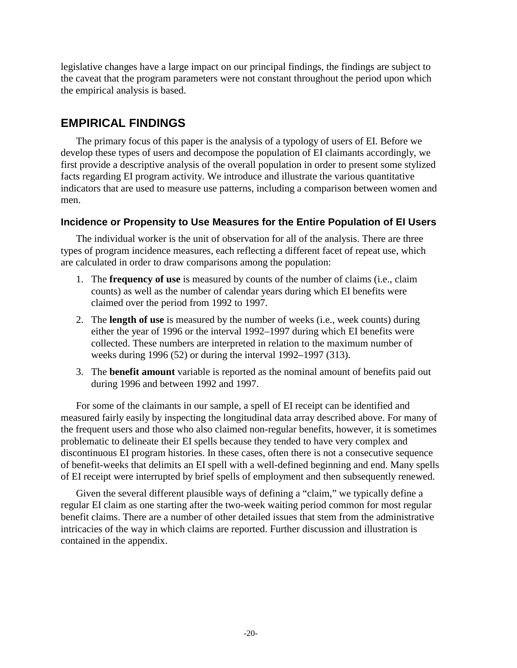legislative changes have a large impact on our principal findings, the findings are subject to the caveat that the program parameters were not constant throughout the period upon which the empirical analysis is based.

## **EMPIRICAL FINDINGS**

The primary focus of this paper is the analysis of a typology of users of EI. Before we develop these types of users and decompose the population of EI claimants accordingly, we first provide a descriptive analysis of the overall population in order to present some stylized facts regarding EI program activity. We introduce and illustrate the various quantitative indicators that are used to measure use patterns, including a comparison between women and men.

## **Incidence or Propensity to Use Measures for the Entire Population of EI Users**

The individual worker is the unit of observation for all of the analysis. There are three types of program incidence measures, each reflecting a different facet of repeat use, which are calculated in order to draw comparisons among the population:

- 1. The **frequency of use** is measured by counts of the number of claims (i.e., claim counts) as well as the number of calendar years during which EI benefits were claimed over the period from 1992 to 1997.
- 2. The **length of use** is measured by the number of weeks (i.e., week counts) during either the year of 1996 or the interval 1992–1997 during which EI benefits were collected. These numbers are interpreted in relation to the maximum number of weeks during 1996 (52) or during the interval 1992–1997 (313).
- 3. The **benefit amount** variable is reported as the nominal amount of benefits paid out during 1996 and between 1992 and 1997.

For some of the claimants in our sample, a spell of EI receipt can be identified and measured fairly easily by inspecting the longitudinal data array described above. For many of the frequent users and those who also claimed non-regular benefits, however, it is sometimes problematic to delineate their EI spells because they tended to have very complex and discontinuous EI program histories. In these cases, often there is not a consecutive sequence of benefit-weeks that delimits an EI spell with a well-defined beginning and end. Many spells of EI receipt were interrupted by brief spells of employment and then subsequently renewed.

Given the several different plausible ways of defining a "claim," we typically define a regular EI claim as one starting after the two-week waiting period common for most regular benefit claims. There are a number of other detailed issues that stem from the administrative intricacies of the way in which claims are reported. Further discussion and illustration is contained in the appendix.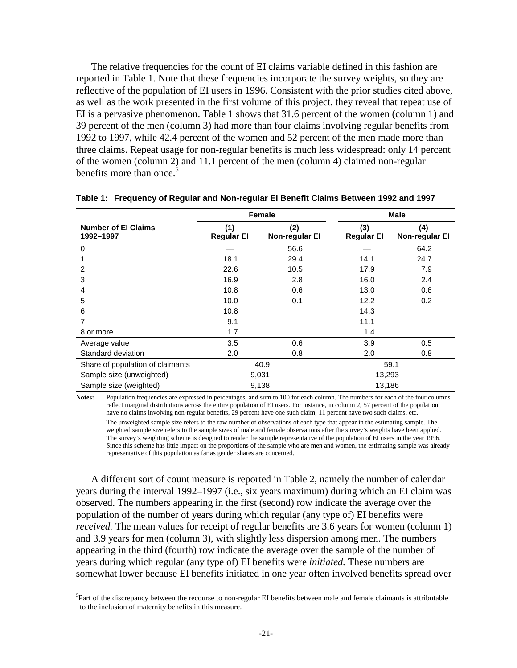The relative frequencies for the count of EI claims variable defined in this fashion are reported in Table 1. Note that these frequencies incorporate the survey weights, so they are reflective of the population of EI users in 1996. Consistent with the prior studies cited above, as well as the work presented in the first volume of this project, they reveal that repeat use of EI is a pervasive phenomenon. Table 1 shows that 31.6 percent of the women (column 1) and 39 percent of the men (column 3) had more than four claims involving regular benefits from 1992 to 1997, while 42.4 percent of the women and 52 percent of the men made more than three claims. Repeat usage for non-regular benefits is much less widespread: only 14 percent of the women (column 2) and 11.1 percent of the men (column 4) claimed non-regular benefits more than once.<sup>5</sup>

|                                         |                          | Female                |                          | <b>Male</b>                  |  |
|-----------------------------------------|--------------------------|-----------------------|--------------------------|------------------------------|--|
| <b>Number of El Claims</b><br>1992-1997 | (1)<br><b>Regular El</b> | (2)<br>Non-regular El | (3)<br><b>Regular El</b> | (4)<br><b>Non-regular El</b> |  |
| 0                                       |                          | 56.6                  |                          | 64.2                         |  |
|                                         | 18.1                     | 29.4                  | 14.1                     | 24.7                         |  |
| 2                                       | 22.6                     | 10.5                  | 17.9                     | 7.9                          |  |
| 3                                       | 16.9                     | 2.8                   | 16.0                     | 2.4                          |  |
| 4                                       | 10.8                     | 0.6                   | 13.0                     | 0.6                          |  |
| 5                                       | 10.0                     | 0.1                   | 12.2                     | 0.2                          |  |
| 6                                       | 10.8                     |                       | 14.3                     |                              |  |
|                                         | 9.1                      |                       | 11.1                     |                              |  |
| 8 or more                               | 1.7                      |                       | 1.4                      |                              |  |
| Average value                           | 3.5                      | 0.6                   | 3.9                      | 0.5                          |  |
| Standard deviation                      | 2.0                      | 0.8                   | 2.0                      | 0.8                          |  |
| Share of population of claimants        | 40.9                     |                       | 59.1                     |                              |  |
| Sample size (unweighted)                |                          | 9,031                 | 13,293                   |                              |  |
| Sample size (weighted)                  |                          | 9,138                 | 13,186                   |                              |  |

|  | Table 1: Frequency of Regular and Non-regular El Benefit Claims Between 1992 and 1997 |  |  |
|--|---------------------------------------------------------------------------------------|--|--|
|  |                                                                                       |  |  |

**Notes:** Population frequencies are expressed in percentages, and sum to 100 for each column. The numbers for each of the four columns reflect marginal distributions across the entire population of EI users. For instance, in column 2, 57 percent of the population have no claims involving non-regular benefits, 29 percent have one such claim, 11 percent have two such claims, etc. The unweighted sample size refers to the raw number of observations of each type that appear in the estimating sample. The weighted sample size refers to the sample sizes of male and female observations after the survey's weights have been applied. The survey's weighting scheme is designed to render the sample representative of the population of EI users in the year 1996. Since this scheme has little impact on the proportions of the sample who are men and women, the estimating sample was already representative of this population as far as gender shares are concerned.

A different sort of count measure is reported in Table 2, namely the number of calendar years during the interval 1992–1997 (i.e., six years maximum) during which an EI claim was observed. The numbers appearing in the first (second) row indicate the average over the population of the number of years during which regular (any type of) EI benefits were *received.* The mean values for receipt of regular benefits are 3.6 years for women (column 1) and 3.9 years for men (column 3), with slightly less dispersion among men. The numbers appearing in the third (fourth) row indicate the average over the sample of the number of years during which regular (any type of) EI benefits were *initiated.* These numbers are somewhat lower because EI benefits initiated in one year often involved benefits spread over

l

<sup>&</sup>lt;sup>5</sup>Part of the discrepancy between the recourse to non-regular EI benefits between male and female claimants is attributable to the inclusion of maternity benefits in this measure.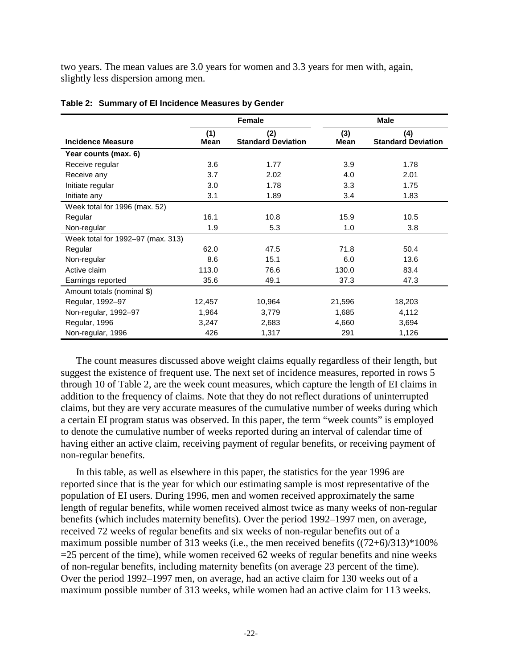two years. The mean values are 3.0 years for women and 3.3 years for men with, again, slightly less dispersion among men.

|                                   |             | <b>Female</b>                    | <b>Male</b>   |                                  |  |
|-----------------------------------|-------------|----------------------------------|---------------|----------------------------------|--|
| <b>Incidence Measure</b>          | (1)<br>Mean | (2)<br><b>Standard Deviation</b> | (3)<br>Mean   | (4)<br><b>Standard Deviation</b> |  |
| Year counts (max. 6)              |             |                                  |               |                                  |  |
| Receive regular                   | 3.6         | 1.77                             | 3.9           | 1.78                             |  |
| Receive any                       | 3.7         | 2.02                             | 4.0           | 2.01                             |  |
| Initiate regular                  | 3.0         | 1.78                             | 3.3           | 1.75                             |  |
| Initiate any                      | 3.1         | 1.89                             | $3.4^{\circ}$ | 1.83                             |  |
| Week total for 1996 (max. 52)     |             |                                  |               |                                  |  |
| Regular                           | 16.1        | 10.8                             | 15.9          | 10.5                             |  |
| Non-regular                       | 1.9         | 5.3                              | 1.0           | 3.8                              |  |
| Week total for 1992-97 (max. 313) |             |                                  |               |                                  |  |
| Regular                           | 62.0        | 47.5                             | 71.8          | 50.4                             |  |
| Non-regular                       | 8.6         | 15.1                             | 6.0           | 13.6                             |  |
| Active claim                      | 113.0       | 76.6                             | 130.0         | 83.4                             |  |
| Earnings reported                 | 35.6        | 49.1                             | 37.3          | 47.3                             |  |
| Amount totals (nominal \$)        |             |                                  |               |                                  |  |
| Regular, 1992-97                  | 12,457      | 10,964                           | 21,596        | 18,203                           |  |
| Non-regular, 1992-97              | 1,964       | 3,779                            | 1,685         | 4,112                            |  |
| Regular, 1996                     | 3,247       | 2,683                            | 4,660         | 3,694                            |  |
| Non-regular, 1996                 | 426         | 1,317                            | 291           | 1,126                            |  |

|  |  | Table 2: Summary of El Incidence Measures by Gender |  |  |
|--|--|-----------------------------------------------------|--|--|
|--|--|-----------------------------------------------------|--|--|

The count measures discussed above weight claims equally regardless of their length, but suggest the existence of frequent use. The next set of incidence measures, reported in rows 5 through 10 of Table 2, are the week count measures, which capture the length of EI claims in addition to the frequency of claims. Note that they do not reflect durations of uninterrupted claims, but they are very accurate measures of the cumulative number of weeks during which a certain EI program status was observed. In this paper, the term "week counts" is employed to denote the cumulative number of weeks reported during an interval of calendar time of having either an active claim, receiving payment of regular benefits, or receiving payment of non-regular benefits.

In this table, as well as elsewhere in this paper, the statistics for the year 1996 are reported since that is the year for which our estimating sample is most representative of the population of EI users. During 1996, men and women received approximately the same length of regular benefits, while women received almost twice as many weeks of non-regular benefits (which includes maternity benefits). Over the period 1992–1997 men, on average, received 72 weeks of regular benefits and six weeks of non-regular benefits out of a maximum possible number of 313 weeks (i.e., the men received benefits  $((72+6)/313)*100\%$  $=$  25 percent of the time), while women received 62 weeks of regular benefits and nine weeks of non-regular benefits, including maternity benefits (on average 23 percent of the time). Over the period 1992–1997 men, on average, had an active claim for 130 weeks out of a maximum possible number of 313 weeks, while women had an active claim for 113 weeks.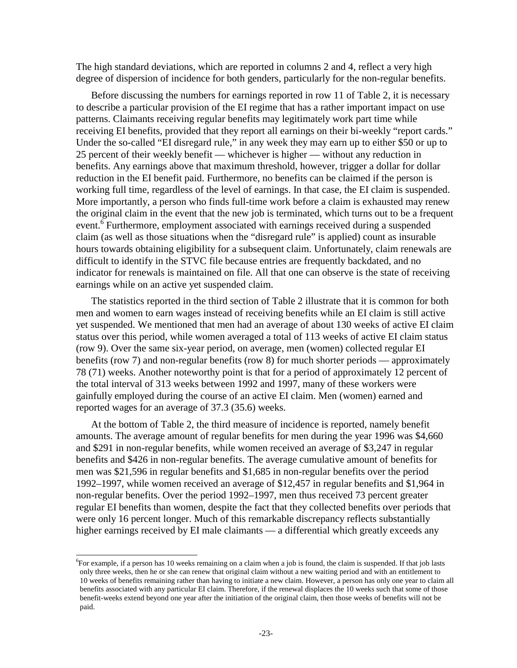The high standard deviations, which are reported in columns 2 and 4, reflect a very high degree of dispersion of incidence for both genders, particularly for the non-regular benefits.

Before discussing the numbers for earnings reported in row 11 of Table 2, it is necessary to describe a particular provision of the EI regime that has a rather important impact on use patterns. Claimants receiving regular benefits may legitimately work part time while receiving EI benefits, provided that they report all earnings on their bi-weekly "report cards." Under the so-called "EI disregard rule," in any week they may earn up to either \$50 or up to 25 percent of their weekly benefit — whichever is higher — without any reduction in benefits. Any earnings above that maximum threshold, however, trigger a dollar for dollar reduction in the EI benefit paid. Furthermore, no benefits can be claimed if the person is working full time, regardless of the level of earnings. In that case, the EI claim is suspended. More importantly, a person who finds full-time work before a claim is exhausted may renew the original claim in the event that the new job is terminated, which turns out to be a frequent event.<sup>6</sup> Furthermore, employment associated with earnings received during a suspended claim (as well as those situations when the "disregard rule" is applied) count as insurable hours towards obtaining eligibility for a subsequent claim. Unfortunately, claim renewals are difficult to identify in the STVC file because entries are frequently backdated, and no indicator for renewals is maintained on file. All that one can observe is the state of receiving earnings while on an active yet suspended claim.

The statistics reported in the third section of Table 2 illustrate that it is common for both men and women to earn wages instead of receiving benefits while an EI claim is still active yet suspended. We mentioned that men had an average of about 130 weeks of active EI claim status over this period, while women averaged a total of 113 weeks of active EI claim status (row 9). Over the same six-year period, on average, men (women) collected regular EI benefits (row 7) and non-regular benefits (row 8) for much shorter periods — approximately 78 (71) weeks. Another noteworthy point is that for a period of approximately 12 percent of the total interval of 313 weeks between 1992 and 1997, many of these workers were gainfully employed during the course of an active EI claim. Men (women) earned and reported wages for an average of 37.3 (35.6) weeks.

At the bottom of Table 2, the third measure of incidence is reported, namely benefit amounts. The average amount of regular benefits for men during the year 1996 was \$4,660 and \$291 in non-regular benefits, while women received an average of \$3,247 in regular benefits and \$426 in non-regular benefits. The average cumulative amount of benefits for men was \$21,596 in regular benefits and \$1,685 in non-regular benefits over the period 1992–1997, while women received an average of \$12,457 in regular benefits and \$1,964 in non-regular benefits. Over the period 1992–1997, men thus received 73 percent greater regular EI benefits than women, despite the fact that they collected benefits over periods that were only 16 percent longer. Much of this remarkable discrepancy reflects substantially higher earnings received by EI male claimants — a differential which greatly exceeds any

l

<sup>6</sup> For example, if a person has 10 weeks remaining on a claim when a job is found, the claim is suspended. If that job lasts only three weeks, then he or she can renew that original claim without a new waiting period and with an entitlement to 10 weeks of benefits remaining rather than having to initiate a new claim. However, a person has only one year to claim all benefits associated with any particular EI claim. Therefore, if the renewal displaces the 10 weeks such that some of those benefit-weeks extend beyond one year after the initiation of the original claim, then those weeks of benefits will not be paid.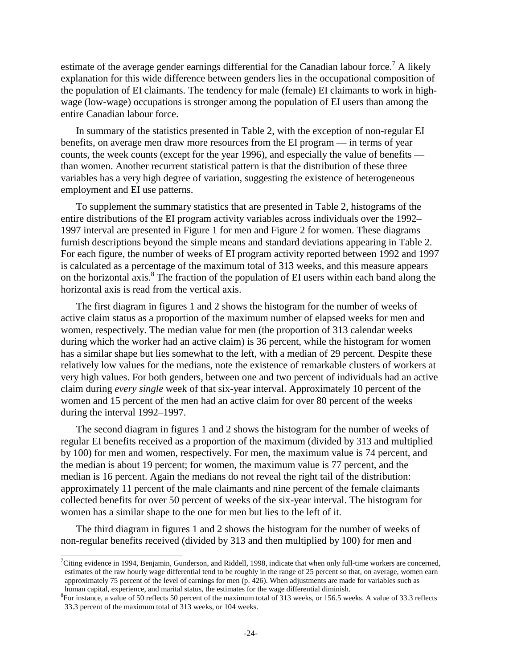estimate of the average gender earnings differential for the Canadian labour force.<sup>7</sup> A likely explanation for this wide difference between genders lies in the occupational composition of the population of EI claimants. The tendency for male (female) EI claimants to work in highwage (low-wage) occupations is stronger among the population of EI users than among the entire Canadian labour force.

In summary of the statistics presented in Table 2, with the exception of non-regular EI benefits, on average men draw more resources from the EI program — in terms of year counts, the week counts (except for the year 1996), and especially the value of benefits than women. Another recurrent statistical pattern is that the distribution of these three variables has a very high degree of variation, suggesting the existence of heterogeneous employment and EI use patterns.

To supplement the summary statistics that are presented in Table 2, histograms of the entire distributions of the EI program activity variables across individuals over the 1992– 1997 interval are presented in Figure 1 for men and Figure 2 for women. These diagrams furnish descriptions beyond the simple means and standard deviations appearing in Table 2. For each figure, the number of weeks of EI program activity reported between 1992 and 1997 is calculated as a percentage of the maximum total of 313 weeks, and this measure appears on the horizontal axis.<sup>8</sup> The fraction of the population of EI users within each band along the horizontal axis is read from the vertical axis.

The first diagram in figures 1 and 2 shows the histogram for the number of weeks of active claim status as a proportion of the maximum number of elapsed weeks for men and women, respectively. The median value for men (the proportion of 313 calendar weeks during which the worker had an active claim) is 36 percent, while the histogram for women has a similar shape but lies somewhat to the left, with a median of 29 percent. Despite these relatively low values for the medians, note the existence of remarkable clusters of workers at very high values. For both genders, between one and two percent of individuals had an active claim during *every single* week of that six-year interval. Approximately 10 percent of the women and 15 percent of the men had an active claim for over 80 percent of the weeks during the interval 1992–1997.

The second diagram in figures 1 and 2 shows the histogram for the number of weeks of regular EI benefits received as a proportion of the maximum (divided by 313 and multiplied by 100) for men and women, respectively. For men, the maximum value is 74 percent, and the median is about 19 percent; for women, the maximum value is 77 percent, and the median is 16 percent. Again the medians do not reveal the right tail of the distribution: approximately 11 percent of the male claimants and nine percent of the female claimants collected benefits for over 50 percent of weeks of the six-year interval. The histogram for women has a similar shape to the one for men but lies to the left of it.

The third diagram in figures 1 and 2 shows the histogram for the number of weeks of non-regular benefits received (divided by 313 and then multiplied by 100) for men and

l

<sup>7</sup> Citing evidence in 1994, Benjamin, Gunderson, and Riddell, 1998, indicate that when only full-time workers are concerned, estimates of the raw hourly wage differential tend to be roughly in the range of 25 percent so that, on average, women earn approximately 75 percent of the level of earnings for men (p. 426). When adjustments are made for variables such as human capital, experience, and marital status, the estimates for the wage differential diminish.

<sup>8</sup> For instance, a value of 50 reflects 50 percent of the maximum total of 313 weeks, or 156.5 weeks. A value of 33.3 reflects 33.3 percent of the maximum total of 313 weeks, or 104 weeks.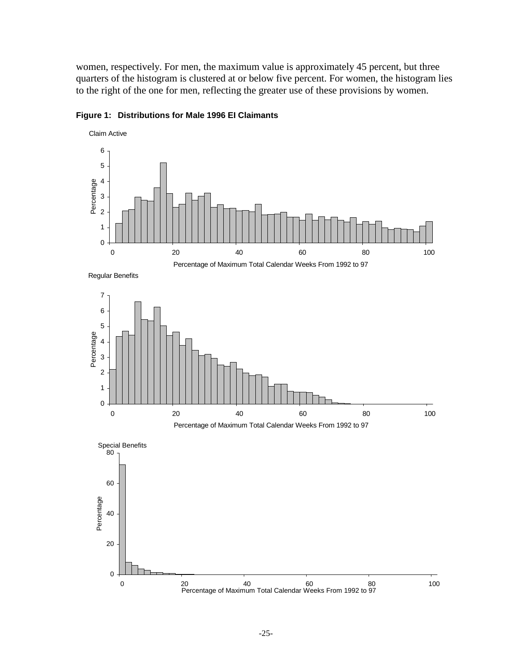women, respectively. For men, the maximum value is approximately 45 percent, but three quarters of the histogram is clustered at or below five percent. For women, the histogram lies to the right of the one for men, reflecting the greater use of these provisions by women.



**Figure 1: Distributions for Male 1996 EI Claimants** 

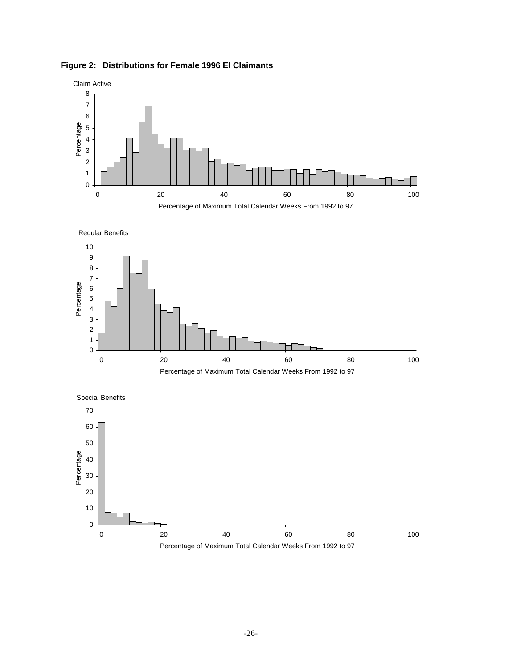









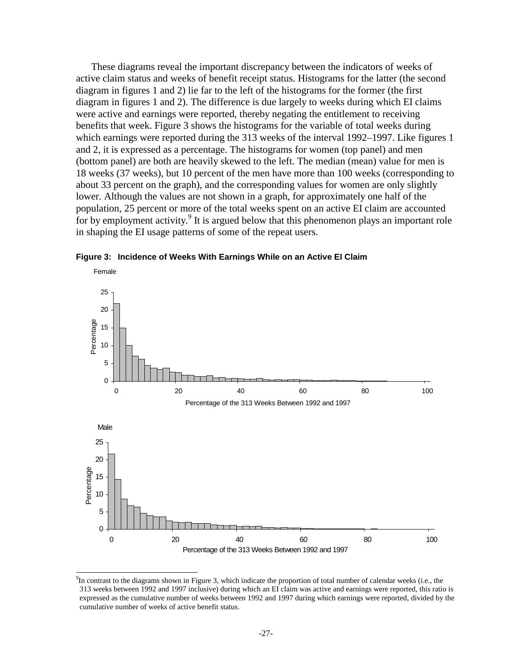These diagrams reveal the important discrepancy between the indicators of weeks of active claim status and weeks of benefit receipt status. Histograms for the latter (the second diagram in figures 1 and 2) lie far to the left of the histograms for the former (the first diagram in figures 1 and 2). The difference is due largely to weeks during which EI claims were active and earnings were reported, thereby negating the entitlement to receiving benefits that week. Figure 3 shows the histograms for the variable of total weeks during which earnings were reported during the 313 weeks of the interval 1992–1997. Like figures 1 and 2, it is expressed as a percentage. The histograms for women (top panel) and men (bottom panel) are both are heavily skewed to the left. The median (mean) value for men is 18 weeks (37 weeks), but 10 percent of the men have more than 100 weeks (corresponding to about 33 percent on the graph), and the corresponding values for women are only slightly lower. Although the values are not shown in a graph, for approximately one half of the population, 25 percent or more of the total weeks spent on an active EI claim are accounted for by employment activity.<sup>9</sup> It is argued below that this phenomenon plays an important role in shaping the EI usage patterns of some of the repeat users.





 $^{9}$ In contrast to the diagrams shown in Figure 3, which indicate the proportion of total number of calendar weeks (i.e., the 313 weeks between 1992 and 1997 inclusive) during which an EI claim was active and earnings were reported, this ratio is expressed as the cumulative number of weeks between 1992 and 1997 during which earnings were reported, divided by the cumulative number of weeks of active benefit status.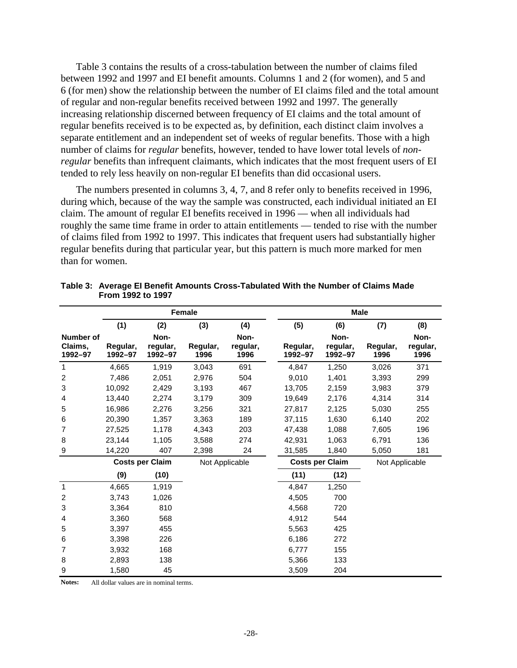Table 3 contains the results of a cross-tabulation between the number of claims filed between 1992 and 1997 and EI benefit amounts. Columns 1 and 2 (for women), and 5 and 6 (for men) show the relationship between the number of EI claims filed and the total amount of regular and non-regular benefits received between 1992 and 1997. The generally increasing relationship discerned between frequency of EI claims and the total amount of regular benefits received is to be expected as, by definition, each distinct claim involves a separate entitlement and an independent set of weeks of regular benefits. Those with a high number of claims for *regular* benefits, however, tended to have lower total levels of *nonregular* benefits than infrequent claimants, which indicates that the most frequent users of EI tended to rely less heavily on non-regular EI benefits than did occasional users.

The numbers presented in columns 3, 4, 7, and 8 refer only to benefits received in 1996, during which, because of the way the sample was constructed, each individual initiated an EI claim. The amount of regular EI benefits received in 1996 — when all individuals had roughly the same time frame in order to attain entitlements — tended to rise with the number of claims filed from 1992 to 1997. This indicates that frequent users had substantially higher regular benefits during that particular year, but this pattern is much more marked for men than for women.

|                                 | Female                 |                             |                  |                          |  | <b>Male</b>            |                             |                  |                          |
|---------------------------------|------------------------|-----------------------------|------------------|--------------------------|--|------------------------|-----------------------------|------------------|--------------------------|
|                                 | (1)                    | (2)                         | (3)              | (4)                      |  | (5)                    | (6)                         | (7)              | (8)                      |
| Number of<br>Claims,<br>1992-97 | Regular,<br>1992-97    | Non-<br>regular,<br>1992-97 | Regular,<br>1996 | Non-<br>regular,<br>1996 |  | Regular,<br>1992-97    | Non-<br>regular,<br>1992-97 | Regular,<br>1996 | Non-<br>regular,<br>1996 |
| 1                               | 4,665                  | 1,919                       | 3,043            | 691                      |  | 4.847                  | 1,250                       | 3,026            | 371                      |
| $\overline{c}$                  | 7,486                  | 2,051                       | 2,976            | 504                      |  | 9,010                  | 1,401                       | 3,393            | 299                      |
| 3                               | 10,092                 | 2,429                       | 3,193            | 467                      |  | 13,705                 | 2,159                       | 3,983            | 379                      |
| 4                               | 13,440                 | 2,274                       | 3,179            | 309                      |  | 19.649                 | 2,176                       | 4,314            | 314                      |
| 5                               | 16,986                 | 2,276                       | 3,256            | 321                      |  | 27,817                 | 2,125                       | 5,030            | 255                      |
| 6                               | 20,390                 | 1,357                       | 3,363            | 189                      |  | 37,115                 | 1,630                       | 6,140            | 202                      |
| $\overline{7}$                  | 27,525                 | 1,178                       | 4,343            | 203                      |  | 47,438                 | 1,088                       | 7,605            | 196                      |
| 8                               | 23,144                 | 1,105                       | 3,588            | 274                      |  | 42,931                 | 1,063                       | 6,791            | 136                      |
| 9                               | 14,220                 | 407                         | 2,398            | 24                       |  | 31,585                 | 1,840                       | 5,050            | 181                      |
|                                 | <b>Costs per Claim</b> |                             |                  | Not Applicable           |  | <b>Costs per Claim</b> | Not Applicable              |                  |                          |
|                                 | (9)                    | (10)                        |                  |                          |  | (11)                   | (12)                        |                  |                          |
| 1                               | 4,665                  | 1,919                       |                  |                          |  | 4,847                  | 1,250                       |                  |                          |
| 2                               | 3,743                  | 1,026                       |                  |                          |  | 4,505                  | 700                         |                  |                          |
| 3                               | 3,364                  | 810                         |                  |                          |  | 4,568                  | 720                         |                  |                          |
| 4                               | 3,360                  | 568                         |                  |                          |  | 4,912                  | 544                         |                  |                          |
| 5                               | 3,397                  | 455                         |                  |                          |  | 5,563                  | 425                         |                  |                          |
| 6                               | 3,398                  | 226                         |                  |                          |  | 6,186                  | 272                         |                  |                          |
| $\overline{7}$                  | 3,932                  | 168                         |                  |                          |  | 6,777                  | 155                         |                  |                          |
| 8                               | 2,893                  | 138                         |                  |                          |  | 5,366                  | 133                         |                  |                          |
| 9                               | 1,580                  | 45                          |                  |                          |  | 3,509                  | 204                         |                  |                          |

**Table 3: Average EI Benefit Amounts Cross-Tabulated With the Number of Claims Made From 1992 to 1997** 

**Notes:** All dollar values are in nominal terms.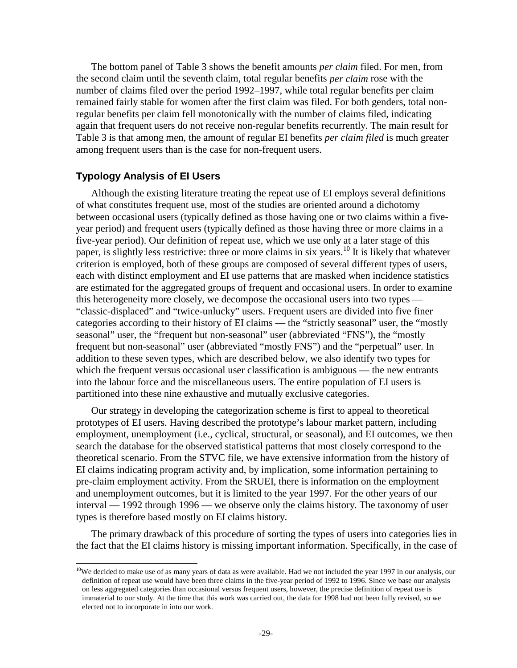The bottom panel of Table 3 shows the benefit amounts *per claim* filed. For men, from the second claim until the seventh claim, total regular benefits *per claim* rose with the number of claims filed over the period 1992–1997, while total regular benefits per claim remained fairly stable for women after the first claim was filed. For both genders, total nonregular benefits per claim fell monotonically with the number of claims filed, indicating again that frequent users do not receive non-regular benefits recurrently. The main result for Table 3 is that among men, the amount of regular EI benefits *per claim filed* is much greater among frequent users than is the case for non-frequent users.

### **Typology Analysis of EI Users**

l

Although the existing literature treating the repeat use of EI employs several definitions of what constitutes frequent use, most of the studies are oriented around a dichotomy between occasional users (typically defined as those having one or two claims within a fiveyear period) and frequent users (typically defined as those having three or more claims in a five-year period). Our definition of repeat use, which we use only at a later stage of this paper, is slightly less restrictive: three or more claims in six years.10 It is likely that whatever criterion is employed, both of these groups are composed of several different types of users, each with distinct employment and EI use patterns that are masked when incidence statistics are estimated for the aggregated groups of frequent and occasional users. In order to examine this heterogeneity more closely, we decompose the occasional users into two types — "classic-displaced" and "twice-unlucky" users. Frequent users are divided into five finer categories according to their history of EI claims — the "strictly seasonal" user, the "mostly seasonal" user, the "frequent but non-seasonal" user (abbreviated "FNS"), the "mostly frequent but non-seasonal" user (abbreviated "mostly FNS") and the "perpetual" user. In addition to these seven types, which are described below, we also identify two types for which the frequent versus occasional user classification is ambiguous — the new entrants into the labour force and the miscellaneous users. The entire population of EI users is partitioned into these nine exhaustive and mutually exclusive categories.

Our strategy in developing the categorization scheme is first to appeal to theoretical prototypes of EI users. Having described the prototype's labour market pattern, including employment, unemployment (i.e., cyclical, structural, or seasonal), and EI outcomes, we then search the database for the observed statistical patterns that most closely correspond to the theoretical scenario. From the STVC file, we have extensive information from the history of EI claims indicating program activity and, by implication, some information pertaining to pre-claim employment activity. From the SRUEI, there is information on the employment and unemployment outcomes, but it is limited to the year 1997. For the other years of our interval — 1992 through 1996 — we observe only the claims history. The taxonomy of user types is therefore based mostly on EI claims history.

The primary drawback of this procedure of sorting the types of users into categories lies in the fact that the EI claims history is missing important information. Specifically, in the case of

 $10$ We decided to make use of as many years of data as were available. Had we not included the year 1997 in our analysis, our definition of repeat use would have been three claims in the five-year period of 1992 to 1996. Since we base our analysis on less aggregated categories than occasional versus frequent users, however, the precise definition of repeat use is immaterial to our study. At the time that this work was carried out, the data for 1998 had not been fully revised, so we elected not to incorporate in into our work.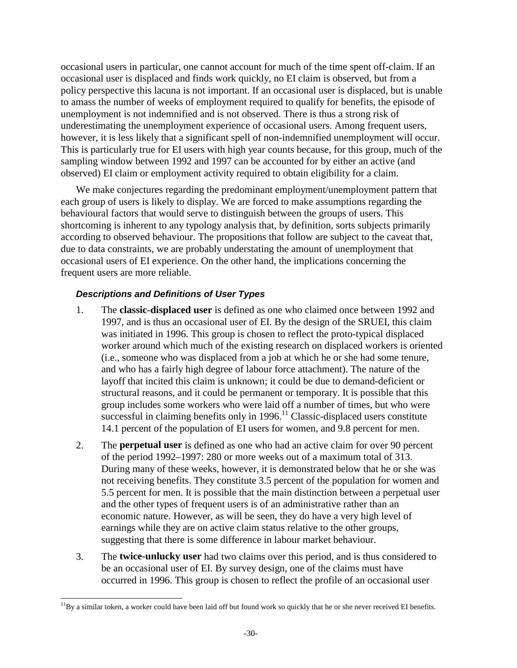occasional users in particular, one cannot account for much of the time spent off-claim. If an occasional user is displaced and finds work quickly, no EI claim is observed, but from a policy perspective this lacuna is not important. If an occasional user is displaced, but is unable to amass the number of weeks of employment required to qualify for benefits, the episode of unemployment is not indemnified and is not observed. There is thus a strong risk of underestimating the unemployment experience of occasional users. Among frequent users, however, it is less likely that a significant spell of non-indemnified unemployment will occur. This is particularly true for EI users with high year counts because, for this group, much of the sampling window between 1992 and 1997 can be accounted for by either an active (and observed) EI claim or employment activity required to obtain eligibility for a claim.

We make conjectures regarding the predominant employment/unemployment pattern that each group of users is likely to display. We are forced to make assumptions regarding the behavioural factors that would serve to distinguish between the groups of users. This shortcoming is inherent to any typology analysis that, by definition, sorts subjects primarily according to observed behaviour. The propositions that follow are subject to the caveat that, due to data constraints, we are probably understating the amount of unemployment that occasional users of EI experience. On the other hand, the implications concerning the frequent users are more reliable.

## **Descriptions and Definitions of User Types**

- 1. The **classic-displaced user** is defined as one who claimed once between 1992 and 1997, and is thus an occasional user of EI. By the design of the SRUEI, this claim was initiated in 1996. This group is chosen to reflect the proto-typical displaced worker around which much of the existing research on displaced workers is oriented (i.e., someone who was displaced from a job at which he or she had some tenure, and who has a fairly high degree of labour force attachment). The nature of the layoff that incited this claim is unknown; it could be due to demand-deficient or structural reasons, and it could be permanent or temporary. It is possible that this group includes some workers who were laid off a number of times, but who were successful in claiming benefits only in  $1996$ .<sup>11</sup> Classic-displaced users constitute 14.1 percent of the population of EI users for women, and 9.8 percent for men.
- 2. The **perpetual user** is defined as one who had an active claim for over 90 percent of the period 1992–1997: 280 or more weeks out of a maximum total of 313. During many of these weeks, however, it is demonstrated below that he or she was not receiving benefits. They constitute 3.5 percent of the population for women and 5.5 percent for men. It is possible that the main distinction between a perpetual user and the other types of frequent users is of an administrative rather than an economic nature. However, as will be seen, they do have a very high level of earnings while they are on active claim status relative to the other groups, suggesting that there is some difference in labour market behaviour.
- 3. The **twice-unlucky user** had two claims over this period, and is thus considered to be an occasional user of EI. By survey design, one of the claims must have occurred in 1996. This group is chosen to reflect the profile of an occasional user

 $11By$  a similar token, a worker could have been laid off but found work so quickly that he or she never received EI benefits.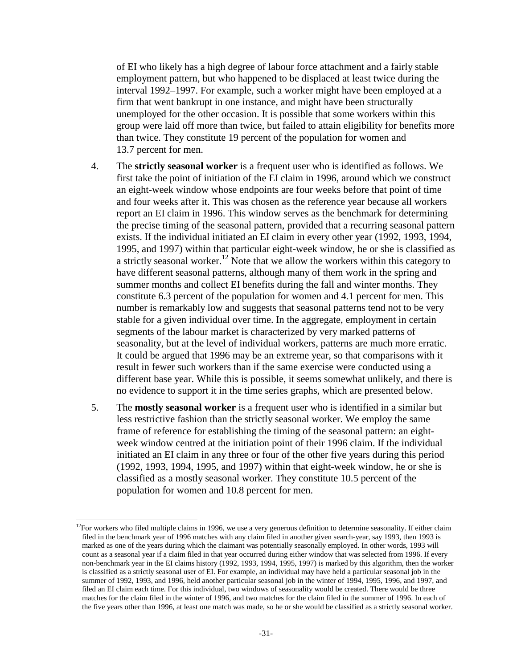of EI who likely has a high degree of labour force attachment and a fairly stable employment pattern, but who happened to be displaced at least twice during the interval 1992–1997. For example, such a worker might have been employed at a firm that went bankrupt in one instance, and might have been structurally unemployed for the other occasion. It is possible that some workers within this group were laid off more than twice, but failed to attain eligibility for benefits more than twice. They constitute 19 percent of the population for women and 13.7 percent for men.

- 4. The **strictly seasonal worker** is a frequent user who is identified as follows. We first take the point of initiation of the EI claim in 1996, around which we construct an eight-week window whose endpoints are four weeks before that point of time and four weeks after it. This was chosen as the reference year because all workers report an EI claim in 1996. This window serves as the benchmark for determining the precise timing of the seasonal pattern, provided that a recurring seasonal pattern exists. If the individual initiated an EI claim in every other year (1992, 1993, 1994, 1995, and 1997) within that particular eight-week window, he or she is classified as a strictly seasonal worker.<sup>12</sup> Note that we allow the workers within this category to have different seasonal patterns, although many of them work in the spring and summer months and collect EI benefits during the fall and winter months. They constitute 6.3 percent of the population for women and 4.1 percent for men. This number is remarkably low and suggests that seasonal patterns tend not to be very stable for a given individual over time. In the aggregate, employment in certain segments of the labour market is characterized by very marked patterns of seasonality, but at the level of individual workers, patterns are much more erratic. It could be argued that 1996 may be an extreme year, so that comparisons with it result in fewer such workers than if the same exercise were conducted using a different base year. While this is possible, it seems somewhat unlikely, and there is no evidence to support it in the time series graphs, which are presented below.
- 5. The **mostly seasonal worker** is a frequent user who is identified in a similar but less restrictive fashion than the strictly seasonal worker. We employ the same frame of reference for establishing the timing of the seasonal pattern: an eightweek window centred at the initiation point of their 1996 claim. If the individual initiated an EI claim in any three or four of the other five years during this period (1992, 1993, 1994, 1995, and 1997) within that eight-week window, he or she is classified as a mostly seasonal worker. They constitute 10.5 percent of the population for women and 10.8 percent for men.

 $12$ For workers who filed multiple claims in 1996, we use a very generous definition to determine seasonality. If either claim filed in the benchmark year of 1996 matches with any claim filed in another given search-year, say 1993, then 1993 is marked as one of the years during which the claimant was potentially seasonally employed. In other words, 1993 will count as a seasonal year if a claim filed in that year occurred during either window that was selected from 1996. If every non-benchmark year in the EI claims history (1992, 1993, 1994, 1995, 1997) is marked by this algorithm, then the worker is classified as a strictly seasonal user of EI. For example, an individual may have held a particular seasonal job in the summer of 1992, 1993, and 1996, held another particular seasonal job in the winter of 1994, 1995, 1996, and 1997, and filed an EI claim each time. For this individual, two windows of seasonality would be created. There would be three matches for the claim filed in the winter of 1996, and two matches for the claim filed in the summer of 1996. In each of the five years other than 1996, at least one match was made, so he or she would be classified as a strictly seasonal worker.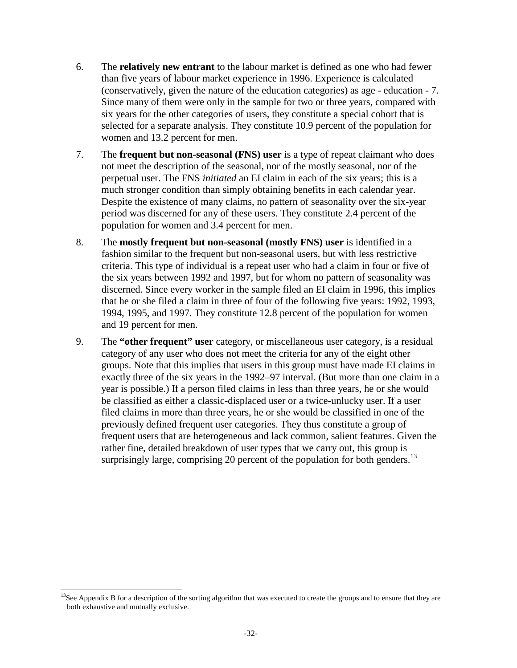- 6. The **relatively new entrant** to the labour market is defined as one who had fewer than five years of labour market experience in 1996. Experience is calculated (conservatively, given the nature of the education categories) as age - education - 7. Since many of them were only in the sample for two or three years, compared with six years for the other categories of users, they constitute a special cohort that is selected for a separate analysis. They constitute 10.9 percent of the population for women and 13.2 percent for men.
- 7. The **frequent but non-seasonal (FNS) user** is a type of repeat claimant who does not meet the description of the seasonal, nor of the mostly seasonal, nor of the perpetual user. The FNS *initiated* an EI claim in each of the six years; this is a much stronger condition than simply obtaining benefits in each calendar year. Despite the existence of many claims, no pattern of seasonality over the six-year period was discerned for any of these users. They constitute 2.4 percent of the population for women and 3.4 percent for men.
- 8. The **mostly frequent but non-seasonal (mostly FNS) user** is identified in a fashion similar to the frequent but non-seasonal users, but with less restrictive criteria. This type of individual is a repeat user who had a claim in four or five of the six years between 1992 and 1997, but for whom no pattern of seasonality was discerned. Since every worker in the sample filed an EI claim in 1996, this implies that he or she filed a claim in three of four of the following five years: 1992, 1993, 1994, 1995, and 1997. They constitute 12.8 percent of the population for women and 19 percent for men.
- 9. The **"other frequent" user** category, or miscellaneous user category, is a residual category of any user who does not meet the criteria for any of the eight other groups. Note that this implies that users in this group must have made EI claims in exactly three of the six years in the 1992–97 interval. (But more than one claim in a year is possible.) If a person filed claims in less than three years, he or she would be classified as either a classic-displaced user or a twice-unlucky user. If a user filed claims in more than three years, he or she would be classified in one of the previously defined frequent user categories. They thus constitute a group of frequent users that are heterogeneous and lack common, salient features. Given the rather fine, detailed breakdown of user types that we carry out, this group is surprisingly large, comprising 20 percent of the population for both genders.<sup>13</sup>

l  $13$ See Appendix B for a description of the sorting algorithm that was executed to create the groups and to ensure that they are both exhaustive and mutually exclusive.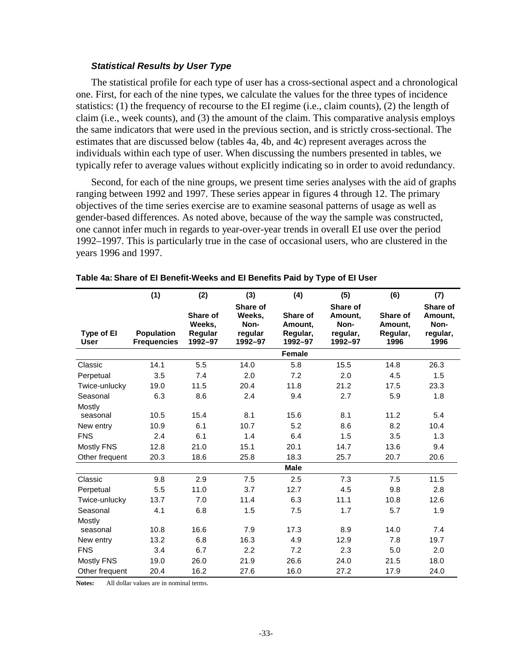#### **Statistical Results by User Type**

The statistical profile for each type of user has a cross-sectional aspect and a chronological one. First, for each of the nine types, we calculate the values for the three types of incidence statistics: (1) the frequency of recourse to the EI regime (i.e., claim counts), (2) the length of claim (i.e., week counts), and (3) the amount of the claim. This comparative analysis employs the same indicators that were used in the previous section, and is strictly cross-sectional. The estimates that are discussed below (tables 4a, 4b, and 4c) represent averages across the individuals within each type of user. When discussing the numbers presented in tables, we typically refer to average values without explicitly indicating so in order to avoid redundancy.

Second, for each of the nine groups, we present time series analyses with the aid of graphs ranging between 1992 and 1997. These series appear in figures 4 through 12. The primary objectives of the time series exercise are to examine seasonal patterns of usage as well as gender-based differences. As noted above, because of the way the sample was constructed, one cannot infer much in regards to year-over-year trends in overall EI use over the period 1992–1997. This is particularly true in the case of occasional users, who are clustered in the years 1996 and 1997.

|                           | (1)                                     | (2)                                      | (3)                                              | (4)                                        | (5)                                                | (6)                                     | (7)                                             |
|---------------------------|-----------------------------------------|------------------------------------------|--------------------------------------------------|--------------------------------------------|----------------------------------------------------|-----------------------------------------|-------------------------------------------------|
| Type of El<br><b>User</b> | <b>Population</b><br><b>Frequencies</b> | Share of<br>Weeks.<br>Regular<br>1992-97 | Share of<br>Weeks.<br>Non-<br>regular<br>1992-97 | Share of<br>Amount.<br>Regular,<br>1992-97 | Share of<br>Amount.<br>Non-<br>regular,<br>1992-97 | Share of<br>Amount.<br>Regular,<br>1996 | Share of<br>Amount,<br>Non-<br>regular,<br>1996 |
|                           |                                         |                                          |                                                  | <b>Female</b>                              |                                                    |                                         |                                                 |
| Classic                   | 14.1                                    | 5.5                                      | 14.0                                             | 5.8                                        | 15.5                                               | 14.8                                    | 26.3                                            |
| Perpetual                 | 3.5                                     | 7.4                                      | 2.0                                              | 7.2                                        | 2.0                                                | 4.5                                     | 1.5                                             |
| Twice-unlucky             | 19.0                                    | 11.5                                     | 20.4                                             | 11.8                                       | 21.2                                               | 17.5                                    | 23.3                                            |
| Seasonal                  | 6.3                                     | 8.6                                      | 2.4                                              | 9.4                                        | 2.7                                                | 5.9                                     | 1.8                                             |
| Mostly                    |                                         |                                          |                                                  |                                            |                                                    |                                         |                                                 |
| seasonal                  | 10.5                                    | 15.4                                     | 8.1                                              | 15.6                                       | 8.1                                                | 11.2                                    | 5.4                                             |
| New entry                 | 10.9                                    | 6.1                                      | 10.7                                             | 5.2                                        | 8.6                                                | 8.2                                     | 10.4                                            |
| <b>FNS</b>                | 2.4                                     | 6.1                                      | 1.4                                              | 6.4                                        | 1.5                                                | 3.5                                     | 1.3                                             |
| Mostly FNS                | 12.8                                    | 21.0                                     | 15.1                                             | 20.1                                       | 14.7                                               | 13.6                                    | 9.4                                             |
| Other frequent            | 20.3                                    | 18.6                                     | 25.8                                             | 18.3                                       | 25.7                                               | 20.7                                    | 20.6                                            |
|                           |                                         |                                          |                                                  | <b>Male</b>                                |                                                    |                                         |                                                 |
| Classic                   | 9.8                                     | 2.9                                      | 7.5                                              | 2.5                                        | 7.3                                                | 7.5                                     | 11.5                                            |
| Perpetual                 | 5.5                                     | 11.0                                     | 3.7                                              | 12.7                                       | 4.5                                                | 9.8                                     | 2.8                                             |
| Twice-unlucky             | 13.7                                    | 7.0                                      | 11.4                                             | 6.3                                        | 11.1                                               | 10.8                                    | 12.6                                            |
| Seasonal                  | 4.1                                     | 6.8                                      | 1.5                                              | 7.5                                        | 1.7                                                | 5.7                                     | 1.9                                             |
| Mostly                    |                                         |                                          |                                                  |                                            |                                                    |                                         |                                                 |
| seasonal                  | 10.8                                    | 16.6                                     | 7.9                                              | 17.3                                       | 8.9                                                | 14.0                                    | 7.4                                             |
| New entry                 | 13.2                                    | 6.8                                      | 16.3                                             | 4.9                                        | 12.9                                               | 7.8                                     | 19.7                                            |
| <b>FNS</b>                | 3.4                                     | 6.7                                      | 2.2                                              | 7.2                                        | 2.3                                                | 5.0                                     | 2.0                                             |
| Mostly FNS                | 19.0                                    | 26.0                                     | 21.9                                             | 26.6                                       | 24.0                                               | 21.5                                    | 18.0                                            |
| Other frequent            | 20.4                                    | 16.2                                     | 27.6                                             | 16.0                                       | 27.2                                               | 17.9                                    | 24.0                                            |

**Notes:** All dollar values are in nominal terms.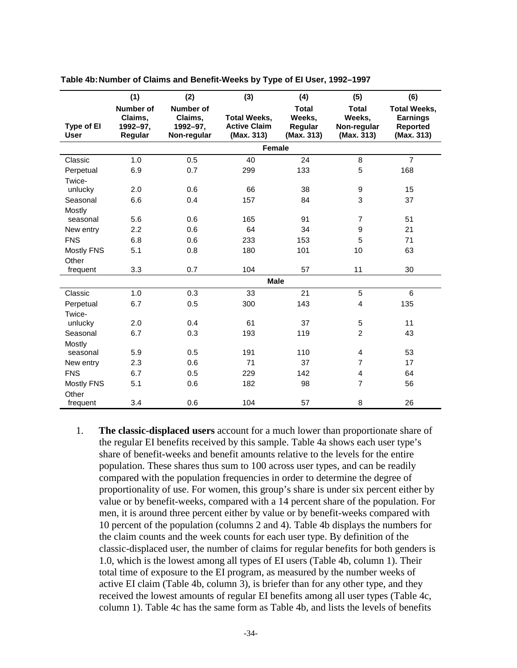|                           | (1)                                         | (2)                                                    | (3)                                                      | (4)                                             | (5)                                                 | (6)                                                                     |
|---------------------------|---------------------------------------------|--------------------------------------------------------|----------------------------------------------------------|-------------------------------------------------|-----------------------------------------------------|-------------------------------------------------------------------------|
| Type of El<br><b>User</b> | Number of<br>Claims,<br>1992-97,<br>Regular | <b>Number of</b><br>Claims,<br>1992-97,<br>Non-regular | <b>Total Weeks,</b><br><b>Active Claim</b><br>(Max. 313) | <b>Total</b><br>Weeks,<br>Regular<br>(Max. 313) | <b>Total</b><br>Weeks,<br>Non-regular<br>(Max. 313) | <b>Total Weeks,</b><br><b>Earnings</b><br><b>Reported</b><br>(Max. 313) |
|                           |                                             |                                                        | <b>Female</b>                                            |                                                 |                                                     |                                                                         |
| Classic                   | 1.0                                         | 0.5                                                    | 40                                                       | 24                                              | 8                                                   | $\overline{7}$                                                          |
| Perpetual                 | 6.9                                         | 0.7                                                    | 299                                                      | 133                                             | 5                                                   | 168                                                                     |
| Twice-                    |                                             |                                                        |                                                          |                                                 |                                                     |                                                                         |
| unlucky                   | 2.0                                         | 0.6                                                    | 66                                                       | 38                                              | 9                                                   | 15                                                                      |
| Seasonal                  | 6.6                                         | 0.4                                                    | 157                                                      | 84                                              | 3                                                   | 37                                                                      |
| Mostly                    |                                             |                                                        |                                                          |                                                 |                                                     |                                                                         |
| seasonal                  | 5.6                                         | 0.6                                                    | 165                                                      | 91                                              | $\overline{7}$                                      | 51                                                                      |
| New entry                 | 2.2                                         | 0.6                                                    | 64                                                       | 34                                              | 9                                                   | 21                                                                      |
| <b>FNS</b>                | 6.8                                         | 0.6                                                    | 233                                                      | 153                                             | 5                                                   | 71                                                                      |
| <b>Mostly FNS</b>         | 5.1                                         | 0.8                                                    | 180                                                      | 101                                             | 10                                                  | 63                                                                      |
| Other                     |                                             |                                                        |                                                          |                                                 |                                                     |                                                                         |
| frequent                  | 3.3                                         | 0.7                                                    | 104                                                      | 57                                              | 11                                                  | 30                                                                      |
|                           |                                             |                                                        | <b>Male</b>                                              |                                                 |                                                     |                                                                         |
| Classic                   | 1.0                                         | 0.3                                                    | 33                                                       | 21                                              | 5                                                   | 6                                                                       |
| Perpetual                 | 6.7                                         | 0.5                                                    | 300                                                      | 143                                             | $\overline{\mathbf{4}}$                             | 135                                                                     |
| Twice-                    |                                             |                                                        |                                                          |                                                 |                                                     |                                                                         |
| unlucky                   | 2.0                                         | 0.4                                                    | 61                                                       | 37                                              | 5                                                   | 11                                                                      |
| Seasonal                  | 6.7                                         | 0.3                                                    | 193                                                      | 119                                             | $\overline{2}$                                      | 43                                                                      |
| Mostly                    |                                             |                                                        |                                                          |                                                 |                                                     |                                                                         |
| seasonal                  | 5.9                                         | 0.5                                                    | 191                                                      | 110                                             | 4                                                   | 53                                                                      |
| New entry                 | 2.3                                         | 0.6                                                    | 71                                                       | 37                                              | $\overline{7}$                                      | 17                                                                      |
| <b>FNS</b>                | 6.7                                         | 0.5                                                    | 229                                                      | 142                                             | 4                                                   | 64                                                                      |
| <b>Mostly FNS</b>         | 5.1                                         | 0.6                                                    | 182                                                      | 98                                              | 7                                                   | 56                                                                      |
| Other                     |                                             |                                                        |                                                          |                                                 |                                                     |                                                                         |
| frequent                  | 3.4                                         | 0.6                                                    | 104                                                      | 57                                              | 8                                                   | 26                                                                      |

**Table 4b: Number of Claims and Benefit-Weeks by Type of EI User, 1992–1997** 

1. **The classic-displaced users** account for a much lower than proportionate share of the regular EI benefits received by this sample. Table 4a shows each user type's share of benefit-weeks and benefit amounts relative to the levels for the entire population. These shares thus sum to 100 across user types, and can be readily compared with the population frequencies in order to determine the degree of proportionality of use. For women, this group's share is under six percent either by value or by benefit-weeks, compared with a 14 percent share of the population. For men, it is around three percent either by value or by benefit-weeks compared with 10 percent of the population (columns 2 and 4). Table 4b displays the numbers for the claim counts and the week counts for each user type. By definition of the classic-displaced user, the number of claims for regular benefits for both genders is 1.0, which is the lowest among all types of EI users (Table 4b, column 1). Their total time of exposure to the EI program, as measured by the number weeks of active EI claim (Table 4b, column 3), is briefer than for any other type, and they received the lowest amounts of regular EI benefits among all user types (Table 4c, column 1). Table 4c has the same form as Table 4b, and lists the levels of benefits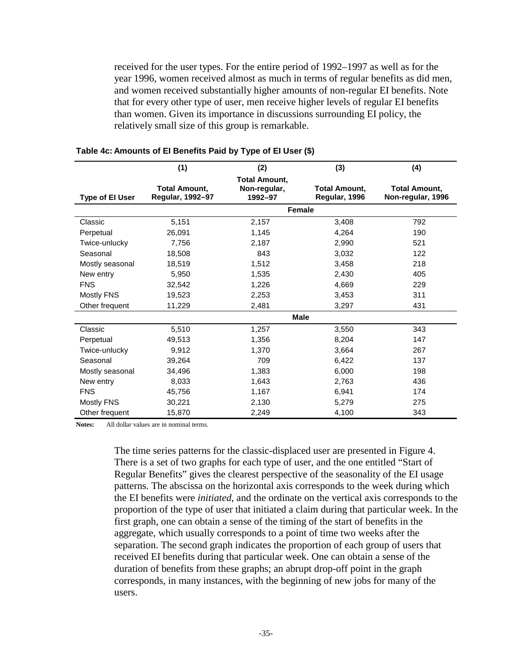received for the user types. For the entire period of 1992–1997 as well as for the year 1996, women received almost as much in terms of regular benefits as did men, and women received substantially higher amounts of non-regular EI benefits. Note that for every other type of user, men receive higher levels of regular EI benefits than women. Given its importance in discussions surrounding EI policy, the relatively small size of this group is remarkable.

|                        | (1)                  | (2)                                  | (3)                  | (4)                  |
|------------------------|----------------------|--------------------------------------|----------------------|----------------------|
|                        | <b>Total Amount,</b> | <b>Total Amount,</b><br>Non-regular, | <b>Total Amount,</b> | <b>Total Amount,</b> |
| <b>Type of El User</b> | Regular, 1992-97     | 1992-97                              | Regular, 1996        | Non-regular, 1996    |
|                        |                      | Female                               |                      |                      |
| Classic                | 5,151                | 2,157                                | 3,408                | 792                  |
| Perpetual              | 26,091               | 1,145                                | 4,264                | 190                  |
| Twice-unlucky          | 7,756                | 2,187                                | 2,990                | 521                  |
| Seasonal               | 18,508               | 843                                  | 3.032                | 122                  |
| Mostly seasonal        | 18,519               | 1,512                                | 3,458                | 218                  |
| New entry              | 5,950                | 1,535                                | 2,430                | 405                  |
| <b>FNS</b>             | 32,542               | 1,226                                | 4,669                | 229                  |
| Mostly FNS             | 19,523               | 2,253                                | 3.453                | 311                  |
| Other frequent         | 11,229               | 2,481                                | 3,297                | 431                  |
|                        |                      |                                      | <b>Male</b>          |                      |
| Classic                | 5,510                | 1,257                                | 3,550                | 343                  |
| Perpetual              | 49.513               | 1,356                                | 8.204                | 147                  |
| Twice-unlucky          | 9.912                | 1,370                                | 3,664                | 267                  |
| Seasonal               | 39,264               | 709                                  | 6,422                | 137                  |
| Mostly seasonal        | 34,496               | 1,383                                | 6,000                | 198                  |
| New entry              | 8,033                | 1,643                                | 2,763                | 436                  |
| <b>FNS</b>             | 45,756               | 1,167                                | 6,941                | 174                  |
| Mostly FNS             | 30,221               | 2,130                                | 5,279                | 275                  |
| Other frequent         | 15,870               | 2,249                                | 4,100                | 343                  |

#### **Table 4c: Amounts of EI Benefits Paid by Type of EI User (\$)**

**Notes:** All dollar values are in nominal terms.

The time series patterns for the classic-displaced user are presented in Figure 4. There is a set of two graphs for each type of user, and the one entitled "Start of Regular Benefits" gives the clearest perspective of the seasonality of the EI usage patterns. The abscissa on the horizontal axis corresponds to the week during which the EI benefits were *initiated*, and the ordinate on the vertical axis corresponds to the proportion of the type of user that initiated a claim during that particular week. In the first graph, one can obtain a sense of the timing of the start of benefits in the aggregate, which usually corresponds to a point of time two weeks after the separation. The second graph indicates the proportion of each group of users that received EI benefits during that particular week. One can obtain a sense of the duration of benefits from these graphs; an abrupt drop-off point in the graph corresponds, in many instances, with the beginning of new jobs for many of the users.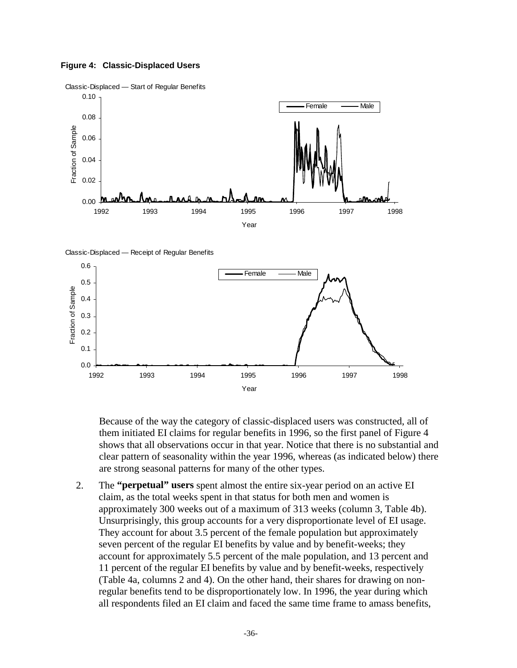#### **Figure 4: Classic-Displaced Users**



Classic-Displaced — Receipt of Regular Benefits



Because of the way the category of classic-displaced users was constructed, all of them initiated EI claims for regular benefits in 1996, so the first panel of Figure 4 shows that all observations occur in that year. Notice that there is no substantial and clear pattern of seasonality within the year 1996, whereas (as indicated below) there are strong seasonal patterns for many of the other types.

2. The **"perpetual" users** spent almost the entire six-year period on an active EI claim, as the total weeks spent in that status for both men and women is approximately 300 weeks out of a maximum of 313 weeks (column 3, Table 4b). Unsurprisingly, this group accounts for a very disproportionate level of EI usage. They account for about 3.5 percent of the female population but approximately seven percent of the regular EI benefits by value and by benefit-weeks; they account for approximately 5.5 percent of the male population, and 13 percent and 11 percent of the regular EI benefits by value and by benefit-weeks, respectively (Table 4a, columns 2 and 4). On the other hand, their shares for drawing on nonregular benefits tend to be disproportionately low. In 1996, the year during which all respondents filed an EI claim and faced the same time frame to amass benefits,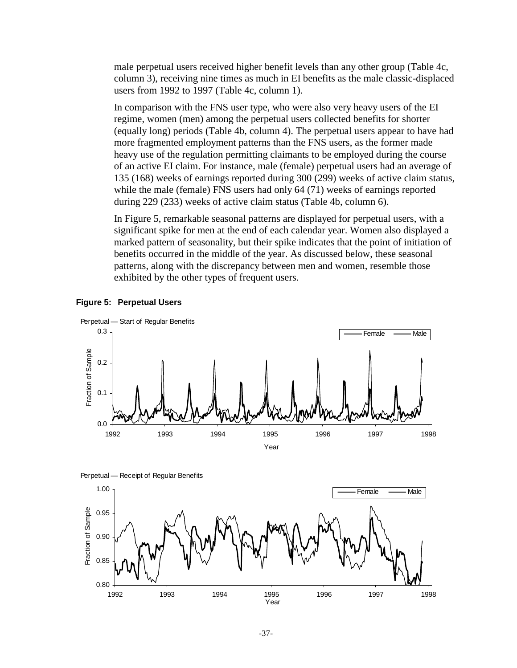male perpetual users received higher benefit levels than any other group (Table 4c, column 3), receiving nine times as much in EI benefits as the male classic-displaced users from 1992 to 1997 (Table 4c, column 1).

In comparison with the FNS user type, who were also very heavy users of the EI regime, women (men) among the perpetual users collected benefits for shorter (equally long) periods (Table 4b, column 4). The perpetual users appear to have had more fragmented employment patterns than the FNS users, as the former made heavy use of the regulation permitting claimants to be employed during the course of an active EI claim. For instance, male (female) perpetual users had an average of 135 (168) weeks of earnings reported during 300 (299) weeks of active claim status, while the male (female) FNS users had only 64 (71) weeks of earnings reported during 229 (233) weeks of active claim status (Table 4b, column 6).

In Figure 5, remarkable seasonal patterns are displayed for perpetual users, with a significant spike for men at the end of each calendar year. Women also displayed a marked pattern of seasonality, but their spike indicates that the point of initiation of benefits occurred in the middle of the year. As discussed below, these seasonal patterns, along with the discrepancy between men and women, resemble those exhibited by the other types of frequent users.





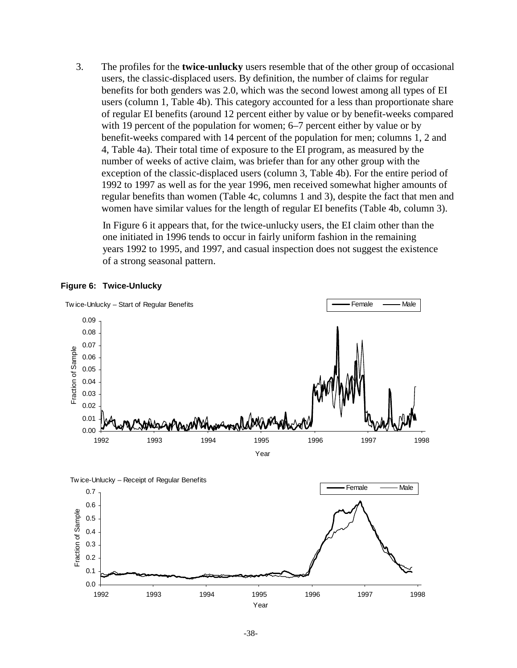3. The profiles for the **twice-unlucky** users resemble that of the other group of occasional users, the classic-displaced users. By definition, the number of claims for regular benefits for both genders was 2.0, which was the second lowest among all types of EI users (column 1, Table 4b). This category accounted for a less than proportionate share of regular EI benefits (around 12 percent either by value or by benefit-weeks compared with 19 percent of the population for women; 6–7 percent either by value or by benefit-weeks compared with 14 percent of the population for men; columns 1, 2 and 4, Table 4a). Their total time of exposure to the EI program, as measured by the number of weeks of active claim, was briefer than for any other group with the exception of the classic-displaced users (column 3, Table 4b). For the entire period of 1992 to 1997 as well as for the year 1996, men received somewhat higher amounts of regular benefits than women (Table 4c, columns 1 and 3), despite the fact that men and women have similar values for the length of regular EI benefits (Table 4b, column 3).

In Figure 6 it appears that, for the twice-unlucky users, the EI claim other than the one initiated in 1996 tends to occur in fairly uniform fashion in the remaining years 1992 to 1995, and 1997, and casual inspection does not suggest the existence of a strong seasonal pattern.



#### **Figure 6: Twice-Unlucky**

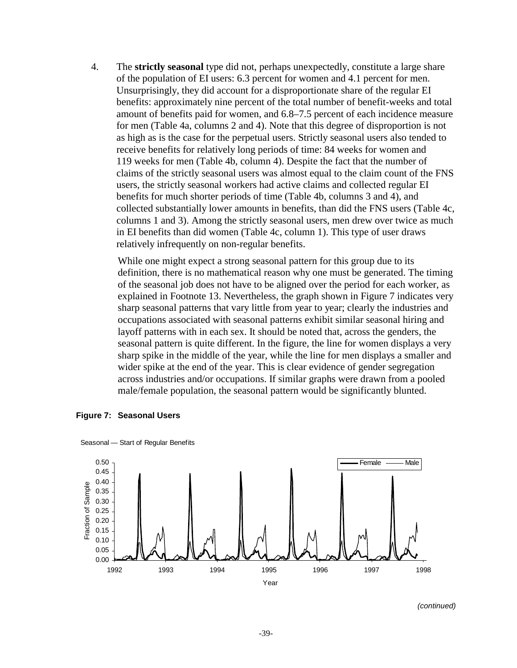4. The **strictly seasonal** type did not, perhaps unexpectedly, constitute a large share of the population of EI users: 6.3 percent for women and 4.1 percent for men. Unsurprisingly, they did account for a disproportionate share of the regular EI benefits: approximately nine percent of the total number of benefit-weeks and total amount of benefits paid for women, and 6.8–7.5 percent of each incidence measure for men (Table 4a, columns 2 and 4). Note that this degree of disproportion is not as high as is the case for the perpetual users. Strictly seasonal users also tended to receive benefits for relatively long periods of time: 84 weeks for women and 119 weeks for men (Table 4b, column 4). Despite the fact that the number of claims of the strictly seasonal users was almost equal to the claim count of the FNS users, the strictly seasonal workers had active claims and collected regular EI benefits for much shorter periods of time (Table 4b, columns 3 and 4), and collected substantially lower amounts in benefits, than did the FNS users (Table 4c, columns 1 and 3). Among the strictly seasonal users, men drew over twice as much in EI benefits than did women (Table 4c, column 1). This type of user draws relatively infrequently on non-regular benefits.

While one might expect a strong seasonal pattern for this group due to its definition, there is no mathematical reason why one must be generated. The timing of the seasonal job does not have to be aligned over the period for each worker, as explained in Footnote 13. Nevertheless, the graph shown in Figure 7 indicates very sharp seasonal patterns that vary little from year to year; clearly the industries and occupations associated with seasonal patterns exhibit similar seasonal hiring and layoff patterns with in each sex. It should be noted that, across the genders, the seasonal pattern is quite different. In the figure, the line for women displays a very sharp spike in the middle of the year, while the line for men displays a smaller and wider spike at the end of the year. This is clear evidence of gender segregation across industries and/or occupations. If similar graphs were drawn from a pooled male/female population, the seasonal pattern would be significantly blunted.



**Figure 7: Seasonal Users** 

Seasonal — Start of Regular Benefits

(continued)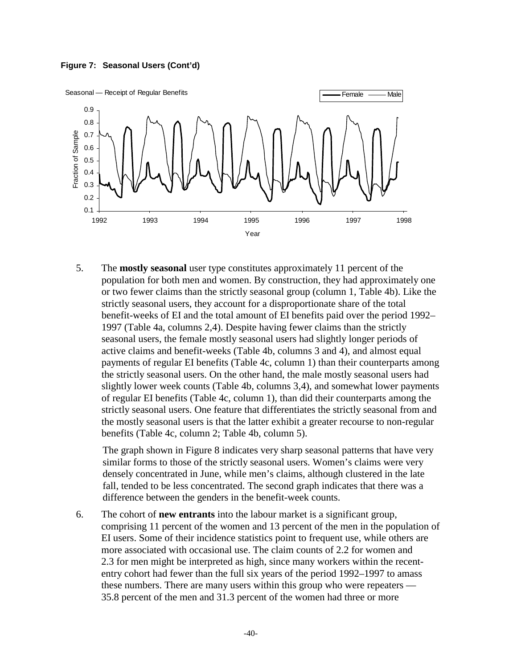



5. The **mostly seasonal** user type constitutes approximately 11 percent of the population for both men and women. By construction, they had approximately one or two fewer claims than the strictly seasonal group (column 1, Table 4b). Like the strictly seasonal users, they account for a disproportionate share of the total benefit-weeks of EI and the total amount of EI benefits paid over the period 1992– 1997 (Table 4a, columns 2,4). Despite having fewer claims than the strictly seasonal users, the female mostly seasonal users had slightly longer periods of active claims and benefit-weeks (Table 4b, columns 3 and 4), and almost equal payments of regular EI benefits (Table 4c, column 1) than their counterparts among the strictly seasonal users. On the other hand, the male mostly seasonal users had slightly lower week counts (Table 4b, columns 3,4), and somewhat lower payments of regular EI benefits (Table 4c, column 1), than did their counterparts among the strictly seasonal users. One feature that differentiates the strictly seasonal from and the mostly seasonal users is that the latter exhibit a greater recourse to non-regular benefits (Table 4c, column 2; Table 4b, column 5).

The graph shown in Figure 8 indicates very sharp seasonal patterns that have very similar forms to those of the strictly seasonal users. Women's claims were very densely concentrated in June, while men's claims, although clustered in the late fall, tended to be less concentrated. The second graph indicates that there was a difference between the genders in the benefit-week counts.

6. The cohort of **new entrants** into the labour market is a significant group, comprising 11 percent of the women and 13 percent of the men in the population of EI users. Some of their incidence statistics point to frequent use, while others are more associated with occasional use. The claim counts of 2.2 for women and 2.3 for men might be interpreted as high, since many workers within the recententry cohort had fewer than the full six years of the period 1992–1997 to amass these numbers. There are many users within this group who were repeaters — 35.8 percent of the men and 31.3 percent of the women had three or more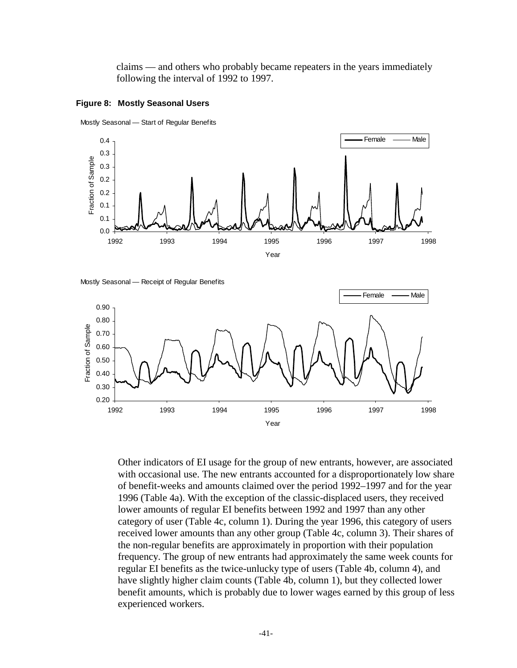claims — and others who probably became repeaters in the years immediately following the interval of 1992 to 1997.









Other indicators of EI usage for the group of new entrants, however, are associated with occasional use. The new entrants accounted for a disproportionately low share of benefit-weeks and amounts claimed over the period 1992–1997 and for the year 1996 (Table 4a). With the exception of the classic-displaced users, they received lower amounts of regular EI benefits between 1992 and 1997 than any other category of user (Table 4c, column 1). During the year 1996, this category of users received lower amounts than any other group (Table 4c, column 3). Their shares of the non-regular benefits are approximately in proportion with their population frequency. The group of new entrants had approximately the same week counts for regular EI benefits as the twice-unlucky type of users (Table 4b, column 4), and have slightly higher claim counts (Table 4b, column 1), but they collected lower benefit amounts, which is probably due to lower wages earned by this group of less experienced workers.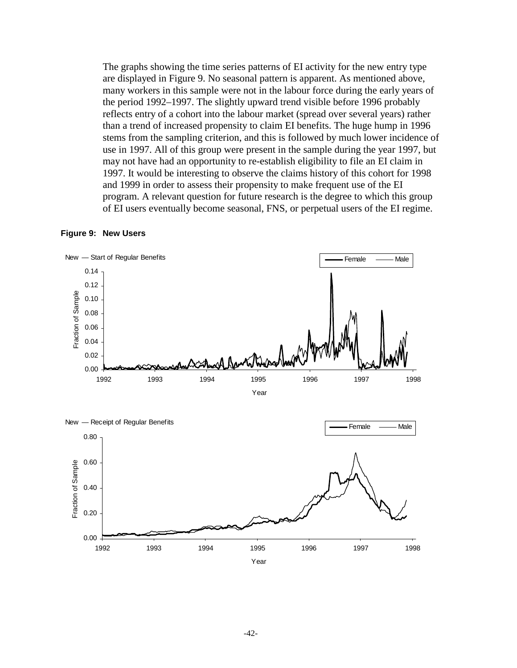The graphs showing the time series patterns of EI activity for the new entry type are displayed in Figure 9. No seasonal pattern is apparent. As mentioned above, many workers in this sample were not in the labour force during the early years of the period 1992–1997. The slightly upward trend visible before 1996 probably reflects entry of a cohort into the labour market (spread over several years) rather than a trend of increased propensity to claim EI benefits. The huge hump in 1996 stems from the sampling criterion, and this is followed by much lower incidence of use in 1997. All of this group were present in the sample during the year 1997, but may not have had an opportunity to re-establish eligibility to file an EI claim in 1997. It would be interesting to observe the claims history of this cohort for 1998 and 1999 in order to assess their propensity to make frequent use of the EI program. A relevant question for future research is the degree to which this group of EI users eventually become seasonal, FNS, or perpetual users of the EI regime.





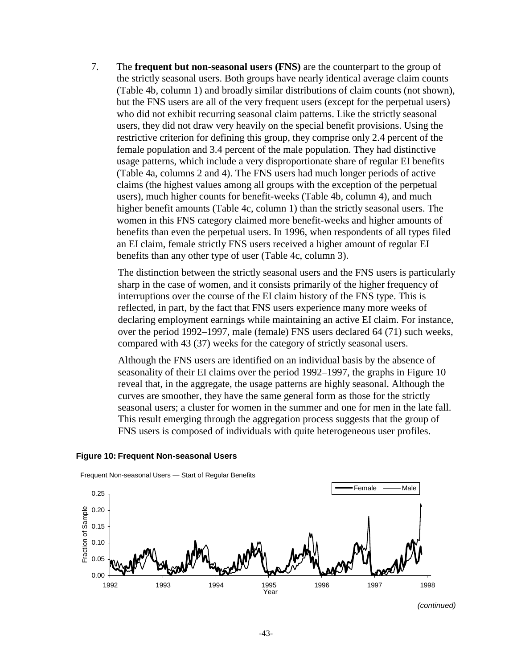7. The **frequent but non-seasonal users (FNS)** are the counterpart to the group of the strictly seasonal users. Both groups have nearly identical average claim counts (Table 4b, column 1) and broadly similar distributions of claim counts (not shown), but the FNS users are all of the very frequent users (except for the perpetual users) who did not exhibit recurring seasonal claim patterns. Like the strictly seasonal users, they did not draw very heavily on the special benefit provisions. Using the restrictive criterion for defining this group, they comprise only 2.4 percent of the female population and 3.4 percent of the male population. They had distinctive usage patterns, which include a very disproportionate share of regular EI benefits (Table 4a, columns 2 and 4). The FNS users had much longer periods of active claims (the highest values among all groups with the exception of the perpetual users), much higher counts for benefit-weeks (Table 4b, column 4), and much higher benefit amounts (Table 4c, column 1) than the strictly seasonal users. The women in this FNS category claimed more benefit-weeks and higher amounts of benefits than even the perpetual users. In 1996, when respondents of all types filed an EI claim, female strictly FNS users received a higher amount of regular EI benefits than any other type of user (Table 4c, column 3).

The distinction between the strictly seasonal users and the FNS users is particularly sharp in the case of women, and it consists primarily of the higher frequency of interruptions over the course of the EI claim history of the FNS type. This is reflected, in part, by the fact that FNS users experience many more weeks of declaring employment earnings while maintaining an active EI claim. For instance, over the period 1992–1997, male (female) FNS users declared 64 (71) such weeks, compared with 43 (37) weeks for the category of strictly seasonal users.

Although the FNS users are identified on an individual basis by the absence of seasonality of their EI claims over the period 1992–1997, the graphs in Figure 10 reveal that, in the aggregate, the usage patterns are highly seasonal. Although the curves are smoother, they have the same general form as those for the strictly seasonal users; a cluster for women in the summer and one for men in the late fall. This result emerging through the aggregation process suggests that the group of FNS users is composed of individuals with quite heterogeneous user profiles.



#### **Figure 10: Frequent Non-seasonal Users**

Frequent Non-seasonal Users — Start of Regular Benefits

<sup>(</sup>continued)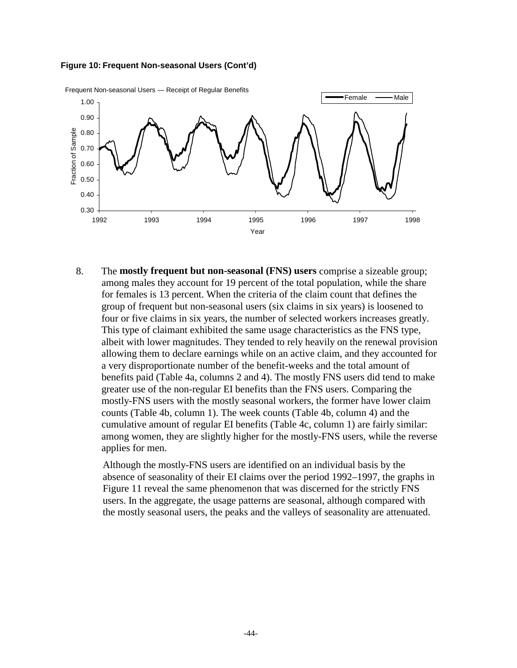



8. The **mostly frequent but non-seasonal (FNS) users** comprise a sizeable group; among males they account for 19 percent of the total population, while the share for females is 13 percent. When the criteria of the claim count that defines the group of frequent but non-seasonal users (six claims in six years) is loosened to four or five claims in six years, the number of selected workers increases greatly. This type of claimant exhibited the same usage characteristics as the FNS type, albeit with lower magnitudes. They tended to rely heavily on the renewal provision allowing them to declare earnings while on an active claim, and they accounted for a very disproportionate number of the benefit-weeks and the total amount of benefits paid (Table 4a, columns 2 and 4). The mostly FNS users did tend to make greater use of the non-regular EI benefits than the FNS users. Comparing the mostly-FNS users with the mostly seasonal workers, the former have lower claim counts (Table 4b, column 1). The week counts (Table 4b, column 4) and the cumulative amount of regular EI benefits (Table 4c, column 1) are fairly similar: among women, they are slightly higher for the mostly-FNS users, while the reverse applies for men.

Although the mostly-FNS users are identified on an individual basis by the absence of seasonality of their EI claims over the period 1992–1997, the graphs in Figure 11 reveal the same phenomenon that was discerned for the strictly FNS users. In the aggregate, the usage patterns are seasonal, although compared with the mostly seasonal users, the peaks and the valleys of seasonality are attenuated.

-44-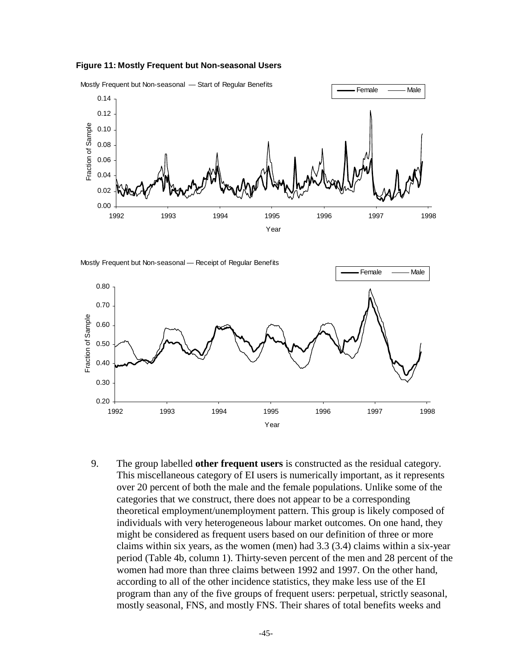





9. The group labelled **other frequent users** is constructed as the residual category. This miscellaneous category of EI users is numerically important, as it represents over 20 percent of both the male and the female populations. Unlike some of the categories that we construct, there does not appear to be a corresponding theoretical employment/unemployment pattern. This group is likely composed of individuals with very heterogeneous labour market outcomes. On one hand, they might be considered as frequent users based on our definition of three or more claims within six years, as the women (men) had 3.3 (3.4) claims within a six-year period (Table 4b, column 1). Thirty-seven percent of the men and 28 percent of the women had more than three claims between 1992 and 1997. On the other hand, according to all of the other incidence statistics, they make less use of the EI program than any of the five groups of frequent users: perpetual, strictly seasonal, mostly seasonal, FNS, and mostly FNS. Their shares of total benefits weeks and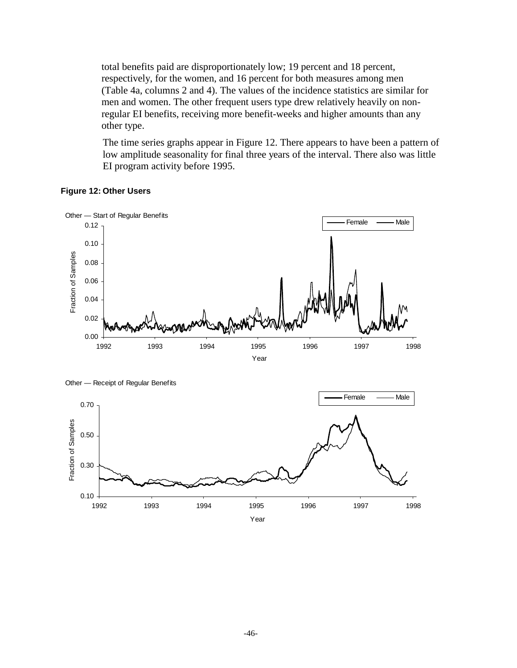total benefits paid are disproportionately low; 19 percent and 18 percent, respectively, for the women, and 16 percent for both measures among men (Table 4a, columns 2 and 4). The values of the incidence statistics are similar for men and women. The other frequent users type drew relatively heavily on nonregular EI benefits, receiving more benefit-weeks and higher amounts than any other type.

The time series graphs appear in Figure 12. There appears to have been a pattern of low amplitude seasonality for final three years of the interval. There also was little EI program activity before 1995.

#### **Figure 12: Other Users**



0.10 1992 1993 1994 1995 1996 1997 1998 Year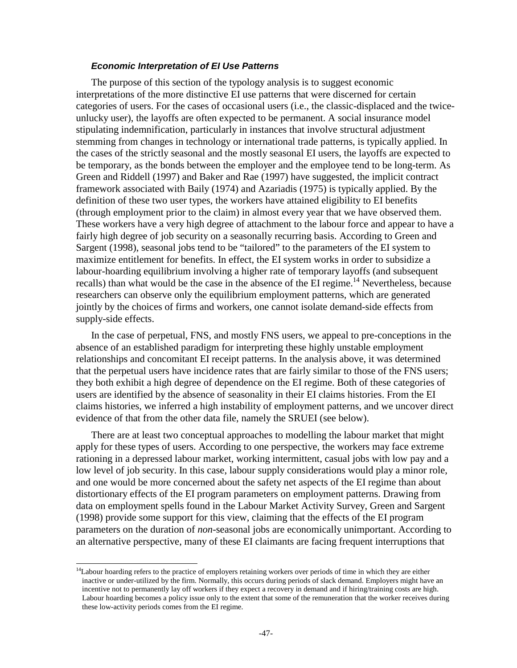#### **Economic Interpretation of EI Use Patterns**

The purpose of this section of the typology analysis is to suggest economic interpretations of the more distinctive EI use patterns that were discerned for certain categories of users. For the cases of occasional users (i.e., the classic-displaced and the twiceunlucky user), the layoffs are often expected to be permanent. A social insurance model stipulating indemnification, particularly in instances that involve structural adjustment stemming from changes in technology or international trade patterns, is typically applied. In the cases of the strictly seasonal and the mostly seasonal EI users, the layoffs are expected to be temporary, as the bonds between the employer and the employee tend to be long-term. As Green and Riddell (1997) and Baker and Rae (1997) have suggested, the implicit contract framework associated with Baily (1974) and Azariadis (1975) is typically applied. By the definition of these two user types, the workers have attained eligibility to EI benefits (through employment prior to the claim) in almost every year that we have observed them. These workers have a very high degree of attachment to the labour force and appear to have a fairly high degree of job security on a seasonally recurring basis. According to Green and Sargent (1998), seasonal jobs tend to be "tailored" to the parameters of the EI system to maximize entitlement for benefits. In effect, the EI system works in order to subsidize a labour-hoarding equilibrium involving a higher rate of temporary layoffs (and subsequent recalls) than what would be the case in the absence of the EI regime.<sup>14</sup> Nevertheless, because researchers can observe only the equilibrium employment patterns, which are generated jointly by the choices of firms and workers, one cannot isolate demand-side effects from supply-side effects.

In the case of perpetual, FNS, and mostly FNS users, we appeal to pre-conceptions in the absence of an established paradigm for interpreting these highly unstable employment relationships and concomitant EI receipt patterns. In the analysis above, it was determined that the perpetual users have incidence rates that are fairly similar to those of the FNS users; they both exhibit a high degree of dependence on the EI regime. Both of these categories of users are identified by the absence of seasonality in their EI claims histories. From the EI claims histories, we inferred a high instability of employment patterns, and we uncover direct evidence of that from the other data file, namely the SRUEI (see below).

There are at least two conceptual approaches to modelling the labour market that might apply for these types of users. According to one perspective, the workers may face extreme rationing in a depressed labour market, working intermittent, casual jobs with low pay and a low level of job security. In this case, labour supply considerations would play a minor role, and one would be more concerned about the safety net aspects of the EI regime than about distortionary effects of the EI program parameters on employment patterns. Drawing from data on employment spells found in the Labour Market Activity Survey, Green and Sargent (1998) provide some support for this view, claiming that the effects of the EI program parameters on the duration of *non*-seasonal jobs are economically unimportant. According to an alternative perspective, many of these EI claimants are facing frequent interruptions that

 $14$ Labour hoarding refers to the practice of employers retaining workers over periods of time in which they are either inactive or under-utilized by the firm. Normally, this occurs during periods of slack demand. Employers might have an incentive not to permanently lay off workers if they expect a recovery in demand and if hiring/training costs are high. Labour hoarding becomes a policy issue only to the extent that some of the remuneration that the worker receives during these low-activity periods comes from the EI regime.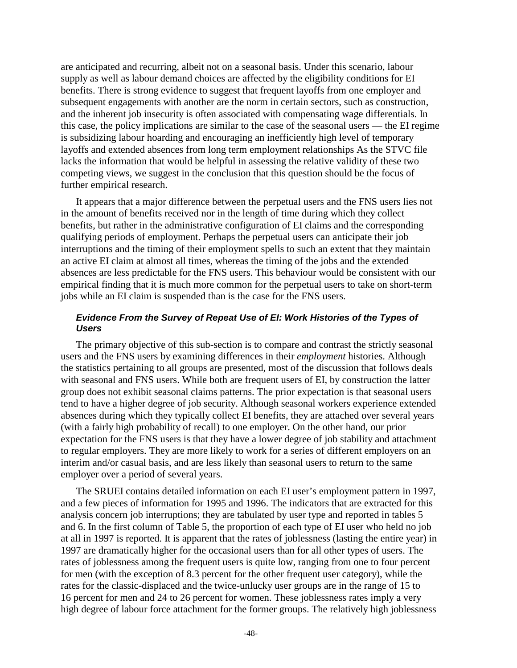are anticipated and recurring, albeit not on a seasonal basis. Under this scenario, labour supply as well as labour demand choices are affected by the eligibility conditions for EI benefits. There is strong evidence to suggest that frequent layoffs from one employer and subsequent engagements with another are the norm in certain sectors, such as construction, and the inherent job insecurity is often associated with compensating wage differentials. In this case, the policy implications are similar to the case of the seasonal users — the EI regime is subsidizing labour hoarding and encouraging an inefficiently high level of temporary layoffs and extended absences from long term employment relationships As the STVC file lacks the information that would be helpful in assessing the relative validity of these two competing views, we suggest in the conclusion that this question should be the focus of further empirical research.

It appears that a major difference between the perpetual users and the FNS users lies not in the amount of benefits received nor in the length of time during which they collect benefits, but rather in the administrative configuration of EI claims and the corresponding qualifying periods of employment. Perhaps the perpetual users can anticipate their job interruptions and the timing of their employment spells to such an extent that they maintain an active EI claim at almost all times, whereas the timing of the jobs and the extended absences are less predictable for the FNS users. This behaviour would be consistent with our empirical finding that it is much more common for the perpetual users to take on short-term jobs while an EI claim is suspended than is the case for the FNS users.

### **Evidence From the Survey of Repeat Use of EI: Work Histories of the Types of Users**

The primary objective of this sub-section is to compare and contrast the strictly seasonal users and the FNS users by examining differences in their *employment* histories. Although the statistics pertaining to all groups are presented, most of the discussion that follows deals with seasonal and FNS users. While both are frequent users of EI, by construction the latter group does not exhibit seasonal claims patterns. The prior expectation is that seasonal users tend to have a higher degree of job security. Although seasonal workers experience extended absences during which they typically collect EI benefits, they are attached over several years (with a fairly high probability of recall) to one employer. On the other hand, our prior expectation for the FNS users is that they have a lower degree of job stability and attachment to regular employers. They are more likely to work for a series of different employers on an interim and/or casual basis, and are less likely than seasonal users to return to the same employer over a period of several years.

The SRUEI contains detailed information on each EI user's employment pattern in 1997, and a few pieces of information for 1995 and 1996. The indicators that are extracted for this analysis concern job interruptions; they are tabulated by user type and reported in tables 5 and 6. In the first column of Table 5, the proportion of each type of EI user who held no job at all in 1997 is reported. It is apparent that the rates of joblessness (lasting the entire year) in 1997 are dramatically higher for the occasional users than for all other types of users. The rates of joblessness among the frequent users is quite low, ranging from one to four percent for men (with the exception of 8.3 percent for the other frequent user category), while the rates for the classic-displaced and the twice-unlucky user groups are in the range of 15 to 16 percent for men and 24 to 26 percent for women. These joblessness rates imply a very high degree of labour force attachment for the former groups. The relatively high joblessness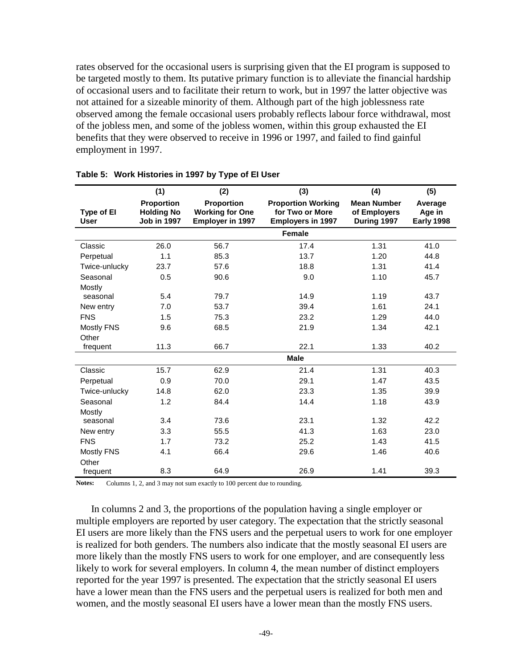rates observed for the occasional users is surprising given that the EI program is supposed to be targeted mostly to them. Its putative primary function is to alleviate the financial hardship of occasional users and to facilitate their return to work, but in 1997 the latter objective was not attained for a sizeable minority of them. Although part of the high joblessness rate observed among the female occasional users probably reflects labour force withdrawal, most of the jobless men, and some of the jobless women, within this group exhausted the EI benefits that they were observed to receive in 1996 or 1997, and failed to find gainful employment in 1997.

|                           | (1)                                                   | (2)                                                      | (3)                                                                      | (4)                                               | (5)                                    |
|---------------------------|-------------------------------------------------------|----------------------------------------------------------|--------------------------------------------------------------------------|---------------------------------------------------|----------------------------------------|
| Type of El<br><b>User</b> | Proportion<br><b>Holding No</b><br><b>Job in 1997</b> | Proportion<br><b>Working for One</b><br>Employer in 1997 | <b>Proportion Working</b><br>for Two or More<br><b>Employers in 1997</b> | <b>Mean Number</b><br>of Employers<br>During 1997 | Average<br>Age in<br><b>Early 1998</b> |
|                           |                                                       |                                                          | Female                                                                   |                                                   |                                        |
| Classic                   | 26.0                                                  | 56.7                                                     | 17.4                                                                     | 1.31                                              | 41.0                                   |
| Perpetual                 | 1.1                                                   | 85.3                                                     | 13.7                                                                     | 1.20                                              | 44.8                                   |
| Twice-unlucky             | 23.7                                                  | 57.6                                                     | 18.8                                                                     | 1.31                                              | 41.4                                   |
| Seasonal                  | 0.5                                                   | 90.6                                                     | 9.0                                                                      | 1.10                                              | 45.7                                   |
| Mostly                    |                                                       |                                                          |                                                                          |                                                   |                                        |
| seasonal                  | 5.4                                                   | 79.7                                                     | 14.9                                                                     | 1.19                                              | 43.7                                   |
| New entry                 | 7.0                                                   | 53.7                                                     | 39.4                                                                     | 1.61                                              | 24.1                                   |
| <b>FNS</b>                | 1.5                                                   | 75.3                                                     | 23.2                                                                     | 1.29                                              | 44.0                                   |
| <b>Mostly FNS</b>         | 9.6                                                   | 68.5                                                     | 21.9                                                                     | 1.34                                              | 42.1                                   |
| Other                     |                                                       |                                                          |                                                                          |                                                   |                                        |
| frequent                  | 11.3                                                  | 66.7                                                     | 22.1                                                                     | 1.33                                              | 40.2                                   |
|                           |                                                       |                                                          | <b>Male</b>                                                              |                                                   |                                        |
| Classic                   | 15.7                                                  | 62.9                                                     | 21.4                                                                     | 1.31                                              | 40.3                                   |
| Perpetual                 | 0.9                                                   | 70.0                                                     | 29.1                                                                     | 1.47                                              | 43.5                                   |
| Twice-unlucky             | 14.8                                                  | 62.0                                                     | 23.3                                                                     | 1.35                                              | 39.9                                   |
| Seasonal                  | 1.2                                                   | 84.4                                                     | 14.4                                                                     | 1.18                                              | 43.9                                   |
| Mostly                    |                                                       |                                                          |                                                                          |                                                   |                                        |
| seasonal                  | 3.4                                                   | 73.6                                                     | 23.1                                                                     | 1.32                                              | 42.2                                   |
| New entry                 | 3.3                                                   | 55.5                                                     | 41.3                                                                     | 1.63                                              | 23.0                                   |
| <b>FNS</b>                | 1.7                                                   | 73.2                                                     | 25.2                                                                     | 1.43                                              | 41.5                                   |
| <b>Mostly FNS</b>         | 4.1                                                   | 66.4                                                     | 29.6                                                                     | 1.46                                              | 40.6                                   |
| Other                     |                                                       |                                                          |                                                                          |                                                   |                                        |
| frequent                  | 8.3                                                   | 64.9                                                     | 26.9                                                                     | 1.41                                              | 39.3                                   |

|  | Table 5: Work Histories in 1997 by Type of El User |  |  |  |
|--|----------------------------------------------------|--|--|--|
|--|----------------------------------------------------|--|--|--|

**Notes:** Columns 1, 2, and 3 may not sum exactly to 100 percent due to rounding.

In columns 2 and 3, the proportions of the population having a single employer or multiple employers are reported by user category. The expectation that the strictly seasonal EI users are more likely than the FNS users and the perpetual users to work for one employer is realized for both genders. The numbers also indicate that the mostly seasonal EI users are more likely than the mostly FNS users to work for one employer, and are consequently less likely to work for several employers. In column 4, the mean number of distinct employers reported for the year 1997 is presented. The expectation that the strictly seasonal EI users have a lower mean than the FNS users and the perpetual users is realized for both men and women, and the mostly seasonal EI users have a lower mean than the mostly FNS users.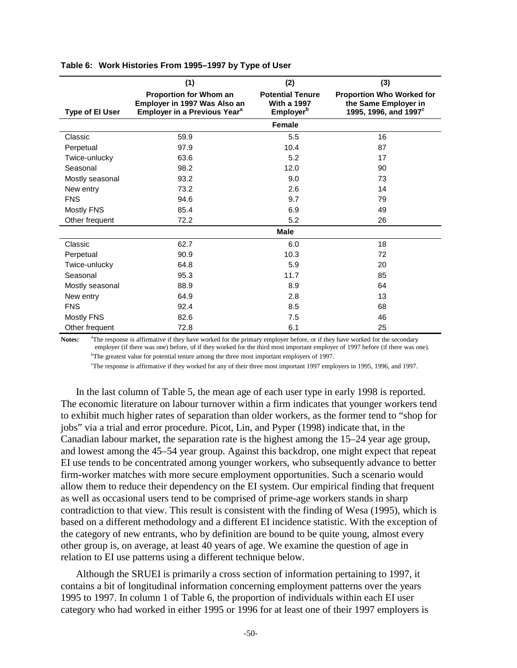|                        | (1)                                                                                                | (2)                                                                    | (3)                                                                                           |
|------------------------|----------------------------------------------------------------------------------------------------|------------------------------------------------------------------------|-----------------------------------------------------------------------------------------------|
| <b>Type of El User</b> | Proportion for Whom an<br>Employer in 1997 Was Also an<br>Employer in a Previous Year <sup>a</sup> | <b>Potential Tenure</b><br><b>With a 1997</b><br>Employer <sup>b</sup> | <b>Proportion Who Worked for</b><br>the Same Employer in<br>1995, 1996, and 1997 <sup>c</sup> |
|                        |                                                                                                    | Female                                                                 |                                                                                               |
| Classic                | 59.9                                                                                               | 5.5                                                                    | 16                                                                                            |
| Perpetual              | 97.9                                                                                               | 10.4                                                                   | 87                                                                                            |
| Twice-unlucky          | 63.6                                                                                               | 5.2                                                                    | 17                                                                                            |
| Seasonal               | 98.2                                                                                               | 12.0                                                                   | 90                                                                                            |
| Mostly seasonal        | 93.2                                                                                               | 9.0                                                                    | 73                                                                                            |
| New entry              | 73.2                                                                                               | 2.6                                                                    | 14                                                                                            |
| <b>FNS</b>             | 94.6                                                                                               | 9.7                                                                    | 79                                                                                            |
| <b>Mostly FNS</b>      | 85.4                                                                                               | 6.9                                                                    | 49                                                                                            |
| Other frequent         | 72.2                                                                                               | 5.2                                                                    | 26                                                                                            |
|                        |                                                                                                    | Male                                                                   |                                                                                               |
| Classic                | 62.7                                                                                               | 6.0                                                                    | 18                                                                                            |
| Perpetual              | 90.9                                                                                               | 10.3                                                                   | 72                                                                                            |
| Twice-unlucky          | 64.8                                                                                               | 5.9                                                                    | 20                                                                                            |
| Seasonal               | 95.3                                                                                               | 11.7                                                                   | 85                                                                                            |
| Mostly seasonal        | 88.9                                                                                               | 8.9                                                                    | 64                                                                                            |
| New entry              | 64.9                                                                                               | 2.8                                                                    | 13                                                                                            |
| <b>FNS</b>             | 92.4                                                                                               | 8.5                                                                    | 68                                                                                            |
| Mostly FNS             | 82.6                                                                                               | 7.5                                                                    | 46                                                                                            |
| Other frequent         | 72.8                                                                                               | 6.1                                                                    | 25                                                                                            |

#### **Table 6: Work Histories From 1995–1997 by Type of User**

**Notes:** <sup>a</sup>The response is affirmative if they have worked for the primary employer before, or if they have worked for the secondary employer (if there was one) before, of if they worked for the third most important employer of 1997 before (if there was one). <sup>b</sup>The greatest value for potential tenure among the three most important employers of 1997.

c The response is affirmative if they worked for any of their three most important 1997 employers in 1995, 1996, and 1997.

In the last column of Table 5, the mean age of each user type in early 1998 is reported. The economic literature on labour turnover within a firm indicates that younger workers tend to exhibit much higher rates of separation than older workers, as the former tend to "shop for jobs" via a trial and error procedure. Picot, Lin, and Pyper (1998) indicate that, in the Canadian labour market, the separation rate is the highest among the 15–24 year age group, and lowest among the 45–54 year group. Against this backdrop, one might expect that repeat EI use tends to be concentrated among younger workers, who subsequently advance to better firm-worker matches with more secure employment opportunities. Such a scenario would allow them to reduce their dependency on the EI system. Our empirical finding that frequent as well as occasional users tend to be comprised of prime-age workers stands in sharp contradiction to that view. This result is consistent with the finding of Wesa (1995), which is based on a different methodology and a different EI incidence statistic. With the exception of the category of new entrants, who by definition are bound to be quite young, almost every other group is, on average, at least 40 years of age. We examine the question of age in relation to EI use patterns using a different technique below.

Although the SRUEI is primarily a cross section of information pertaining to 1997, it contains a bit of longitudinal information concerning employment patterns over the years 1995 to 1997. In column 1 of Table 6, the proportion of individuals within each EI user category who had worked in either 1995 or 1996 for at least one of their 1997 employers is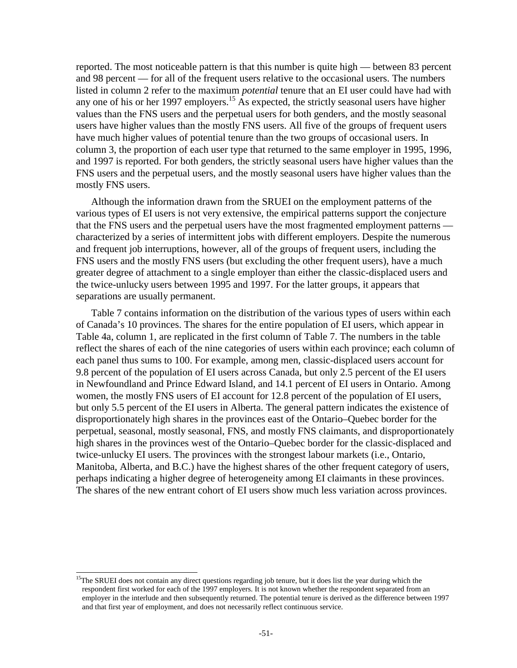reported. The most noticeable pattern is that this number is quite high — between 83 percent and 98 percent — for all of the frequent users relative to the occasional users. The numbers listed in column 2 refer to the maximum *potential* tenure that an EI user could have had with any one of his or her 1997 employers.<sup>15</sup> As expected, the strictly seasonal users have higher values than the FNS users and the perpetual users for both genders, and the mostly seasonal users have higher values than the mostly FNS users. All five of the groups of frequent users have much higher values of potential tenure than the two groups of occasional users. In column 3, the proportion of each user type that returned to the same employer in 1995, 1996, and 1997 is reported. For both genders, the strictly seasonal users have higher values than the FNS users and the perpetual users, and the mostly seasonal users have higher values than the mostly FNS users.

Although the information drawn from the SRUEI on the employment patterns of the various types of EI users is not very extensive, the empirical patterns support the conjecture that the FNS users and the perpetual users have the most fragmented employment patterns characterized by a series of intermittent jobs with different employers. Despite the numerous and frequent job interruptions, however, all of the groups of frequent users, including the FNS users and the mostly FNS users (but excluding the other frequent users), have a much greater degree of attachment to a single employer than either the classic-displaced users and the twice-unlucky users between 1995 and 1997. For the latter groups, it appears that separations are usually permanent.

Table 7 contains information on the distribution of the various types of users within each of Canada's 10 provinces. The shares for the entire population of EI users, which appear in Table 4a, column 1, are replicated in the first column of Table 7. The numbers in the table reflect the shares of each of the nine categories of users within each province; each column of each panel thus sums to 100. For example, among men, classic-displaced users account for 9.8 percent of the population of EI users across Canada, but only 2.5 percent of the EI users in Newfoundland and Prince Edward Island, and 14.1 percent of EI users in Ontario. Among women, the mostly FNS users of EI account for 12.8 percent of the population of EI users, but only 5.5 percent of the EI users in Alberta. The general pattern indicates the existence of disproportionately high shares in the provinces east of the Ontario–Quebec border for the perpetual, seasonal, mostly seasonal, FNS, and mostly FNS claimants, and disproportionately high shares in the provinces west of the Ontario–Quebec border for the classic-displaced and twice-unlucky EI users. The provinces with the strongest labour markets (i.e., Ontario, Manitoba, Alberta, and B.C.) have the highest shares of the other frequent category of users, perhaps indicating a higher degree of heterogeneity among EI claimants in these provinces. The shares of the new entrant cohort of EI users show much less variation across provinces.

 $15$ The SRUEI does not contain any direct questions regarding job tenure, but it does list the year during which the respondent first worked for each of the 1997 employers. It is not known whether the respondent separated from an employer in the interlude and then subsequently returned. The potential tenure is derived as the difference between 1997 and that first year of employment, and does not necessarily reflect continuous service.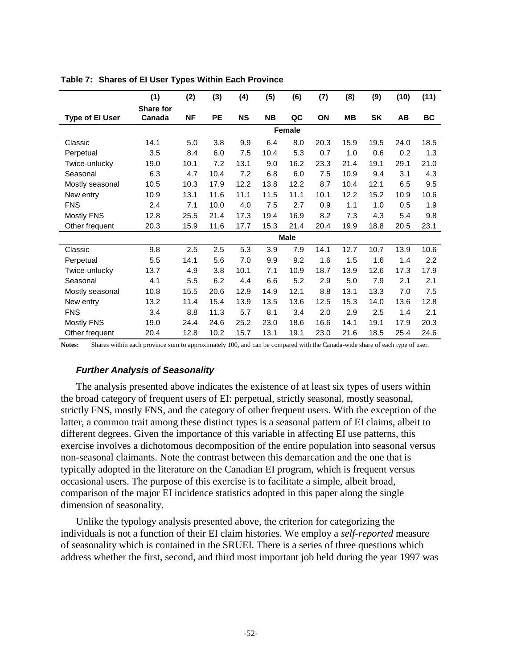|                        | (1)       | (2)       | (3)       | (4)       | (5)       | (6)         | (7)  | (8)  | (9)       | (10)      | (11)      |
|------------------------|-----------|-----------|-----------|-----------|-----------|-------------|------|------|-----------|-----------|-----------|
|                        | Share for |           |           |           |           |             |      |      |           |           |           |
| <b>Type of El User</b> | Canada    | <b>NF</b> | <b>PE</b> | <b>NS</b> | <b>NB</b> | QC          | ON   | MВ   | <b>SK</b> | <b>AB</b> | <b>BC</b> |
|                        |           |           |           |           |           | Female      |      |      |           |           |           |
| Classic                | 14.1      | 5.0       | 3.8       | 9.9       | 6.4       | 8.0         | 20.3 | 15.9 | 19.5      | 24.0      | 18.5      |
| Perpetual              | 3.5       | 8.4       | 6.0       | 7.5       | 10.4      | 5.3         | 0.7  | 1.0  | 0.6       | 0.2       | 1.3       |
| Twice-unlucky          | 19.0      | 10.1      | 7.2       | 13.1      | 9.0       | 16.2        | 23.3 | 21.4 | 19.1      | 29.1      | 21.0      |
| Seasonal               | 6.3       | 4.7       | 10.4      | 7.2       | 6.8       | 6.0         | 7.5  | 10.9 | 9.4       | 3.1       | 4.3       |
| Mostly seasonal        | 10.5      | 10.3      | 17.9      | 12.2      | 13.8      | 12.2        | 8.7  | 10.4 | 12.1      | 6.5       | 9.5       |
| New entry              | 10.9      | 13.1      | 11.6      | 11.1      | 11.5      | 11.1        | 10.1 | 12.2 | 15.2      | 10.9      | 10.6      |
| <b>FNS</b>             | 2.4       | 7.1       | 10.0      | 4.0       | 7.5       | 2.7         | 0.9  | 1.1  | 1.0       | 0.5       | 1.9       |
| Mostly FNS             | 12.8      | 25.5      | 21.4      | 17.3      | 19.4      | 16.9        | 8.2  | 7.3  | 4.3       | 5.4       | 9.8       |
| Other frequent         | 20.3      | 15.9      | 11.6      | 17.7      | 15.3      | 21.4        | 20.4 | 19.9 | 18.8      | 20.5      | 23.1      |
|                        |           |           |           |           |           | <b>Male</b> |      |      |           |           |           |
| Classic                | 9.8       | 2.5       | 2.5       | 5.3       | 3.9       | 7.9         | 14.1 | 12.7 | 10.7      | 13.9      | 10.6      |
| Perpetual              | 5.5       | 14.1      | 5.6       | 7.0       | 9.9       | 9.2         | 1.6  | 1.5  | 1.6       | 1.4       | 2.2       |
| Twice-unlucky          | 13.7      | 4.9       | 3.8       | 10.1      | 7.1       | 10.9        | 18.7 | 13.9 | 12.6      | 17.3      | 17.9      |
| Seasonal               | 4.1       | 5.5       | 6.2       | 4.4       | 6.6       | 5.2         | 2.9  | 5.0  | 7.9       | 2.1       | 2.1       |
| Mostly seasonal        | 10.8      | 15.5      | 20.6      | 12.9      | 14.9      | 12.1        | 8.8  | 13.1 | 13.3      | 7.0       | 7.5       |
| New entry              | 13.2      | 11.4      | 15.4      | 13.9      | 13.5      | 13.6        | 12.5 | 15.3 | 14.0      | 13.6      | 12.8      |
| <b>FNS</b>             | 3.4       | 8.8       | 11.3      | 5.7       | 8.1       | 3.4         | 2.0  | 2.9  | 2.5       | 1.4       | 2.1       |
| Mostly FNS             | 19.0      | 24.4      | 24.6      | 25.2      | 23.0      | 18.6        | 16.6 | 14.1 | 19.1      | 17.9      | 20.3      |
| Other frequent         | 20.4      | 12.8      | 10.2      | 15.7      | 13.1      | 19.1        | 23.0 | 21.6 | 18.5      | 25.4      | 24.6      |

**Table 7: Shares of EI User Types Within Each Province** 

**Notes:** Shares within each province sum to approximately 100, and can be compared with the Canada-wide share of each type of user.

#### **Further Analysis of Seasonality**

The analysis presented above indicates the existence of at least six types of users within the broad category of frequent users of EI: perpetual, strictly seasonal, mostly seasonal, strictly FNS, mostly FNS, and the category of other frequent users. With the exception of the latter, a common trait among these distinct types is a seasonal pattern of EI claims, albeit to different degrees. Given the importance of this variable in affecting EI use patterns, this exercise involves a dichotomous decomposition of the entire population into seasonal versus non-seasonal claimants. Note the contrast between this demarcation and the one that is typically adopted in the literature on the Canadian EI program, which is frequent versus occasional users. The purpose of this exercise is to facilitate a simple, albeit broad, comparison of the major EI incidence statistics adopted in this paper along the single dimension of seasonality.

Unlike the typology analysis presented above, the criterion for categorizing the individuals is not a function of their EI claim histories. We employ a *self-reported* measure of seasonality which is contained in the SRUEI. There is a series of three questions which address whether the first, second, and third most important job held during the year 1997 was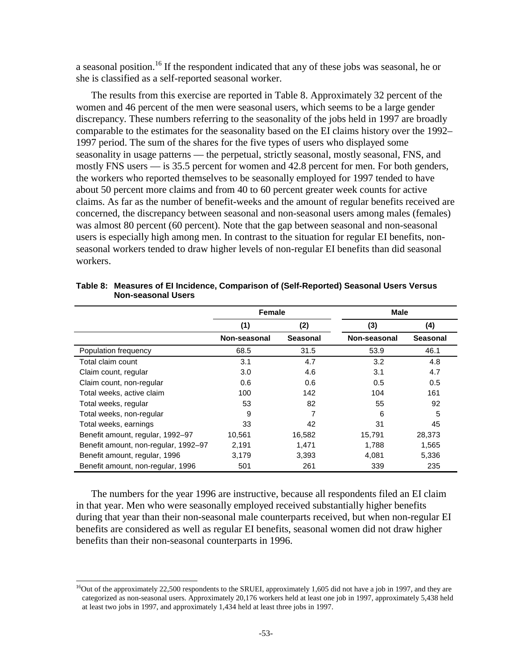a seasonal position.<sup>16</sup> If the respondent indicated that any of these jobs was seasonal, he or she is classified as a self-reported seasonal worker.

The results from this exercise are reported in Table 8. Approximately 32 percent of the women and 46 percent of the men were seasonal users, which seems to be a large gender discrepancy. These numbers referring to the seasonality of the jobs held in 1997 are broadly comparable to the estimates for the seasonality based on the EI claims history over the 1992– 1997 period. The sum of the shares for the five types of users who displayed some seasonality in usage patterns — the perpetual, strictly seasonal, mostly seasonal, FNS, and mostly FNS users — is 35.5 percent for women and 42.8 percent for men. For both genders, the workers who reported themselves to be seasonally employed for 1997 tended to have about 50 percent more claims and from 40 to 60 percent greater week counts for active claims. As far as the number of benefit-weeks and the amount of regular benefits received are concerned, the discrepancy between seasonal and non-seasonal users among males (females) was almost 80 percent (60 percent). Note that the gap between seasonal and non-seasonal users is especially high among men. In contrast to the situation for regular EI benefits, nonseasonal workers tended to draw higher levels of non-regular EI benefits than did seasonal workers.

|                                      | <b>Female</b> |                 | <b>Male</b>  |          |
|--------------------------------------|---------------|-----------------|--------------|----------|
|                                      | (2)<br>(1)    |                 | (3)          | (4)      |
|                                      | Non-seasonal  | <b>Seasonal</b> | Non-seasonal | Seasonal |
| Population frequency                 | 68.5          | 31.5            | 53.9         | 46.1     |
| Total claim count                    | 3.1           | 4.7             | 3.2          | 4.8      |
| Claim count, regular                 | 3.0           | 4.6             | 3.1          | 4.7      |
| Claim count, non-regular             | 0.6           | 0.6             | 0.5          | 0.5      |
| Total weeks, active claim            | 100           | 142             | 104          | 161      |
| Total weeks, regular                 | 53            | 82              | 55           | 92       |
| Total weeks, non-regular             | 9             | 7               | 6            | 5        |
| Total weeks, earnings                | 33            | 42              | 31           | 45       |
| Benefit amount, regular, 1992-97     | 10,561        | 16,582          | 15,791       | 28,373   |
| Benefit amount, non-regular, 1992-97 | 2,191         | 1,471           | 1,788        | 1,565    |
| Benefit amount, regular, 1996        | 3,179         | 3,393           | 4,081        | 5,336    |
| Benefit amount, non-regular, 1996    | 501           | 261             | 339          | 235      |

**Table 8: Measures of EI Incidence, Comparison of (Self-Reported) Seasonal Users Versus Non-seasonal Users** 

The numbers for the year 1996 are instructive, because all respondents filed an EI claim in that year. Men who were seasonally employed received substantially higher benefits during that year than their non-seasonal male counterparts received, but when non-regular EI benefits are considered as well as regular EI benefits, seasonal women did not draw higher benefits than their non-seasonal counterparts in 1996.

<sup>&</sup>lt;sup>16</sup>Out of the approximately 22,500 respondents to the SRUEI, approximately 1,605 did not have a job in 1997, and they are categorized as non-seasonal users. Approximately 20,176 workers held at least one job in 1997, approximately 5,438 held at least two jobs in 1997, and approximately 1,434 held at least three jobs in 1997.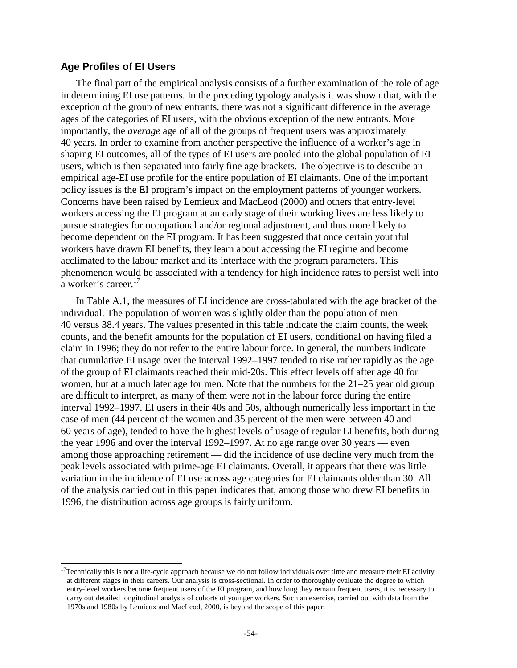### **Age Profiles of EI Users**

l

The final part of the empirical analysis consists of a further examination of the role of age in determining EI use patterns. In the preceding typology analysis it was shown that, with the exception of the group of new entrants, there was not a significant difference in the average ages of the categories of EI users, with the obvious exception of the new entrants. More importantly, the *average* age of all of the groups of frequent users was approximately 40 years. In order to examine from another perspective the influence of a worker's age in shaping EI outcomes, all of the types of EI users are pooled into the global population of EI users, which is then separated into fairly fine age brackets. The objective is to describe an empirical age-EI use profile for the entire population of EI claimants. One of the important policy issues is the EI program's impact on the employment patterns of younger workers. Concerns have been raised by Lemieux and MacLeod (2000) and others that entry-level workers accessing the EI program at an early stage of their working lives are less likely to pursue strategies for occupational and/or regional adjustment, and thus more likely to become dependent on the EI program. It has been suggested that once certain youthful workers have drawn EI benefits, they learn about accessing the EI regime and become acclimated to the labour market and its interface with the program parameters. This phenomenon would be associated with a tendency for high incidence rates to persist well into a worker's career.<sup>17</sup>

In Table A.1, the measures of EI incidence are cross-tabulated with the age bracket of the individual. The population of women was slightly older than the population of men — 40 versus 38.4 years. The values presented in this table indicate the claim counts, the week counts, and the benefit amounts for the population of EI users, conditional on having filed a claim in 1996; they do not refer to the entire labour force. In general, the numbers indicate that cumulative EI usage over the interval 1992–1997 tended to rise rather rapidly as the age of the group of EI claimants reached their mid-20s. This effect levels off after age 40 for women, but at a much later age for men. Note that the numbers for the 21–25 year old group are difficult to interpret, as many of them were not in the labour force during the entire interval 1992–1997. EI users in their 40s and 50s, although numerically less important in the case of men (44 percent of the women and 35 percent of the men were between 40 and 60 years of age), tended to have the highest levels of usage of regular EI benefits, both during the year 1996 and over the interval 1992–1997. At no age range over 30 years — even among those approaching retirement — did the incidence of use decline very much from the peak levels associated with prime-age EI claimants. Overall, it appears that there was little variation in the incidence of EI use across age categories for EI claimants older than 30. All of the analysis carried out in this paper indicates that, among those who drew EI benefits in 1996, the distribution across age groups is fairly uniform.

 $17$ Technically this is not a life-cycle approach because we do not follow individuals over time and measure their EI activity at different stages in their careers. Our analysis is cross-sectional. In order to thoroughly evaluate the degree to which entry-level workers become frequent users of the EI program, and how long they remain frequent users, it is necessary to carry out detailed longitudinal analysis of cohorts of younger workers. Such an exercise, carried out with data from the 1970s and 1980s by Lemieux and MacLeod, 2000, is beyond the scope of this paper.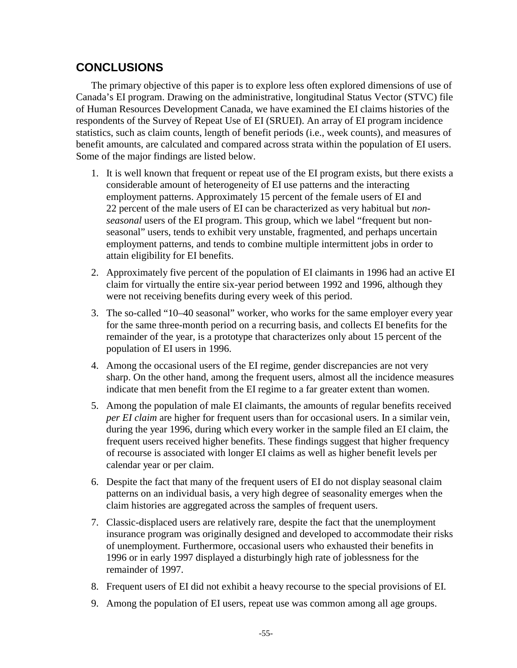## **CONCLUSIONS**

The primary objective of this paper is to explore less often explored dimensions of use of Canada's EI program. Drawing on the administrative, longitudinal Status Vector (STVC) file of Human Resources Development Canada, we have examined the EI claims histories of the respondents of the Survey of Repeat Use of EI (SRUEI). An array of EI program incidence statistics, such as claim counts, length of benefit periods (i.e., week counts), and measures of benefit amounts, are calculated and compared across strata within the population of EI users. Some of the major findings are listed below.

- 1. It is well known that frequent or repeat use of the EI program exists, but there exists a considerable amount of heterogeneity of EI use patterns and the interacting employment patterns. Approximately 15 percent of the female users of EI and 22 percent of the male users of EI can be characterized as very habitual but *nonseasonal* users of the EI program. This group, which we label "frequent but nonseasonal" users, tends to exhibit very unstable, fragmented, and perhaps uncertain employment patterns, and tends to combine multiple intermittent jobs in order to attain eligibility for EI benefits.
- 2. Approximately five percent of the population of EI claimants in 1996 had an active EI claim for virtually the entire six-year period between 1992 and 1996, although they were not receiving benefits during every week of this period.
- 3. The so-called "10–40 seasonal" worker, who works for the same employer every year for the same three-month period on a recurring basis, and collects EI benefits for the remainder of the year, is a prototype that characterizes only about 15 percent of the population of EI users in 1996.
- 4. Among the occasional users of the EI regime, gender discrepancies are not very sharp. On the other hand, among the frequent users, almost all the incidence measures indicate that men benefit from the EI regime to a far greater extent than women.
- 5. Among the population of male EI claimants, the amounts of regular benefits received *per EI claim* are higher for frequent users than for occasional users. In a similar vein, during the year 1996, during which every worker in the sample filed an EI claim, the frequent users received higher benefits. These findings suggest that higher frequency of recourse is associated with longer EI claims as well as higher benefit levels per calendar year or per claim.
- 6. Despite the fact that many of the frequent users of EI do not display seasonal claim patterns on an individual basis, a very high degree of seasonality emerges when the claim histories are aggregated across the samples of frequent users.
- 7. Classic-displaced users are relatively rare, despite the fact that the unemployment insurance program was originally designed and developed to accommodate their risks of unemployment. Furthermore, occasional users who exhausted their benefits in 1996 or in early 1997 displayed a disturbingly high rate of joblessness for the remainder of 1997.
- 8. Frequent users of EI did not exhibit a heavy recourse to the special provisions of EI.
- 9. Among the population of EI users, repeat use was common among all age groups.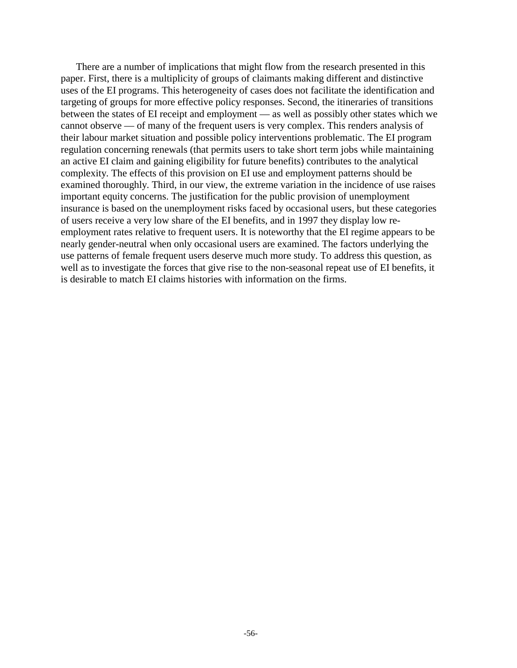There are a number of implications that might flow from the research presented in this paper. First, there is a multiplicity of groups of claimants making different and distinctive uses of the EI programs. This heterogeneity of cases does not facilitate the identification and targeting of groups for more effective policy responses. Second, the itineraries of transitions between the states of EI receipt and employment — as well as possibly other states which we cannot observe — of many of the frequent users is very complex. This renders analysis of their labour market situation and possible policy interventions problematic. The EI program regulation concerning renewals (that permits users to take short term jobs while maintaining an active EI claim and gaining eligibility for future benefits) contributes to the analytical complexity. The effects of this provision on EI use and employment patterns should be examined thoroughly. Third, in our view, the extreme variation in the incidence of use raises important equity concerns. The justification for the public provision of unemployment insurance is based on the unemployment risks faced by occasional users, but these categories of users receive a very low share of the EI benefits, and in 1997 they display low reemployment rates relative to frequent users. It is noteworthy that the EI regime appears to be nearly gender-neutral when only occasional users are examined. The factors underlying the use patterns of female frequent users deserve much more study. To address this question, as well as to investigate the forces that give rise to the non-seasonal repeat use of EI benefits, it is desirable to match EI claims histories with information on the firms.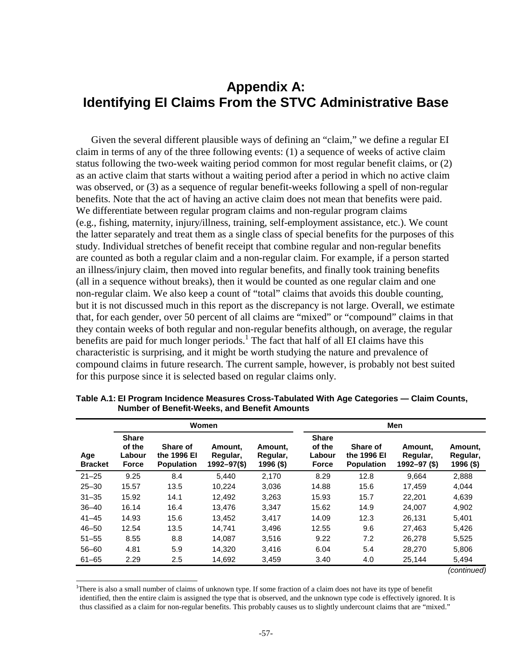# **Appendix A: Identifying EI Claims From the STVC Administrative Base**

Given the several different plausible ways of defining an "claim," we define a regular EI claim in terms of any of the three following events: (1) a sequence of weeks of active claim status following the two-week waiting period common for most regular benefit claims, or (2) as an active claim that starts without a waiting period after a period in which no active claim was observed, or (3) as a sequence of regular benefit-weeks following a spell of non-regular benefits. Note that the act of having an active claim does not mean that benefits were paid. We differentiate between regular program claims and non-regular program claims (e.g., fishing, maternity, injury/illness, training, self-employment assistance, etc.). We count the latter separately and treat them as a single class of special benefits for the purposes of this study. Individual stretches of benefit receipt that combine regular and non-regular benefits are counted as both a regular claim and a non-regular claim. For example, if a person started an illness/injury claim, then moved into regular benefits, and finally took training benefits (all in a sequence without breaks), then it would be counted as one regular claim and one non-regular claim. We also keep a count of "total" claims that avoids this double counting, but it is not discussed much in this report as the discrepancy is not large. Overall, we estimate that, for each gender, over 50 percent of all claims are "mixed" or "compound" claims in that they contain weeks of both regular and non-regular benefits although, on average, the regular benefits are paid for much longer periods.<sup>1</sup> The fact that half of all EI claims have this characteristic is surprising, and it might be worth studying the nature and prevalence of compound claims in future research. The current sample, however, is probably not best suited for this purpose since it is selected based on regular claims only.

|                       | Women                                            |                                              |                                              |                                  |                                                  | Men                                          |                                         |                                  |  |  |
|-----------------------|--------------------------------------------------|----------------------------------------------|----------------------------------------------|----------------------------------|--------------------------------------------------|----------------------------------------------|-----------------------------------------|----------------------------------|--|--|
| Age<br><b>Bracket</b> | <b>Share</b><br>of the<br>Labour<br><b>Force</b> | Share of<br>the 1996 El<br><b>Population</b> | Amount.<br>Regular,<br>$1992 - 97(\text{S})$ | Amount.<br>Regular,<br>1996 (\$) | <b>Share</b><br>of the<br>Labour<br><b>Force</b> | Share of<br>the 1996 El<br><b>Population</b> | Amount.<br>Regular,<br>$1992 - 97($ \$) | Amount.<br>Regular,<br>1996 (\$) |  |  |
| $21 - 25$             | 9.25                                             | 8.4                                          | 5.440                                        | 2,170                            | 8.29                                             | 12.8                                         | 9.664                                   | 2,888                            |  |  |
| $25 - 30$             | 15.57                                            | 13.5                                         | 10.224                                       | 3,036                            | 14.88                                            | 15.6                                         | 17.459                                  | 4.044                            |  |  |
| $31 - 35$             | 15.92                                            | 14.1                                         | 12.492                                       | 3.263                            | 15.93                                            | 15.7                                         | 22,201                                  | 4,639                            |  |  |
| $36 - 40$             | 16.14                                            | 16.4                                         | 13.476                                       | 3,347                            | 15.62                                            | 14.9                                         | 24,007                                  | 4,902                            |  |  |
| $41 - 45$             | 14.93                                            | 15.6                                         | 13.452                                       | 3.417                            | 14.09                                            | 12.3                                         | 26.131                                  | 5,401                            |  |  |
| $46 - 50$             | 12.54                                            | 13.5                                         | 14.741                                       | 3,496                            | 12.55                                            | 9.6                                          | 27,463                                  | 5,426                            |  |  |
| $51 - 55$             | 8.55                                             | 8.8                                          | 14.087                                       | 3.516                            | 9.22                                             | 7.2                                          | 26,278                                  | 5.525                            |  |  |
| $56 - 60$             | 4.81                                             | 5.9                                          | 14.320                                       | 3.416                            | 6.04                                             | 5.4                                          | 28.270                                  | 5,806                            |  |  |
| $61 - 65$             | 2.29                                             | 2.5                                          | 14,692                                       | 3,459                            | 3.40                                             | 4.0                                          | 25,144                                  | 5,494                            |  |  |
|                       |                                                  |                                              |                                              |                                  |                                                  |                                              |                                         | (continued)                      |  |  |

**Table A.1: EI Program Incidence Measures Cross-Tabulated With Age Categories — Claim Counts, Number of Benefit-Weeks, and Benefit Amounts** 

<sup>1</sup>There is also a small number of claims of unknown type. If some fraction of a claim does not have its type of benefit identified, then the entire claim is assigned the type that is observed, and the unknown type code is effectively ignored. It is thus classified as a claim for non-regular benefits. This probably causes us to slightly undercount claims that are "mixed."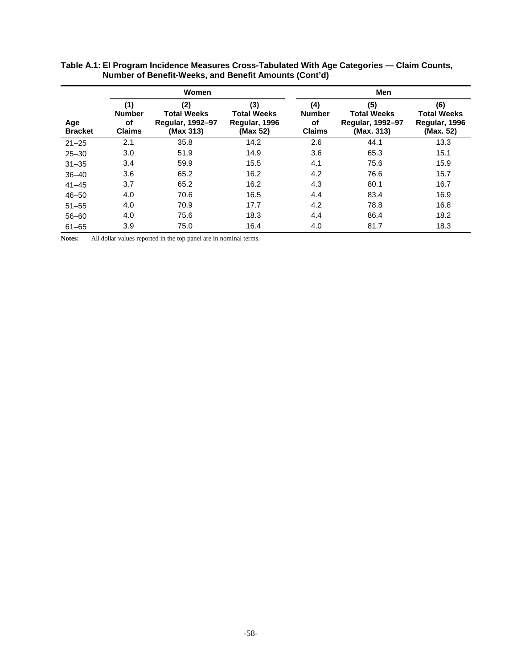|                       |                                             | Women                                                             | Men                                                    |                                             |                                                                    |                                                         |  |
|-----------------------|---------------------------------------------|-------------------------------------------------------------------|--------------------------------------------------------|---------------------------------------------|--------------------------------------------------------------------|---------------------------------------------------------|--|
| Age<br><b>Bracket</b> | (1)<br><b>Number</b><br>of<br><b>Claims</b> | (2)<br><b>Total Weeks</b><br><b>Regular, 1992-97</b><br>(Max 313) | (3)<br><b>Total Weeks</b><br>Regular, 1996<br>(Max 52) | (4)<br><b>Number</b><br>οf<br><b>Claims</b> | (5)<br><b>Total Weeks</b><br><b>Regular, 1992-97</b><br>(Max. 313) | (6)<br><b>Total Weeks</b><br>Regular, 1996<br>(Max. 52) |  |
| $21 - 25$             | 2.1                                         | 35.8                                                              | 14.2                                                   | 2.6                                         | 44.1                                                               | 13.3                                                    |  |
| $25 - 30$             | 3.0                                         | 51.9                                                              | 14.9                                                   | 3.6                                         | 65.3                                                               | 15.1                                                    |  |
| $31 - 35$             | 3.4                                         | 59.9                                                              | 15.5                                                   | 4.1                                         | 75.6                                                               | 15.9                                                    |  |
| $36 - 40$             | 3.6                                         | 65.2                                                              | 16.2                                                   | 4.2                                         | 76.6                                                               | 15.7                                                    |  |
| $41 - 45$             | 3.7                                         | 65.2                                                              | 16.2                                                   | 4.3                                         | 80.1                                                               | 16.7                                                    |  |
| $46 - 50$             | 4.0                                         | 70.6                                                              | 16.5                                                   | 4.4                                         | 83.4                                                               | 16.9                                                    |  |
| $51 - 55$             | 4.0                                         | 70.9                                                              | 17.7                                                   | 4.2                                         | 78.8                                                               | 16.8                                                    |  |
| $56 - 60$             | 4.0                                         | 75.6                                                              | 18.3                                                   | 4.4                                         | 86.4                                                               | 18.2                                                    |  |
| $61 - 65$             | 3.9                                         | 75.0                                                              | 16.4                                                   | 4.0                                         | 81.7                                                               | 18.3                                                    |  |

#### **Table A.1: EI Program Incidence Measures Cross-Tabulated With Age Categories — Claim Counts, Number of Benefit-Weeks, and Benefit Amounts (Cont'd)**

**Notes:** All dollar values reported in the top panel are in nominal terms.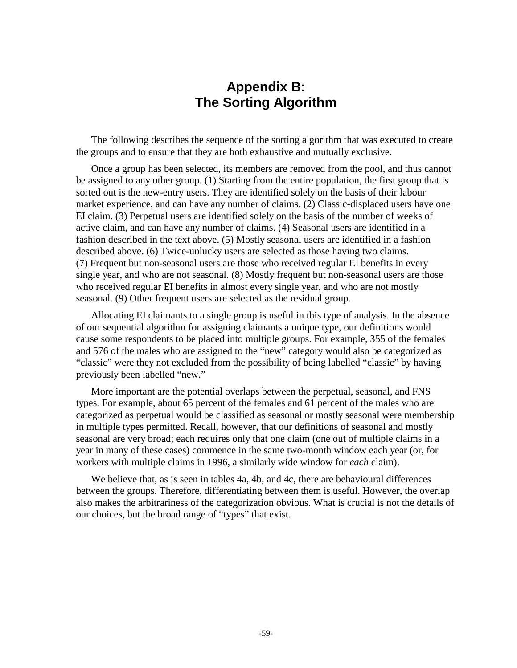# **Appendix B: The Sorting Algorithm**

The following describes the sequence of the sorting algorithm that was executed to create the groups and to ensure that they are both exhaustive and mutually exclusive.

Once a group has been selected, its members are removed from the pool, and thus cannot be assigned to any other group. (1) Starting from the entire population, the first group that is sorted out is the new-entry users. They are identified solely on the basis of their labour market experience, and can have any number of claims. (2) Classic-displaced users have one EI claim. (3) Perpetual users are identified solely on the basis of the number of weeks of active claim, and can have any number of claims. (4) Seasonal users are identified in a fashion described in the text above. (5) Mostly seasonal users are identified in a fashion described above. (6) Twice-unlucky users are selected as those having two claims. (7) Frequent but non-seasonal users are those who received regular EI benefits in every single year, and who are not seasonal. (8) Mostly frequent but non-seasonal users are those who received regular EI benefits in almost every single year, and who are not mostly seasonal. (9) Other frequent users are selected as the residual group.

Allocating EI claimants to a single group is useful in this type of analysis. In the absence of our sequential algorithm for assigning claimants a unique type, our definitions would cause some respondents to be placed into multiple groups. For example, 355 of the females and 576 of the males who are assigned to the "new" category would also be categorized as "classic" were they not excluded from the possibility of being labelled "classic" by having previously been labelled "new."

More important are the potential overlaps between the perpetual, seasonal, and FNS types. For example, about 65 percent of the females and 61 percent of the males who are categorized as perpetual would be classified as seasonal or mostly seasonal were membership in multiple types permitted. Recall, however, that our definitions of seasonal and mostly seasonal are very broad; each requires only that one claim (one out of multiple claims in a year in many of these cases) commence in the same two-month window each year (or, for workers with multiple claims in 1996, a similarly wide window for *each* claim).

We believe that, as is seen in tables 4a, 4b, and 4c, there are behavioural differences between the groups. Therefore, differentiating between them is useful. However, the overlap also makes the arbitrariness of the categorization obvious. What is crucial is not the details of our choices, but the broad range of "types" that exist.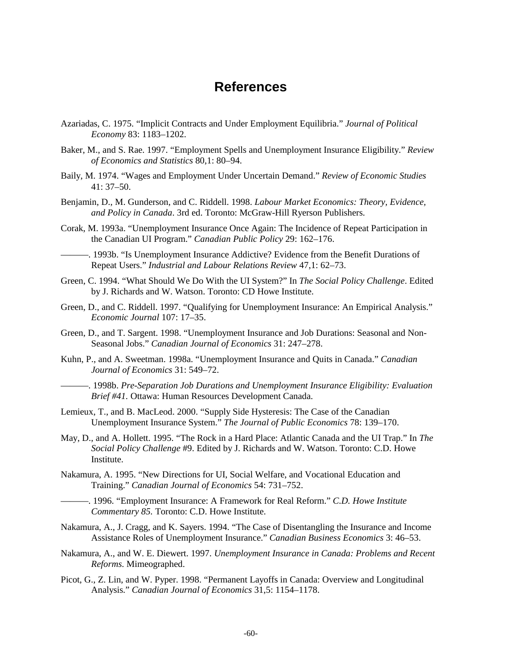## **References**

- Azariadas, C. 1975. "Implicit Contracts and Under Employment Equilibria." *Journal of Political Economy* 83: 1183–1202.
- Baker, M., and S. Rae. 1997. "Employment Spells and Unemployment Insurance Eligibility." *Review of Economics and Statistics* 80,1: 80–94.
- Baily, M. 1974. "Wages and Employment Under Uncertain Demand." *Review of Economic Studies* 41: 37–50.
- Benjamin, D., M. Gunderson, and C. Riddell. 1998. *Labour Market Economics: Theory, Evidence, and Policy in Canada*. 3rd ed. Toronto: McGraw-Hill Ryerson Publishers.
- Corak, M. 1993a. "Unemployment Insurance Once Again: The Incidence of Repeat Participation in the Canadian UI Program." *Canadian Public Policy* 29: 162–176.

———. 1993b. "Is Unemployment Insurance Addictive? Evidence from the Benefit Durations of Repeat Users." *Industrial and Labour Relations Review* 47,1: 62–73.

- Green, C. 1994. "What Should We Do With the UI System?" In *The Social Policy Challenge*. Edited by J. Richards and W. Watson. Toronto: CD Howe Institute.
- Green, D., and C. Riddell. 1997. "Qualifying for Unemployment Insurance: An Empirical Analysis." *Economic Journal* 107: 17–35.
- Green, D., and T. Sargent. 1998. "Unemployment Insurance and Job Durations: Seasonal and Non-Seasonal Jobs." *Canadian Journal of Economics* 31: 247–278.
- Kuhn, P., and A. Sweetman. 1998a. "Unemployment Insurance and Quits in Canada." *Canadian Journal of Economics* 31: 549–72.
- ———. 1998b. *Pre-Separation Job Durations and Unemployment Insurance Eligibility: Evaluation Brief #41.* Ottawa: Human Resources Development Canada.
- Lemieux, T., and B. MacLeod. 2000. "Supply Side Hysteresis: The Case of the Canadian Unemployment Insurance System." *The Journal of Public Economics* 78: 139–170.
- May, D., and A. Hollett. 1995. "The Rock in a Hard Place: Atlantic Canada and the UI Trap." In *The Social Policy Challenge* #9. Edited by J. Richards and W. Watson. Toronto: C.D. Howe Institute.

Nakamura, A. 1995. "New Directions for UI, Social Welfare, and Vocational Education and Training." *Canadian Journal of Economics* 54: 731–752.

- ———. 1996. "Employment Insurance: A Framework for Real Reform." *C.D. Howe Institute Commentary 85.* Toronto: C.D. Howe Institute.
- Nakamura, A., J. Cragg, and K. Sayers. 1994. "The Case of Disentangling the Insurance and Income Assistance Roles of Unemployment Insurance." *Canadian Business Economics* 3: 46–53.
- Nakamura, A., and W. E. Diewert. 1997. *Unemployment Insurance in Canada: Problems and Recent Reforms*. Mimeographed.
- Picot, G., Z. Lin, and W. Pyper. 1998. "Permanent Layoffs in Canada: Overview and Longitudinal Analysis." *Canadian Journal of Economics* 31,5: 1154–1178.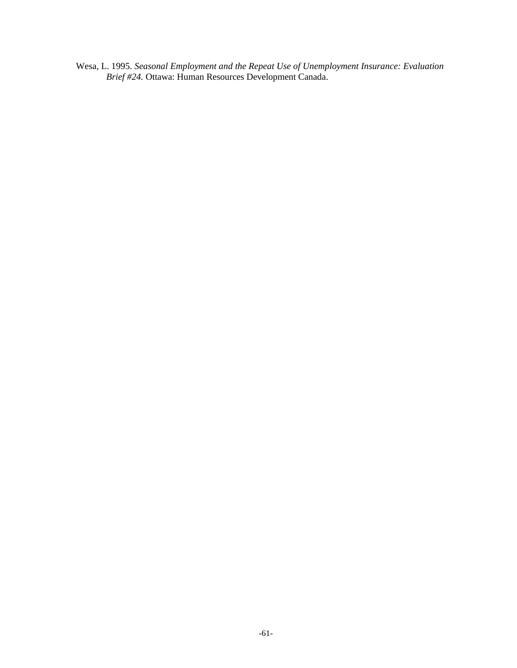Wesa, L. 1995. *Seasonal Employment and the Repeat Use of Unemployment Insurance: Evaluation Brief #24.* Ottawa: Human Resources Development Canada.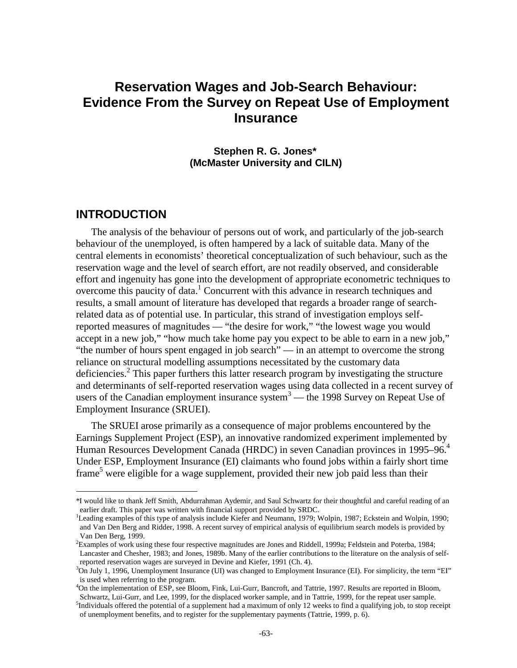# **Reservation Wages and Job-Search Behaviour: Evidence From the Survey on Repeat Use of Employment Insurance**

**Stephen R. G. Jones\* (McMaster University and CILN)** 

## **INTRODUCTION**

l

The analysis of the behaviour of persons out of work, and particularly of the job-search behaviour of the unemployed, is often hampered by a lack of suitable data. Many of the central elements in economists' theoretical conceptualization of such behaviour, such as the reservation wage and the level of search effort, are not readily observed, and considerable effort and ingenuity has gone into the development of appropriate econometric techniques to overcome this paucity of data.<sup>1</sup> Concurrent with this advance in research techniques and results, a small amount of literature has developed that regards a broader range of searchrelated data as of potential use. In particular, this strand of investigation employs selfreported measures of magnitudes — "the desire for work," "the lowest wage you would accept in a new job," "how much take home pay you expect to be able to earn in a new job," "the number of hours spent engaged in job search" — in an attempt to overcome the strong reliance on structural modelling assumptions necessitated by the customary data deficiencies.<sup>2</sup> This paper furthers this latter research program by investigating the structure and determinants of self-reported reservation wages using data collected in a recent survey of users of the Canadian employment insurance system $3$ — the 1998 Survey on Repeat Use of Employment Insurance (SRUEI).

The SRUEI arose primarily as a consequence of major problems encountered by the Earnings Supplement Project (ESP), an innovative randomized experiment implemented by Human Resources Development Canada (HRDC) in seven Canadian provinces in 1995–96.<sup>4</sup> Under ESP, Employment Insurance (EI) claimants who found jobs within a fairly short time frame<sup>5</sup> were eligible for a wage supplement, provided their new job paid less than their

<sup>\*</sup>I would like to thank Jeff Smith, Abdurrahman Aydemir, and Saul Schwartz for their thoughtful and careful reading of an earlier draft. This paper was written with financial support provided by SRDC.

<sup>&</sup>lt;sup>1</sup>Leading examples of this type of analysis include Kiefer and Neumann, 1979; Wolpin, 1987; Eckstein and Wolpin, 1990; and Van Den Berg and Ridder, 1998. A recent survey of empirical analysis of equilibrium search models is provided by Van Den Berg, 1999.

 ${}^{2}$ Examples of work using these four respective magnitudes are Jones and Riddell, 1999a; Feldstein and Poterba, 1984; Lancaster and Chesher, 1983; and Jones, 1989b. Many of the earlier contributions to the literature on the analysis of selfreported reservation wages are surveyed in Devine and Kiefer, 1991 (Ch. 4).

 $3$ On July 1, 1996, Unemployment Insurance (UI) was changed to Employment Insurance (EI). For simplicity, the term "EI" is used when referring to the program.

<sup>&</sup>lt;sup>4</sup>On the implementation of ESP, see Bloom, Fink, Lui-Gurr, Bancroft, and Tattrie, 1997. Results are reported in Bloom, Schwartz, Lui-Gurr, and Lee, 1999, for the displaced worker sample, and in Tattrie, 1999, for the repeat user sample. <sup>5</sup>Individuals offered the potential of a supplement had a maximum of only 12 weeks to find a qualifying job, to stop receipt of unemployment benefits, and to register for the supplementary payments (Tattrie, 1999, p. 6).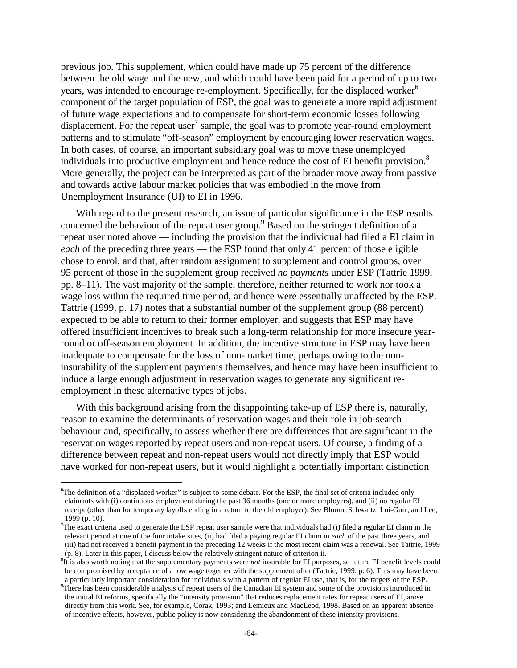previous job. This supplement, which could have made up 75 percent of the difference between the old wage and the new, and which could have been paid for a period of up to two years, was intended to encourage re-employment. Specifically, for the displaced worker<sup>6</sup> component of the target population of ESP, the goal was to generate a more rapid adjustment of future wage expectations and to compensate for short-term economic losses following displacement. For the repeat user<sup>7</sup> sample, the goal was to promote year-round employment patterns and to stimulate "off-season" employment by encouraging lower reservation wages. In both cases, of course, an important subsidiary goal was to move these unemployed individuals into productive employment and hence reduce the cost of EI benefit provision.<sup>8</sup> More generally, the project can be interpreted as part of the broader move away from passive and towards active labour market policies that was embodied in the move from Unemployment Insurance (UI) to EI in 1996.

With regard to the present research, an issue of particular significance in the ESP results concerned the behaviour of the repeat user group.<sup>9</sup> Based on the stringent definition of a repeat user noted above — including the provision that the individual had filed a EI claim in *each* of the preceding three years — the ESP found that only 41 percent of those eligible chose to enrol, and that, after random assignment to supplement and control groups, over 95 percent of those in the supplement group received *no payments* under ESP (Tattrie 1999, pp. 8–11). The vast majority of the sample, therefore, neither returned to work nor took a wage loss within the required time period, and hence were essentially unaffected by the ESP. Tattrie (1999, p. 17) notes that a substantial number of the supplement group (88 percent) expected to be able to return to their former employer, and suggests that ESP may have offered insufficient incentives to break such a long-term relationship for more insecure yearround or off-season employment. In addition, the incentive structure in ESP may have been inadequate to compensate for the loss of non-market time, perhaps owing to the noninsurability of the supplement payments themselves, and hence may have been insufficient to induce a large enough adjustment in reservation wages to generate any significant reemployment in these alternative types of jobs.

With this background arising from the disappointing take-up of ESP there is, naturally, reason to examine the determinants of reservation wages and their role in job-search behaviour and, specifically, to assess whether there are differences that are significant in the reservation wages reported by repeat users and non-repeat users. Of course, a finding of a difference between repeat and non-repeat users would not directly imply that ESP would have worked for non-repeat users, but it would highlight a potentially important distinction

<sup>&</sup>lt;sup>6</sup>The definition of a "displaced worker" is subject to some debate. For the ESP, the final set of criteria included only claimants with (i) continuous employment during the past 36 months (one or more employers), and (ii) no regular EI receipt (other than for temporary layoffs ending in a return to the old employer). See Bloom, Schwartz, Lui-Gurr, and Lee, 1999 (p. 10).

<sup>&</sup>lt;sup>7</sup>The exact criteria used to generate the ESP repeat user sample were that individuals had (i) filed a regular EI claim in the relevant period at one of the four intake sites, (ii) had filed a paying regular EI claim in *each* of the past three years, and (iii) had not received a benefit payment in the preceding 12 weeks if the most recent claim was a renewal. See Tattrie, 1999 (p. 8). Later in this paper, I discuss below the relatively stringent nature of criterion ii.

<sup>&</sup>lt;sup>8</sup>It is also worth noting that the supplementary payments were *not* insurable for EI purposes, so future EI benefit levels could be compromised by acceptance of a low wage together with the supplement offer (Tattrie, 1999, p. 6). This may have been a particularly important consideration for individuals with a pattern of regular EI use, that is, for the targets of the ESP.

<sup>&</sup>lt;sup>9</sup>There has been considerable analysis of repeat users of the Canadian EI system and some of the provisions introduced in the initial EI reforms, specifically the "intensity provision" that reduces replacement rates for repeat users of EI, arose directly from this work. See, for example, Corak, 1993; and Lemieux and MacLeod, 1998. Based on an apparent absence of incentive effects, however, public policy is now considering the abandonment of these intensity provisions.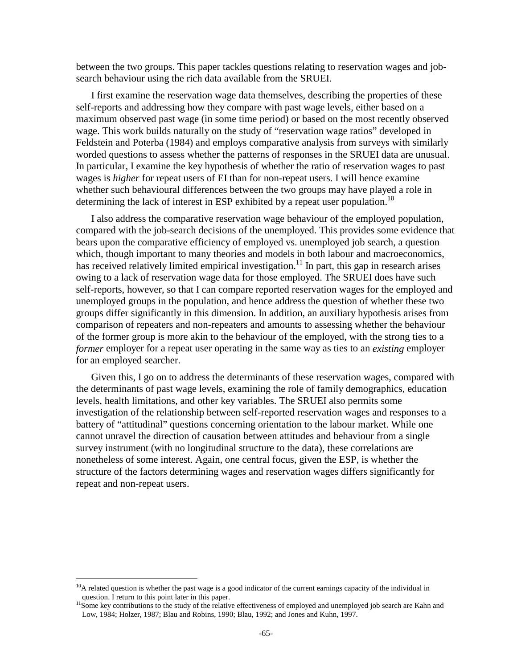between the two groups. This paper tackles questions relating to reservation wages and jobsearch behaviour using the rich data available from the SRUEI.

I first examine the reservation wage data themselves, describing the properties of these self-reports and addressing how they compare with past wage levels, either based on a maximum observed past wage (in some time period) or based on the most recently observed wage. This work builds naturally on the study of "reservation wage ratios" developed in Feldstein and Poterba (1984) and employs comparative analysis from surveys with similarly worded questions to assess whether the patterns of responses in the SRUEI data are unusual. In particular, I examine the key hypothesis of whether the ratio of reservation wages to past wages is *higher* for repeat users of EI than for non-repeat users. I will hence examine whether such behavioural differences between the two groups may have played a role in determining the lack of interest in ESP exhibited by a repeat user population.<sup>10</sup>

I also address the comparative reservation wage behaviour of the employed population, compared with the job-search decisions of the unemployed. This provides some evidence that bears upon the comparative efficiency of employed vs. unemployed job search, a question which, though important to many theories and models in both labour and macroeconomics, has received relatively limited empirical investigation.<sup>11</sup> In part, this gap in research arises owing to a lack of reservation wage data for those employed. The SRUEI does have such self-reports, however, so that I can compare reported reservation wages for the employed and unemployed groups in the population, and hence address the question of whether these two groups differ significantly in this dimension. In addition, an auxiliary hypothesis arises from comparison of repeaters and non-repeaters and amounts to assessing whether the behaviour of the former group is more akin to the behaviour of the employed, with the strong ties to a *former* employer for a repeat user operating in the same way as ties to an *existing* employer for an employed searcher.

Given this, I go on to address the determinants of these reservation wages, compared with the determinants of past wage levels, examining the role of family demographics, education levels, health limitations, and other key variables. The SRUEI also permits some investigation of the relationship between self-reported reservation wages and responses to a battery of "attitudinal" questions concerning orientation to the labour market. While one cannot unravel the direction of causation between attitudes and behaviour from a single survey instrument (with no longitudinal structure to the data), these correlations are nonetheless of some interest. Again, one central focus, given the ESP, is whether the structure of the factors determining wages and reservation wages differs significantly for repeat and non-repeat users.

 $10$ A related question is whether the past wage is a good indicator of the current earnings capacity of the individual in

question. I return to this point later in this paper.<br><sup>11</sup>Some key contributions to the study of the relative effectiveness of employed and unemployed job search are Kahn and Low, 1984; Holzer, 1987; Blau and Robins, 1990; Blau, 1992; and Jones and Kuhn, 1997.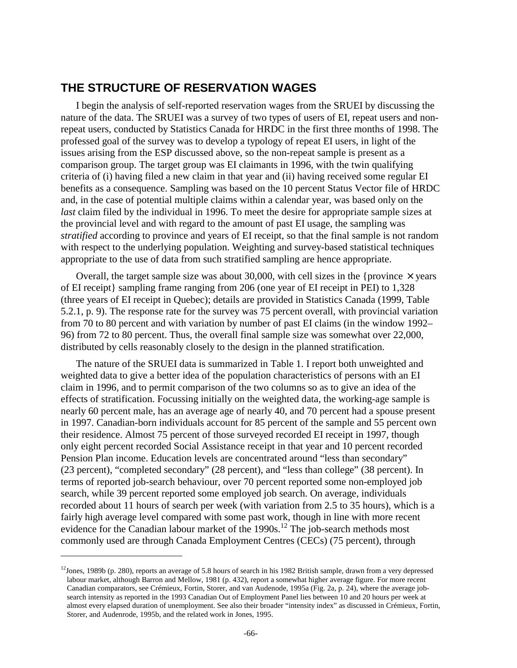# **THE STRUCTURE OF RESERVATION WAGES**

I begin the analysis of self-reported reservation wages from the SRUEI by discussing the nature of the data. The SRUEI was a survey of two types of users of EI, repeat users and nonrepeat users, conducted by Statistics Canada for HRDC in the first three months of 1998. The professed goal of the survey was to develop a typology of repeat EI users, in light of the issues arising from the ESP discussed above, so the non-repeat sample is present as a comparison group. The target group was EI claimants in 1996, with the twin qualifying criteria of (i) having filed a new claim in that year and (ii) having received some regular EI benefits as a consequence. Sampling was based on the 10 percent Status Vector file of HRDC and, in the case of potential multiple claims within a calendar year, was based only on the *last* claim filed by the individual in 1996. To meet the desire for appropriate sample sizes at the provincial level and with regard to the amount of past EI usage, the sampling was *stratified* according to province and years of EI receipt, so that the final sample is not random with respect to the underlying population. Weighting and survey-based statistical techniques appropriate to the use of data from such stratified sampling are hence appropriate.

Overall, the target sample size was about 30,000, with cell sizes in the {province  $\times$  years of EI receipt} sampling frame ranging from 206 (one year of EI receipt in PEI) to 1,328 (three years of EI receipt in Quebec); details are provided in Statistics Canada (1999, Table 5.2.1, p. 9). The response rate for the survey was 75 percent overall, with provincial variation from 70 to 80 percent and with variation by number of past EI claims (in the window 1992– 96) from 72 to 80 percent. Thus, the overall final sample size was somewhat over 22,000, distributed by cells reasonably closely to the design in the planned stratification.

The nature of the SRUEI data is summarized in Table 1. I report both unweighted and weighted data to give a better idea of the population characteristics of persons with an EI claim in 1996, and to permit comparison of the two columns so as to give an idea of the effects of stratification. Focussing initially on the weighted data, the working-age sample is nearly 60 percent male, has an average age of nearly 40, and 70 percent had a spouse present in 1997. Canadian-born individuals account for 85 percent of the sample and 55 percent own their residence. Almost 75 percent of those surveyed recorded EI receipt in 1997, though only eight percent recorded Social Assistance receipt in that year and 10 percent recorded Pension Plan income. Education levels are concentrated around "less than secondary" (23 percent), "completed secondary" (28 percent), and "less than college" (38 percent). In terms of reported job-search behaviour, over 70 percent reported some non-employed job search, while 39 percent reported some employed job search. On average, individuals recorded about 11 hours of search per week (with variation from 2.5 to 35 hours), which is a fairly high average level compared with some past work, though in line with more recent evidence for the Canadian labour market of the  $1990s$ .<sup>12</sup> The job-search methods most commonly used are through Canada Employment Centres (CECs) (75 percent), through

 $12$ Jones, 1989b (p. 280), reports an average of 5.8 hours of search in his 1982 British sample, drawn from a very depressed labour market, although Barron and Mellow, 1981 (p. 432), report a somewhat higher average figure. For more recent Canadian comparators, see Crémieux, Fortin, Storer, and van Audenode, 1995a (Fig. 2a, p. 24), where the average jobsearch intensity as reported in the 1993 Canadian Out of Employment Panel lies between 10 and 20 hours per week at almost every elapsed duration of unemployment. See also their broader "intensity index" as discussed in Crémieux, Fortin, Storer, and Audenrode, 1995b, and the related work in Jones, 1995.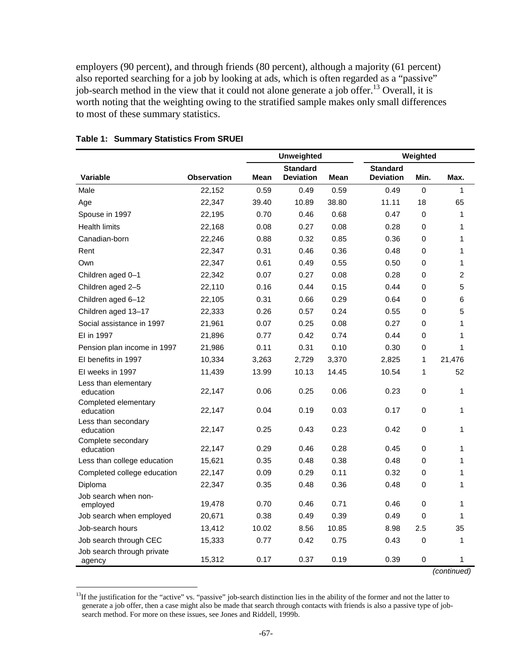employers (90 percent), and through friends (80 percent), although a majority (61 percent) also reported searching for a job by looking at ads, which is often regarded as a "passive" job-search method in the view that it could not alone generate a job offer.<sup>13</sup> Overall, it is worth noting that the weighting owing to the stratified sample makes only small differences to most of these summary statistics.

|                                      |                    |       | <b>Unweighted</b>                   |             |                                     | Weighted    |              |
|--------------------------------------|--------------------|-------|-------------------------------------|-------------|-------------------------------------|-------------|--------------|
| Variable                             | <b>Observation</b> | Mean  | <b>Standard</b><br><b>Deviation</b> | <b>Mean</b> | <b>Standard</b><br><b>Deviation</b> | Min.        | Max.         |
| Male                                 | 22,152             | 0.59  | 0.49                                | 0.59        | 0.49                                | 0           | 1            |
| Age                                  | 22,347             | 39.40 | 10.89                               | 38.80       | 11.11                               | 18          | 65           |
| Spouse in 1997                       | 22,195             | 0.70  | 0.46                                | 0.68        | 0.47                                | 0           | 1            |
| <b>Health limits</b>                 | 22,168             | 0.08  | 0.27                                | 0.08        | 0.28                                | $\Omega$    | 1            |
| Canadian-born                        | 22,246             | 0.88  | 0.32                                | 0.85        | 0.36                                | 0           | 1            |
| Rent                                 | 22,347             | 0.31  | 0.46                                | 0.36        | 0.48                                | 0           | 1            |
| Own                                  | 22,347             | 0.61  | 0.49                                | 0.55        | 0.50                                | 0           | 1            |
| Children aged 0-1                    | 22,342             | 0.07  | 0.27                                | 0.08        | 0.28                                | 0           | 2            |
| Children aged 2-5                    | 22,110             | 0.16  | 0.44                                | 0.15        | 0.44                                | 0           | 5            |
| Children aged 6-12                   | 22,105             | 0.31  | 0.66                                | 0.29        | 0.64                                | 0           | 6            |
| Children aged 13-17                  | 22,333             | 0.26  | 0.57                                | 0.24        | 0.55                                | 0           | 5            |
| Social assistance in 1997            | 21,961             | 0.07  | 0.25                                | 0.08        | 0.27                                | 0           | $\mathbf{1}$ |
| EI in 1997                           | 21,896             | 0.77  | 0.42                                | 0.74        | 0.44                                | $\Omega$    | 1            |
| Pension plan income in 1997          | 21,986             | 0.11  | 0.31                                | 0.10        | 0.30                                | 0           | $\mathbf{1}$ |
| El benefits in 1997                  | 10,334             | 3,263 | 2,729                               | 3,370       | 2,825                               | 1           | 21,476       |
| EI weeks in 1997                     | 11,439             | 13.99 | 10.13                               | 14.45       | 10.54                               | 1           | 52           |
| Less than elementary<br>education    | 22,147             | 0.06  | 0.25                                | 0.06        | 0.23                                | 0           | 1            |
| Completed elementary<br>education    | 22,147             | 0.04  | 0.19                                | 0.03        | 0.17                                | 0           | 1            |
| Less than secondary<br>education     | 22,147             | 0.25  | 0.43                                | 0.23        | 0.42                                | 0           | 1            |
| Complete secondary<br>education      | 22,147             | 0.29  | 0.46                                | 0.28        | 0.45                                | 0           | 1            |
| Less than college education          | 15,621             | 0.35  | 0.48                                | 0.38        | 0.48                                | 0           | 1            |
| Completed college education          | 22,147             | 0.09  | 0.29                                | 0.11        | 0.32                                | 0           | 1            |
| Diploma                              | 22,347             | 0.35  | 0.48                                | 0.36        | 0.48                                | 0           | 1            |
| Job search when non-<br>employed     | 19,478             | 0.70  | 0.46                                | 0.71        | 0.46                                | $\mathsf 0$ | 1            |
| Job search when employed             | 20,671             | 0.38  | 0.49                                | 0.39        | 0.49                                | 0           | 1            |
| Job-search hours                     | 13,412             | 10.02 | 8.56                                | 10.85       | 8.98                                | 2.5         | 35           |
| Job search through CEC               | 15,333             | 0.77  | 0.42                                | 0.75        | 0.43                                | 0           | 1            |
| Job search through private<br>agency | 15,312             | 0.17  | 0.37                                | 0.19        | 0.39                                | 0           | 1            |
|                                      |                    |       |                                     |             |                                     |             | (continued)  |

### **Table 1: Summary Statistics From SRUEI**

<sup>&</sup>lt;sup>13</sup>If the justification for the "active" vs. "passive" job-search distinction lies in the ability of the former and not the latter to generate a job offer, then a case might also be made that search through contacts with friends is also a passive type of jobsearch method. For more on these issues, see Jones and Riddell, 1999b.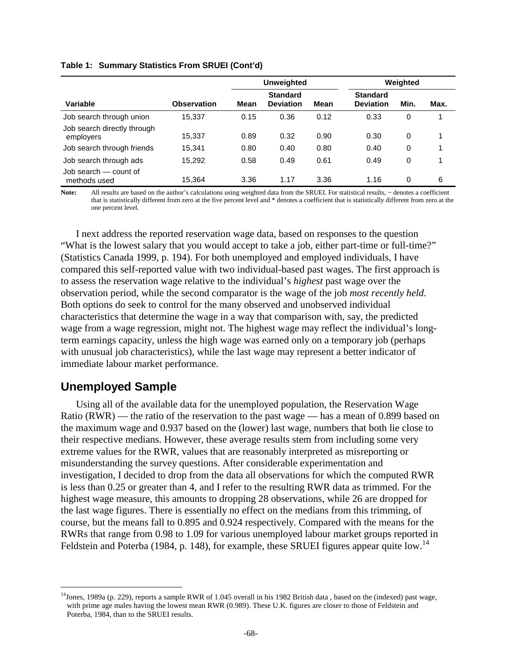#### **Table 1: Summary Statistics From SRUEI (Cont'd)**

|                                          |                    | Unweighted |                                     |      | Weighted                            |          |      |
|------------------------------------------|--------------------|------------|-------------------------------------|------|-------------------------------------|----------|------|
| Variable                                 | <b>Observation</b> | Mean       | <b>Standard</b><br><b>Deviation</b> | Mean | <b>Standard</b><br><b>Deviation</b> | Min.     | Max. |
| Job search through union                 | 15,337             | 0.15       | 0.36                                | 0.12 | 0.33                                | 0        |      |
| Job search directly through<br>employers | 15,337             | 0.89       | 0.32                                | 0.90 | 0.30                                | $\Omega$ | 1    |
| Job search through friends               | 15.341             | 0.80       | 0.40                                | 0.80 | 0.40                                | 0        | 1    |
| Job search through ads                   | 15.292             | 0.58       | 0.49                                | 0.61 | 0.49                                | 0        | 1    |
| Job search – count of<br>methods used    | 15.364             | 3.36       | 1.17                                | 3.36 | 1.16                                | $\Omega$ | 6    |

Note: All results are based on the author's calculations using weighted data from the SRUEI. For statistical results, ~ denotes a coefficient that is statistically different from zero at the five percent level and \* denotes a coefficient that is statistically different from zero at the one percent level.

I next address the reported reservation wage data, based on responses to the question "What is the lowest salary that you would accept to take a job, either part-time or full-time?" (Statistics Canada 1999, p. 194). For both unemployed and employed individuals, I have compared this self-reported value with two individual-based past wages. The first approach is to assess the reservation wage relative to the individual's *highest* past wage over the observation period, while the second comparator is the wage of the job *most recently held*. Both options do seek to control for the many observed and unobserved individual characteristics that determine the wage in a way that comparison with, say, the predicted wage from a wage regression, might not. The highest wage may reflect the individual's longterm earnings capacity, unless the high wage was earned only on a temporary job (perhaps with unusual job characteristics), while the last wage may represent a better indicator of immediate labour market performance.

### **Unemployed Sample**

l

Using all of the available data for the unemployed population, the Reservation Wage Ratio (RWR) — the ratio of the reservation to the past wage — has a mean of 0.899 based on the maximum wage and 0.937 based on the (lower) last wage, numbers that both lie close to their respective medians. However, these average results stem from including some very extreme values for the RWR, values that are reasonably interpreted as misreporting or misunderstanding the survey questions. After considerable experimentation and investigation, I decided to drop from the data all observations for which the computed RWR is less than 0.25 or greater than 4, and I refer to the resulting RWR data as trimmed. For the highest wage measure, this amounts to dropping 28 observations, while 26 are dropped for the last wage figures. There is essentially no effect on the medians from this trimming, of course, but the means fall to 0.895 and 0.924 respectively. Compared with the means for the RWRs that range from 0.98 to 1.09 for various unemployed labour market groups reported in Feldstein and Poterba (1984, p. 148), for example, these SRUEI figures appear quite low.<sup>14</sup>

 $14$ Jones, 1989a (p. 229), reports a sample RWR of 1.045 overall in his 1982 British data, based on the (indexed) past wage, with prime age males having the lowest mean RWR (0.989). These U.K. figures are closer to those of Feldstein and Poterba, 1984, than to the SRUEI results.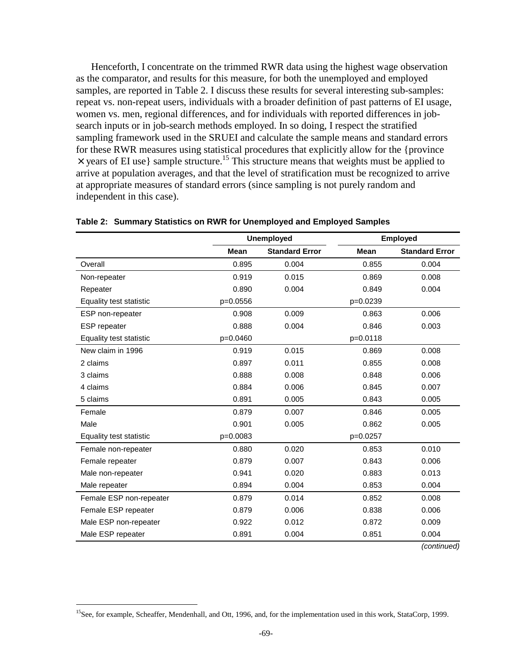Henceforth, I concentrate on the trimmed RWR data using the highest wage observation as the comparator, and results for this measure, for both the unemployed and employed samples, are reported in Table 2. I discuss these results for several interesting sub-samples: repeat vs. non-repeat users, individuals with a broader definition of past patterns of EI usage, women vs. men, regional differences, and for individuals with reported differences in jobsearch inputs or in job-search methods employed. In so doing, I respect the stratified sampling framework used in the SRUEI and calculate the sample means and standard errors for these RWR measures using statistical procedures that explicitly allow for the {province  $\times$  years of EI use} sample structure.<sup>15</sup> This structure means that weights must be applied to arrive at population averages, and that the level of stratification must be recognized to arrive at appropriate measures of standard errors (since sampling is not purely random and independent in this case).

|                         | <b>Unemployed</b> |                       |             | <b>Employed</b>       |
|-------------------------|-------------------|-----------------------|-------------|-----------------------|
|                         | Mean              | <b>Standard Error</b> | <b>Mean</b> | <b>Standard Error</b> |
| Overall                 | 0.895             | 0.004                 | 0.855       | 0.004                 |
| Non-repeater            | 0.919             | 0.015                 | 0.869       | 0.008                 |
| Repeater                | 0.890             | 0.004                 | 0.849       | 0.004                 |
| Equality test statistic | p=0.0556          |                       | p=0.0239    |                       |
| ESP non-repeater        | 0.908             | 0.009                 | 0.863       | 0.006                 |
| <b>ESP</b> repeater     | 0.888             | 0.004                 | 0.846       | 0.003                 |
| Equality test statistic | p=0.0460          |                       | p=0.0118    |                       |
| New claim in 1996       | 0.919             | 0.015                 | 0.869       | 0.008                 |
| 2 claims                | 0.897             | 0.011                 | 0.855       | 0.008                 |
| 3 claims                | 0.888             | 0.008                 | 0.848       | 0.006                 |
| 4 claims                | 0.884             | 0.006                 | 0.845       | 0.007                 |
| 5 claims                | 0.891             | 0.005                 | 0.843       | 0.005                 |
| Female                  | 0.879             | 0.007                 | 0.846       | 0.005                 |
| Male                    | 0.901             | 0.005                 | 0.862       | 0.005                 |
| Equality test statistic | p=0.0083          |                       | p=0.0257    |                       |
| Female non-repeater     | 0.880             | 0.020                 | 0.853       | 0.010                 |
| Female repeater         | 0.879             | 0.007                 | 0.843       | 0.006                 |
| Male non-repeater       | 0.941             | 0.020                 | 0.883       | 0.013                 |
| Male repeater           | 0.894             | 0.004                 | 0.853       | 0.004                 |
| Female ESP non-repeater | 0.879             | 0.014                 | 0.852       | 0.008                 |
| Female ESP repeater     | 0.879             | 0.006                 | 0.838       | 0.006                 |
| Male ESP non-repeater   | 0.922             | 0.012                 | 0.872       | 0.009                 |
| Male ESP repeater       | 0.891             | 0.004                 | 0.851       | 0.004                 |
|                         |                   |                       |             | (continued)           |

#### **Table 2: Summary Statistics on RWR for Unemployed and Employed Samples**

 $15$ See, for example, Scheaffer, Mendenhall, and Ott, 1996, and, for the implementation used in this work, StataCorp, 1999.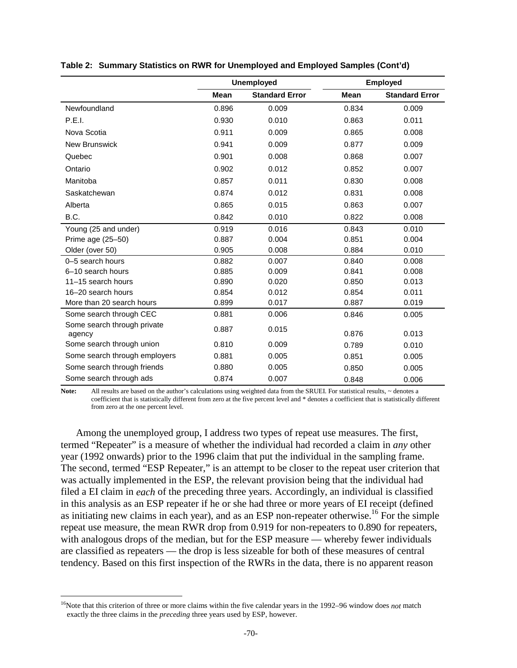|                                       | <b>Unemployed</b> |                       |             | <b>Employed</b>       |
|---------------------------------------|-------------------|-----------------------|-------------|-----------------------|
|                                       | <b>Mean</b>       | <b>Standard Error</b> | <b>Mean</b> | <b>Standard Error</b> |
| Newfoundland                          | 0.896             | 0.009                 | 0.834       | 0.009                 |
| P.E.I.                                | 0.930             | 0.010                 | 0.863       | 0.011                 |
| Nova Scotia                           | 0.911             | 0.009                 | 0.865       | 0.008                 |
| <b>New Brunswick</b>                  | 0.941             | 0.009                 | 0.877       | 0.009                 |
| Quebec                                | 0.901             | 0.008                 | 0.868       | 0.007                 |
| Ontario                               | 0.902             | 0.012                 | 0.852       | 0.007                 |
| Manitoba                              | 0.857             | 0.011                 | 0.830       | 0.008                 |
| Saskatchewan                          | 0.874             | 0.012                 | 0.831       | 0.008                 |
| Alberta                               | 0.865             | 0.015                 | 0.863       | 0.007                 |
| B.C.                                  | 0.842             | 0.010                 | 0.822       | 0.008                 |
| Young (25 and under)                  | 0.919             | 0.016                 | 0.843       | 0.010                 |
| Prime age (25-50)                     | 0.887             | 0.004                 | 0.851       | 0.004                 |
| Older (over 50)                       | 0.905             | 0.008                 | 0.884       | 0.010                 |
| 0-5 search hours                      | 0.882             | 0.007                 | 0.840       | 0.008                 |
| 6-10 search hours                     | 0.885             | 0.009                 | 0.841       | 0.008                 |
| 11-15 search hours                    | 0.890             | 0.020                 | 0.850       | 0.013                 |
| 16-20 search hours                    | 0.854             | 0.012                 | 0.854       | 0.011                 |
| More than 20 search hours             | 0.899             | 0.017                 | 0.887       | 0.019                 |
| Some search through CEC               | 0.881             | 0.006                 | 0.846       | 0.005                 |
| Some search through private<br>agency | 0.887             | 0.015                 | 0.876       | 0.013                 |
| Some search through union             | 0.810             | 0.009                 | 0.789       | 0.010                 |
| Some search through employers         | 0.881             | 0.005                 | 0.851       | 0.005                 |
| Some search through friends           | 0.880             | 0.005                 | 0.850       | 0.005                 |
| Some search through ads               | 0.874             | 0.007                 | 0.848       | 0.006                 |

#### **Table 2: Summary Statistics on RWR for Unemployed and Employed Samples (Cont'd)**

Note: All results are based on the author's calculations using weighted data from the SRUEI. For statistical results,  $\sim$  denotes a coefficient that is statistically different from zero at the five percent level and \* denotes a coefficient that is statistically different from zero at the one percent level.

Among the unemployed group, I address two types of repeat use measures. The first, termed "Repeater" is a measure of whether the individual had recorded a claim in *any* other year (1992 onwards) prior to the 1996 claim that put the individual in the sampling frame. The second, termed "ESP Repeater," is an attempt to be closer to the repeat user criterion that was actually implemented in the ESP, the relevant provision being that the individual had filed a EI claim in *each* of the preceding three years. Accordingly, an individual is classified in this analysis as an ESP repeater if he or she had three or more years of EI receipt (defined as initiating new claims in each year), and as an ESP non-repeater otherwise.<sup>16</sup> For the simple repeat use measure, the mean RWR drop from 0.919 for non-repeaters to 0.890 for repeaters, with analogous drops of the median, but for the ESP measure — whereby fewer individuals are classified as repeaters — the drop is less sizeable for both of these measures of central tendency. Based on this first inspection of the RWRs in the data, there is no apparent reason

<sup>16</sup>Note that this criterion of three or more claims within the five calendar years in the 1992–96 window does *not* match exactly the three claims in the *preceding* three years used by ESP, however.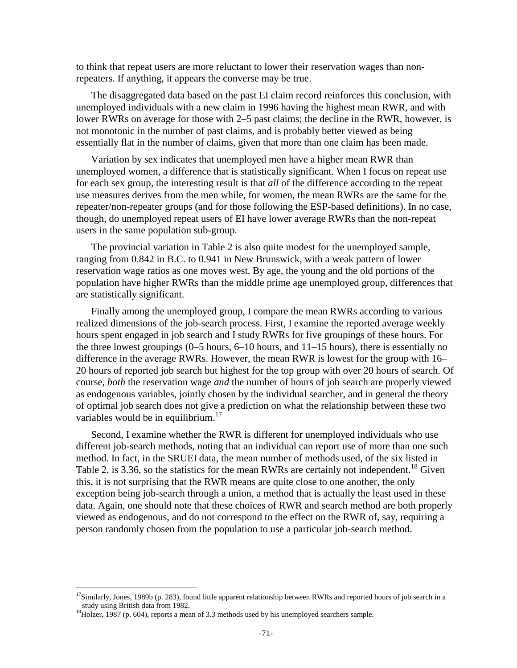to think that repeat users are more reluctant to lower their reservation wages than nonrepeaters. If anything, it appears the converse may be true.

The disaggregated data based on the past EI claim record reinforces this conclusion, with unemployed individuals with a new claim in 1996 having the highest mean RWR, and with lower RWRs on average for those with 2–5 past claims; the decline in the RWR, however, is not monotonic in the number of past claims, and is probably better viewed as being essentially flat in the number of claims, given that more than one claim has been made.

Variation by sex indicates that unemployed men have a higher mean RWR than unemployed women, a difference that is statistically significant. When I focus on repeat use for each sex group, the interesting result is that *all* of the difference according to the repeat use measures derives from the men while, for women, the mean RWRs are the same for the repeater/non-repeater groups (and for those following the ESP-based definitions). In no case, though, do unemployed repeat users of EI have lower average RWRs than the non-repeat users in the same population sub-group.

The provincial variation in Table 2 is also quite modest for the unemployed sample, ranging from 0.842 in B.C. to 0.941 in New Brunswick, with a weak pattern of lower reservation wage ratios as one moves west. By age, the young and the old portions of the population have higher RWRs than the middle prime age unemployed group, differences that are statistically significant.

Finally among the unemployed group, I compare the mean RWRs according to various realized dimensions of the job-search process. First, I examine the reported average weekly hours spent engaged in job search and I study RWRs for five groupings of these hours. For the three lowest groupings  $(0-5$  hours,  $6-10$  hours, and  $11-15$  hours), there is essentially no difference in the average RWRs. However, the mean RWR is lowest for the group with 16– 20 hours of reported job search but highest for the top group with over 20 hours of search. Of course, *both* the reservation wage *and* the number of hours of job search are properly viewed as endogenous variables, jointly chosen by the individual searcher, and in general the theory of optimal job search does not give a prediction on what the relationship between these two variables would be in equilibrium. $17$ 

Second, I examine whether the RWR is different for unemployed individuals who use different job-search methods, noting that an individual can report use of more than one such method. In fact, in the SRUEI data, the mean number of methods used, of the six listed in Table 2, is 3.36, so the statistics for the mean RWRs are certainly not independent.<sup>18</sup> Given this, it is not surprising that the RWR means are quite close to one another, the only exception being job-search through a union, a method that is actually the least used in these data. Again, one should note that these choices of RWR and search method are both properly viewed as endogenous, and do not correspond to the effect on the RWR of, say, requiring a person randomly chosen from the population to use a particular job-search method.

<sup>&</sup>lt;sup>17</sup>Similarly, Jones, 1989b (p. 283), found little apparent relationship between RWRs and reported hours of job search in a study using British data from 1982.<br><sup>18</sup>Holzer, 1987 (p. 604), reports a mean of 3.3 methods used by his unemployed searchers sample.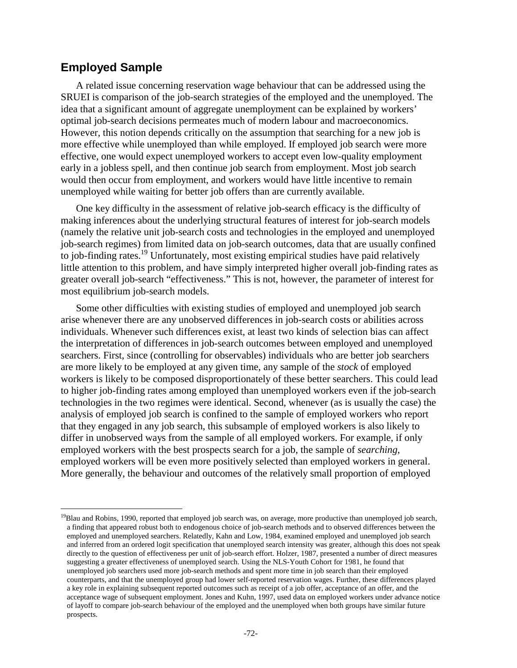### **Employed Sample**

l

A related issue concerning reservation wage behaviour that can be addressed using the SRUEI is comparison of the job-search strategies of the employed and the unemployed. The idea that a significant amount of aggregate unemployment can be explained by workers' optimal job-search decisions permeates much of modern labour and macroeconomics. However, this notion depends critically on the assumption that searching for a new job is more effective while unemployed than while employed. If employed job search were more effective, one would expect unemployed workers to accept even low-quality employment early in a jobless spell, and then continue job search from employment. Most job search would then occur from employment, and workers would have little incentive to remain unemployed while waiting for better job offers than are currently available.

One key difficulty in the assessment of relative job-search efficacy is the difficulty of making inferences about the underlying structural features of interest for job-search models (namely the relative unit job-search costs and technologies in the employed and unemployed job-search regimes) from limited data on job-search outcomes, data that are usually confined to job-finding rates.<sup>19</sup> Unfortunately, most existing empirical studies have paid relatively little attention to this problem, and have simply interpreted higher overall job-finding rates as greater overall job-search "effectiveness." This is not, however, the parameter of interest for most equilibrium job-search models.

Some other difficulties with existing studies of employed and unemployed job search arise whenever there are any unobserved differences in job-search costs or abilities across individuals. Whenever such differences exist, at least two kinds of selection bias can affect the interpretation of differences in job-search outcomes between employed and unemployed searchers. First, since (controlling for observables) individuals who are better job searchers are more likely to be employed at any given time, any sample of the *stock* of employed workers is likely to be composed disproportionately of these better searchers. This could lead to higher job-finding rates among employed than unemployed workers even if the job-search technologies in the two regimes were identical. Second, whenever (as is usually the case) the analysis of employed job search is confined to the sample of employed workers who report that they engaged in any job search, this subsample of employed workers is also likely to differ in unobserved ways from the sample of all employed workers. For example, if only employed workers with the best prospects search for a job, the sample of *searching*, employed workers will be even more positively selected than employed workers in general. More generally, the behaviour and outcomes of the relatively small proportion of employed

 $19B$ lau and Robins, 1990, reported that employed job search was, on average, more productive than unemployed job search, a finding that appeared robust both to endogenous choice of job-search methods and to observed differences between the employed and unemployed searchers. Relatedly, Kahn and Low, 1984, examined employed and unemployed job search and inferred from an ordered logit specification that unemployed search intensity was greater, although this does not speak directly to the question of effectiveness per unit of job-search effort. Holzer, 1987, presented a number of direct measures suggesting a greater effectiveness of unemployed search. Using the NLS-Youth Cohort for 1981, he found that unemployed job searchers used more job-search methods and spent more time in job search than their employed counterparts, and that the unemployed group had lower self-reported reservation wages. Further, these differences played a key role in explaining subsequent reported outcomes such as receipt of a job offer, acceptance of an offer, and the acceptance wage of subsequent employment. Jones and Kuhn, 1997, used data on employed workers under advance notice of layoff to compare job-search behaviour of the employed and the unemployed when both groups have similar future prospects.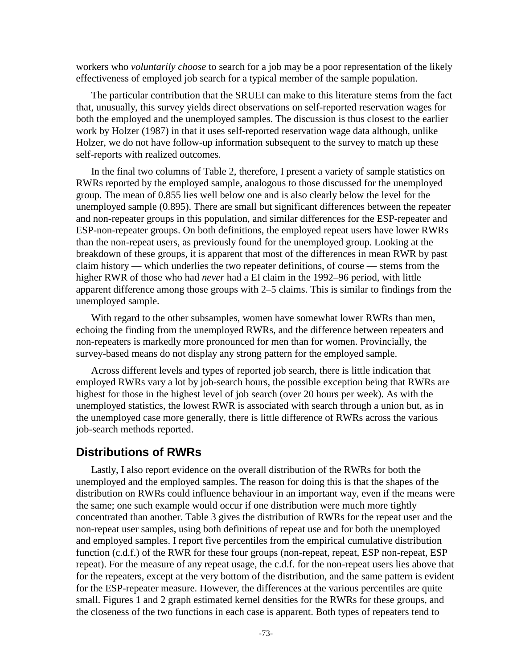workers who *voluntarily choose* to search for a job may be a poor representation of the likely effectiveness of employed job search for a typical member of the sample population.

The particular contribution that the SRUEI can make to this literature stems from the fact that, unusually, this survey yields direct observations on self-reported reservation wages for both the employed and the unemployed samples. The discussion is thus closest to the earlier work by Holzer (1987) in that it uses self-reported reservation wage data although, unlike Holzer, we do not have follow-up information subsequent to the survey to match up these self-reports with realized outcomes.

In the final two columns of Table 2, therefore, I present a variety of sample statistics on RWRs reported by the employed sample, analogous to those discussed for the unemployed group. The mean of 0.855 lies well below one and is also clearly below the level for the unemployed sample (0.895). There are small but significant differences between the repeater and non-repeater groups in this population, and similar differences for the ESP-repeater and ESP-non-repeater groups. On both definitions, the employed repeat users have lower RWRs than the non-repeat users, as previously found for the unemployed group. Looking at the breakdown of these groups, it is apparent that most of the differences in mean RWR by past claim history — which underlies the two repeater definitions, of course — stems from the higher RWR of those who had *never* had a EI claim in the 1992–96 period, with little apparent difference among those groups with 2–5 claims. This is similar to findings from the unemployed sample.

With regard to the other subsamples, women have somewhat lower RWRs than men, echoing the finding from the unemployed RWRs, and the difference between repeaters and non-repeaters is markedly more pronounced for men than for women. Provincially, the survey-based means do not display any strong pattern for the employed sample.

Across different levels and types of reported job search, there is little indication that employed RWRs vary a lot by job-search hours, the possible exception being that RWRs are highest for those in the highest level of job search (over 20 hours per week). As with the unemployed statistics, the lowest RWR is associated with search through a union but, as in the unemployed case more generally, there is little difference of RWRs across the various job-search methods reported.

### **Distributions of RWRs**

Lastly, I also report evidence on the overall distribution of the RWRs for both the unemployed and the employed samples. The reason for doing this is that the shapes of the distribution on RWRs could influence behaviour in an important way, even if the means were the same; one such example would occur if one distribution were much more tightly concentrated than another. Table 3 gives the distribution of RWRs for the repeat user and the non-repeat user samples, using both definitions of repeat use and for both the unemployed and employed samples. I report five percentiles from the empirical cumulative distribution function (c.d.f.) of the RWR for these four groups (non-repeat, repeat, ESP non-repeat, ESP repeat). For the measure of any repeat usage, the c.d.f. for the non-repeat users lies above that for the repeaters, except at the very bottom of the distribution, and the same pattern is evident for the ESP-repeater measure. However, the differences at the various percentiles are quite small. Figures 1 and 2 graph estimated kernel densities for the RWRs for these groups, and the closeness of the two functions in each case is apparent. Both types of repeaters tend to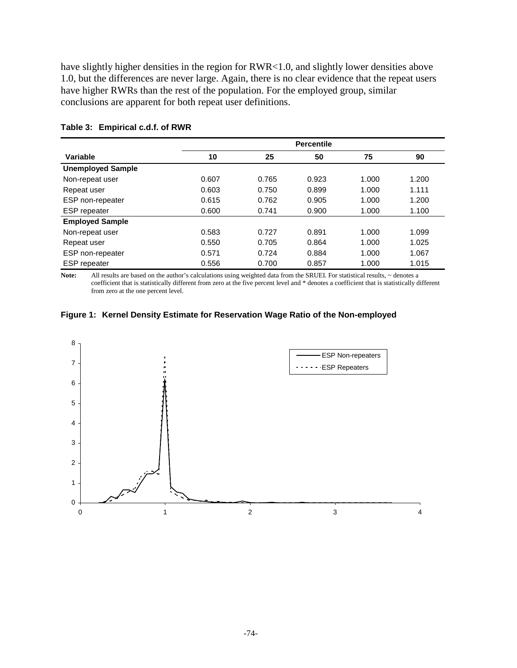have slightly higher densities in the region for RWR<1.0, and slightly lower densities above 1.0, but the differences are never large. Again, there is no clear evidence that the repeat users have higher RWRs than the rest of the population. For the employed group, similar conclusions are apparent for both repeat user definitions.

|                          |       |       | <b>Percentile</b> |       |       |
|--------------------------|-------|-------|-------------------|-------|-------|
| Variable                 | 10    | 25    | 50                | 75    | 90    |
| <b>Unemployed Sample</b> |       |       |                   |       |       |
| Non-repeat user          | 0.607 | 0.765 | 0.923             | 1.000 | 1.200 |
| Repeat user              | 0.603 | 0.750 | 0.899             | 1.000 | 1.111 |
| ESP non-repeater         | 0.615 | 0.762 | 0.905             | 1.000 | 1.200 |
| <b>ESP</b> repeater      | 0.600 | 0.741 | 0.900             | 1.000 | 1.100 |
| <b>Employed Sample</b>   |       |       |                   |       |       |
| Non-repeat user          | 0.583 | 0.727 | 0.891             | 1.000 | 1.099 |
| Repeat user              | 0.550 | 0.705 | 0.864             | 1.000 | 1.025 |
| ESP non-repeater         | 0.571 | 0.724 | 0.884             | 1.000 | 1.067 |
| <b>ESP</b> repeater      | 0.556 | 0.700 | 0.857             | 1.000 | 1.015 |

#### **Table 3: Empirical c.d.f. of RWR**

Note: All results are based on the author's calculations using weighted data from the SRUEI. For statistical results, ~ denotes a coefficient that is statistically different from zero at the five percent level and \* denotes a coefficient that is statistically different from zero at the one percent level.



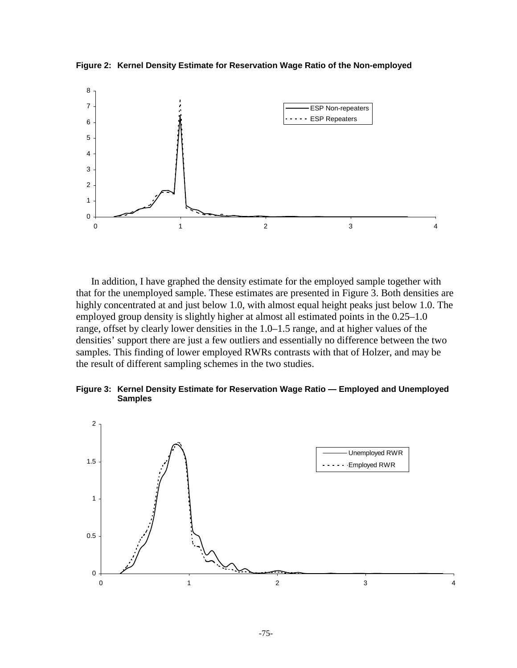**Figure 2: Kernel Density Estimate for Reservation Wage Ratio of the Non-employed** 



In addition, I have graphed the density estimate for the employed sample together with that for the unemployed sample. These estimates are presented in Figure 3. Both densities are highly concentrated at and just below 1.0, with almost equal height peaks just below 1.0. The employed group density is slightly higher at almost all estimated points in the 0.25–1.0 range, offset by clearly lower densities in the 1.0–1.5 range, and at higher values of the densities' support there are just a few outliers and essentially no difference between the two samples. This finding of lower employed RWRs contrasts with that of Holzer, and may be the result of different sampling schemes in the two studies.

**Figure 3: Kernel Density Estimate for Reservation Wage Ratio — Employed and Unemployed Samples** 

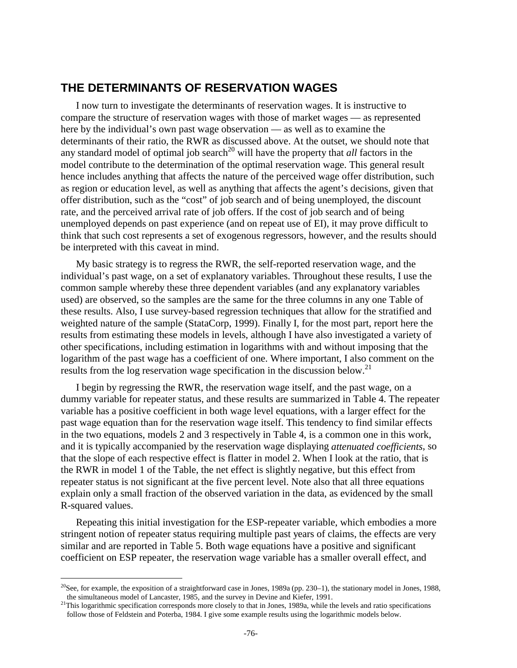### **THE DETERMINANTS OF RESERVATION WAGES**

I now turn to investigate the determinants of reservation wages. It is instructive to compare the structure of reservation wages with those of market wages — as represented here by the individual's own past wage observation — as well as to examine the determinants of their ratio, the RWR as discussed above. At the outset, we should note that any standard model of optimal job search<sup>20</sup> will have the property that *all* factors in the model contribute to the determination of the optimal reservation wage. This general result hence includes anything that affects the nature of the perceived wage offer distribution, such as region or education level, as well as anything that affects the agent's decisions, given that offer distribution, such as the "cost" of job search and of being unemployed, the discount rate, and the perceived arrival rate of job offers. If the cost of job search and of being unemployed depends on past experience (and on repeat use of EI), it may prove difficult to think that such cost represents a set of exogenous regressors, however, and the results should be interpreted with this caveat in mind.

My basic strategy is to regress the RWR, the self-reported reservation wage, and the individual's past wage, on a set of explanatory variables. Throughout these results, I use the common sample whereby these three dependent variables (and any explanatory variables used) are observed, so the samples are the same for the three columns in any one Table of these results. Also, I use survey-based regression techniques that allow for the stratified and weighted nature of the sample (StataCorp, 1999). Finally I, for the most part, report here the results from estimating these models in levels, although I have also investigated a variety of other specifications, including estimation in logarithms with and without imposing that the logarithm of the past wage has a coefficient of one. Where important, I also comment on the results from the log reservation wage specification in the discussion below.<sup>21</sup>

I begin by regressing the RWR, the reservation wage itself, and the past wage, on a dummy variable for repeater status, and these results are summarized in Table 4. The repeater variable has a positive coefficient in both wage level equations, with a larger effect for the past wage equation than for the reservation wage itself. This tendency to find similar effects in the two equations, models 2 and 3 respectively in Table 4, is a common one in this work, and it is typically accompanied by the reservation wage displaying *attenuated coefficients*, so that the slope of each respective effect is flatter in model 2. When I look at the ratio, that is the RWR in model 1 of the Table, the net effect is slightly negative, but this effect from repeater status is not significant at the five percent level. Note also that all three equations explain only a small fraction of the observed variation in the data, as evidenced by the small R-squared values.

Repeating this initial investigation for the ESP-repeater variable, which embodies a more stringent notion of repeater status requiring multiple past years of claims, the effects are very similar and are reported in Table 5. Both wage equations have a positive and significant coefficient on ESP repeater, the reservation wage variable has a smaller overall effect, and

<sup>&</sup>lt;sup>20</sup>See, for example, the exposition of a straightforward case in Jones, 1989a (pp. 230–1), the stationary model in Jones, 1988,

the simultaneous model of Lancaster, 1985, and the survey in Devine and Kiefer, 1991.<br><sup>21</sup>This logarithmic specification corresponds more closely to that in Jones, 1989a, while the levels and ratio specifications follow those of Feldstein and Poterba, 1984. I give some example results using the logarithmic models below.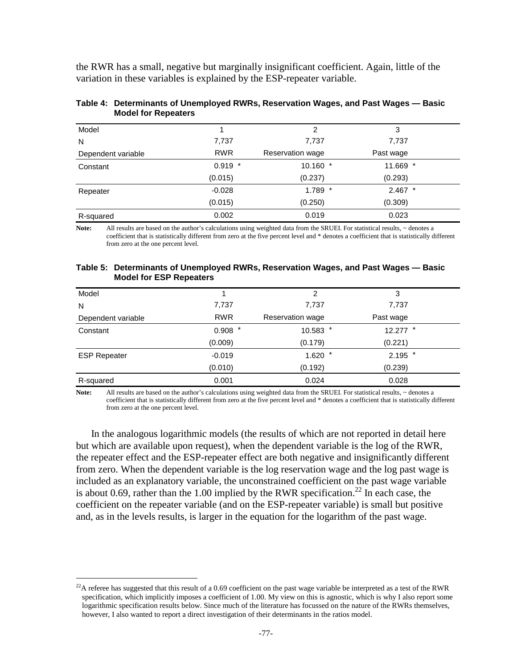the RWR has a small, negative but marginally insignificant coefficient. Again, little of the variation in these variables is explained by the ESP-repeater variable.

| Model              |            | 2                | 3         |
|--------------------|------------|------------------|-----------|
| N                  | 7,737      | 7,737            | 7,737     |
| Dependent variable | <b>RWR</b> | Reservation wage | Past wage |
| Constant           | $0.919$ *  | 10.160 *         | 11.669 *  |
|                    | (0.015)    | (0.237)          | (0.293)   |
| Repeater           | $-0.028$   | $1.789$ *        | $2.467$ * |
|                    | (0.015)    | (0.250)          | (0.309)   |
| R-squared          | 0.002      | 0.019            | 0.023     |

#### **Table 4: Determinants of Unemployed RWRs, Reservation Wages, and Past Wages — Basic Model for Repeaters**

Note: All results are based on the author's calculations using weighted data from the SRUEI. For statistical results, ~ denotes a coefficient that is statistically different from zero at the five percent level and \* denotes a coefficient that is statistically different from zero at the one percent level.

#### **Table 5: Determinants of Unemployed RWRs, Reservation Wages, and Past Wages — Basic Model for ESP Repeaters**

| Model               |            | 2                | 3          |  |
|---------------------|------------|------------------|------------|--|
| N                   | 7,737      | 7,737            | 7,737      |  |
| Dependent variable  | <b>RWR</b> | Reservation wage | Past wage  |  |
| Constant            | $0.908$ *  | $10.583$ *       | $12.277$ * |  |
|                     | (0.009)    | (0.179)          | (0.221)    |  |
| <b>ESP Repeater</b> | $-0.019$   | $1.620$ *        | $2.195$ *  |  |
|                     | (0.010)    | (0.192)          | (0.239)    |  |
| R-squared           | 0.001      | 0.024            | 0.028      |  |

Note: All results are based on the author's calculations using weighted data from the SRUEI. For statistical results,  $\sim$  denotes a coefficient that is statistically different from zero at the five percent level and \* denotes a coefficient that is statistically different from zero at the one percent level.

In the analogous logarithmic models (the results of which are not reported in detail here but which are available upon request), when the dependent variable is the log of the RWR, the repeater effect and the ESP-repeater effect are both negative and insignificantly different from zero. When the dependent variable is the log reservation wage and the log past wage is included as an explanatory variable, the unconstrained coefficient on the past wage variable is about 0.69, rather than the 1.00 implied by the RWR specification.<sup>22</sup> In each case, the coefficient on the repeater variable (and on the ESP-repeater variable) is small but positive and, as in the levels results, is larger in the equation for the logarithm of the past wage.

 $^{22}$ A referee has suggested that this result of a 0.69 coefficient on the past wage variable be interpreted as a test of the RWR specification, which implicitly imposes a coefficient of 1.00. My view on this is agnostic, which is why I also report some logarithmic specification results below. Since much of the literature has focussed on the nature of the RWRs themselves, however, I also wanted to report a direct investigation of their determinants in the ratios model.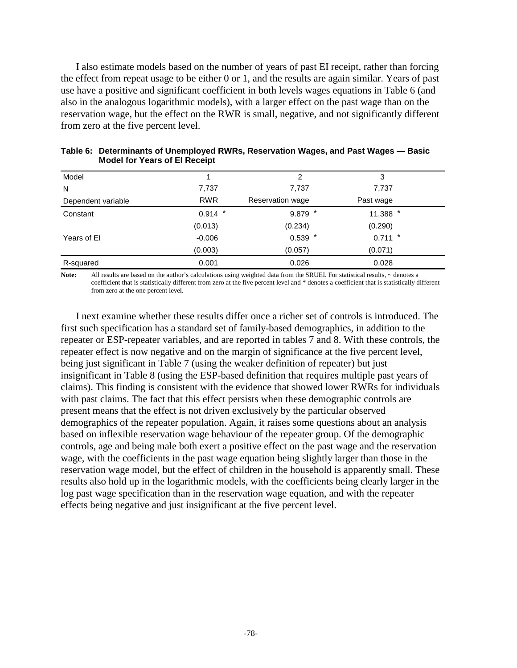I also estimate models based on the number of years of past EI receipt, rather than forcing the effect from repeat usage to be either 0 or 1, and the results are again similar. Years of past use have a positive and significant coefficient in both levels wages equations in Table 6 (and also in the analogous logarithmic models), with a larger effect on the past wage than on the reservation wage, but the effect on the RWR is small, negative, and not significantly different from zero at the five percent level.

| Model              |            | 2                | 3         |  |
|--------------------|------------|------------------|-----------|--|
| N                  | 7,737      | 7,737            | 7,737     |  |
| Dependent variable | <b>RWR</b> | Reservation wage | Past wage |  |
| Constant           | $0.914$ *  | $9.879$ *        | 11.388 *  |  |
|                    | (0.013)    | (0.234)          | (0.290)   |  |
| Years of El        | $-0.006$   | $0.539$ *        | $0.711$ * |  |
|                    | (0.003)    | (0.057)          | (0.071)   |  |
| R-squared          | 0.001      | 0.026            | 0.028     |  |

| Table 6: Determinants of Unemployed RWRs, Reservation Wages, and Past Wages - Basic |  |  |
|-------------------------------------------------------------------------------------|--|--|
| <b>Model for Years of El Receipt</b>                                                |  |  |

Note: All results are based on the author's calculations using weighted data from the SRUEI. For statistical results, ~ denotes a coefficient that is statistically different from zero at the five percent level and \* denotes a coefficient that is statistically different from zero at the one percent level.

I next examine whether these results differ once a richer set of controls is introduced. The first such specification has a standard set of family-based demographics, in addition to the repeater or ESP-repeater variables, and are reported in tables 7 and 8. With these controls, the repeater effect is now negative and on the margin of significance at the five percent level, being just significant in Table 7 (using the weaker definition of repeater) but just insignificant in Table 8 (using the ESP-based definition that requires multiple past years of claims). This finding is consistent with the evidence that showed lower RWRs for individuals with past claims. The fact that this effect persists when these demographic controls are present means that the effect is not driven exclusively by the particular observed demographics of the repeater population. Again, it raises some questions about an analysis based on inflexible reservation wage behaviour of the repeater group. Of the demographic controls, age and being male both exert a positive effect on the past wage and the reservation wage, with the coefficients in the past wage equation being slightly larger than those in the reservation wage model, but the effect of children in the household is apparently small. These results also hold up in the logarithmic models, with the coefficients being clearly larger in the log past wage specification than in the reservation wage equation, and with the repeater effects being negative and just insignificant at the five percent level.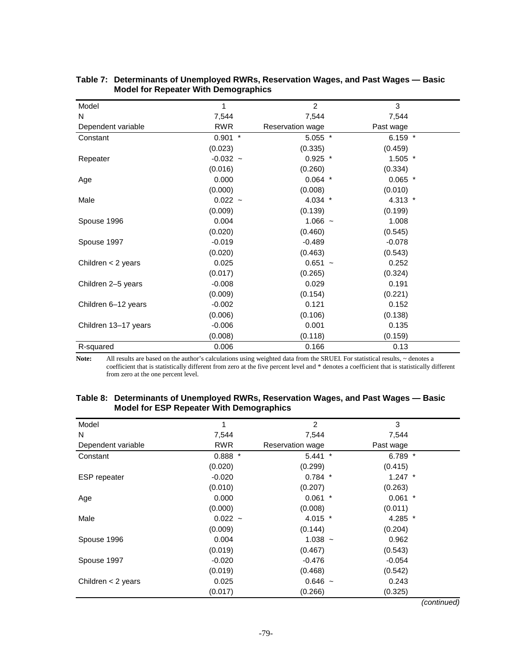| Model                | 1          | $\overline{2}$   | 3         |
|----------------------|------------|------------------|-----------|
| N                    | 7,544      | 7,544            | 7,544     |
| Dependent variable   | <b>RWR</b> | Reservation wage | Past wage |
| Constant             | $0.901$ *  | $5.055$ *        | 6.159 $*$ |
|                      | (0.023)    | (0.335)          | (0.459)   |
| Repeater             | $-0.032 -$ | $0.925$ *        | $1.505$ * |
|                      | (0.016)    | (0.260)          | (0.334)   |
| Age                  | 0.000      | $0.064$ *        | $0.065$ * |
|                      | (0.000)    | (0.008)          | (0.010)   |
| Male                 | $0.022 -$  | 4.034 *          | 4.313 $*$ |
|                      | (0.009)    | (0.139)          | (0.199)   |
| Spouse 1996          | 0.004      | $1.066 -$        | 1.008     |
|                      | (0.020)    | (0.460)          | (0.545)   |
| Spouse 1997          | $-0.019$   | $-0.489$         | $-0.078$  |
|                      | (0.020)    | (0.463)          | (0.543)   |
| Children $<$ 2 years | 0.025      | $0.651 -$        | 0.252     |
|                      | (0.017)    | (0.265)          | (0.324)   |
| Children 2-5 years   | $-0.008$   | 0.029            | 0.191     |
|                      | (0.009)    | (0.154)          | (0.221)   |
| Children 6-12 years  | $-0.002$   | 0.121            | 0.152     |
|                      | (0.006)    | (0.106)          | (0.138)   |
| Children 13-17 years | $-0.006$   | 0.001            | 0.135     |
|                      | (0.008)    | (0.118)          | (0.159)   |
| R-squared            | 0.006      | 0.166            | 0.13      |

#### **Table 7: Determinants of Unemployed RWRs, Reservation Wages, and Past Wages — Basic Model for Repeater With Demographics**

Note: All results are based on the author's calculations using weighted data from the SRUEI. For statistical results,  $\sim$  denotes a coefficient that is statistically different from zero at the five percent level and \* denotes a coefficient that is statistically different from zero at the one percent level.

#### **Table 8: Determinants of Unemployed RWRs, Reservation Wages, and Past Wages — Basic Model for ESP Repeater With Demographics**

| Model                | 1          | $\overline{2}$               | 3         |
|----------------------|------------|------------------------------|-----------|
| N                    | 7,544      | 7,544                        | 7,544     |
| Dependent variable   | <b>RWR</b> | Reservation wage             | Past wage |
| Constant             | $0.888*$   | $5.441$ *                    | 6.789 $*$ |
|                      | (0.020)    | (0.299)                      | (0.415)   |
| <b>ESP</b> repeater  | $-0.020$   | $0.784$ *                    | $1.247$ * |
|                      | (0.010)    | (0.207)                      | (0.263)   |
| Age                  | 0.000      | 0.061<br>$\boldsymbol{\ast}$ | $0.061$ * |
|                      | (0.000)    | (0.008)                      | (0.011)   |
| Male                 | $0.022 -$  | 4.015 $*$                    | 4.285 *   |
|                      | (0.009)    | (0.144)                      | (0.204)   |
| Spouse 1996          | 0.004      | $1.038 -$                    | 0.962     |
|                      | (0.019)    | (0.467)                      | (0.543)   |
| Spouse 1997          | $-0.020$   | $-0.476$                     | $-0.054$  |
|                      | (0.019)    | (0.468)                      | (0.542)   |
| Children $<$ 2 years | 0.025      | $0.646 -$                    | 0.243     |
|                      | (0.017)    | (0.266)                      | (0.325)   |

(continued)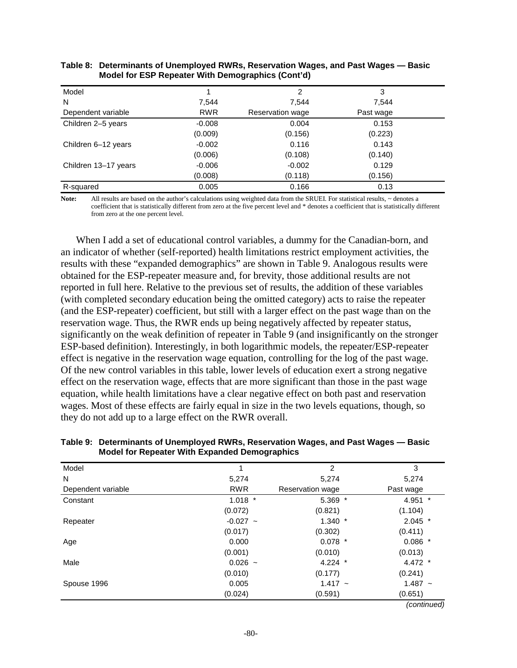| Model                |            | 2                | 3         |  |
|----------------------|------------|------------------|-----------|--|
| N                    | 7.544      | 7,544            | 7.544     |  |
| Dependent variable   | <b>RWR</b> | Reservation wage | Past wage |  |
| Children 2-5 years   | $-0.008$   | 0.004            | 0.153     |  |
|                      | (0.009)    | (0.156)          | (0.223)   |  |
| Children 6-12 years  | $-0.002$   | 0.116            | 0.143     |  |
|                      | (0.006)    | (0.108)          | (0.140)   |  |
| Children 13-17 years | $-0.006$   | $-0.002$         | 0.129     |  |
|                      | (0.008)    | (0.118)          | (0.156)   |  |
| R-squared            | 0.005      | 0.166            | 0.13      |  |

#### **Table 8: Determinants of Unemployed RWRs, Reservation Wages, and Past Wages — Basic Model for ESP Repeater With Demographics (Cont'd)**

Note: All results are based on the author's calculations using weighted data from the SRUEI. For statistical results, ~ denotes a coefficient that is statistically different from zero at the five percent level and \* denotes a coefficient that is statistically different from zero at the one percent level.

When I add a set of educational control variables, a dummy for the Canadian-born, and an indicator of whether (self-reported) health limitations restrict employment activities, the results with these "expanded demographics" are shown in Table 9. Analogous results were obtained for the ESP-repeater measure and, for brevity, those additional results are not reported in full here. Relative to the previous set of results, the addition of these variables (with completed secondary education being the omitted category) acts to raise the repeater (and the ESP-repeater) coefficient, but still with a larger effect on the past wage than on the reservation wage. Thus, the RWR ends up being negatively affected by repeater status, significantly on the weak definition of repeater in Table 9 (and insignificantly on the stronger ESP-based definition). Interestingly, in both logarithmic models, the repeater/ESP-repeater effect is negative in the reservation wage equation, controlling for the log of the past wage. Of the new control variables in this table, lower levels of education exert a strong negative effect on the reservation wage, effects that are more significant than those in the past wage equation, while health limitations have a clear negative effect on both past and reservation wages. Most of these effects are fairly equal in size in the two levels equations, though, so they do not add up to a large effect on the RWR overall.

| Model              |            | 2                | 3         |
|--------------------|------------|------------------|-----------|
| N                  | 5,274      | 5,274            | 5,274     |
| Dependent variable | <b>RWR</b> | Reservation wage | Past wage |
| Constant           | $1.018$ *  | $5.369$ *        | 4.951 *   |
|                    | (0.072)    | (0.821)          | (1.104)   |
| Repeater           | $-0.027 -$ | $1.340*$         | $2.045$ * |
|                    | (0.017)    | (0.302)          | (0.411)   |
| Age                | 0.000      | $0.078$ *        | $0.086$ * |
|                    | (0.001)    | (0.010)          | (0.013)   |
| Male               | $0.026 -$  | $4.224$ *        | 4.472 $*$ |
|                    | (0.010)    | (0.177)          | (0.241)   |
| Spouse 1996        | 0.005      | $1.417 -$        | $1.487 -$ |
|                    | (0.024)    | (0.591)          | (0.651)   |

#### **Table 9: Determinants of Unemployed RWRs, Reservation Wages, and Past Wages — Basic Model for Repeater With Expanded Demographics**

(continued)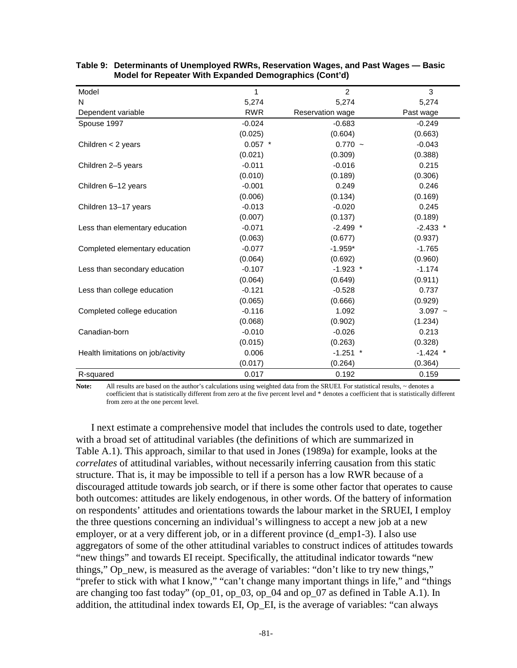| Model                              | 1          | $\overline{2}$   | 3          |
|------------------------------------|------------|------------------|------------|
| N                                  | 5,274      | 5,274            | 5,274      |
| Dependent variable                 | <b>RWR</b> | Reservation wage | Past wage  |
| Spouse 1997                        | $-0.024$   | $-0.683$         | $-0.249$   |
|                                    | (0.025)    | (0.604)          | (0.663)    |
| Children $<$ 2 years               | $0.057$ *  | $0.770 -$        | $-0.043$   |
|                                    | (0.021)    | (0.309)          | (0.388)    |
| Children 2-5 years                 | $-0.011$   | $-0.016$         | 0.215      |
|                                    | (0.010)    | (0.189)          | (0.306)    |
| Children 6-12 years                | $-0.001$   | 0.249            | 0.246      |
|                                    | (0.006)    | (0.134)          | (0.169)    |
| Children 13-17 years               | $-0.013$   | $-0.020$         | 0.245      |
|                                    | (0.007)    | (0.137)          | (0.189)    |
| Less than elementary education     | $-0.071$   | $-2.499$ *       | $-2.433$ * |
|                                    | (0.063)    | (0.677)          | (0.937)    |
| Completed elementary education     | $-0.077$   | $-1.959*$        | $-1.765$   |
|                                    | (0.064)    | (0.692)          | (0.960)    |
| Less than secondary education      | $-0.107$   | $-1.923$ *       | $-1.174$   |
|                                    | (0.064)    | (0.649)          | (0.911)    |
| Less than college education        | $-0.121$   | $-0.528$         | 0.737      |
|                                    | (0.065)    | (0.666)          | (0.929)    |
| Completed college education        | $-0.116$   | 1.092            | $3.097 -$  |
|                                    | (0.068)    | (0.902)          | (1.234)    |
| Canadian-born                      | $-0.010$   | $-0.026$         | 0.213      |
|                                    | (0.015)    | (0.263)          | (0.328)    |
| Health limitations on job/activity | 0.006      | $-1.251$ *       | $-1.424$ * |
|                                    | (0.017)    | (0.264)          | (0.364)    |
| R-squared                          | 0.017      | 0.192            | 0.159      |

| Table 9: Determinants of Unemployed RWRs, Reservation Wages, and Past Wages — Basic |
|-------------------------------------------------------------------------------------|
| Model for Repeater With Expanded Demographics (Cont'd)                              |

Note: All results are based on the author's calculations using weighted data from the SRUEI. For statistical results, ~ denotes a coefficient that is statistically different from zero at the five percent level and \* denotes a coefficient that is statistically different from zero at the one percent level.

I next estimate a comprehensive model that includes the controls used to date, together with a broad set of attitudinal variables (the definitions of which are summarized in Table A.1). This approach, similar to that used in Jones (1989a) for example, looks at the *correlates* of attitudinal variables, without necessarily inferring causation from this static structure. That is, it may be impossible to tell if a person has a low RWR because of a discouraged attitude towards job search, or if there is some other factor that operates to cause both outcomes: attitudes are likely endogenous, in other words. Of the battery of information on respondents' attitudes and orientations towards the labour market in the SRUEI, I employ the three questions concerning an individual's willingness to accept a new job at a new employer, or at a very different job, or in a different province (d emp1-3). I also use aggregators of some of the other attitudinal variables to construct indices of attitudes towards "new things" and towards EI receipt. Specifically, the attitudinal indicator towards "new things," Op\_new, is measured as the average of variables: "don't like to try new things," "prefer to stick with what I know," "can't change many important things in life," and "things" are changing too fast today" (op\_01, op\_03, op\_04 and op\_07 as defined in Table A.1). In addition, the attitudinal index towards EI, Op\_EI, is the average of variables: "can always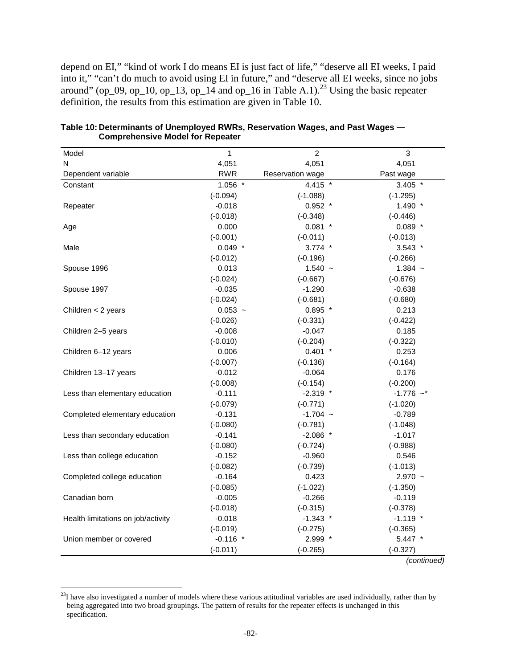depend on EI," "kind of work I do means EI is just fact of life," "deserve all EI weeks, I paid into it," "can't do much to avoid using EI in future," and "deserve all EI weeks, since no jobs around" (op\_09, op\_10, op\_13, op\_14 and op\_16 in Table A.1).<sup>23</sup> Using the basic repeater definition, the results from this estimation are given in Table 10.

| Model                              | 1          | $\overline{c}$   | 3           |
|------------------------------------|------------|------------------|-------------|
| N                                  | 4,051      | 4,051            | 4,051       |
| Dependent variable                 | <b>RWR</b> | Reservation wage | Past wage   |
| Constant                           | $1.056$ *  | 4.415 *          | $3.405$ *   |
|                                    | $(-0.094)$ | $(-1.088)$       | $(-1.295)$  |
| Repeater                           | $-0.018$   | $0.952$ *        | $1.490$ *   |
|                                    | $(-0.018)$ | $(-0.348)$       | $(-0.446)$  |
| Age                                | 0.000      | $0.081$ *        | $0.089$ *   |
|                                    | $(-0.001)$ | $(-0.011)$       | $(-0.013)$  |
| Male                               | $0.049$ *  | $3.774$ *        | $3.543$ *   |
|                                    | $(-0.012)$ | $(-0.196)$       | $(-0.266)$  |
| Spouse 1996                        | 0.013      | $1.540 -$        | $1.384 -$   |
|                                    | $(-0.024)$ | $(-0.667)$       | $(-0.676)$  |
| Spouse 1997                        | $-0.035$   | $-1.290$         | $-0.638$    |
|                                    | $(-0.024)$ | $(-0.681)$       | $(-0.680)$  |
| Children < 2 years                 | $0.053 -$  | $0.895$ *        | 0.213       |
|                                    | $(-0.026)$ | $(-0.331)$       | $(-0.422)$  |
| Children 2-5 years                 | $-0.008$   | $-0.047$         | 0.185       |
|                                    | $(-0.010)$ | $(-0.204)$       | $(-0.322)$  |
| Children 6-12 years                | 0.006      | $0.401$ *        | 0.253       |
|                                    | $(-0.007)$ | $(-0.136)$       | $(-0.164)$  |
| Children 13-17 years               | $-0.012$   | $-0.064$         | 0.176       |
|                                    | $(-0.008)$ | $(-0.154)$       | $(-0.200)$  |
| Less than elementary education     | $-0.111$   | $-2.319$ *       | $-1.776$ ~* |
|                                    | $(-0.079)$ | $(-0.771)$       | $(-1.020)$  |
| Completed elementary education     | $-0.131$   | $-1.704 -$       | $-0.789$    |
|                                    | $(-0.080)$ | $(-0.781)$       | $(-1.048)$  |
| Less than secondary education      | $-0.141$   | $-2.086$ *       | $-1.017$    |
|                                    | $(-0.080)$ | $(-0.724)$       | $(-0.988)$  |
| Less than college education        | $-0.152$   | $-0.960$         | 0.546       |
|                                    | $(-0.082)$ | $(-0.739)$       | $(-1.013)$  |
| Completed college education        | $-0.164$   | 0.423            | $2.970 -$   |
|                                    | $(-0.085)$ | $(-1.022)$       | $(-1.350)$  |
| Canadian born                      | $-0.005$   | $-0.266$         | $-0.119$    |
|                                    | $(-0.018)$ | $(-0.315)$       | $(-0.378)$  |
| Health limitations on job/activity | $-0.018$   | $-1.343$ *       | $-1.119$ *  |
|                                    | $(-0.019)$ | $(-0.275)$       | $(-0.365)$  |
| Union member or covered            | $-0.116$ * | 2.999 *          | $5.447$ *   |
|                                    | $(-0.011)$ | $(-0.265)$       | $(-0.327)$  |

**Table 10: Determinants of Unemployed RWRs, Reservation Wages, and Past Wages — Comprehensive Model for Repeater** 

(continued)

 $23I$  have also investigated a number of models where these various attitudinal variables are used individually, rather than by being aggregated into two broad groupings. The pattern of results for the repeater effects is unchanged in this specification.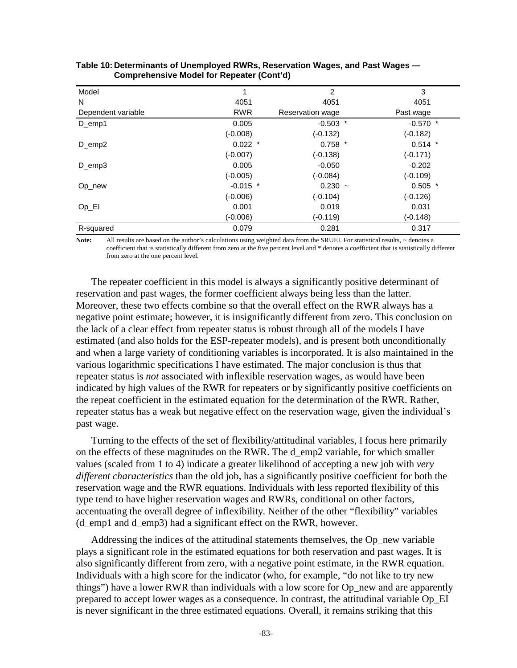| Model              |            | 2                | 3          |
|--------------------|------------|------------------|------------|
| N                  | 4051       | 4051             | 4051       |
| Dependent variable | <b>RWR</b> | Reservation wage | Past wage  |
| D_emp1             | 0.005      | $-0.503$ *       | $-0.570$ * |
|                    | $(-0.008)$ | $(-0.132)$       | $(-0.182)$ |
| $D$ _emp2          | $0.022$ *  | $0.758$ *        | $0.514$ *  |
|                    | $(-0.007)$ | $(-0.138)$       | $(-0.171)$ |
| $D$ emp3           | 0.005      | $-0.050$         | $-0.202$   |
|                    | $(-0.005)$ | $(-0.084)$       | $(-0.109)$ |
| Op_new             | $-0.015$ * | $0.230 -$        | $0.505$ *  |
|                    | $(-0.006)$ | $(-0.104)$       | $(-0.126)$ |
| $Op_E$             | 0.001      | 0.019            | 0.031      |
|                    | $(-0.006)$ | $(-0.119)$       | $(-0.148)$ |
| R-squared          | 0.079      | 0.281            | 0.317      |

| Table 10: Determinants of Unemployed RWRs, Reservation Wages, and Past Wages — |
|--------------------------------------------------------------------------------|
| <b>Comprehensive Model for Repeater (Cont'd)</b>                               |

Note: All results are based on the author's calculations using weighted data from the SRUEI. For statistical results, ~ denotes a coefficient that is statistically different from zero at the five percent level and \* denotes a coefficient that is statistically different from zero at the one percent level.

The repeater coefficient in this model is always a significantly positive determinant of reservation and past wages, the former coefficient always being less than the latter. Moreover, these two effects combine so that the overall effect on the RWR always has a negative point estimate; however, it is insignificantly different from zero. This conclusion on the lack of a clear effect from repeater status is robust through all of the models I have estimated (and also holds for the ESP-repeater models), and is present both unconditionally and when a large variety of conditioning variables is incorporated. It is also maintained in the various logarithmic specifications I have estimated. The major conclusion is thus that repeater status is *not* associated with inflexible reservation wages, as would have been indicated by high values of the RWR for repeaters or by significantly positive coefficients on the repeat coefficient in the estimated equation for the determination of the RWR. Rather, repeater status has a weak but negative effect on the reservation wage, given the individual's past wage.

Turning to the effects of the set of flexibility/attitudinal variables, I focus here primarily on the effects of these magnitudes on the RWR. The d\_emp2 variable, for which smaller values (scaled from 1 to 4) indicate a greater likelihood of accepting a new job with *very different characteristics* than the old job, has a significantly positive coefficient for both the reservation wage and the RWR equations. Individuals with less reported flexibility of this type tend to have higher reservation wages and RWRs, conditional on other factors, accentuating the overall degree of inflexibility. Neither of the other "flexibility" variables (d\_emp1 and d\_emp3) had a significant effect on the RWR, however.

Addressing the indices of the attitudinal statements themselves, the Op\_new variable plays a significant role in the estimated equations for both reservation and past wages. It is also significantly different from zero, with a negative point estimate, in the RWR equation. Individuals with a high score for the indicator (who, for example, "do not like to try new things") have a lower RWR than individuals with a low score for Op\_new and are apparently prepared to accept lower wages as a consequence. In contrast, the attitudinal variable Op\_EI is never significant in the three estimated equations. Overall, it remains striking that this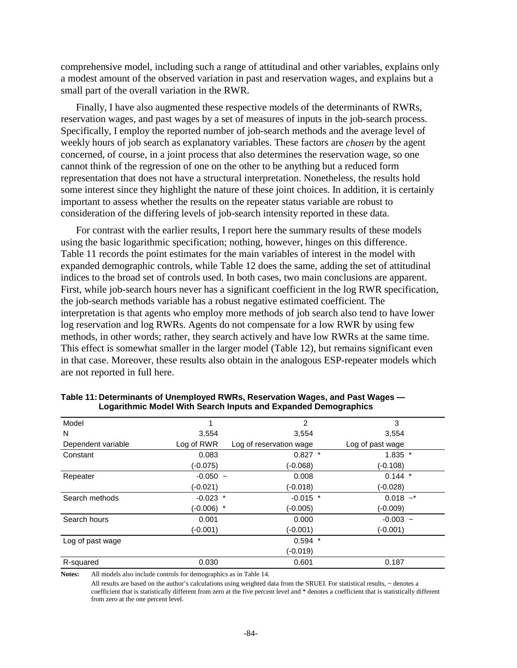comprehensive model, including such a range of attitudinal and other variables, explains only a modest amount of the observed variation in past and reservation wages, and explains but a small part of the overall variation in the RWR.

Finally, I have also augmented these respective models of the determinants of RWRs, reservation wages, and past wages by a set of measures of inputs in the job-search process. Specifically, I employ the reported number of job-search methods and the average level of weekly hours of job search as explanatory variables. These factors are *chosen* by the agent concerned, of course, in a joint process that also determines the reservation wage, so one cannot think of the regression of one on the other to be anything but a reduced form representation that does not have a structural interpretation. Nonetheless, the results hold some interest since they highlight the nature of these joint choices. In addition, it is certainly important to assess whether the results on the repeater status variable are robust to consideration of the differing levels of job-search intensity reported in these data.

For contrast with the earlier results, I report here the summary results of these models using the basic logarithmic specification; nothing, however, hinges on this difference. Table 11 records the point estimates for the main variables of interest in the model with expanded demographic controls, while Table 12 does the same, adding the set of attitudinal indices to the broad set of controls used. In both cases, two main conclusions are apparent. First, while job-search hours never has a significant coefficient in the log RWR specification, the job-search methods variable has a robust negative estimated coefficient. The interpretation is that agents who employ more methods of job search also tend to have lower log reservation and log RWRs. Agents do not compensate for a low RWR by using few methods, in other words; rather, they search actively and have low RWRs at the same time. This effect is somewhat smaller in the larger model (Table 12), but remains significant even in that case. Moreover, these results also obtain in the analogous ESP-repeater models which are not reported in full here.

| Model              |            | 2                       | 3                |
|--------------------|------------|-------------------------|------------------|
| N                  | 3,554      | 3,554                   | 3,554            |
| Dependent variable | Log of RWR | Log of reservation wage | Log of past wage |
| Constant           | 0.083      | $0.827$ *               | $1.835$ *        |
|                    | $(-0.075)$ | (-0.068)                | $(-0.108)$       |
| Repeater           | $-0.050 -$ | 0.008                   | $0.144$ *        |
|                    | (-0.021)   | (-0.018)                | $(-0.028)$       |
| Search methods     | $-0.023$ * | $-0.015$ *              | $0.018$ ~*       |
|                    | (-0.006) * | (-0.005)                | $(-0.009)$       |
| Search hours       | 0.001      | 0.000                   | $-0.003 -$       |
|                    | (-0.001)   | (-0.001)                | (-0.001)         |
| Log of past wage   |            | $0.594$ *               |                  |
|                    |            | (-0.019)                |                  |
| R-squared          | 0.030      | 0.601                   | 0.187            |

**Table 11: Determinants of Unemployed RWRs, Reservation Wages, and Past Wages — Logarithmic Model With Search Inputs and Expanded Demographics** 

**Notes:** All models also include controls for demographics as in Table 14.

All results are based on the author's calculations using weighted data from the SRUEI. For statistical results, ~ denotes a coefficient that is statistically different from zero at the five percent level and \* denotes a coefficient that is statistically different from zero at the one percent level.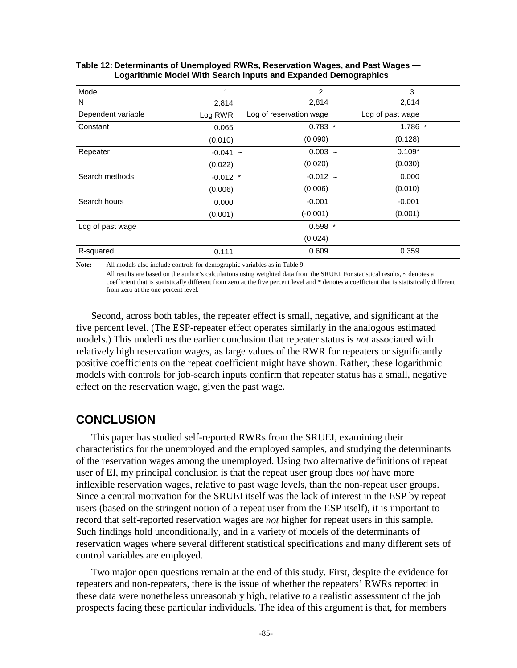| Model              | 1          | $\overline{2}$          | 3                |
|--------------------|------------|-------------------------|------------------|
| N                  | 2,814      | 2,814                   | 2,814            |
| Dependent variable | Log RWR    | Log of reservation wage | Log of past wage |
| Constant           | 0.065      | $0.783*$                | $1.786$ *        |
|                    | (0.010)    | (0.090)                 | (0.128)          |
| Repeater           | $-0.041 -$ | $0.003 -$               | $0.109*$         |
|                    | (0.022)    | (0.020)                 | (0.030)          |
| Search methods     | $-0.012$ * | $-0.012 -$              | 0.000            |
|                    | (0.006)    | (0.006)                 | (0.010)          |
| Search hours       | 0.000      | $-0.001$                | $-0.001$         |
|                    | (0.001)    | $(-0.001)$              | (0.001)          |
| Log of past wage   |            | $0.598$ *               |                  |
|                    |            | (0.024)                 |                  |
| R-squared          | 0.111      | 0.609                   | 0.359            |

#### **Table 12: Determinants of Unemployed RWRs, Reservation Wages, and Past Wages — Logarithmic Model With Search Inputs and Expanded Demographics**

**Note:** All models also include controls for demographic variables as in Table 9.

All results are based on the author's calculations using weighted data from the SRUEI. For statistical results,  $\sim$  denotes a coefficient that is statistically different from zero at the five percent level and \* denotes a coefficient that is statistically different from zero at the one percent level.

Second, across both tables, the repeater effect is small, negative, and significant at the five percent level. (The ESP-repeater effect operates similarly in the analogous estimated models.) This underlines the earlier conclusion that repeater status is *not* associated with relatively high reservation wages, as large values of the RWR for repeaters or significantly positive coefficients on the repeat coefficient might have shown. Rather, these logarithmic models with controls for job-search inputs confirm that repeater status has a small, negative effect on the reservation wage, given the past wage.

# **CONCLUSION**

This paper has studied self-reported RWRs from the SRUEI, examining their characteristics for the unemployed and the employed samples, and studying the determinants of the reservation wages among the unemployed. Using two alternative definitions of repeat user of EI, my principal conclusion is that the repeat user group does *not* have more inflexible reservation wages, relative to past wage levels, than the non-repeat user groups. Since a central motivation for the SRUEI itself was the lack of interest in the ESP by repeat users (based on the stringent notion of a repeat user from the ESP itself), it is important to record that self-reported reservation wages are *not* higher for repeat users in this sample. Such findings hold unconditionally, and in a variety of models of the determinants of reservation wages where several different statistical specifications and many different sets of control variables are employed.

Two major open questions remain at the end of this study. First, despite the evidence for repeaters and non-repeaters, there is the issue of whether the repeaters' RWRs reported in these data were nonetheless unreasonably high, relative to a realistic assessment of the job prospects facing these particular individuals. The idea of this argument is that, for members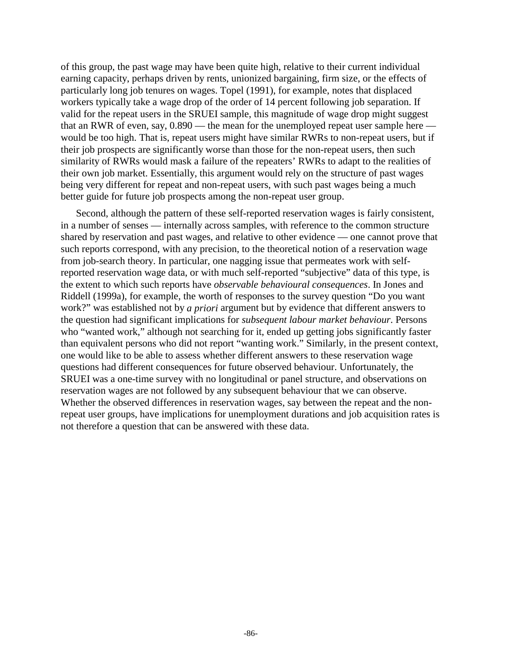of this group, the past wage may have been quite high, relative to their current individual earning capacity, perhaps driven by rents, unionized bargaining, firm size, or the effects of particularly long job tenures on wages. Topel (1991), for example, notes that displaced workers typically take a wage drop of the order of 14 percent following job separation. If valid for the repeat users in the SRUEI sample, this magnitude of wage drop might suggest that an RWR of even, say, 0.890 — the mean for the unemployed repeat user sample here would be too high. That is, repeat users might have similar RWRs to non-repeat users, but if their job prospects are significantly worse than those for the non-repeat users, then such similarity of RWRs would mask a failure of the repeaters' RWRs to adapt to the realities of their own job market. Essentially, this argument would rely on the structure of past wages being very different for repeat and non-repeat users, with such past wages being a much better guide for future job prospects among the non-repeat user group.

Second, although the pattern of these self-reported reservation wages is fairly consistent, in a number of senses — internally across samples, with reference to the common structure shared by reservation and past wages, and relative to other evidence — one cannot prove that such reports correspond, with any precision, to the theoretical notion of a reservation wage from job-search theory. In particular, one nagging issue that permeates work with selfreported reservation wage data, or with much self-reported "subjective" data of this type, is the extent to which such reports have *observable behavioural consequences*. In Jones and Riddell (1999a), for example, the worth of responses to the survey question "Do you want work?" was established not by *a priori* argument but by evidence that different answers to the question had significant implications for *subsequent labour market behaviour*. Persons who "wanted work," although not searching for it, ended up getting jobs significantly faster than equivalent persons who did not report "wanting work." Similarly, in the present context, one would like to be able to assess whether different answers to these reservation wage questions had different consequences for future observed behaviour. Unfortunately, the SRUEI was a one-time survey with no longitudinal or panel structure, and observations on reservation wages are not followed by any subsequent behaviour that we can observe. Whether the observed differences in reservation wages, say between the repeat and the nonrepeat user groups, have implications for unemployment durations and job acquisition rates is not therefore a question that can be answered with these data.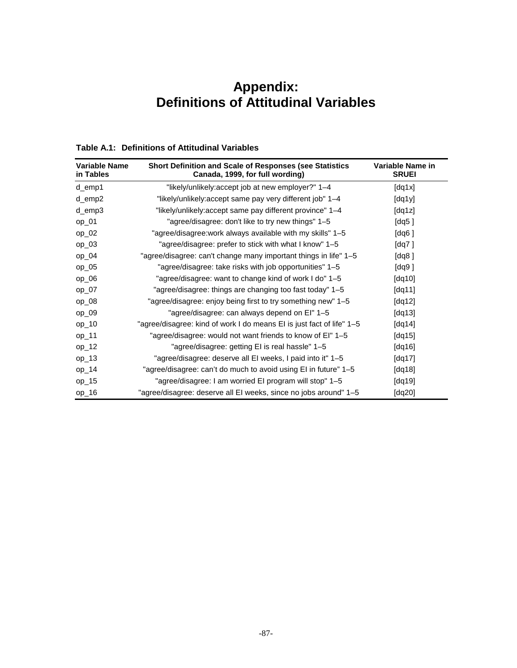# **Appendix: Definitions of Attitudinal Variables**

### **Table A.1: Definitions of Attitudinal Variables**

| Variable Name<br>in Tables | Short Definition and Scale of Responses (see Statistics<br>Canada, 1999, for full wording) | Variable Name in<br><b>SRUEI</b> |
|----------------------------|--------------------------------------------------------------------------------------------|----------------------------------|
| d_emp1                     | "likely/unlikely: accept job at new employer?" 1–4                                         | [dq1x]                           |
| d_emp2                     | "likely/unlikely:accept same pay very different job" 1-4                                   | [dq1y]                           |
| d_emp3                     | "likely/unlikely:accept same pay different province" 1-4                                   | [dq1z]                           |
| $op_01$                    | "agree/disagree: don't like to try new things" 1-5                                         | [dq5 ]                           |
| $op_02$                    | "agree/disagree:work always available with my skills" 1-5                                  | [dq6 ]                           |
| $op_03$                    | "agree/disagree: prefer to stick with what I know" 1–5                                     | [dq7 ]                           |
| $op_04$                    | "agree/disagree: can't change many important things in life" 1-5                           | [dq8 ]                           |
| $op_05$                    | "agree/disagree: take risks with job opportunities" 1-5                                    | [dq9 ]                           |
| $op_06$                    | "agree/disagree: want to change kind of work I do" 1-5                                     | $\left[ dq10 \right]$            |
| $op_07$                    | "agree/disagree: things are changing too fast today" 1-5                                   | [dq11]                           |
| $op_08$                    | "agree/disagree: enjoy being first to try something new" 1–5                               | [dq12]                           |
| $op_09$                    | "agree/disagree: can always depend on El" 1-5                                              | $\left[ dq13\right]$             |
| $op_10$                    | "agree/disagree: kind of work I do means EI is just fact of life" 1-5                      | [dq14]                           |
| $op_11$                    | "agree/disagree: would not want friends to know of EI" 1-5                                 | $\left[ dq15\right]$             |
| $op_12$                    | "agree/disagree: getting EI is real hassle" 1-5                                            | [dq16]                           |
| $op_13$                    | "agree/disagree: deserve all EI weeks, I paid into it" 1-5                                 | [dq17]                           |
| $op_14$                    | "agree/disagree: can't do much to avoid using EI in future" 1–5                            | [dq18]                           |
| $op_15$                    | "agree/disagree: I am worried EI program will stop" 1-5                                    | [dq19]                           |
| $op_16$                    | "agree/disagree: deserve all EI weeks, since no jobs around" 1-5                           | [ $dq20$ ]                       |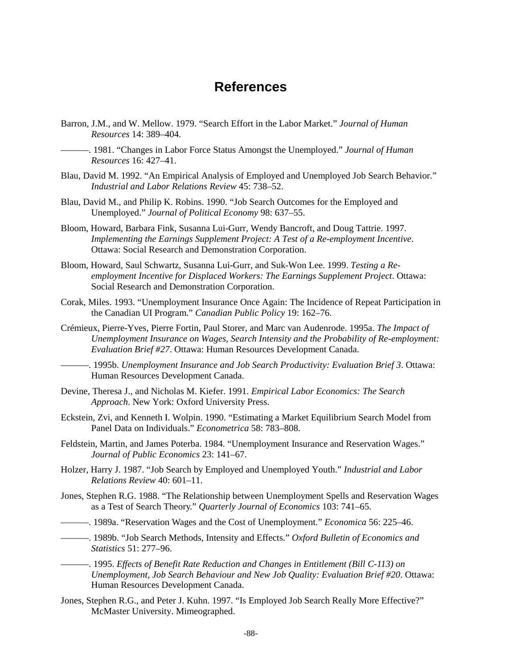# **References**

- Barron, J.M., and W. Mellow. 1979. "Search Effort in the Labor Market." *Journal of Human Resources* 14: 389–404.
	- ———. 1981. "Changes in Labor Force Status Amongst the Unemployed." *Journal of Human Resources* 16: 427–41.
- Blau, David M. 1992. "An Empirical Analysis of Employed and Unemployed Job Search Behavior." *Industrial and Labor Relations Review* 45: 738–52.
- Blau, David M., and Philip K. Robins. 1990. "Job Search Outcomes for the Employed and Unemployed." *Journal of Political Economy* 98: 637–55.
- Bloom, Howard, Barbara Fink, Susanna Lui-Gurr, Wendy Bancroft, and Doug Tattrie. 1997. *Implementing the Earnings Supplement Project: A Test of a Re-employment Incentive*. Ottawa: Social Research and Demonstration Corporation.
- Bloom, Howard, Saul Schwartz, Susanna Lui-Gurr, and Suk-Won Lee. 1999. *Testing a Reemployment Incentive for Displaced Workers: The Earnings Supplement Project*. Ottawa: Social Research and Demonstration Corporation.
- Corak, Miles. 1993. "Unemployment Insurance Once Again: The Incidence of Repeat Participation in the Canadian UI Program." *Canadian Public Policy* 19: 162–76.
- Crémieux, Pierre-Yves, Pierre Fortin, Paul Storer, and Marc van Audenrode. 1995a. *The Impact of Unemployment Insurance on Wages, Search Intensity and the Probability of Re-employment: Evaluation Brief #27*. Ottawa: Human Resources Development Canada.
- ———. 1995b. *Unemployment Insurance and Job Search Productivity: Evaluation Brief 3*. Ottawa: Human Resources Development Canada.
- Devine, Theresa J., and Nicholas M. Kiefer. 1991. *Empirical Labor Economics: The Search Approach*. New York: Oxford University Press.
- Eckstein, Zvi, and Kenneth I. Wolpin. 1990. "Estimating a Market Equilibrium Search Model from Panel Data on Individuals." *Econometrica* 58: 783–808.
- Feldstein, Martin, and James Poterba. 1984. "Unemployment Insurance and Reservation Wages." *Journal of Public Economics* 23: 141–67.
- Holzer, Harry J. 1987. "Job Search by Employed and Unemployed Youth." *Industrial and Labor Relations Review* 40: 601–11.
- Jones, Stephen R.G. 1988. "The Relationship between Unemployment Spells and Reservation Wages as a Test of Search Theory." *Quarterly Journal of Economics* 103: 741–65.
- ———. 1989a. "Reservation Wages and the Cost of Unemployment." *Economica* 56: 225–46.
- ———. 1989b. "Job Search Methods, Intensity and Effects." *Oxford Bulletin of Economics and Statistics* 51: 277–96.

———. 1995. *Effects of Benefit Rate Reduction and Changes in Entitlement (Bill C-113) on Unemployment, Job Search Behaviour and New Job Quality: Evaluation Brief #20*. Ottawa: Human Resources Development Canada.

Jones, Stephen R.G., and Peter J. Kuhn. 1997. "Is Employed Job Search Really More Effective?" McMaster University. Mimeographed.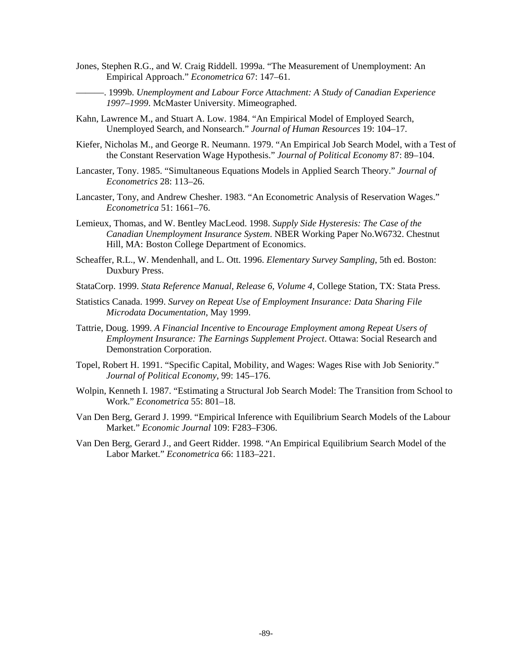- Jones, Stephen R.G., and W. Craig Riddell. 1999a. "The Measurement of Unemployment: An Empirical Approach." *Econometrica* 67: 147–61.
- ———. 1999b. *Unemployment and Labour Force Attachment: A Study of Canadian Experience 1997–1999*. McMaster University. Mimeographed.
- Kahn, Lawrence M., and Stuart A. Low. 1984. "An Empirical Model of Employed Search, Unemployed Search, and Nonsearch." *Journal of Human Resources* 19: 104–17.
- Kiefer, Nicholas M., and George R. Neumann. 1979. "An Empirical Job Search Model, with a Test of the Constant Reservation Wage Hypothesis." *Journal of Political Economy* 87: 89–104.
- Lancaster, Tony. 1985. "Simultaneous Equations Models in Applied Search Theory." *Journal of Econometrics* 28: 113–26.
- Lancaster, Tony, and Andrew Chesher. 1983. "An Econometric Analysis of Reservation Wages." *Econometrica* 51: 1661–76.
- Lemieux, Thomas, and W. Bentley MacLeod. 1998. *Supply Side Hysteresis: The Case of the Canadian Unemployment Insurance System*. NBER Working Paper No.W6732. Chestnut Hill, MA: Boston College Department of Economics.
- Scheaffer, R.L., W. Mendenhall, and L. Ott. 1996. *Elementary Survey Sampling*, 5th ed. Boston: Duxbury Press.
- StataCorp. 1999. *Stata Reference Manual, Release 6, Volume 4*, College Station, TX: Stata Press.
- Statistics Canada. 1999. *Survey on Repeat Use of Employment Insurance: Data Sharing File Microdata Documentation*, May 1999.
- Tattrie, Doug. 1999. *A Financial Incentive to Encourage Employment among Repeat Users of Employment Insurance: The Earnings Supplement Project*. Ottawa: Social Research and Demonstration Corporation.
- Topel, Robert H. 1991. "Specific Capital, Mobility, and Wages: Wages Rise with Job Seniority." *Journal of Political Economy*, 99: 145–176.
- Wolpin, Kenneth I. 1987. "Estimating a Structural Job Search Model: The Transition from School to Work." *Econometrica* 55: 801–18.
- Van Den Berg, Gerard J. 1999. "Empirical Inference with Equilibrium Search Models of the Labour Market." *Economic Journal* 109: F283–F306.
- Van Den Berg, Gerard J., and Geert Ridder. 1998. "An Empirical Equilibrium Search Model of the Labor Market." *Econometrica* 66: 1183–221.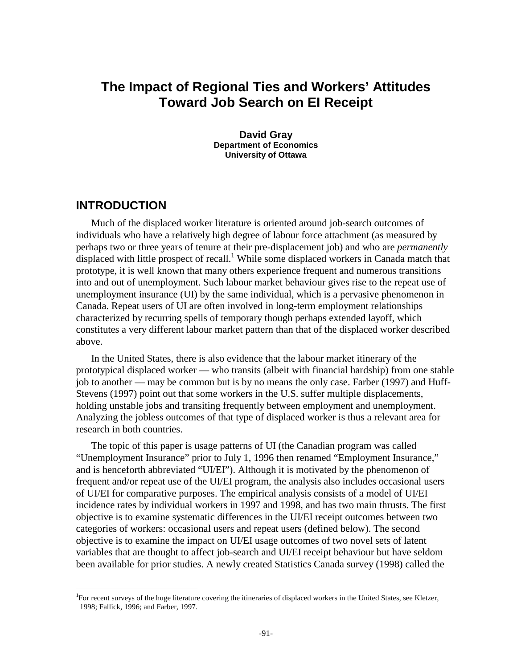# **The Impact of Regional Ties and Workers' Attitudes Toward Job Search on EI Receipt**

**David Gray Department of Economics University of Ottawa**

### **INTRODUCTION**

l

Much of the displaced worker literature is oriented around job-search outcomes of individuals who have a relatively high degree of labour force attachment (as measured by perhaps two or three years of tenure at their pre-displacement job) and who are *permanently*  displaced with little prospect of recall.<sup>1</sup> While some displaced workers in Canada match that prototype, it is well known that many others experience frequent and numerous transitions into and out of unemployment. Such labour market behaviour gives rise to the repeat use of unemployment insurance (UI) by the same individual, which is a pervasive phenomenon in Canada. Repeat users of UI are often involved in long-term employment relationships characterized by recurring spells of temporary though perhaps extended layoff, which constitutes a very different labour market pattern than that of the displaced worker described above.

In the United States, there is also evidence that the labour market itinerary of the prototypical displaced worker — who transits (albeit with financial hardship) from one stable job to another — may be common but is by no means the only case. Farber (1997) and Huff-Stevens (1997) point out that some workers in the U.S. suffer multiple displacements, holding unstable jobs and transiting frequently between employment and unemployment. Analyzing the jobless outcomes of that type of displaced worker is thus a relevant area for research in both countries.

The topic of this paper is usage patterns of UI (the Canadian program was called "Unemployment Insurance" prior to July 1, 1996 then renamed "Employment Insurance," and is henceforth abbreviated "UI/EI"). Although it is motivated by the phenomenon of frequent and/or repeat use of the UI/EI program, the analysis also includes occasional users of UI/EI for comparative purposes. The empirical analysis consists of a model of UI/EI incidence rates by individual workers in 1997 and 1998, and has two main thrusts. The first objective is to examine systematic differences in the UI/EI receipt outcomes between two categories of workers: occasional users and repeat users (defined below). The second objective is to examine the impact on UI/EI usage outcomes of two novel sets of latent variables that are thought to affect job-search and UI/EI receipt behaviour but have seldom been available for prior studies. A newly created Statistics Canada survey (1998) called the

<sup>&</sup>lt;sup>1</sup>For recent surveys of the huge literature covering the itineraries of displaced workers in the United States, see Kletzer, 1998; Fallick, 1996; and Farber, 1997.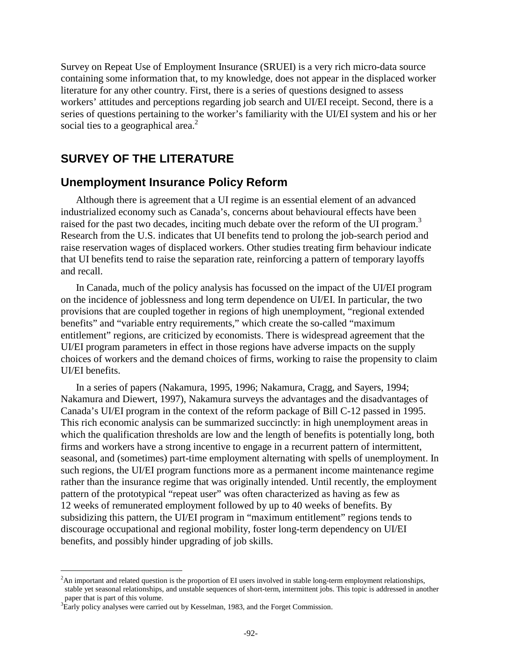Survey on Repeat Use of Employment Insurance (SRUEI) is a very rich micro-data source containing some information that, to my knowledge, does not appear in the displaced worker literature for any other country. First, there is a series of questions designed to assess workers' attitudes and perceptions regarding job search and UI/EI receipt. Second, there is a series of questions pertaining to the worker's familiarity with the UI/EI system and his or her social ties to a geographical area. $2$ 

# **SURVEY OF THE LITERATURE**

### **Unemployment Insurance Policy Reform**

Although there is agreement that a UI regime is an essential element of an advanced industrialized economy such as Canada's, concerns about behavioural effects have been raised for the past two decades, inciting much debate over the reform of the UI program.<sup>3</sup> Research from the U.S. indicates that UI benefits tend to prolong the job-search period and raise reservation wages of displaced workers. Other studies treating firm behaviour indicate that UI benefits tend to raise the separation rate, reinforcing a pattern of temporary layoffs and recall.

In Canada, much of the policy analysis has focussed on the impact of the UI/EI program on the incidence of joblessness and long term dependence on UI/EI. In particular, the two provisions that are coupled together in regions of high unemployment, "regional extended benefits" and "variable entry requirements," which create the so-called "maximum entitlement" regions, are criticized by economists. There is widespread agreement that the UI/EI program parameters in effect in those regions have adverse impacts on the supply choices of workers and the demand choices of firms, working to raise the propensity to claim UI/EI benefits.

In a series of papers (Nakamura, 1995, 1996; Nakamura, Cragg, and Sayers, 1994; Nakamura and Diewert, 1997), Nakamura surveys the advantages and the disadvantages of Canada's UI/EI program in the context of the reform package of Bill C-12 passed in 1995. This rich economic analysis can be summarized succinctly: in high unemployment areas in which the qualification thresholds are low and the length of benefits is potentially long, both firms and workers have a strong incentive to engage in a recurrent pattern of intermittent, seasonal, and (sometimes) part-time employment alternating with spells of unemployment. In such regions, the UI/EI program functions more as a permanent income maintenance regime rather than the insurance regime that was originally intended. Until recently, the employment pattern of the prototypical "repeat user" was often characterized as having as few as 12 weeks of remunerated employment followed by up to 40 weeks of benefits. By subsidizing this pattern, the UI/EI program in "maximum entitlement" regions tends to discourage occupational and regional mobility, foster long-term dependency on UI/EI benefits, and possibly hinder upgrading of job skills.

<sup>&</sup>lt;sup>2</sup>An important and related question is the proportion of EI users involved in stable long-term employment relationships, stable yet seasonal relationships, and unstable sequences of short-term, intermittent jobs. This topic is addressed in another paper that is part of this volume.

<sup>&</sup>lt;sup>3</sup>Early policy analyses were carried out by Kesselman, 1983, and the Forget Commission.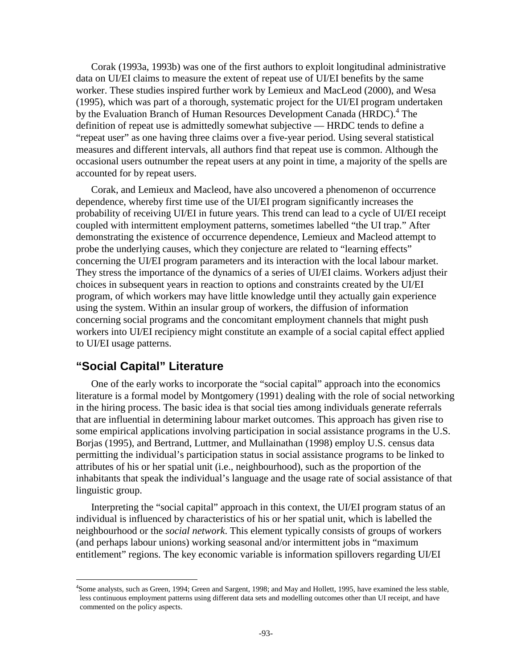Corak (1993a, 1993b) was one of the first authors to exploit longitudinal administrative data on UI/EI claims to measure the extent of repeat use of UI/EI benefits by the same worker. These studies inspired further work by Lemieux and MacLeod (2000), and Wesa (1995), which was part of a thorough, systematic project for the UI/EI program undertaken by the Evaluation Branch of Human Resources Development Canada (HRDC).<sup>4</sup> The definition of repeat use is admittedly somewhat subjective — HRDC tends to define a "repeat user" as one having three claims over a five-year period. Using several statistical measures and different intervals, all authors find that repeat use is common. Although the occasional users outnumber the repeat users at any point in time, a majority of the spells are accounted for by repeat users.

Corak, and Lemieux and Macleod, have also uncovered a phenomenon of occurrence dependence, whereby first time use of the UI/EI program significantly increases the probability of receiving UI/EI in future years. This trend can lead to a cycle of UI/EI receipt coupled with intermittent employment patterns, sometimes labelled "the UI trap." After demonstrating the existence of occurrence dependence, Lemieux and Macleod attempt to probe the underlying causes, which they conjecture are related to "learning effects" concerning the UI/EI program parameters and its interaction with the local labour market. They stress the importance of the dynamics of a series of UI/EI claims. Workers adjust their choices in subsequent years in reaction to options and constraints created by the UI/EI program, of which workers may have little knowledge until they actually gain experience using the system. Within an insular group of workers, the diffusion of information concerning social programs and the concomitant employment channels that might push workers into UI/EI recipiency might constitute an example of a social capital effect applied to UI/EI usage patterns.

### **"Social Capital" Literature**

l

One of the early works to incorporate the "social capital" approach into the economics literature is a formal model by Montgomery (1991) dealing with the role of social networking in the hiring process. The basic idea is that social ties among individuals generate referrals that are influential in determining labour market outcomes. This approach has given rise to some empirical applications involving participation in social assistance programs in the U.S. Borjas (1995), and Bertrand, Luttmer, and Mullainathan (1998) employ U.S. census data permitting the individual's participation status in social assistance programs to be linked to attributes of his or her spatial unit (i.e., neighbourhood), such as the proportion of the inhabitants that speak the individual's language and the usage rate of social assistance of that linguistic group.

Interpreting the "social capital" approach in this context, the UI/EI program status of an individual is influenced by characteristics of his or her spatial unit, which is labelled the neighbourhood or the *social network*. This element typically consists of groups of workers (and perhaps labour unions) working seasonal and/or intermittent jobs in "maximum entitlement" regions. The key economic variable is information spillovers regarding UI/EI

<sup>&</sup>lt;sup>4</sup>Some analysts, such as Green, 1994; Green and Sargent, 1998; and May and Hollett, 1995, have examined the less stable, less continuous employment patterns using different data sets and modelling outcomes other than UI receipt, and have commented on the policy aspects.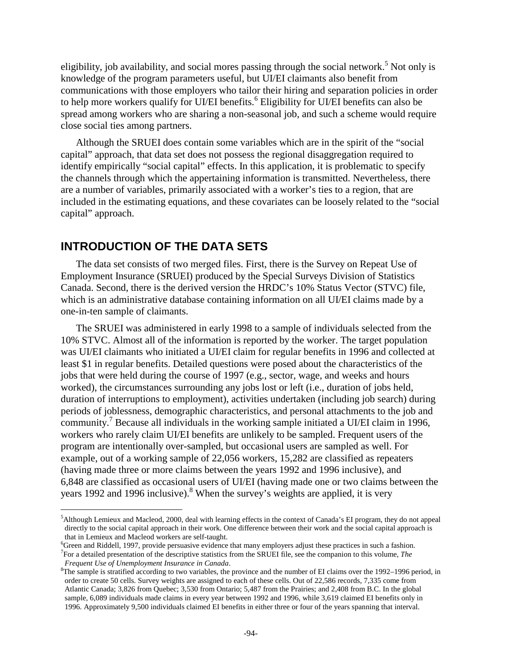eligibility, job availability, and social mores passing through the social network.<sup>5</sup> Not only is knowledge of the program parameters useful, but UI/EI claimants also benefit from communications with those employers who tailor their hiring and separation policies in order to help more workers qualify for UI/EI benefits.<sup>6</sup> Eligibility for UI/EI benefits can also be spread among workers who are sharing a non-seasonal job, and such a scheme would require close social ties among partners.

Although the SRUEI does contain some variables which are in the spirit of the "social capital" approach, that data set does not possess the regional disaggregation required to identify empirically "social capital" effects. In this application, it is problematic to specify the channels through which the appertaining information is transmitted. Nevertheless, there are a number of variables, primarily associated with a worker's ties to a region, that are included in the estimating equations, and these covariates can be loosely related to the "social capital" approach.

# **INTRODUCTION OF THE DATA SETS**

The data set consists of two merged files. First, there is the Survey on Repeat Use of Employment Insurance (SRUEI) produced by the Special Surveys Division of Statistics Canada. Second, there is the derived version the HRDC's 10% Status Vector (STVC) file, which is an administrative database containing information on all UI/EI claims made by a one-in-ten sample of claimants.

The SRUEI was administered in early 1998 to a sample of individuals selected from the 10% STVC. Almost all of the information is reported by the worker. The target population was UI/EI claimants who initiated a UI/EI claim for regular benefits in 1996 and collected at least \$1 in regular benefits. Detailed questions were posed about the characteristics of the jobs that were held during the course of 1997 (e.g., sector, wage, and weeks and hours worked), the circumstances surrounding any jobs lost or left (i.e., duration of jobs held, duration of interruptions to employment), activities undertaken (including job search) during periods of joblessness, demographic characteristics, and personal attachments to the job and community.<sup>7</sup> Because all individuals in the working sample initiated a UI/EI claim in 1996, workers who rarely claim UI/EI benefits are unlikely to be sampled. Frequent users of the program are intentionally over-sampled, but occasional users are sampled as well. For example, out of a working sample of 22,056 workers, 15,282 are classified as repeaters (having made three or more claims between the years 1992 and 1996 inclusive), and 6,848 are classified as occasional users of UI/EI (having made one or two claims between the years 1992 and 1996 inclusive).<sup>8</sup> When the survey's weights are applied, it is very

<sup>5</sup> Although Lemieux and Macleod, 2000, deal with learning effects in the context of Canada's EI program, they do not appeal directly to the social capital approach in their work. One difference between their work and the social capital approach is that in Lemieux and Macleod workers are self-taught.

<sup>6</sup> Green and Riddell, 1997, provide persuasive evidence that many employers adjust these practices in such a fashion. 7 For a detailed presentation of the descriptive statistics from the SRUEI file, see the companion to this volume, *The* 

*Frequent Use of Unemployment Insurance in Canada.* 

 ${}^{8}$ The sample is stratified according to two variables, the province and the number of EI claims over the 1992–1996 period, in order to create 50 cells. Survey weights are assigned to each of these cells. Out of 22,586 records, 7,335 come from Atlantic Canada; 3,826 from Quebec; 3,530 from Ontario; 5,487 from the Prairies; and 2,408 from B.C. In the global sample, 6,089 individuals made claims in every year between 1992 and 1996, while 3,619 claimed EI benefits only in 1996. Approximately 9,500 individuals claimed EI benefits in either three or four of the years spanning that interval.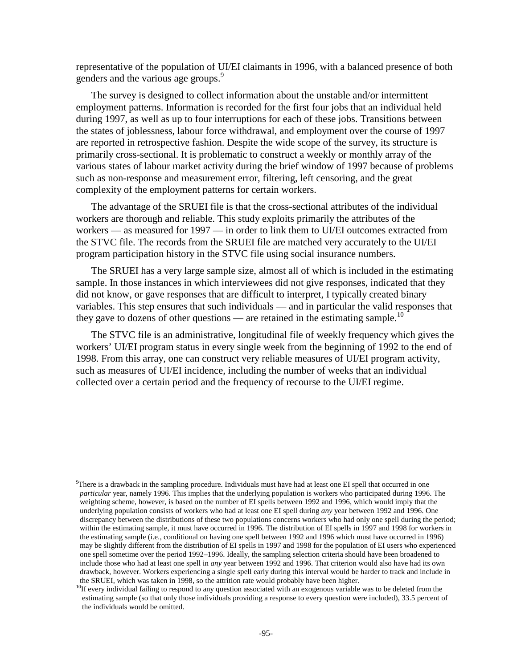representative of the population of UI/EI claimants in 1996, with a balanced presence of both genders and the various age groups.<sup>9</sup>

The survey is designed to collect information about the unstable and/or intermittent employment patterns. Information is recorded for the first four jobs that an individual held during 1997, as well as up to four interruptions for each of these jobs. Transitions between the states of joblessness, labour force withdrawal, and employment over the course of 1997 are reported in retrospective fashion. Despite the wide scope of the survey, its structure is primarily cross-sectional. It is problematic to construct a weekly or monthly array of the various states of labour market activity during the brief window of 1997 because of problems such as non-response and measurement error, filtering, left censoring, and the great complexity of the employment patterns for certain workers.

The advantage of the SRUEI file is that the cross-sectional attributes of the individual workers are thorough and reliable. This study exploits primarily the attributes of the workers — as measured for 1997 — in order to link them to UI/EI outcomes extracted from the STVC file. The records from the SRUEI file are matched very accurately to the UI/EI program participation history in the STVC file using social insurance numbers.

The SRUEI has a very large sample size, almost all of which is included in the estimating sample. In those instances in which interviewees did not give responses, indicated that they did not know, or gave responses that are difficult to interpret, I typically created binary variables. This step ensures that such individuals — and in particular the valid responses that they gave to dozens of other questions — are retained in the estimating sample.<sup>10</sup>

The STVC file is an administrative, longitudinal file of weekly frequency which gives the workers' UI/EI program status in every single week from the beginning of 1992 to the end of 1998. From this array, one can construct very reliable measures of UI/EI program activity, such as measures of UI/EI incidence, including the number of weeks that an individual collected over a certain period and the frequency of recourse to the UI/EI regime.

<sup>&</sup>lt;sup>9</sup>There is a drawback in the sampling procedure. Individuals must have had at least one EI spell that occurred in one *particular* year, namely 1996. This implies that the underlying population is workers who participated during 1996. The weighting scheme, however, is based on the number of EI spells between 1992 and 1996, which would imply that the underlying population consists of workers who had at least one EI spell during *any* year between 1992 and 1996. One discrepancy between the distributions of these two populations concerns workers who had only one spell during the period; within the estimating sample, it must have occurred in 1996. The distribution of EI spells in 1997 and 1998 for workers in the estimating sample (i.e., conditional on having one spell between 1992 and 1996 which must have occurred in 1996) may be slightly different from the distribution of EI spells in 1997 and 1998 for the population of EI users who experienced one spell sometime over the period 1992–1996. Ideally, the sampling selection criteria should have been broadened to include those who had at least one spell in *any* year between 1992 and 1996. That criterion would also have had its own drawback, however. Workers experiencing a single spell early during this interval would be harder to track and include in the SRUEI, which was taken in 1998, so the attrition rate would probably have been higher.

 $10$ If every individual failing to respond to any question associated with an exogenous variable was to be deleted from the estimating sample (so that only those individuals providing a response to every question were included), 33.5 percent of the individuals would be omitted.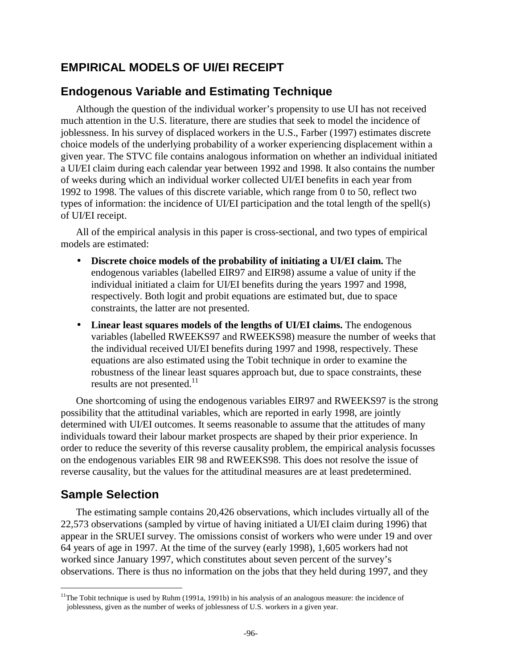# **EMPIRICAL MODELS OF UI/EI RECEIPT**

# **Endogenous Variable and Estimating Technique**

Although the question of the individual worker's propensity to use UI has not received much attention in the U.S. literature, there are studies that seek to model the incidence of joblessness. In his survey of displaced workers in the U.S., Farber (1997) estimates discrete choice models of the underlying probability of a worker experiencing displacement within a given year. The STVC file contains analogous information on whether an individual initiated a UI/EI claim during each calendar year between 1992 and 1998. It also contains the number of weeks during which an individual worker collected UI/EI benefits in each year from 1992 to 1998. The values of this discrete variable, which range from 0 to 50, reflect two types of information: the incidence of UI/EI participation and the total length of the spell(s) of UI/EI receipt.

All of the empirical analysis in this paper is cross-sectional, and two types of empirical models are estimated:

- **Discrete choice models of the probability of initiating a UI/EI claim.** The endogenous variables (labelled EIR97 and EIR98) assume a value of unity if the individual initiated a claim for UI/EI benefits during the years 1997 and 1998, respectively. Both logit and probit equations are estimated but, due to space constraints, the latter are not presented.
- **Linear least squares models of the lengths of UI/EI claims.** The endogenous variables (labelled RWEEKS97 and RWEEKS98) measure the number of weeks that the individual received UI/EI benefits during 1997 and 1998, respectively. These equations are also estimated using the Tobit technique in order to examine the robustness of the linear least squares approach but, due to space constraints, these results are not presented.<sup>11</sup>

One shortcoming of using the endogenous variables EIR97 and RWEEKS97 is the strong possibility that the attitudinal variables, which are reported in early 1998, are jointly determined with UI/EI outcomes. It seems reasonable to assume that the attitudes of many individuals toward their labour market prospects are shaped by their prior experience. In order to reduce the severity of this reverse causality problem, the empirical analysis focusses on the endogenous variables EIR 98 and RWEEKS98. This does not resolve the issue of reverse causality, but the values for the attitudinal measures are at least predetermined.

# **Sample Selection**

l

The estimating sample contains 20,426 observations, which includes virtually all of the 22,573 observations (sampled by virtue of having initiated a UI/EI claim during 1996) that appear in the SRUEI survey. The omissions consist of workers who were under 19 and over 64 years of age in 1997. At the time of the survey (early 1998), 1,605 workers had not worked since January 1997, which constitutes about seven percent of the survey's observations. There is thus no information on the jobs that they held during 1997, and they

<sup>&</sup>lt;sup>11</sup>The Tobit technique is used by Ruhm (1991a, 1991b) in his analysis of an analogous measure: the incidence of joblessness, given as the number of weeks of joblessness of U.S. workers in a given year.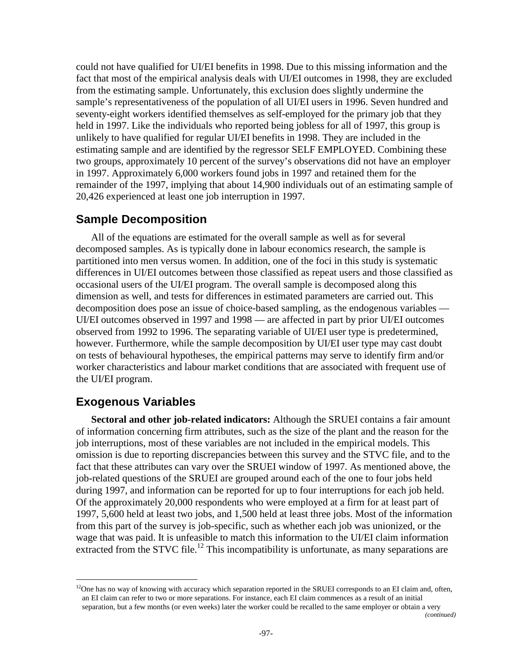could not have qualified for UI/EI benefits in 1998. Due to this missing information and the fact that most of the empirical analysis deals with UI/EI outcomes in 1998, they are excluded from the estimating sample. Unfortunately, this exclusion does slightly undermine the sample's representativeness of the population of all UI/EI users in 1996. Seven hundred and seventy-eight workers identified themselves as self-employed for the primary job that they held in 1997. Like the individuals who reported being jobless for all of 1997, this group is unlikely to have qualified for regular UI/EI benefits in 1998. They are included in the estimating sample and are identified by the regressor SELF EMPLOYED. Combining these two groups, approximately 10 percent of the survey's observations did not have an employer in 1997. Approximately 6,000 workers found jobs in 1997 and retained them for the remainder of the 1997, implying that about 14,900 individuals out of an estimating sample of 20,426 experienced at least one job interruption in 1997.

### **Sample Decomposition**

All of the equations are estimated for the overall sample as well as for several decomposed samples. As is typically done in labour economics research, the sample is partitioned into men versus women. In addition, one of the foci in this study is systematic differences in UI/EI outcomes between those classified as repeat users and those classified as occasional users of the UI/EI program. The overall sample is decomposed along this dimension as well, and tests for differences in estimated parameters are carried out. This decomposition does pose an issue of choice-based sampling, as the endogenous variables — UI/EI outcomes observed in 1997 and 1998 — are affected in part by prior UI/EI outcomes observed from 1992 to 1996. The separating variable of UI/EI user type is predetermined, however. Furthermore, while the sample decomposition by UI/EI user type may cast doubt on tests of behavioural hypotheses, the empirical patterns may serve to identify firm and/or worker characteristics and labour market conditions that are associated with frequent use of the UI/EI program.

# **Exogenous Variables**

l

**Sectoral and other job-related indicators:** Although the SRUEI contains a fair amount of information concerning firm attributes, such as the size of the plant and the reason for the job interruptions, most of these variables are not included in the empirical models. This omission is due to reporting discrepancies between this survey and the STVC file, and to the fact that these attributes can vary over the SRUEI window of 1997. As mentioned above, the job-related questions of the SRUEI are grouped around each of the one to four jobs held during 1997, and information can be reported for up to four interruptions for each job held. Of the approximately 20,000 respondents who were employed at a firm for at least part of 1997, 5,600 held at least two jobs, and 1,500 held at least three jobs. Most of the information from this part of the survey is job-specific, such as whether each job was unionized, or the wage that was paid. It is unfeasible to match this information to the UI/EI claim information extracted from the STVC file.<sup>12</sup> This incompatibility is unfortunate, as many separations are

*(continued)* 

<sup>&</sup>lt;sup>12</sup>One has no way of knowing with accuracy which separation reported in the SRUEI corresponds to an EI claim and, often, an EI claim can refer to two or more separations. For instance, each EI claim commences as a result of an initial separation, but a few months (or even weeks) later the worker could be recalled to the same employer or obtain a very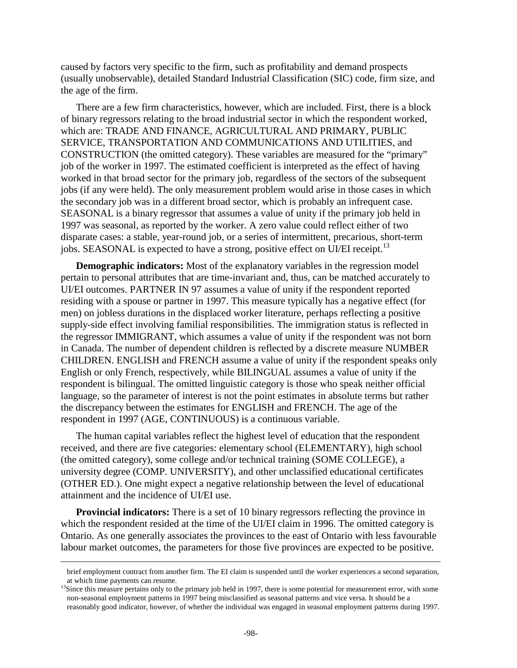caused by factors very specific to the firm, such as profitability and demand prospects (usually unobservable), detailed Standard Industrial Classification (SIC) code, firm size, and the age of the firm.

There are a few firm characteristics, however, which are included. First, there is a block of binary regressors relating to the broad industrial sector in which the respondent worked, which are: TRADE AND FINANCE, AGRICULTURAL AND PRIMARY, PUBLIC SERVICE, TRANSPORTATION AND COMMUNICATIONS AND UTILITIES, and CONSTRUCTION (the omitted category). These variables are measured for the "primary" job of the worker in 1997. The estimated coefficient is interpreted as the effect of having worked in that broad sector for the primary job, regardless of the sectors of the subsequent jobs (if any were held). The only measurement problem would arise in those cases in which the secondary job was in a different broad sector, which is probably an infrequent case. SEASONAL is a binary regressor that assumes a value of unity if the primary job held in 1997 was seasonal, as reported by the worker. A zero value could reflect either of two disparate cases: a stable, year-round job, or a series of intermittent, precarious, short-term jobs. SEASONAL is expected to have a strong, positive effect on UI/EI receipt.<sup>13</sup>

**Demographic indicators:** Most of the explanatory variables in the regression model pertain to personal attributes that are time-invariant and, thus, can be matched accurately to UI/EI outcomes. PARTNER IN 97 assumes a value of unity if the respondent reported residing with a spouse or partner in 1997. This measure typically has a negative effect (for men) on jobless durations in the displaced worker literature, perhaps reflecting a positive supply-side effect involving familial responsibilities. The immigration status is reflected in the regressor IMMIGRANT, which assumes a value of unity if the respondent was not born in Canada. The number of dependent children is reflected by a discrete measure NUMBER CHILDREN. ENGLISH and FRENCH assume a value of unity if the respondent speaks only English or only French, respectively, while BILINGUAL assumes a value of unity if the respondent is bilingual. The omitted linguistic category is those who speak neither official language, so the parameter of interest is not the point estimates in absolute terms but rather the discrepancy between the estimates for ENGLISH and FRENCH. The age of the respondent in 1997 (AGE, CONTINUOUS) is a continuous variable.

The human capital variables reflect the highest level of education that the respondent received, and there are five categories: elementary school (ELEMENTARY), high school (the omitted category), some college and/or technical training (SOME COLLEGE), a university degree (COMP. UNIVERSITY), and other unclassified educational certificates (OTHER ED.). One might expect a negative relationship between the level of educational attainment and the incidence of UI/EI use.

**Provincial indicators:** There is a set of 10 binary regressors reflecting the province in which the respondent resided at the time of the UI/EI claim in 1996. The omitted category is Ontario. As one generally associates the provinces to the east of Ontario with less favourable labour market outcomes, the parameters for those five provinces are expected to be positive.

brief employment contract from another firm. The EI claim is suspended until the worker experiences a second separation,

at which time payments can resume.<br><sup>13</sup>Since this measure pertains only to the primary job held in 1997, there is some potential for measurement error, with some non-seasonal employment patterns in 1997 being misclassified as seasonal patterns and vice versa. It should be a reasonably good indicator, however, of whether the individual was engaged in seasonal employment patterns during 1997.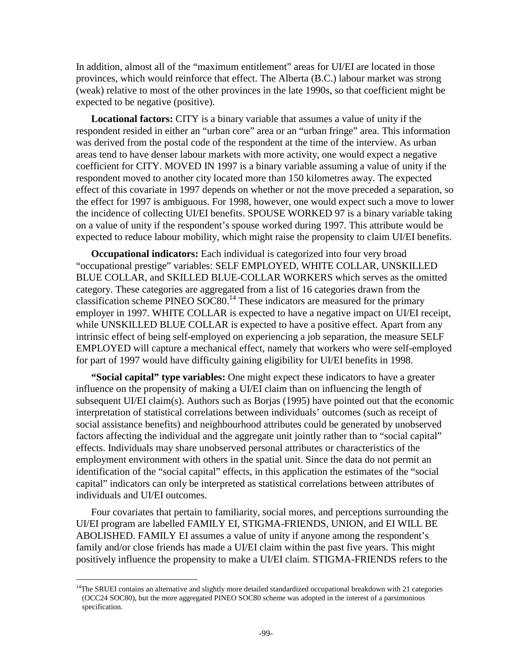In addition, almost all of the "maximum entitlement" areas for UI/EI are located in those provinces, which would reinforce that effect. The Alberta (B.C.) labour market was strong (weak) relative to most of the other provinces in the late 1990s, so that coefficient might be expected to be negative (positive).

**Locational factors:** CITY is a binary variable that assumes a value of unity if the respondent resided in either an "urban core" area or an "urban fringe" area. This information was derived from the postal code of the respondent at the time of the interview. As urban areas tend to have denser labour markets with more activity, one would expect a negative coefficient for CITY. MOVED IN 1997 is a binary variable assuming a value of unity if the respondent moved to another city located more than 150 kilometres away. The expected effect of this covariate in 1997 depends on whether or not the move preceded a separation, so the effect for 1997 is ambiguous. For 1998, however, one would expect such a move to lower the incidence of collecting UI/EI benefits. SPOUSE WORKED 97 is a binary variable taking on a value of unity if the respondent's spouse worked during 1997. This attribute would be expected to reduce labour mobility, which might raise the propensity to claim UI/EI benefits.

**Occupational indicators:** Each individual is categorized into four very broad "occupational prestige" variables: SELF EMPLOYED, WHITE COLLAR, UNSKILLED BLUE COLLAR, and SKILLED BLUE-COLLAR WORKERS which serves as the omitted category. These categories are aggregated from a list of 16 categories drawn from the classification scheme PINEO  $\widetilde{\text{SOC80}}$ .<sup>14</sup> These indicators are measured for the primary employer in 1997. WHITE COLLAR is expected to have a negative impact on UI/EI receipt, while UNSKILLED BLUE COLLAR is expected to have a positive effect. Apart from any intrinsic effect of being self-employed on experiencing a job separation, the measure SELF EMPLOYED will capture a mechanical effect, namely that workers who were self-employed for part of 1997 would have difficulty gaining eligibility for UI/EI benefits in 1998.

**"Social capital" type variables:** One might expect these indicators to have a greater influence on the propensity of making a UI/EI claim than on influencing the length of subsequent UI/EI claim(s). Authors such as Borjas (1995) have pointed out that the economic interpretation of statistical correlations between individuals' outcomes (such as receipt of social assistance benefits) and neighbourhood attributes could be generated by unobserved factors affecting the individual and the aggregate unit jointly rather than to "social capital" effects. Individuals may share unobserved personal attributes or characteristics of the employment environment with others in the spatial unit. Since the data do not permit an identification of the "social capital" effects, in this application the estimates of the "social capital" indicators can only be interpreted as statistical correlations between attributes of individuals and UI/EI outcomes.

Four covariates that pertain to familiarity, social mores, and perceptions surrounding the UI/EI program are labelled FAMILY EI, STIGMA-FRIENDS, UNION, and EI WILL BE ABOLISHED. FAMILY EI assumes a value of unity if anyone among the respondent's family and/or close friends has made a UI/EI claim within the past five years. This might positively influence the propensity to make a UI/EI claim. STIGMA-FRIENDS refers to the

<sup>&</sup>lt;sup>14</sup>The SRUEI contains an alternative and slightly more detailed standardized occupational breakdown with 21 categories (OCC24 SOC80), but the more aggregated PINEO SOC80 scheme was adopted in the interest of a parsimonious specification.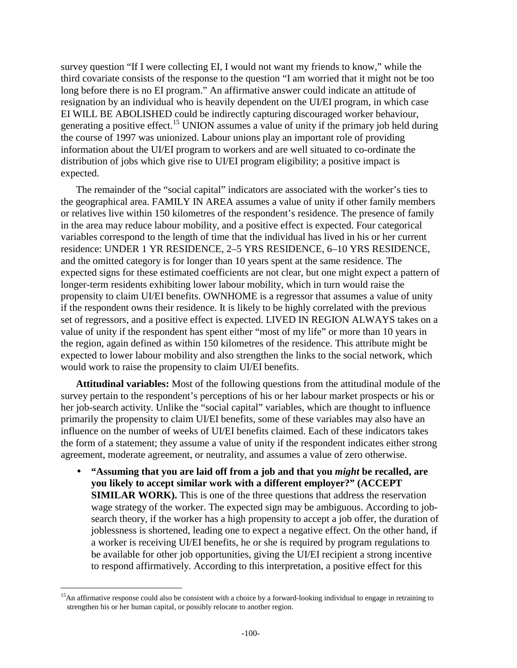survey question "If I were collecting EI, I would not want my friends to know," while the third covariate consists of the response to the question "I am worried that it might not be too long before there is no EI program." An affirmative answer could indicate an attitude of resignation by an individual who is heavily dependent on the UI/EI program, in which case EI WILL BE ABOLISHED could be indirectly capturing discouraged worker behaviour, generating a positive effect.<sup>15</sup> UNION assumes a value of unity if the primary job held during the course of 1997 was unionized. Labour unions play an important role of providing information about the UI/EI program to workers and are well situated to co-ordinate the distribution of jobs which give rise to UI/EI program eligibility; a positive impact is expected.

The remainder of the "social capital" indicators are associated with the worker's ties to the geographical area. FAMILY IN AREA assumes a value of unity if other family members or relatives live within 150 kilometres of the respondent's residence. The presence of family in the area may reduce labour mobility, and a positive effect is expected. Four categorical variables correspond to the length of time that the individual has lived in his or her current residence: UNDER 1 YR RESIDENCE, 2–5 YRS RESIDENCE, 6–10 YRS RESIDENCE, and the omitted category is for longer than 10 years spent at the same residence. The expected signs for these estimated coefficients are not clear, but one might expect a pattern of longer-term residents exhibiting lower labour mobility, which in turn would raise the propensity to claim UI/EI benefits. OWNHOME is a regressor that assumes a value of unity if the respondent owns their residence. It is likely to be highly correlated with the previous set of regressors, and a positive effect is expected. LIVED IN REGION ALWAYS takes on a value of unity if the respondent has spent either "most of my life" or more than 10 years in the region, again defined as within 150 kilometres of the residence. This attribute might be expected to lower labour mobility and also strengthen the links to the social network, which would work to raise the propensity to claim UI/EI benefits.

**Attitudinal variables:** Most of the following questions from the attitudinal module of the survey pertain to the respondent's perceptions of his or her labour market prospects or his or her job-search activity. Unlike the "social capital" variables, which are thought to influence primarily the propensity to claim UI/EI benefits, some of these variables may also have an influence on the number of weeks of UI/EI benefits claimed. Each of these indicators takes the form of a statement; they assume a value of unity if the respondent indicates either strong agreement, moderate agreement, or neutrality, and assumes a value of zero otherwise.

• **"Assuming that you are laid off from a job and that you** *might* **be recalled, are you likely to accept similar work with a different employer?" (ACCEPT SIMILAR WORK).** This is one of the three questions that address the reservation wage strategy of the worker. The expected sign may be ambiguous. According to jobsearch theory, if the worker has a high propensity to accept a job offer, the duration of joblessness is shortened, leading one to expect a negative effect. On the other hand, if a worker is receiving UI/EI benefits, he or she is required by program regulations to be available for other job opportunities, giving the UI/EI recipient a strong incentive to respond affirmatively. According to this interpretation, a positive effect for this

 $15$ An affirmative response could also be consistent with a choice by a forward-looking individual to engage in retraining to strengthen his or her human capital, or possibly relocate to another region.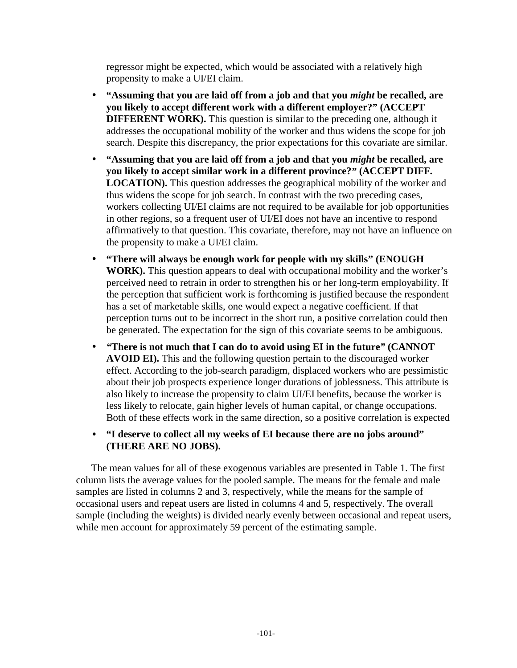regressor might be expected, which would be associated with a relatively high propensity to make a UI/EI claim.

- **"Assuming that you are laid off from a job and that you** *might* **be recalled, are you likely to accept different work with a different employer?" (ACCEPT DIFFERENT WORK).** This question is similar to the preceding one, although it addresses the occupational mobility of the worker and thus widens the scope for job search. Despite this discrepancy, the prior expectations for this covariate are similar.
- **"Assuming that you are laid off from a job and that you** *might* **be recalled, are you likely to accept similar work in a different province?***"* **(ACCEPT DIFF. LOCATION).** This question addresses the geographical mobility of the worker and thus widens the scope for job search. In contrast with the two preceding cases, workers collecting UI/EI claims are not required to be available for job opportunities in other regions, so a frequent user of UI/EI does not have an incentive to respond affirmatively to that question. This covariate, therefore, may not have an influence on the propensity to make a UI/EI claim.
- **"There will always be enough work for people with my skills" (ENOUGH WORK).** This question appears to deal with occupational mobility and the worker's perceived need to retrain in order to strengthen his or her long-term employability. If the perception that sufficient work is forthcoming is justified because the respondent has a set of marketable skills, one would expect a negative coefficient. If that perception turns out to be incorrect in the short run, a positive correlation could then be generated. The expectation for the sign of this covariate seems to be ambiguous.
- *"***There is not much that I can do to avoid using EI in the future***"* **(CANNOT AVOID EI).** This and the following question pertain to the discouraged worker effect. According to the job-search paradigm, displaced workers who are pessimistic about their job prospects experience longer durations of joblessness. This attribute is also likely to increase the propensity to claim UI/EI benefits, because the worker is less likely to relocate, gain higher levels of human capital, or change occupations. Both of these effects work in the same direction, so a positive correlation is expected
- **"I deserve to collect all my weeks of EI because there are no jobs around" (THERE ARE NO JOBS).**

The mean values for all of these exogenous variables are presented in Table 1. The first column lists the average values for the pooled sample. The means for the female and male samples are listed in columns 2 and 3, respectively, while the means for the sample of occasional users and repeat users are listed in columns 4 and 5, respectively. The overall sample (including the weights) is divided nearly evenly between occasional and repeat users, while men account for approximately 59 percent of the estimating sample.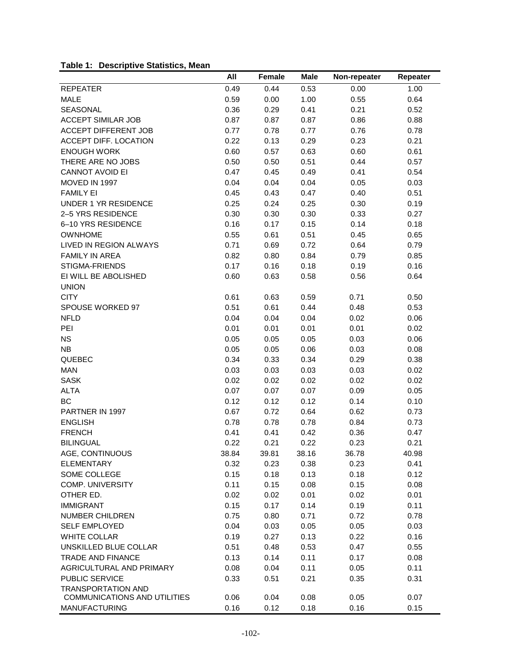### **Table 1: Descriptive Statistics, Mean**

|                              | All   | Female | Male  | Non-repeater | Repeater |
|------------------------------|-------|--------|-------|--------------|----------|
| <b>REPEATER</b>              | 0.49  | 0.44   | 0.53  | 0.00         | 1.00     |
| <b>MALE</b>                  | 0.59  | 0.00   | 1.00  | 0.55         | 0.64     |
| SEASONAL                     | 0.36  | 0.29   | 0.41  | 0.21         | 0.52     |
| <b>ACCEPT SIMILAR JOB</b>    | 0.87  | 0.87   | 0.87  | 0.86         | 0.88     |
| <b>ACCEPT DIFFERENT JOB</b>  | 0.77  | 0.78   | 0.77  | 0.76         | 0.78     |
| ACCEPT DIFF. LOCATION        | 0.22  | 0.13   | 0.29  | 0.23         | 0.21     |
| <b>ENOUGH WORK</b>           | 0.60  | 0.57   | 0.63  | 0.60         | 0.61     |
| THERE ARE NO JOBS            | 0.50  | 0.50   | 0.51  | 0.44         | 0.57     |
| <b>CANNOT AVOID EI</b>       | 0.47  | 0.45   | 0.49  | 0.41         | 0.54     |
| MOVED IN 1997                | 0.04  | 0.04   | 0.04  | 0.05         | 0.03     |
| <b>FAMILY EI</b>             | 0.45  | 0.43   | 0.47  | 0.40         | 0.51     |
| UNDER 1 YR RESIDENCE         | 0.25  | 0.24   | 0.25  | 0.30         | 0.19     |
| 2-5 YRS RESIDENCE            | 0.30  | 0.30   | 0.30  | 0.33         | 0.27     |
| 6-10 YRS RESIDENCE           | 0.16  | 0.17   | 0.15  | 0.14         | 0.18     |
| <b>OWNHOME</b>               | 0.55  | 0.61   | 0.51  | 0.45         | 0.65     |
| LIVED IN REGION ALWAYS       | 0.71  | 0.69   | 0.72  | 0.64         | 0.79     |
| <b>FAMILY IN AREA</b>        | 0.82  | 0.80   | 0.84  | 0.79         | 0.85     |
| STIGMA-FRIENDS               | 0.17  | 0.16   | 0.18  | 0.19         | 0.16     |
| EI WILL BE ABOLISHED         | 0.60  | 0.63   | 0.58  | 0.56         | 0.64     |
| <b>UNION</b>                 |       |        |       |              |          |
| <b>CITY</b>                  | 0.61  | 0.63   | 0.59  | 0.71         | 0.50     |
| SPOUSE WORKED 97             | 0.51  | 0.61   | 0.44  | 0.48         | 0.53     |
| <b>NFLD</b>                  | 0.04  | 0.04   | 0.04  | 0.02         | 0.06     |
| PEI                          | 0.01  | 0.01   | 0.01  | 0.01         | 0.02     |
| <b>NS</b>                    | 0.05  | 0.05   | 0.05  | 0.03         | 0.06     |
| <b>NB</b>                    | 0.05  | 0.05   | 0.06  | 0.03         | 0.08     |
| QUEBEC                       | 0.34  | 0.33   | 0.34  | 0.29         | 0.38     |
| <b>MAN</b>                   | 0.03  | 0.03   | 0.03  | 0.03         | 0.02     |
| <b>SASK</b>                  | 0.02  | 0.02   | 0.02  | 0.02         | 0.02     |
| <b>ALTA</b>                  | 0.07  | 0.07   | 0.07  | 0.09         | 0.05     |
| <b>BC</b>                    | 0.12  | 0.12   | 0.12  | 0.14         | 0.10     |
| PARTNER IN 1997              | 0.67  | 0.72   | 0.64  | 0.62         | 0.73     |
| <b>ENGLISH</b>               | 0.78  | 0.78   | 0.78  | 0.84         | 0.73     |
| <b>FRENCH</b>                | 0.41  | 0.41   | 0.42  | 0.36         | 0.47     |
| <b>BILINGUAL</b>             | 0.22  | 0.21   | 0.22  | 0.23         | 0.21     |
| AGE, CONTINUOUS              | 38.84 | 39.81  | 38.16 | 36.78        | 40.98    |
| <b>ELEMENTARY</b>            | 0.32  | 0.23   | 0.38  | 0.23         | 0.41     |
| SOME COLLEGE                 | 0.15  | 0.18   | 0.13  | 0.18         | 0.12     |
| COMP. UNIVERSITY             | 0.11  | 0.15   | 0.08  | 0.15         | 0.08     |
| OTHER ED.                    | 0.02  | 0.02   | 0.01  | 0.02         | 0.01     |
| <b>IMMIGRANT</b>             | 0.15  | 0.17   | 0.14  | 0.19         | 0.11     |
| NUMBER CHILDREN              | 0.75  | 0.80   | 0.71  | 0.72         | 0.78     |
| <b>SELF EMPLOYED</b>         | 0.04  | 0.03   | 0.05  | 0.05         | 0.03     |
| <b>WHITE COLLAR</b>          | 0.19  | 0.27   | 0.13  | 0.22         | 0.16     |
| UNSKILLED BLUE COLLAR        | 0.51  | 0.48   | 0.53  | 0.47         | 0.55     |
| <b>TRADE AND FINANCE</b>     | 0.13  | 0.14   | 0.11  | 0.17         | 0.08     |
| AGRICULTURAL AND PRIMARY     | 0.08  | 0.04   | 0.11  | 0.05         | 0.11     |
| PUBLIC SERVICE               | 0.33  | 0.51   | 0.21  | 0.35         | 0.31     |
| <b>TRANSPORTATION AND</b>    |       |        |       |              |          |
| COMMUNICATIONS AND UTILITIES | 0.06  | 0.04   | 0.08  | 0.05         | 0.07     |
| <b>MANUFACTURING</b>         | 0.16  | 0.12   | 0.18  | 0.16         | 0.15     |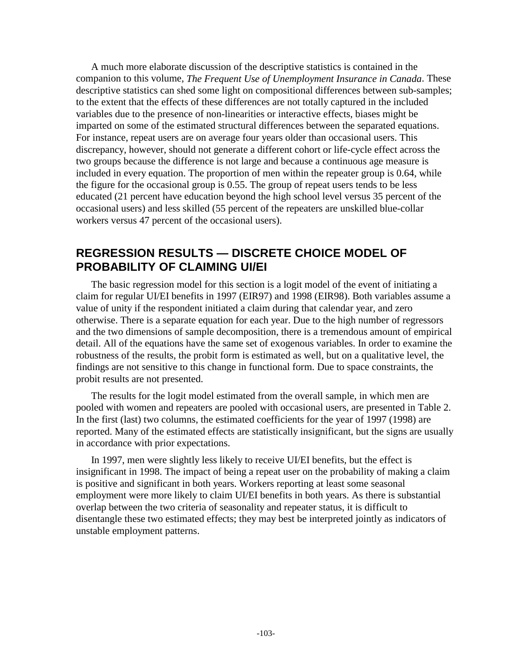A much more elaborate discussion of the descriptive statistics is contained in the companion to this volume, *The Frequent Use of Unemployment Insurance in Canada*. These descriptive statistics can shed some light on compositional differences between sub-samples; to the extent that the effects of these differences are not totally captured in the included variables due to the presence of non-linearities or interactive effects, biases might be imparted on some of the estimated structural differences between the separated equations. For instance, repeat users are on average four years older than occasional users. This discrepancy, however, should not generate a different cohort or life-cycle effect across the two groups because the difference is not large and because a continuous age measure is included in every equation. The proportion of men within the repeater group is 0.64, while the figure for the occasional group is 0.55. The group of repeat users tends to be less educated (21 percent have education beyond the high school level versus 35 percent of the occasional users) and less skilled (55 percent of the repeaters are unskilled blue-collar workers versus 47 percent of the occasional users).

## **REGRESSION RESULTS — DISCRETE CHOICE MODEL OF PROBABILITY OF CLAIMING UI/EI**

The basic regression model for this section is a logit model of the event of initiating a claim for regular UI/EI benefits in 1997 (EIR97) and 1998 (EIR98). Both variables assume a value of unity if the respondent initiated a claim during that calendar year, and zero otherwise. There is a separate equation for each year. Due to the high number of regressors and the two dimensions of sample decomposition, there is a tremendous amount of empirical detail. All of the equations have the same set of exogenous variables. In order to examine the robustness of the results, the probit form is estimated as well, but on a qualitative level, the findings are not sensitive to this change in functional form. Due to space constraints, the probit results are not presented.

The results for the logit model estimated from the overall sample, in which men are pooled with women and repeaters are pooled with occasional users, are presented in Table 2. In the first (last) two columns, the estimated coefficients for the year of 1997 (1998) are reported. Many of the estimated effects are statistically insignificant, but the signs are usually in accordance with prior expectations.

In 1997, men were slightly less likely to receive UI/EI benefits, but the effect is insignificant in 1998. The impact of being a repeat user on the probability of making a claim is positive and significant in both years. Workers reporting at least some seasonal employment were more likely to claim UI/EI benefits in both years. As there is substantial overlap between the two criteria of seasonality and repeater status, it is difficult to disentangle these two estimated effects; they may best be interpreted jointly as indicators of unstable employment patterns.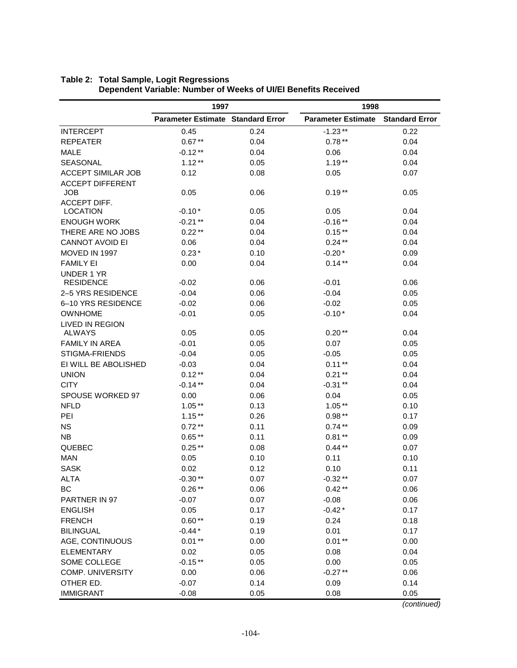|                                       | 1997                                     |      | 1998                      |                       |
|---------------------------------------|------------------------------------------|------|---------------------------|-----------------------|
|                                       | <b>Parameter Estimate Standard Error</b> |      | <b>Parameter Estimate</b> | <b>Standard Error</b> |
| <b>INTERCEPT</b>                      | 0.45                                     | 0.24 | $-1.23**$                 | 0.22                  |
| <b>REPEATER</b>                       | $0.67**$                                 | 0.04 | $0.78**$                  | 0.04                  |
| <b>MALE</b>                           | $-0.12**$                                | 0.04 | 0.06                      | 0.04                  |
| <b>SEASONAL</b>                       | $1.12**$                                 | 0.05 | $1.19**$                  | 0.04                  |
| <b>ACCEPT SIMILAR JOB</b>             | 0.12                                     | 0.08 | 0.05                      | 0.07                  |
| <b>ACCEPT DIFFERENT</b><br><b>JOB</b> | 0.05                                     | 0.06 | $0.19**$                  | 0.05                  |
| ACCEPT DIFF.                          |                                          |      |                           |                       |
| <b>LOCATION</b><br><b>ENOUGH WORK</b> | $-0.10*$                                 | 0.05 | 0.05                      | 0.04                  |
|                                       | $-0.21**$                                | 0.04 | $-0.16**$                 | 0.04                  |
| THERE ARE NO JOBS                     | $0.22**$                                 | 0.04 | $0.15**$                  | 0.04                  |
| <b>CANNOT AVOID EI</b>                | 0.06                                     | 0.04 | $0.24***$                 | 0.04                  |
| MOVED IN 1997                         | $0.23*$                                  | 0.10 | $-0.20*$                  | 0.09                  |
| <b>FAMILY EI</b>                      | 0.00                                     | 0.04 | $0.14**$                  | 0.04                  |
| <b>UNDER 1 YR</b><br><b>RESIDENCE</b> | $-0.02$                                  | 0.06 | $-0.01$                   | 0.06                  |
| 2-5 YRS RESIDENCE                     | $-0.04$                                  | 0.06 | $-0.04$                   | 0.05                  |
| 6-10 YRS RESIDENCE                    | $-0.02$                                  | 0.06 | $-0.02$                   | 0.05                  |
| OWNHOME                               | $-0.01$                                  | 0.05 | $-0.10*$                  | 0.04                  |
| <b>LIVED IN REGION</b>                |                                          |      |                           |                       |
| ALWAYS                                | 0.05                                     | 0.05 | $0.20**$                  | 0.04                  |
| <b>FAMILY IN AREA</b>                 | $-0.01$                                  | 0.05 | 0.07                      | 0.05                  |
| STIGMA-FRIENDS                        | $-0.04$                                  | 0.05 | $-0.05$                   | 0.05                  |
| EI WILL BE ABOLISHED                  | $-0.03$                                  | 0.04 | $0.11**$                  | 0.04                  |
| <b>UNION</b>                          | $0.12***$                                | 0.04 | $0.21**$                  | 0.04                  |
| <b>CITY</b>                           | $-0.14**$                                | 0.04 | $-0.31***$                | 0.04                  |
| SPOUSE WORKED 97                      | 0.00                                     | 0.06 | 0.04                      | 0.05                  |
| <b>NFLD</b>                           | $1.05**$                                 | 0.13 | $1.05**$                  | 0.10                  |
| PEI                                   | $1.15**$                                 | 0.26 | $0.98**$                  | 0.17                  |
| <b>NS</b>                             | $0.72**$                                 | 0.11 | $0.74***$                 | 0.09                  |
| <b>NB</b>                             | $0.65**$                                 | 0.11 | $0.81**$                  | 0.09                  |
| QUEBEC                                | $0.25***$                                | 0.08 | $0.44**$                  | 0.07                  |
| <b>MAN</b>                            | 0.05                                     | 0.10 | 0.11                      | 0.10                  |
| <b>SASK</b>                           | 0.02                                     | 0.12 | 0.10                      | 0.11                  |
| <b>ALTA</b>                           | $-0.30**$                                | 0.07 | $-0.32**$                 | 0.07                  |
| BC                                    | $0.26**$                                 | 0.06 | $0.42**$                  | 0.06                  |
| PARTNER IN 97                         | $-0.07$                                  | 0.07 | $-0.08$                   | 0.06                  |
| <b>ENGLISH</b>                        | 0.05                                     | 0.17 | $-0.42*$                  | 0.17                  |
| <b>FRENCH</b>                         | $0.60**$                                 | 0.19 | 0.24                      | 0.18                  |
| <b>BILINGUAL</b>                      | $-0.44*$                                 | 0.19 | 0.01                      | 0.17                  |
| AGE, CONTINUOUS                       | $0.01**$                                 | 0.00 | $0.01**$                  | 0.00                  |
| <b>ELEMENTARY</b>                     | 0.02                                     | 0.05 | 0.08                      | 0.04                  |
| SOME COLLEGE                          | $-0.15**$                                | 0.05 | 0.00                      | 0.05                  |
| <b>COMP. UNIVERSITY</b>               | 0.00                                     | 0.06 | $-0.27**$                 | 0.06                  |
| OTHER ED.                             | $-0.07$                                  | 0.14 | 0.09                      | 0.14                  |
| <b>IMMIGRANT</b>                      | $-0.08$                                  | 0.05 | 0.08                      | 0.05                  |

### **Table 2: Total Sample, Logit Regressions Dependent Variable: Number of Weeks of UI/EI Benefits Received**

(continued)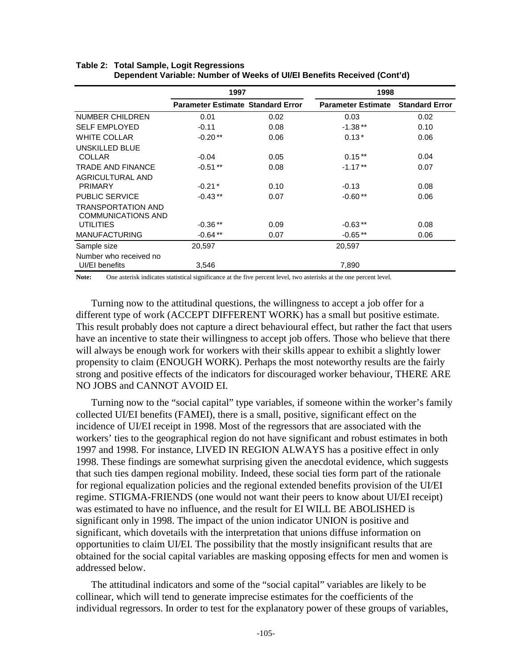|                           | 1997                                     |      | 1998                      |                       |
|---------------------------|------------------------------------------|------|---------------------------|-----------------------|
|                           | <b>Parameter Estimate Standard Error</b> |      | <b>Parameter Estimate</b> | <b>Standard Error</b> |
| NUMBER CHILDREN           | 0.01                                     | 0.02 | 0.03                      | 0.02                  |
| <b>SELF EMPLOYED</b>      | $-0.11$                                  | 0.08 | $-1.38**$                 | 0.10                  |
| <b>WHITE COLLAR</b>       | $-0.20**$                                | 0.06 | $0.13*$                   | 0.06                  |
| UNSKILLED BLUE            |                                          |      |                           |                       |
| <b>COLLAR</b>             | $-0.04$                                  | 0.05 | $0.15***$                 | 0.04                  |
| TRADE AND FINANCE         | $-0.51**$                                | 0.08 | $-1.17**$                 | 0.07                  |
| <b>AGRICULTURAL AND</b>   |                                          |      |                           |                       |
| <b>PRIMARY</b>            | $-0.21*$                                 | 0.10 | $-0.13$                   | 0.08                  |
| <b>PUBLIC SERVICE</b>     | $-0.43**$                                | 0.07 | $-0.60**$                 | 0.06                  |
| TRANSPORTATION AND        |                                          |      |                           |                       |
| <b>COMMUNICATIONS AND</b> |                                          |      |                           |                       |
| <b>UTILITIES</b>          | $-0.36**$                                | 0.09 | $-0.63**$                 | 0.08                  |
| <b>MANUFACTURING</b>      | $-0.64**$                                | 0.07 | $-0.65**$                 | 0.06                  |
| Sample size               | 20,597                                   |      | 20,597                    |                       |
| Number who received no    |                                          |      |                           |                       |
| UI/EI benefits            | 3,546                                    |      | 7,890                     |                       |

#### **Table 2: Total Sample, Logit Regressions Dependent Variable: Number of Weeks of UI/EI Benefits Received (Cont'd)**

**Note:** One asterisk indicates statistical significance at the five percent level, two asterisks at the one percent level.

Turning now to the attitudinal questions, the willingness to accept a job offer for a different type of work (ACCEPT DIFFERENT WORK) has a small but positive estimate. This result probably does not capture a direct behavioural effect, but rather the fact that users have an incentive to state their willingness to accept job offers. Those who believe that there will always be enough work for workers with their skills appear to exhibit a slightly lower propensity to claim (ENOUGH WORK). Perhaps the most noteworthy results are the fairly strong and positive effects of the indicators for discouraged worker behaviour, THERE ARE NO JOBS and CANNOT AVOID EI.

Turning now to the "social capital" type variables, if someone within the worker's family collected UI/EI benefits (FAMEI), there is a small, positive, significant effect on the incidence of UI/EI receipt in 1998. Most of the regressors that are associated with the workers' ties to the geographical region do not have significant and robust estimates in both 1997 and 1998. For instance, LIVED IN REGION ALWAYS has a positive effect in only 1998. These findings are somewhat surprising given the anecdotal evidence, which suggests that such ties dampen regional mobility. Indeed, these social ties form part of the rationale for regional equalization policies and the regional extended benefits provision of the UI/EI regime. STIGMA-FRIENDS (one would not want their peers to know about UI/EI receipt) was estimated to have no influence, and the result for EI WILL BE ABOLISHED is significant only in 1998. The impact of the union indicator UNION is positive and significant, which dovetails with the interpretation that unions diffuse information on opportunities to claim UI/EI. The possibility that the mostly insignificant results that are obtained for the social capital variables are masking opposing effects for men and women is addressed below.

The attitudinal indicators and some of the "social capital" variables are likely to be collinear, which will tend to generate imprecise estimates for the coefficients of the individual regressors. In order to test for the explanatory power of these groups of variables,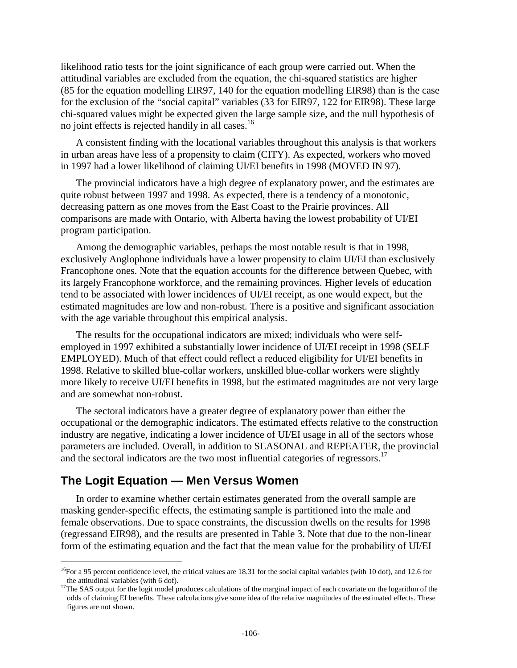likelihood ratio tests for the joint significance of each group were carried out. When the attitudinal variables are excluded from the equation, the chi-squared statistics are higher (85 for the equation modelling EIR97, 140 for the equation modelling EIR98) than is the case for the exclusion of the "social capital" variables (33 for EIR97, 122 for EIR98). These large chi-squared values might be expected given the large sample size, and the null hypothesis of no joint effects is rejected handily in all cases.<sup>16</sup>

A consistent finding with the locational variables throughout this analysis is that workers in urban areas have less of a propensity to claim (CITY). As expected, workers who moved in 1997 had a lower likelihood of claiming UI/EI benefits in 1998 (MOVED IN 97).

The provincial indicators have a high degree of explanatory power, and the estimates are quite robust between 1997 and 1998. As expected, there is a tendency of a monotonic, decreasing pattern as one moves from the East Coast to the Prairie provinces. All comparisons are made with Ontario, with Alberta having the lowest probability of UI/EI program participation.

Among the demographic variables, perhaps the most notable result is that in 1998, exclusively Anglophone individuals have a lower propensity to claim UI/EI than exclusively Francophone ones. Note that the equation accounts for the difference between Quebec, with its largely Francophone workforce, and the remaining provinces. Higher levels of education tend to be associated with lower incidences of UI/EI receipt, as one would expect, but the estimated magnitudes are low and non-robust. There is a positive and significant association with the age variable throughout this empirical analysis.

The results for the occupational indicators are mixed; individuals who were selfemployed in 1997 exhibited a substantially lower incidence of UI/EI receipt in 1998 (SELF EMPLOYED). Much of that effect could reflect a reduced eligibility for UI/EI benefits in 1998. Relative to skilled blue-collar workers, unskilled blue-collar workers were slightly more likely to receive UI/EI benefits in 1998, but the estimated magnitudes are not very large and are somewhat non-robust.

The sectoral indicators have a greater degree of explanatory power than either the occupational or the demographic indicators. The estimated effects relative to the construction industry are negative, indicating a lower incidence of UI/EI usage in all of the sectors whose parameters are included. Overall, in addition to SEASONAL and REPEATER, the provincial and the sectoral indicators are the two most influential categories of regressors.<sup>17</sup>

## **The Logit Equation — Men Versus Women**

l

In order to examine whether certain estimates generated from the overall sample are masking gender-specific effects, the estimating sample is partitioned into the male and female observations. Due to space constraints, the discussion dwells on the results for 1998 (regressand EIR98), and the results are presented in Table 3. Note that due to the non-linear form of the estimating equation and the fact that the mean value for the probability of UI/EI

<sup>&</sup>lt;sup>16</sup>For a 95 percent confidence level, the critical values are 18.31 for the social capital variables (with 10 dof), and 12.6 for the attitudinal variables (with 6 dof).<br><sup>17</sup>The SAS output for the logit model produces calculations of the marginal impact of each covariate on the logarithm of the

odds of claiming EI benefits. These calculations give some idea of the relative magnitudes of the estimated effects. These figures are not shown.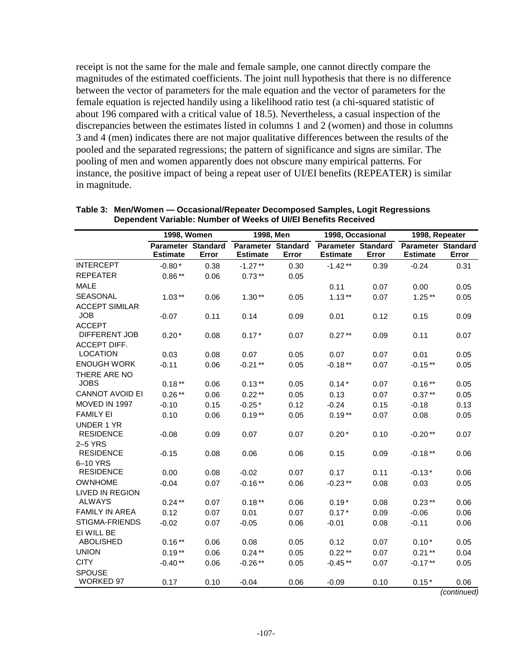receipt is not the same for the male and female sample, one cannot directly compare the magnitudes of the estimated coefficients. The joint null hypothesis that there is no difference between the vector of parameters for the male equation and the vector of parameters for the female equation is rejected handily using a likelihood ratio test (a chi-squared statistic of about 196 compared with a critical value of 18.5). Nevertheless, a casual inspection of the discrepancies between the estimates listed in columns 1 and 2 (women) and those in columns 3 and 4 (men) indicates there are not major qualitative differences between the results of the pooled and the separated regressions; the pattern of significance and signs are similar. The pooling of men and women apparently does not obscure many empirical patterns. For instance, the positive impact of being a repeat user of UI/EI benefits (REPEATER) is similar in magnitude.

|                             | 1998, Women                                  |       | 1998, Men                                    |       | 1998, Occasional                             |       | 1998, Repeater                        |       |
|-----------------------------|----------------------------------------------|-------|----------------------------------------------|-------|----------------------------------------------|-------|---------------------------------------|-------|
|                             | <b>Parameter Standard</b><br><b>Estimate</b> | Error | <b>Parameter Standard</b><br><b>Estimate</b> | Error | <b>Parameter Standard</b><br><b>Estimate</b> | Error | Parameter Standard<br><b>Estimate</b> | Error |
| <b>INTERCEPT</b>            | $-0.80*$                                     | 0.38  | $-1.27**$                                    | 0.30  | $-1.42**$                                    | 0.39  | $-0.24$                               | 0.31  |
| <b>REPEATER</b>             | $0.86**$                                     | 0.06  | $0.73**$                                     | 0.05  |                                              |       |                                       |       |
| <b>MALE</b>                 |                                              |       |                                              |       | 0.11                                         | 0.07  | 0.00                                  | 0.05  |
| <b>SEASONAL</b>             | $1.03***$                                    | 0.06  | $1.30**$                                     | 0.05  | $1.13***$                                    | 0.07  | $1.25***$                             | 0.05  |
| <b>ACCEPT SIMILAR</b>       |                                              |       |                                              |       |                                              |       |                                       |       |
| <b>JOB</b>                  | $-0.07$                                      | 0.11  | 0.14                                         | 0.09  | 0.01                                         | 0.12  | 0.15                                  | 0.09  |
| <b>ACCEPT</b>               |                                              |       |                                              |       |                                              |       |                                       |       |
| DIFFERENT JOB               | $0.20*$                                      | 0.08  | $0.17*$                                      | 0.07  | $0.27**$                                     | 0.09  | 0.11                                  | 0.07  |
| <b>ACCEPT DIFF.</b>         |                                              |       |                                              |       |                                              |       |                                       |       |
| <b>LOCATION</b>             | 0.03                                         | 0.08  | 0.07                                         | 0.05  | 0.07                                         | 0.07  | 0.01                                  | 0.05  |
| <b>ENOUGH WORK</b>          | $-0.11$                                      | 0.06  | $-0.21**$                                    | 0.05  | $-0.18**$                                    | 0.07  | $-0.15**$                             | 0.05  |
| THERE ARE NO<br><b>JOBS</b> |                                              |       |                                              |       |                                              |       |                                       |       |
| <b>CANNOT AVOID EI</b>      | $0.18**$<br>$0.26**$                         | 0.06  | $0.13**$                                     | 0.05  | $0.14*$                                      | 0.07  | $0.16**$                              | 0.05  |
| MOVED IN 1997               |                                              | 0.06  | $0.22**$                                     | 0.05  | 0.13                                         | 0.07  | $0.37**$                              | 0.05  |
| <b>FAMILY EI</b>            | $-0.10$                                      | 0.15  | $-0.25*$                                     | 0.12  | $-0.24$                                      | 0.15  | $-0.18$                               | 0.13  |
| <b>UNDER 1 YR</b>           | 0.10                                         | 0.06  | $0.19**$                                     | 0.05  | $0.19***$                                    | 0.07  | 0.08                                  | 0.05  |
| <b>RESIDENCE</b>            | $-0.08$                                      | 0.09  | 0.07                                         | 0.07  | $0.20*$                                      | 0.10  | $-0.20**$                             | 0.07  |
| $2-5$ YRS                   |                                              |       |                                              |       |                                              |       |                                       |       |
| <b>RESIDENCE</b>            | $-0.15$                                      | 0.08  | 0.06                                         | 0.06  | 0.15                                         | 0.09  | $-0.18**$                             | 0.06  |
| 6-10 YRS                    |                                              |       |                                              |       |                                              |       |                                       |       |
| <b>RESIDENCE</b>            | 0.00                                         | 0.08  | $-0.02$                                      | 0.07  | 0.17                                         | 0.11  | $-0.13*$                              | 0.06  |
| <b>OWNHOME</b>              | $-0.04$                                      | 0.07  | $-0.16**$                                    | 0.06  | $-0.23**$                                    | 0.08  | 0.03                                  | 0.05  |
| <b>LIVED IN REGION</b>      |                                              |       |                                              |       |                                              |       |                                       |       |
| <b>ALWAYS</b>               | $0.24**$                                     | 0.07  | $0.18**$                                     | 0.06  | $0.19*$                                      | 0.08  | $0.23**$                              | 0.06  |
| <b>FAMILY IN AREA</b>       | 0.12                                         | 0.07  | 0.01                                         | 0.07  | $0.17*$                                      | 0.09  | $-0.06$                               | 0.06  |
| <b>STIGMA-FRIENDS</b>       | $-0.02$                                      | 0.07  | $-0.05$                                      | 0.06  | $-0.01$                                      | 0.08  | $-0.11$                               | 0.06  |
| EI WILL BE                  |                                              |       |                                              |       |                                              |       |                                       |       |
| <b>ABOLISHED</b>            | $0.16**$                                     | 0.06  | 0.08                                         | 0.05  | 0.12                                         | 0.07  | $0.10*$                               | 0.05  |
| <b>UNION</b>                | $0.19**$                                     | 0.06  | $0.24***$                                    | 0.05  | $0.22**$                                     | 0.07  | $0.21**$                              | 0.04  |
| <b>CITY</b>                 | $-0.40**$                                    | 0.06  | $-0.26**$                                    | 0.05  | $-0.45**$                                    | 0.07  | $-0.17**$                             | 0.05  |
| <b>SPOUSE</b>               |                                              |       |                                              |       |                                              |       |                                       |       |
| <b>WORKED 97</b>            | 0.17                                         | 0.10  | $-0.04$                                      | 0.06  | $-0.09$                                      | 0.10  | $0.15*$                               | 0.06  |

| Table 3: Men/Women - Occasional/Repeater Decomposed Samples, Logit Regressions |
|--------------------------------------------------------------------------------|
| Dependent Variable: Number of Weeks of UI/EI Benefits Received                 |

(continued)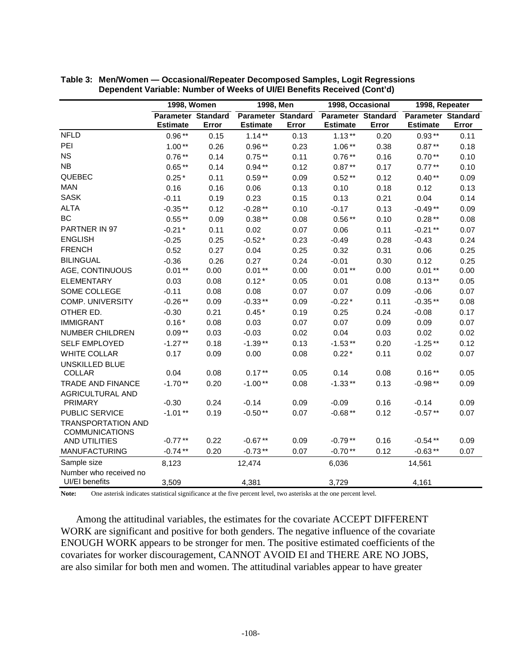|                                                    | <b>1998, Women</b>                           |       | 1998, Men                                    |       | 1998, Occasional                             |       | 1998, Repeater                               |       |
|----------------------------------------------------|----------------------------------------------|-------|----------------------------------------------|-------|----------------------------------------------|-------|----------------------------------------------|-------|
|                                                    | <b>Parameter Standard</b><br><b>Estimate</b> | Error | <b>Parameter Standard</b><br><b>Estimate</b> | Error | <b>Parameter Standard</b><br><b>Estimate</b> | Error | <b>Parameter Standard</b><br><b>Estimate</b> | Error |
| <b>NFLD</b>                                        | $0.96**$                                     | 0.15  | $1.14***$                                    | 0.13  | $1.13***$                                    | 0.20  | $0.93***$                                    | 0.11  |
| PEI                                                | $1.00**$                                     | 0.26  | $0.96**$                                     | 0.23  | $1.06**$                                     | 0.38  | $0.87**$                                     | 0.18  |
| <b>NS</b>                                          | $0.76**$                                     | 0.14  | $0.75**$                                     | 0.11  | $0.76**$                                     | 0.16  | $0.70**$                                     | 0.10  |
| NB                                                 | $0.65**$                                     | 0.14  | $0.94**$                                     | 0.12  | $0.87**$                                     | 0.17  | $0.77**$                                     | 0.10  |
| QUEBEC                                             | $0.25*$                                      | 0.11  | $0.59**$                                     | 0.09  | $0.52**$                                     | 0.12  | $0.40**$                                     | 0.09  |
| <b>MAN</b>                                         | 0.16                                         | 0.16  | 0.06                                         | 0.13  | 0.10                                         | 0.18  | 0.12                                         | 0.13  |
| <b>SASK</b>                                        | $-0.11$                                      | 0.19  | 0.23                                         | 0.15  | 0.13                                         | 0.21  | 0.04                                         | 0.14  |
| <b>ALTA</b>                                        | $-0.35**$                                    | 0.12  | $-0.28**$                                    | 0.10  | $-0.17$                                      | 0.13  | $-0.49**$                                    | 0.09  |
| <b>BC</b>                                          | $0.55**$                                     | 0.09  | $0.38**$                                     | 0.08  | $0.56**$                                     | 0.10  | $0.28**$                                     | 0.08  |
| PARTNER IN 97                                      | $-0.21*$                                     | 0.11  | 0.02                                         | 0.07  | 0.06                                         | 0.11  | $-0.21**$                                    | 0.07  |
| <b>ENGLISH</b>                                     | $-0.25$                                      | 0.25  | $-0.52*$                                     | 0.23  | $-0.49$                                      | 0.28  | $-0.43$                                      | 0.24  |
| <b>FRENCH</b>                                      | 0.52                                         | 0.27  | 0.04                                         | 0.25  | 0.32                                         | 0.31  | 0.06                                         | 0.25  |
| <b>BILINGUAL</b>                                   | $-0.36$                                      | 0.26  | 0.27                                         | 0.24  | $-0.01$                                      | 0.30  | 0.12                                         | 0.25  |
| AGE, CONTINUOUS                                    | $0.01**$                                     | 0.00  | $0.01**$                                     | 0.00  | $0.01**$                                     | 0.00  | $0.01**$                                     | 0.00  |
| <b>ELEMENTARY</b>                                  | 0.03                                         | 0.08  | $0.12*$                                      | 0.05  | 0.01                                         | 0.08  | $0.13**$                                     | 0.05  |
| SOME COLLEGE                                       | $-0.11$                                      | 0.08  | 0.08                                         | 0.07  | 0.07                                         | 0.09  | $-0.06$                                      | 0.07  |
| <b>COMP. UNIVERSITY</b>                            | $-0.26**$                                    | 0.09  | $-0.33**$                                    | 0.09  | $-0.22*$                                     | 0.11  | $-0.35**$                                    | 0.08  |
| OTHER ED.                                          | $-0.30$                                      | 0.21  | $0.45*$                                      | 0.19  | 0.25                                         | 0.24  | $-0.08$                                      | 0.17  |
| <b>IMMIGRANT</b>                                   | $0.16*$                                      | 0.08  | 0.03                                         | 0.07  | 0.07                                         | 0.09  | 0.09                                         | 0.07  |
| <b>NUMBER CHILDREN</b>                             | $0.09**$                                     | 0.03  | $-0.03$                                      | 0.02  | 0.04                                         | 0.03  | 0.02                                         | 0.02  |
| <b>SELF EMPLOYED</b>                               | $-1.27**$                                    | 0.18  | $-1.39**$                                    | 0.13  | $-1.53**$                                    | 0.20  | $-1.25**$                                    | 0.12  |
| <b>WHITE COLLAR</b>                                | 0.17                                         | 0.09  | 0.00                                         | 0.08  | $0.22*$                                      | 0.11  | 0.02                                         | 0.07  |
| <b>UNSKILLED BLUE</b>                              |                                              |       |                                              |       |                                              |       |                                              |       |
| <b>COLLAR</b>                                      | 0.04                                         | 0.08  | $0.17***$                                    | 0.05  | 0.14                                         | 0.08  | $0.16**$                                     | 0.05  |
| <b>TRADE AND FINANCE</b>                           | $-1.70**$                                    | 0.20  | $-1.00**$                                    | 0.08  | $-1.33**$                                    | 0.13  | $-0.98**$                                    | 0.09  |
| <b>AGRICULTURAL AND</b>                            |                                              |       |                                              |       |                                              |       |                                              |       |
| <b>PRIMARY</b>                                     | $-0.30$                                      | 0.24  | $-0.14$                                      | 0.09  | $-0.09$                                      | 0.16  | $-0.14$                                      | 0.09  |
| PUBLIC SERVICE                                     | $-1.01**$                                    | 0.19  | $-0.50**$                                    | 0.07  | $-0.68**$                                    | 0.12  | $-0.57**$                                    | 0.07  |
| <b>TRANSPORTATION AND</b><br><b>COMMUNICATIONS</b> |                                              |       |                                              |       |                                              |       |                                              |       |
| AND UTILITIES                                      | $-0.77**$                                    | 0.22  | $-0.67**$                                    | 0.09  | $-0.79**$                                    | 0.16  | $-0.54**$                                    | 0.09  |
| <b>MANUFACTURING</b>                               | $-0.74**$                                    | 0.20  | $-0.73**$                                    | 0.07  | $-0.70**$                                    | 0.12  | $-0.63**$                                    | 0.07  |
| Sample size                                        | 8,123                                        |       | 12,474                                       |       | 6,036                                        |       | 14,561                                       |       |
| Number who received no                             |                                              |       |                                              |       |                                              |       |                                              |       |
| UI/EI benefits                                     | 3,509                                        |       | 4,381                                        |       | 3,729                                        |       | 4,161                                        |       |

**Table 3: Men/Women — Occasional/Repeater Decomposed Samples, Logit Regressions Dependent Variable: Number of Weeks of UI/EI Benefits Received (Cont'd)** 

**Note:** One asterisk indicates statistical significance at the five percent level, two asterisks at the one percent level.

Among the attitudinal variables, the estimates for the covariate ACCEPT DIFFERENT WORK are significant and positive for both genders. The negative influence of the covariate ENOUGH WORK appears to be stronger for men. The positive estimated coefficients of the covariates for worker discouragement, CANNOT AVOID EI and THERE ARE NO JOBS, are also similar for both men and women. The attitudinal variables appear to have greater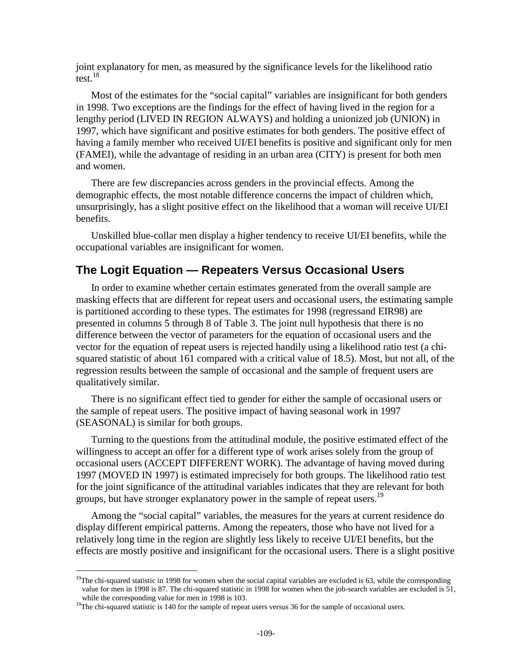joint explanatory for men, as measured by the significance levels for the likelihood ratio test.18

Most of the estimates for the "social capital" variables are insignificant for both genders in 1998. Two exceptions are the findings for the effect of having lived in the region for a lengthy period (LIVED IN REGION ALWAYS) and holding a unionized job (UNION) in 1997, which have significant and positive estimates for both genders. The positive effect of having a family member who received UI/EI benefits is positive and significant only for men (FAMEI), while the advantage of residing in an urban area (CITY) is present for both men and women.

There are few discrepancies across genders in the provincial effects. Among the demographic effects, the most notable difference concerns the impact of children which, unsurprisingly, has a slight positive effect on the likelihood that a woman will receive UI/EI benefits.

Unskilled blue-collar men display a higher tendency to receive UI/EI benefits, while the occupational variables are insignificant for women.

## **The Logit Equation — Repeaters Versus Occasional Users**

In order to examine whether certain estimates generated from the overall sample are masking effects that are different for repeat users and occasional users, the estimating sample is partitioned according to these types. The estimates for 1998 (regressand EIR98) are presented in columns 5 through 8 of Table 3. The joint null hypothesis that there is no difference between the vector of parameters for the equation of occasional users and the vector for the equation of repeat users is rejected handily using a likelihood ratio test (a chisquared statistic of about 161 compared with a critical value of 18.5). Most, but not all, of the regression results between the sample of occasional and the sample of frequent users are qualitatively similar.

There is no significant effect tied to gender for either the sample of occasional users or the sample of repeat users. The positive impact of having seasonal work in 1997 (SEASONAL) is similar for both groups.

Turning to the questions from the attitudinal module, the positive estimated effect of the willingness to accept an offer for a different type of work arises solely from the group of occasional users (ACCEPT DIFFERENT WORK). The advantage of having moved during 1997 (MOVED IN 1997) is estimated imprecisely for both groups. The likelihood ratio test for the joint significance of the attitudinal variables indicates that they are relevant for both groups, but have stronger explanatory power in the sample of repeat users.<sup>19</sup>

Among the "social capital" variables, the measures for the years at current residence do display different empirical patterns. Among the repeaters, those who have not lived for a relatively long time in the region are slightly less likely to receive UI/EI benefits, but the effects are mostly positive and insignificant for the occasional users. There is a slight positive

 $19$ The chi-squared statistic in 1998 for women when the social capital variables are excluded is 63, while the corresponding value for men in 1998 is 87. The chi-squared statistic in 1998 for women when the job-search variables are excluded is 51,

<sup>&</sup>lt;sup>19</sup>The chi-squared statistic is 140 for the sample of repeat users versus 36 for the sample of occasional users.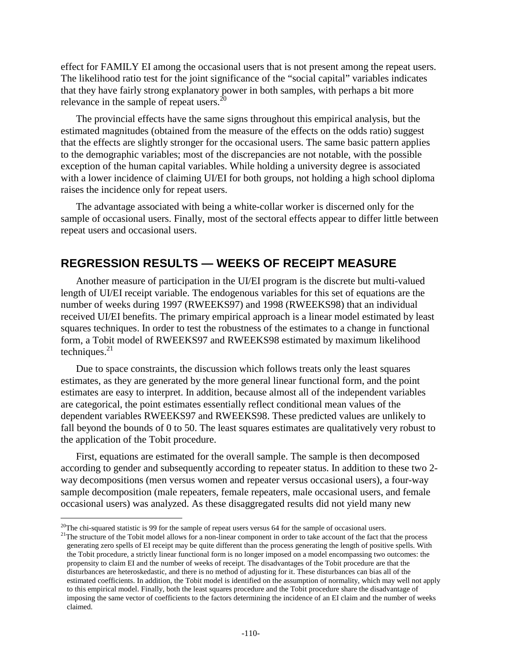effect for FAMILY EI among the occasional users that is not present among the repeat users. The likelihood ratio test for the joint significance of the "social capital" variables indicates that they have fairly strong explanatory power in both samples, with perhaps a bit more relevance in the sample of repeat users.<sup>20</sup>

The provincial effects have the same signs throughout this empirical analysis, but the estimated magnitudes (obtained from the measure of the effects on the odds ratio) suggest that the effects are slightly stronger for the occasional users. The same basic pattern applies to the demographic variables; most of the discrepancies are not notable, with the possible exception of the human capital variables. While holding a university degree is associated with a lower incidence of claiming UI/EI for both groups, not holding a high school diploma raises the incidence only for repeat users.

The advantage associated with being a white-collar worker is discerned only for the sample of occasional users. Finally, most of the sectoral effects appear to differ little between repeat users and occasional users.

## **REGRESSION RESULTS — WEEKS OF RECEIPT MEASURE**

Another measure of participation in the UI/EI program is the discrete but multi-valued length of UI/EI receipt variable. The endogenous variables for this set of equations are the number of weeks during 1997 (RWEEKS97) and 1998 (RWEEKS98) that an individual received UI/EI benefits. The primary empirical approach is a linear model estimated by least squares techniques. In order to test the robustness of the estimates to a change in functional form, a Tobit model of RWEEKS97 and RWEEKS98 estimated by maximum likelihood techniques. $^{21}$ 

Due to space constraints, the discussion which follows treats only the least squares estimates, as they are generated by the more general linear functional form, and the point estimates are easy to interpret. In addition, because almost all of the independent variables are categorical, the point estimates essentially reflect conditional mean values of the dependent variables RWEEKS97 and RWEEKS98. These predicted values are unlikely to fall beyond the bounds of 0 to 50. The least squares estimates are qualitatively very robust to the application of the Tobit procedure.

First, equations are estimated for the overall sample. The sample is then decomposed according to gender and subsequently according to repeater status. In addition to these two 2 way decompositions (men versus women and repeater versus occasional users), a four-way sample decomposition (male repeaters, female repeaters, male occasional users, and female occasional users) was analyzed. As these disaggregated results did not yield many new

<sup>&</sup>lt;sup>20</sup>The chi-squared statistic is 99 for the sample of repeat users versus 64 for the sample of occasional users.

<sup>&</sup>lt;sup>21</sup>The structure of the Tobit model allows for a non-linear component in order to take account of the fact that the process generating zero spells of EI receipt may be quite different than the process generating the length of positive spells. With the Tobit procedure, a strictly linear functional form is no longer imposed on a model encompassing two outcomes: the propensity to claim EI and the number of weeks of receipt. The disadvantages of the Tobit procedure are that the disturbances are heteroskedastic, and there is no method of adjusting for it. These disturbances can bias all of the estimated coefficients. In addition, the Tobit model is identified on the assumption of normality, which may well not apply to this empirical model. Finally, both the least squares procedure and the Tobit procedure share the disadvantage of imposing the same vector of coefficients to the factors determining the incidence of an EI claim and the number of weeks claimed.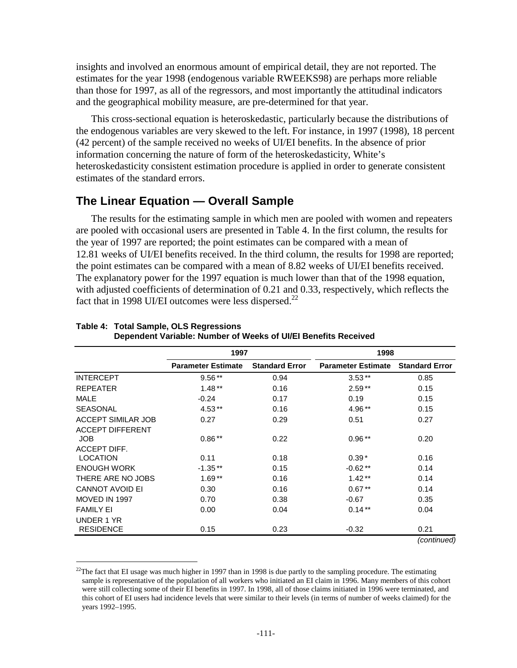insights and involved an enormous amount of empirical detail, they are not reported. The estimates for the year 1998 (endogenous variable RWEEKS98) are perhaps more reliable than those for 1997, as all of the regressors, and most importantly the attitudinal indicators and the geographical mobility measure, are pre-determined for that year.

This cross-sectional equation is heteroskedastic, particularly because the distributions of the endogenous variables are very skewed to the left. For instance, in 1997 (1998), 18 percent (42 percent) of the sample received no weeks of UI/EI benefits. In the absence of prior information concerning the nature of form of the heteroskedasticity, White's heteroskedasticity consistent estimation procedure is applied in order to generate consistent estimates of the standard errors.

## **The Linear Equation — Overall Sample**

l

The results for the estimating sample in which men are pooled with women and repeaters are pooled with occasional users are presented in Table 4. In the first column, the results for the year of 1997 are reported; the point estimates can be compared with a mean of 12.81 weeks of UI/EI benefits received. In the third column, the results for 1998 are reported; the point estimates can be compared with a mean of 8.82 weeks of UI/EI benefits received. The explanatory power for the 1997 equation is much lower than that of the 1998 equation, with adjusted coefficients of determination of 0.21 and 0.33, respectively, which reflects the fact that in 1998 UI/EI outcomes were less dispersed.<sup>22</sup>

|                           | 1997                      |                       | 1998                      |                       |
|---------------------------|---------------------------|-----------------------|---------------------------|-----------------------|
|                           | <b>Parameter Estimate</b> | <b>Standard Error</b> | <b>Parameter Estimate</b> | <b>Standard Error</b> |
| <b>INTERCEPT</b>          | $9.56***$                 | 0.94                  | $3.53**$                  | 0.85                  |
| <b>REPEATER</b>           | $1.48**$                  | 0.16                  | $2.59**$                  | 0.15                  |
| <b>MALE</b>               | $-0.24$                   | 0.17                  | 0.19                      | 0.15                  |
| <b>SEASONAL</b>           | $4.53**$                  | 0.16                  | 4.96**                    | 0.15                  |
| <b>ACCEPT SIMILAR JOB</b> | 0.27                      | 0.29                  | 0.51                      | 0.27                  |
| <b>ACCEPT DIFFERENT</b>   |                           |                       |                           |                       |
| <b>JOB</b>                | $0.86**$                  | 0.22                  | $0.96***$                 | 0.20                  |
| ACCEPT DIFF.              |                           |                       |                           |                       |
| <b>LOCATION</b>           | 0.11                      | 0.18                  | $0.39*$                   | 0.16                  |
| <b>ENOUGH WORK</b>        | $-1.35**$                 | 0.15                  | $-0.62**$                 | 0.14                  |
| THERE ARE NO JOBS         | $1.69**$                  | 0.16                  | $1.42**$                  | 0.14                  |
| <b>CANNOT AVOID EI</b>    | 0.30                      | 0.16                  | $0.67**$                  | 0.14                  |
| MOVED IN 1997             | 0.70                      | 0.38                  | $-0.67$                   | 0.35                  |
| <b>FAMILY EI</b>          | 0.00                      | 0.04                  | $0.14**$                  | 0.04                  |
| UNDER 1 YR                |                           |                       |                           |                       |
| <b>RESIDENCE</b>          | 0.15                      | 0.23                  | $-0.32$                   | 0.21                  |
|                           |                           |                       |                           | (continued)           |

#### **Table 4: Total Sample, OLS Regressions Dependent Variable: Number of Weeks of UI/EI Benefits Received**

 $22$ The fact that EI usage was much higher in 1997 than in 1998 is due partly to the sampling procedure. The estimating sample is representative of the population of all workers who initiated an EI claim in 1996. Many members of this cohort were still collecting some of their EI benefits in 1997. In 1998, all of those claims initiated in 1996 were terminated, and this cohort of EI users had incidence levels that were similar to their levels (in terms of number of weeks claimed) for the years 1992–1995.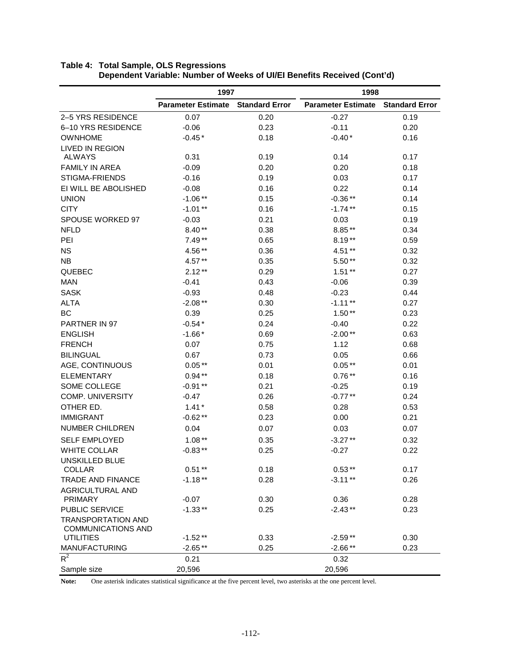|                                                        | 1997                      |                       | 1998                      |                       |  |
|--------------------------------------------------------|---------------------------|-----------------------|---------------------------|-----------------------|--|
|                                                        | <b>Parameter Estimate</b> | <b>Standard Error</b> | <b>Parameter Estimate</b> | <b>Standard Error</b> |  |
| 2-5 YRS RESIDENCE                                      | 0.07                      | 0.20                  | $-0.27$                   | 0.19                  |  |
| 6-10 YRS RESIDENCE                                     | $-0.06$                   | 0.23                  | $-0.11$                   | 0.20                  |  |
| <b>OWNHOME</b>                                         | $-0.45*$                  | 0.18                  | $-0.40*$                  | 0.16                  |  |
| <b>LIVED IN REGION</b>                                 |                           |                       |                           |                       |  |
| <b>ALWAYS</b>                                          | 0.31                      | 0.19                  | 0.14                      | 0.17                  |  |
| <b>FAMILY IN AREA</b>                                  | $-0.09$                   | 0.20                  | 0.20                      | 0.18                  |  |
| STIGMA-FRIENDS                                         | $-0.16$                   | 0.19                  | 0.03                      | 0.17                  |  |
| EI WILL BE ABOLISHED                                   | $-0.08$                   | 0.16                  | 0.22                      | 0.14                  |  |
| <b>UNION</b>                                           | $-1.06**$                 | 0.15                  | $-0.36**$                 | 0.14                  |  |
| <b>CITY</b>                                            | $-1.01**$                 | 0.16                  | $-1.74**$                 | 0.15                  |  |
| SPOUSE WORKED 97                                       | $-0.03$                   | 0.21                  | 0.03                      | 0.19                  |  |
| <b>NFLD</b>                                            | $8.40**$                  | 0.38                  | $8.85**$                  | 0.34                  |  |
| PEI                                                    | $7.49**$                  | 0.65                  | $8.19**$                  | 0.59                  |  |
| <b>NS</b>                                              | 4.56**                    | 0.36                  | 4.51**                    | 0.32                  |  |
| <b>NB</b>                                              | $4.57**$                  | 0.35                  | $5.50**$                  | 0.32                  |  |
| QUEBEC                                                 | $2.12**$                  | 0.29                  | $1.51**$                  | 0.27                  |  |
| <b>MAN</b>                                             | $-0.41$                   | 0.43                  | $-0.06$                   | 0.39                  |  |
| <b>SASK</b>                                            | $-0.93$                   | 0.48                  | $-0.23$                   | 0.44                  |  |
| <b>ALTA</b>                                            | $-2.08**$                 | 0.30                  | $-1.11**$                 | 0.27                  |  |
| <b>BC</b>                                              | 0.39                      | 0.25                  | $1.50**$                  | 0.23                  |  |
| PARTNER IN 97                                          | $-0.54*$                  | 0.24                  | $-0.40$                   | 0.22                  |  |
| <b>ENGLISH</b>                                         | $-1.66*$                  | 0.69                  | $-2.00**$                 | 0.63                  |  |
| <b>FRENCH</b>                                          | 0.07                      | 0.75                  | 1.12                      | 0.68                  |  |
| <b>BILINGUAL</b>                                       | 0.67                      | 0.73                  | 0.05                      | 0.66                  |  |
| AGE, CONTINUOUS                                        | $0.05**$                  | 0.01                  | $0.05**$                  | 0.01                  |  |
| <b>ELEMENTARY</b>                                      | $0.94**$                  | 0.18                  | $0.76**$                  | 0.16                  |  |
| SOME COLLEGE                                           | $-0.91**$                 | 0.21                  | $-0.25$                   | 0.19                  |  |
| <b>COMP. UNIVERSITY</b>                                | $-0.47$                   | 0.26                  | $-0.77**$                 | 0.24                  |  |
| OTHER ED.                                              | $1.41*$                   | 0.58                  | 0.28                      | 0.53                  |  |
| <b>IMMIGRANT</b>                                       | $-0.62**$                 | 0.23                  | 0.00                      | 0.21                  |  |
| <b>NUMBER CHILDREN</b>                                 | 0.04                      | 0.07                  | 0.03                      | 0.07                  |  |
| <b>SELF EMPLOYED</b>                                   | $1.08**$                  | 0.35                  | $-3.27**$                 | 0.32                  |  |
| <b>WHITE COLLAR</b>                                    | $-0.83**$                 | 0.25                  | $-0.27$                   | 0.22                  |  |
| UNSKILLED BLUE                                         |                           |                       |                           |                       |  |
| <b>COLLAR</b>                                          | $0.51**$                  | 0.18                  | $0.53**$                  | 0.17                  |  |
| <b>TRADE AND FINANCE</b>                               | $-1.18**$                 | 0.28                  | $-3.11**$                 | 0.26                  |  |
| <b>AGRICULTURAL AND</b>                                |                           |                       |                           |                       |  |
| <b>PRIMARY</b>                                         | $-0.07$                   | 0.30                  | 0.36                      | 0.28                  |  |
| PUBLIC SERVICE                                         | $-1.33**$                 | 0.25                  | $-2.43**$                 | 0.23                  |  |
| <b>TRANSPORTATION AND</b><br><b>COMMUNICATIONS AND</b> |                           |                       |                           |                       |  |
| <b>UTILITIES</b>                                       | $-1.52**$                 | 0.33                  | $-2.59**$                 | 0.30                  |  |
| <b>MANUFACTURING</b>                                   | $-2.65**$                 | 0.25                  | $-2.66**$                 | 0.23                  |  |
| $R^2$                                                  | 0.21                      |                       | 0.32                      |                       |  |
| Sample size                                            | 20,596                    |                       | 20,596                    |                       |  |

### **Table 4: Total Sample, OLS Regressions Dependent Variable: Number of Weeks of UI/EI Benefits Received (Cont'd)**

**Note:** One asterisk indicates statistical significance at the five percent level, two asterisks at the one percent level.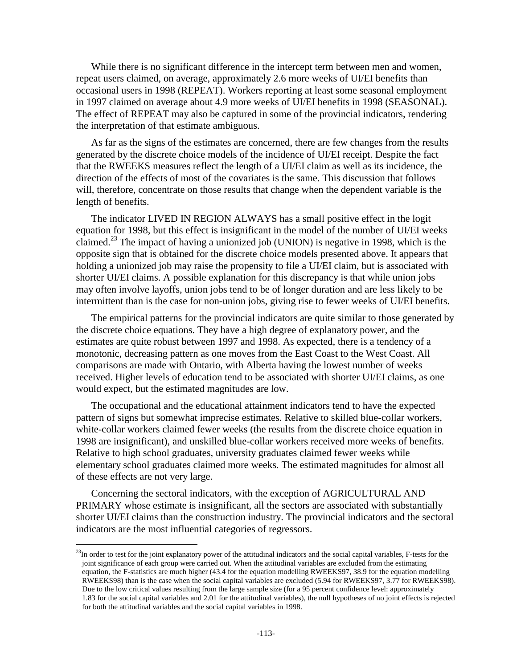While there is no significant difference in the intercept term between men and women, repeat users claimed, on average, approximately 2.6 more weeks of UI/EI benefits than occasional users in 1998 (REPEAT). Workers reporting at least some seasonal employment in 1997 claimed on average about 4.9 more weeks of UI/EI benefits in 1998 (SEASONAL). The effect of REPEAT may also be captured in some of the provincial indicators, rendering the interpretation of that estimate ambiguous.

As far as the signs of the estimates are concerned, there are few changes from the results generated by the discrete choice models of the incidence of UI/EI receipt. Despite the fact that the RWEEKS measures reflect the length of a UI/EI claim as well as its incidence, the direction of the effects of most of the covariates is the same. This discussion that follows will, therefore, concentrate on those results that change when the dependent variable is the length of benefits.

The indicator LIVED IN REGION ALWAYS has a small positive effect in the logit equation for 1998, but this effect is insignificant in the model of the number of UI/EI weeks claimed.<sup>23</sup> The impact of having a unionized job (UNION) is negative in 1998, which is the opposite sign that is obtained for the discrete choice models presented above. It appears that holding a unionized job may raise the propensity to file a UI/EI claim, but is associated with shorter UI/EI claims. A possible explanation for this discrepancy is that while union jobs may often involve layoffs, union jobs tend to be of longer duration and are less likely to be intermittent than is the case for non-union jobs, giving rise to fewer weeks of UI/EI benefits.

The empirical patterns for the provincial indicators are quite similar to those generated by the discrete choice equations. They have a high degree of explanatory power, and the estimates are quite robust between 1997 and 1998. As expected, there is a tendency of a monotonic, decreasing pattern as one moves from the East Coast to the West Coast. All comparisons are made with Ontario, with Alberta having the lowest number of weeks received. Higher levels of education tend to be associated with shorter UI/EI claims, as one would expect, but the estimated magnitudes are low.

The occupational and the educational attainment indicators tend to have the expected pattern of signs but somewhat imprecise estimates. Relative to skilled blue-collar workers, white-collar workers claimed fewer weeks (the results from the discrete choice equation in 1998 are insignificant), and unskilled blue-collar workers received more weeks of benefits. Relative to high school graduates, university graduates claimed fewer weeks while elementary school graduates claimed more weeks. The estimated magnitudes for almost all of these effects are not very large.

Concerning the sectoral indicators, with the exception of AGRICULTURAL AND PRIMARY whose estimate is insignificant, all the sectors are associated with substantially shorter UI/EI claims than the construction industry. The provincial indicators and the sectoral indicators are the most influential categories of regressors.

 $^{23}$ In order to test for the joint explanatory power of the attitudinal indicators and the social capital variables, F-tests for the joint significance of each group were carried out. When the attitudinal variables are excluded from the estimating equation, the F-statistics are much higher (43.4 for the equation modelling RWEEKS97, 38.9 for the equation modelling RWEEKS98) than is the case when the social capital variables are excluded (5.94 for RWEEKS97, 3.77 for RWEEKS98). Due to the low critical values resulting from the large sample size (for a 95 percent confidence level: approximately 1.83 for the social capital variables and 2.01 for the attitudinal variables), the null hypotheses of no joint effects is rejected for both the attitudinal variables and the social capital variables in 1998.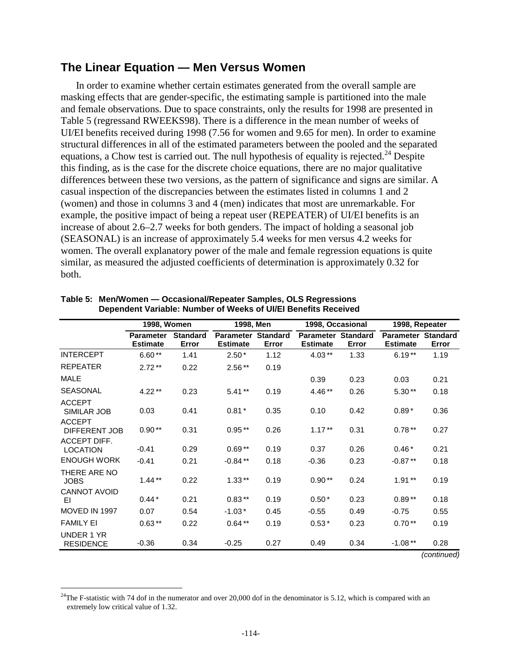### **The Linear Equation — Men Versus Women**

In order to examine whether certain estimates generated from the overall sample are masking effects that are gender-specific, the estimating sample is partitioned into the male and female observations. Due to space constraints, only the results for 1998 are presented in Table 5 (regressand RWEEKS98). There is a difference in the mean number of weeks of UI/EI benefits received during 1998 (7.56 for women and 9.65 for men). In order to examine structural differences in all of the estimated parameters between the pooled and the separated equations, a Chow test is carried out. The null hypothesis of equality is rejected.<sup>24</sup> Despite this finding, as is the case for the discrete choice equations, there are no major qualitative differences between these two versions, as the pattern of significance and signs are similar. A casual inspection of the discrepancies between the estimates listed in columns 1 and 2 (women) and those in columns 3 and 4 (men) indicates that most are unremarkable. For example, the positive impact of being a repeat user (REPEATER) of UI/EI benefits is an increase of about 2.6–2.7 weeks for both genders. The impact of holding a seasonal job (SEASONAL) is an increase of approximately 5.4 weeks for men versus 4.2 weeks for women. The overall explanatory power of the male and female regression equations is quite similar, as measured the adjusted coefficients of determination is approximately 0.32 for both.

|                                 | 1998, Women                         |                          | 1998, Men                           |                          | 1998, Occasional                             |       | 1998, Repeater                               |                    |
|---------------------------------|-------------------------------------|--------------------------|-------------------------------------|--------------------------|----------------------------------------------|-------|----------------------------------------------|--------------------|
|                                 | <b>Parameter</b><br><b>Estimate</b> | <b>Standard</b><br>Error | <b>Parameter</b><br><b>Estimate</b> | <b>Standard</b><br>Error | <b>Parameter Standard</b><br><b>Estimate</b> | Error | <b>Parameter Standard</b><br><b>Estimate</b> | Error              |
| <b>INTERCEPT</b>                | $6.60**$                            | 1.41                     | $2.50*$                             | 1.12                     | $4.03**$                                     | 1.33  | $6.19**$                                     | 1.19               |
| <b>REPEATER</b>                 | $2.72**$                            | 0.22                     | $2.56**$                            | 0.19                     |                                              |       |                                              |                    |
| <b>MALE</b>                     |                                     |                          |                                     |                          | 0.39                                         | 0.23  | 0.03                                         | 0.21               |
| <b>SEASONAL</b>                 | $4.22**$                            | 0.23                     | $5.41**$                            | 0.19                     | $4.46**$                                     | 0.26  | $5.30**$                                     | 0.18               |
| <b>ACCEPT</b><br>SIMILAR JOB    | 0.03                                | 0.41                     | $0.81*$                             | 0.35                     | 0.10                                         | 0.42  | $0.89*$                                      | 0.36               |
| <b>ACCEPT</b><br>DIFFERENT JOB  | $0.90**$                            | 0.31                     | $0.95**$                            | 0.26                     | $1.17***$                                    | 0.31  | $0.78**$                                     | 0.27               |
| ACCEPT DIFF.<br><b>LOCATION</b> | $-0.41$                             | 0.29                     | $0.69**$                            | 0.19                     | 0.37                                         | 0.26  | $0.46*$                                      | 0.21               |
| <b>ENOUGH WORK</b>              | $-0.41$                             | 0.21                     | $-0.84**$                           | 0.18                     | $-0.36$                                      | 0.23  | $-0.87**$                                    | 0.18               |
| THERE ARE NO<br><b>JOBS</b>     | $1.44**$                            | 0.22                     | $1.33**$                            | 0.19                     | $0.90**$                                     | 0.24  | $1.91**$                                     | 0.19               |
| <b>CANNOT AVOID</b><br>EI       | $0.44*$                             | 0.21                     | $0.83**$                            | 0.19                     | $0.50*$                                      | 0.23  | $0.89**$                                     | 0.18               |
| MOVED IN 1997                   | 0.07                                | 0.54                     | $-1.03*$                            | 0.45                     | $-0.55$                                      | 0.49  | $-0.75$                                      | 0.55               |
| <b>FAMILY EI</b>                | $0.63***$                           | 0.22                     | $0.64***$                           | 0.19                     | $0.53*$                                      | 0.23  | $0.70**$                                     | 0.19               |
| UNDER 1 YR<br><b>RESIDENCE</b>  | $-0.36$                             | 0.34                     | $-0.25$                             | 0.27                     | 0.49                                         | 0.34  | $-1.08**$                                    | 0.28<br>$\sqrt{2}$ |

#### **Table 5: Men/Women — Occasional/Repeater Samples, OLS Regressions Dependent Variable: Number of Weeks of UI/EI Benefits Received**

<sup>(</sup>continued)

<sup>&</sup>lt;sup>24</sup>The F-statistic with 74 dof in the numerator and over 20,000 dof in the denominator is 5.12, which is compared with an extremely low critical value of 1.32.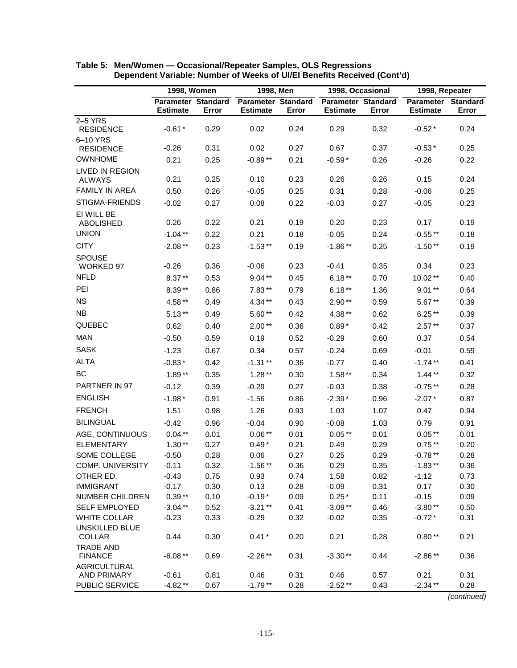|                                         | 1998, Women                                  |              | 1998, Men                                    |              | 1998, Occasional                             |              | 1998, Repeater                        |              |
|-----------------------------------------|----------------------------------------------|--------------|----------------------------------------------|--------------|----------------------------------------------|--------------|---------------------------------------|--------------|
|                                         | <b>Parameter Standard</b><br><b>Estimate</b> | Error        | <b>Parameter Standard</b><br><b>Estimate</b> | Error        | <b>Parameter Standard</b><br><b>Estimate</b> | Error        | Parameter Standard<br><b>Estimate</b> | Error        |
| 2-5 YRS                                 |                                              |              |                                              |              |                                              |              |                                       |              |
| <b>RESIDENCE</b>                        | $-0.61*$                                     | 0.29         | 0.02                                         | 0.24         | 0.29                                         | 0.32         | $-0.52*$                              | 0.24         |
| 6-10 YRS                                | $-0.26$                                      | 0.31         | 0.02                                         | 0.27         | 0.67                                         | 0.37         | $-0.53*$                              | 0.25         |
| <b>RESIDENCE</b><br><b>OWNHOME</b>      |                                              |              |                                              |              |                                              |              |                                       |              |
|                                         | 0.21                                         | 0.25         | $-0.89**$                                    | 0.21         | $-0.59*$                                     | 0.26         | $-0.26$                               | 0.22         |
| <b>LIVED IN REGION</b><br><b>ALWAYS</b> | 0.21                                         | 0.25         | 0.10                                         | 0.23         | 0.26                                         | 0.26         | 0.15                                  | 0.24         |
| <b>FAMILY IN AREA</b>                   | 0.50                                         | 0.26         | $-0.05$                                      | 0.25         | 0.31                                         | 0.28         | $-0.06$                               | 0.25         |
| STIGMA-FRIENDS                          | $-0.02$                                      | 0.27         | 0.08                                         | 0.22         | $-0.03$                                      | 0.27         | $-0.05$                               | 0.23         |
| EI WILL BE                              |                                              |              |                                              |              |                                              |              |                                       |              |
| <b>ABOLISHED</b>                        | 0.26                                         | 0.22         | 0.21                                         | 0.19         | 0.20                                         | 0.23         | 0.17                                  | 0.19         |
| <b>UNION</b>                            | $-1.04**$                                    | 0.22         | 0.21                                         | 0.18         | $-0.05$                                      | 0.24         | $-0.55**$                             | 0.18         |
| <b>CITY</b>                             | $-2.08**$                                    | 0.23         | $-1.53**$                                    | 0.19         | $-1.86**$                                    | 0.25         | $-1.50**$                             | 0.19         |
| <b>SPOUSE</b>                           |                                              |              |                                              |              |                                              |              |                                       |              |
| <b>WORKED 97</b>                        | $-0.26$                                      | 0.36         | $-0.06$                                      | 0.23         | $-0.41$                                      | 0.35         | 0.34                                  | 0.23         |
| <b>NFLD</b>                             | $8.37**$                                     | 0.53         | $9.04**$                                     | 0.45         | $6.18**$                                     | 0.70         | 10.02**                               | 0.40         |
| PEI                                     | $8.39**$                                     | 0.86         | $7.83**$                                     | 0.79         | $6.18**$                                     | 1.36         | $9.01**$                              | 0.64         |
| <b>NS</b>                               | 4.58**                                       | 0.49         | 4.34**                                       | 0.43         | $2.90**$                                     | 0.59         | $5.67**$                              | 0.39         |
| <b>NB</b>                               | $5.13**$                                     | 0.49         | $5.60**$                                     | 0.42         | 4.38**                                       | 0.62         | $6.25**$                              | 0.39         |
| <b>QUEBEC</b>                           | 0.62                                         | 0.40         | $2.00**$                                     | 0.36         | $0.89*$                                      | 0.42         | $2.57**$                              | 0.37         |
| <b>MAN</b>                              | $-0.50$                                      | 0.59         | 0.19                                         | 0.52         | $-0.29$                                      | 0.60         | 0.37                                  | 0.54         |
| <b>SASK</b>                             | $-1.23$                                      | 0.67         | 0.34                                         | 0.57         | $-0.24$                                      | 0.69         | $-0.01$                               | 0.59         |
| <b>ALTA</b>                             | $-0.83*$                                     | 0.42         | $-1.31**$                                    | 0.36         | $-0.77$                                      | 0.40         | $-1.74**$                             | 0.41         |
| BC                                      | $1.89**$                                     | 0.35         | $1.28**$                                     | 0.30         | $1.58**$                                     | 0.34         | $1.44**$                              | 0.32         |
| PARTNER IN 97                           | $-0.12$                                      | 0.39         | $-0.29$                                      | 0.27         | $-0.03$                                      | 0.38         | $-0.75**$                             | 0.28         |
| <b>ENGLISH</b>                          |                                              |              |                                              |              |                                              |              |                                       |              |
| <b>FRENCH</b>                           | $-1.98*$                                     | 0.91         | $-1.56$                                      | 0.86         | $-2.39*$                                     | 0.96         | $-2.07*$                              | 0.87         |
|                                         | 1.51                                         | 0.98         | 1.26                                         | 0.93         | 1.03                                         | 1.07         | 0.47                                  | 0.94         |
| <b>BILINGUAL</b>                        | $-0.42$                                      | 0.96         | $-0.04$                                      | 0.90         | $-0.08$                                      | 1.03         | 0.79                                  | 0.91         |
| AGE, CONTINUOUS                         | $0.04***$                                    | 0.01         | $0.06**$                                     | 0.01         | $0.05**$                                     | 0.01         | $0.05**$                              | 0.01         |
| <b>ELEMENTARY</b><br>SOME COLLEGE       | $1.30**$                                     | 0.27<br>0.28 | $0.49*$                                      | 0.21<br>0.27 | 0.49<br>0.25                                 | 0.29<br>0.29 | $0.75**$                              | 0.20<br>0.28 |
| <b>COMP. UNIVERSITY</b>                 | $-0.50$<br>$-0.11$                           | 0.32         | 0.06<br>$-1.56**$                            | 0.36         | $-0.29$                                      | 0.35         | $-0.78**$<br>$-1.83**$                | 0.36         |
| OTHER ED.                               | $-0.43$                                      | 0.75         | 0.93                                         | 0.74         | 1.58                                         | 0.82         | $-1.12$                               | 0.73         |
| <b>IMMIGRANT</b>                        | $-0.17$                                      | 0.30         | 0.13                                         | 0.28         | $-0.09$                                      | 0.31         | 0.17                                  | 0.30         |
| <b>NUMBER CHILDREN</b>                  | $0.39**$                                     | 0.10         | $-0.19*$                                     | 0.09         | $0.25*$                                      | 0.11         | $-0.15$                               | 0.09         |
| <b>SELF EMPLOYED</b>                    | $-3.04**$                                    | 0.52         | $-3.21**$                                    | 0.41         | $-3.09**$                                    | 0.46         | $-3.80**$                             | 0.50         |
| <b>WHITE COLLAR</b>                     | $-0.23$                                      | 0.33         | $-0.29$                                      | 0.32         | $-0.02$                                      | 0.35         | $-0.72*$                              | 0.31         |
| UNSKILLED BLUE                          |                                              |              |                                              |              |                                              |              |                                       |              |
| <b>COLLAR</b>                           | 0.44                                         | 0.30         | $0.41*$                                      | 0.20         | 0.21                                         | 0.28         | $0.80**$                              | 0.21         |
| <b>TRADE AND</b><br><b>FINANCE</b>      | $-6.08**$                                    | 0.69         | $-2.26**$                                    | 0.31         | $-3.30**$                                    | 0.44         | $-2.86**$                             | 0.36         |
| <b>AGRICULTURAL</b>                     |                                              |              |                                              |              |                                              |              |                                       |              |
| AND PRIMARY                             | $-0.61$                                      | 0.81         | 0.46                                         | 0.31         | 0.46                                         | 0.57         | 0.21                                  | 0.31         |
| PUBLIC SERVICE                          | $-4.82**$                                    | 0.67         | $-1.79**$                                    | 0.28         | $-2.52**$                                    | 0.43         | $-2.34**$                             | 0.28         |

| Table 5: Men/Women - Occasional/Repeater Samples, OLS Regressions       |
|-------------------------------------------------------------------------|
| Dependent Variable: Number of Weeks of UI/EI Benefits Received (Cont'd) |

(continued)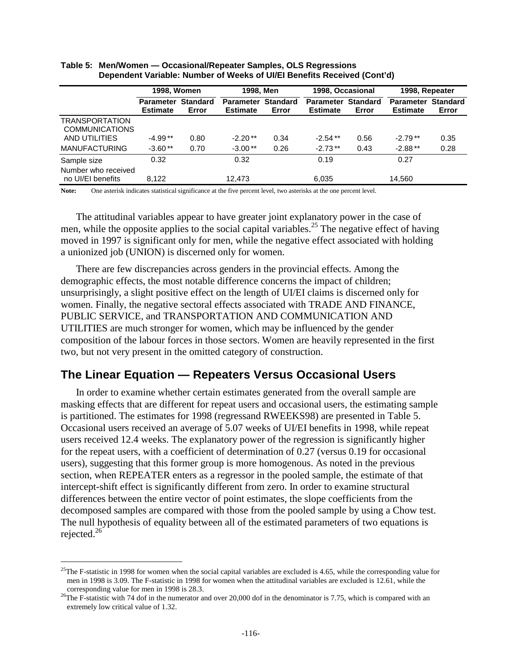|                                                | <b>1998, Women</b>                  |                          | 1998, Men                             |       | 1998, Occasional                    |                          | 1998, Repeater               |                          |
|------------------------------------------------|-------------------------------------|--------------------------|---------------------------------------|-------|-------------------------------------|--------------------------|------------------------------|--------------------------|
|                                                | <b>Parameter</b><br><b>Estimate</b> | <b>Standard</b><br>Error | Parameter Standard<br><b>Estimate</b> | Error | <b>Parameter</b><br><b>Estimate</b> | <b>Standard</b><br>Error | Parameter<br><b>Estimate</b> | <b>Standard</b><br>Error |
| <b>TRANSPORTATION</b><br><b>COMMUNICATIONS</b> |                                     |                          |                                       |       |                                     |                          |                              |                          |
| AND UTILITIES                                  | $-4.99**$                           | 0.80                     | $-2.20**$                             | 0.34  | $-2.54**$                           | 0.56                     | $-2.79**$                    | 0.35                     |
| <b>MANUFACTURING</b>                           | $-3.60**$                           | 0.70                     | $-3.00**$                             | 0.26  | $-2.73**$                           | 0.43                     | $-2.88**$                    | 0.28                     |
| Sample size<br>Number who received             | 0.32                                |                          | 0.32                                  |       | 0.19                                |                          | 0.27                         |                          |
| no UI/EI benefits                              | 8.122                               |                          | 12,473                                |       | 6,035                               |                          | 14,560                       |                          |

#### **Table 5: Men/Women — Occasional/Repeater Samples, OLS Regressions Dependent Variable: Number of Weeks of UI/EI Benefits Received (Cont'd)**

**Note:** One asterisk indicates statistical significance at the five percent level, two asterisks at the one percent level.

The attitudinal variables appear to have greater joint explanatory power in the case of men, while the opposite applies to the social capital variables.<sup>25</sup> The negative effect of having moved in 1997 is significant only for men, while the negative effect associated with holding a unionized job (UNION) is discerned only for women.

There are few discrepancies across genders in the provincial effects. Among the demographic effects, the most notable difference concerns the impact of children; unsurprisingly, a slight positive effect on the length of UI/EI claims is discerned only for women. Finally, the negative sectoral effects associated with TRADE AND FINANCE, PUBLIC SERVICE, and TRANSPORTATION AND COMMUNICATION AND UTILITIES are much stronger for women, which may be influenced by the gender composition of the labour forces in those sectors. Women are heavily represented in the first two, but not very present in the omitted category of construction.

## **The Linear Equation — Repeaters Versus Occasional Users**

In order to examine whether certain estimates generated from the overall sample are masking effects that are different for repeat users and occasional users, the estimating sample is partitioned. The estimates for 1998 (regressand RWEEKS98) are presented in Table 5. Occasional users received an average of 5.07 weeks of UI/EI benefits in 1998, while repeat users received 12.4 weeks. The explanatory power of the regression is significantly higher for the repeat users, with a coefficient of determination of 0.27 (versus 0.19 for occasional users), suggesting that this former group is more homogenous. As noted in the previous section, when REPEATER enters as a regressor in the pooled sample, the estimate of that intercept-shift effect is significantly different from zero. In order to examine structural differences between the entire vector of point estimates, the slope coefficients from the decomposed samples are compared with those from the pooled sample by using a Chow test. The null hypothesis of equality between all of the estimated parameters of two equations is rejected.26

 $^{25}$ The F-statistic in 1998 for women when the social capital variables are excluded is 4.65, while the corresponding value for men in 1998 is 3.09. The F-statistic in 1998 for women when the attitudinal variables are excluded is 12.61, while the

corresponding value for men in 1998 is 28.3.<br><sup>26</sup>The F-statistic with 74 dof in the numerator and over 20,000 dof in the denominator is 7.75, which is compared with an extremely low critical value of 1.32.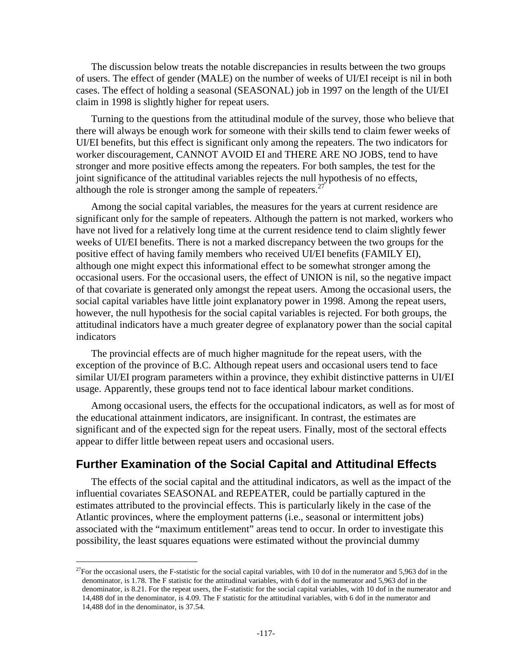The discussion below treats the notable discrepancies in results between the two groups of users. The effect of gender (MALE) on the number of weeks of UI/EI receipt is nil in both cases. The effect of holding a seasonal (SEASONAL) job in 1997 on the length of the UI/EI claim in 1998 is slightly higher for repeat users.

Turning to the questions from the attitudinal module of the survey, those who believe that there will always be enough work for someone with their skills tend to claim fewer weeks of UI/EI benefits, but this effect is significant only among the repeaters. The two indicators for worker discouragement, CANNOT AVOID EI and THERE ARE NO JOBS, tend to have stronger and more positive effects among the repeaters. For both samples, the test for the joint significance of the attitudinal variables rejects the null hypothesis of no effects, although the role is stronger among the sample of repeaters. $27$ 

Among the social capital variables, the measures for the years at current residence are significant only for the sample of repeaters. Although the pattern is not marked, workers who have not lived for a relatively long time at the current residence tend to claim slightly fewer weeks of UI/EI benefits. There is not a marked discrepancy between the two groups for the positive effect of having family members who received UI/EI benefits (FAMILY EI), although one might expect this informational effect to be somewhat stronger among the occasional users. For the occasional users, the effect of UNION is nil, so the negative impact of that covariate is generated only amongst the repeat users. Among the occasional users, the social capital variables have little joint explanatory power in 1998. Among the repeat users, however, the null hypothesis for the social capital variables is rejected. For both groups, the attitudinal indicators have a much greater degree of explanatory power than the social capital indicators

The provincial effects are of much higher magnitude for the repeat users, with the exception of the province of B.C. Although repeat users and occasional users tend to face similar UI/EI program parameters within a province, they exhibit distinctive patterns in UI/EI usage. Apparently, these groups tend not to face identical labour market conditions.

Among occasional users, the effects for the occupational indicators, as well as for most of the educational attainment indicators, are insignificant. In contrast, the estimates are significant and of the expected sign for the repeat users. Finally, most of the sectoral effects appear to differ little between repeat users and occasional users.

## **Further Examination of the Social Capital and Attitudinal Effects**

The effects of the social capital and the attitudinal indicators, as well as the impact of the influential covariates SEASONAL and REPEATER, could be partially captured in the estimates attributed to the provincial effects. This is particularly likely in the case of the Atlantic provinces, where the employment patterns (i.e., seasonal or intermittent jobs) associated with the "maximum entitlement" areas tend to occur. In order to investigate this possibility, the least squares equations were estimated without the provincial dummy

 $^{27}$ For the occasional users, the F-statistic for the social capital variables, with 10 dof in the numerator and 5,963 dof in the denominator, is 1.78. The F statistic for the attitudinal variables, with 6 dof in the numerator and 5,963 dof in the denominator, is 8.21. For the repeat users, the F-statistic for the social capital variables, with 10 dof in the numerator and 14,488 dof in the denominator, is 4.09. The F statistic for the attitudinal variables, with 6 dof in the numerator and 14,488 dof in the denominator, is 37.54.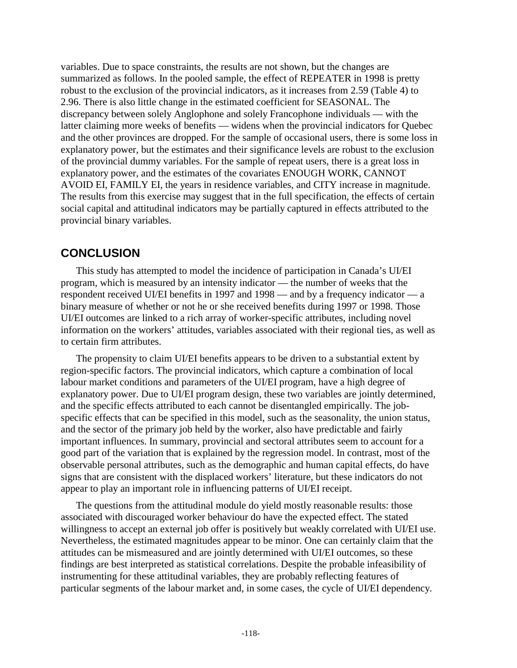variables. Due to space constraints, the results are not shown, but the changes are summarized as follows. In the pooled sample, the effect of REPEATER in 1998 is pretty robust to the exclusion of the provincial indicators, as it increases from 2.59 (Table 4) to 2.96. There is also little change in the estimated coefficient for SEASONAL. The discrepancy between solely Anglophone and solely Francophone individuals — with the latter claiming more weeks of benefits — widens when the provincial indicators for Quebec and the other provinces are dropped. For the sample of occasional users, there is some loss in explanatory power, but the estimates and their significance levels are robust to the exclusion of the provincial dummy variables. For the sample of repeat users, there is a great loss in explanatory power, and the estimates of the covariates ENOUGH WORK, CANNOT AVOID EI, FAMILY EI, the years in residence variables, and CITY increase in magnitude. The results from this exercise may suggest that in the full specification, the effects of certain social capital and attitudinal indicators may be partially captured in effects attributed to the provincial binary variables.

## **CONCLUSION**

This study has attempted to model the incidence of participation in Canada's UI/EI program, which is measured by an intensity indicator — the number of weeks that the respondent received UI/EI benefits in 1997 and 1998 — and by a frequency indicator — a binary measure of whether or not he or she received benefits during 1997 or 1998. Those UI/EI outcomes are linked to a rich array of worker-specific attributes, including novel information on the workers' attitudes, variables associated with their regional ties, as well as to certain firm attributes.

The propensity to claim UI/EI benefits appears to be driven to a substantial extent by region-specific factors. The provincial indicators, which capture a combination of local labour market conditions and parameters of the UI/EI program, have a high degree of explanatory power. Due to UI/EI program design, these two variables are jointly determined, and the specific effects attributed to each cannot be disentangled empirically. The jobspecific effects that can be specified in this model, such as the seasonality, the union status, and the sector of the primary job held by the worker, also have predictable and fairly important influences. In summary, provincial and sectoral attributes seem to account for a good part of the variation that is explained by the regression model. In contrast, most of the observable personal attributes, such as the demographic and human capital effects, do have signs that are consistent with the displaced workers' literature, but these indicators do not appear to play an important role in influencing patterns of UI/EI receipt.

The questions from the attitudinal module do yield mostly reasonable results: those associated with discouraged worker behaviour do have the expected effect. The stated willingness to accept an external job offer is positively but weakly correlated with UI/EI use. Nevertheless, the estimated magnitudes appear to be minor. One can certainly claim that the attitudes can be mismeasured and are jointly determined with UI/EI outcomes, so these findings are best interpreted as statistical correlations. Despite the probable infeasibility of instrumenting for these attitudinal variables, they are probably reflecting features of particular segments of the labour market and, in some cases, the cycle of UI/EI dependency.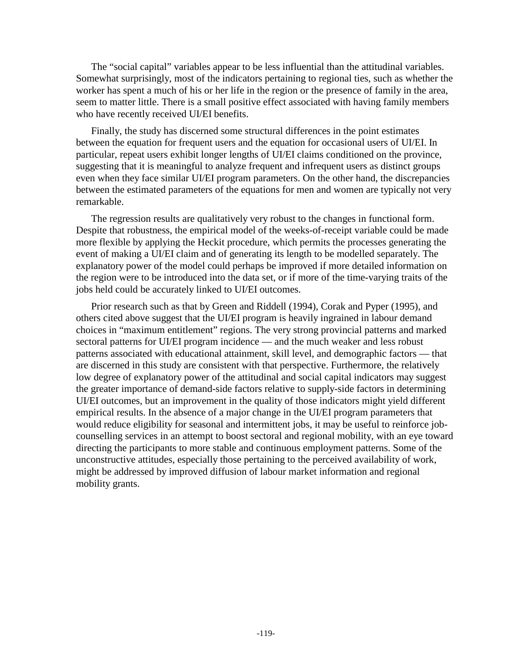The "social capital" variables appear to be less influential than the attitudinal variables. Somewhat surprisingly, most of the indicators pertaining to regional ties, such as whether the worker has spent a much of his or her life in the region or the presence of family in the area, seem to matter little. There is a small positive effect associated with having family members who have recently received UI/EI benefits.

Finally, the study has discerned some structural differences in the point estimates between the equation for frequent users and the equation for occasional users of UI/EI. In particular, repeat users exhibit longer lengths of UI/EI claims conditioned on the province, suggesting that it is meaningful to analyze frequent and infrequent users as distinct groups even when they face similar UI/EI program parameters. On the other hand, the discrepancies between the estimated parameters of the equations for men and women are typically not very remarkable.

The regression results are qualitatively very robust to the changes in functional form. Despite that robustness, the empirical model of the weeks-of-receipt variable could be made more flexible by applying the Heckit procedure, which permits the processes generating the event of making a UI/EI claim and of generating its length to be modelled separately. The explanatory power of the model could perhaps be improved if more detailed information on the region were to be introduced into the data set, or if more of the time-varying traits of the jobs held could be accurately linked to UI/EI outcomes.

Prior research such as that by Green and Riddell (1994), Corak and Pyper (1995), and others cited above suggest that the UI/EI program is heavily ingrained in labour demand choices in "maximum entitlement" regions. The very strong provincial patterns and marked sectoral patterns for UI/EI program incidence — and the much weaker and less robust patterns associated with educational attainment, skill level, and demographic factors — that are discerned in this study are consistent with that perspective. Furthermore, the relatively low degree of explanatory power of the attitudinal and social capital indicators may suggest the greater importance of demand-side factors relative to supply-side factors in determining UI/EI outcomes, but an improvement in the quality of those indicators might yield different empirical results. In the absence of a major change in the UI/EI program parameters that would reduce eligibility for seasonal and intermittent jobs, it may be useful to reinforce jobcounselling services in an attempt to boost sectoral and regional mobility, with an eye toward directing the participants to more stable and continuous employment patterns. Some of the unconstructive attitudes, especially those pertaining to the perceived availability of work, might be addressed by improved diffusion of labour market information and regional mobility grants.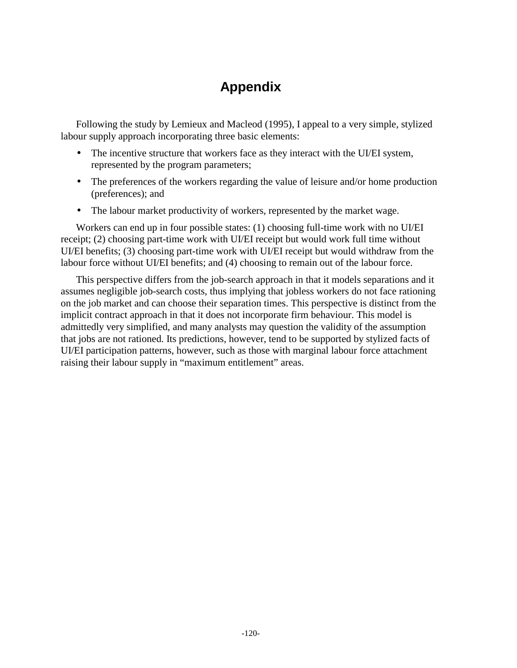# **Appendix**

Following the study by Lemieux and Macleod (1995), I appeal to a very simple, stylized labour supply approach incorporating three basic elements:

- The incentive structure that workers face as they interact with the UI/EI system, represented by the program parameters;
- The preferences of the workers regarding the value of leisure and/or home production (preferences); and
- The labour market productivity of workers, represented by the market wage.

Workers can end up in four possible states: (1) choosing full-time work with no UI/EI receipt; (2) choosing part-time work with UI/EI receipt but would work full time without UI/EI benefits; (3) choosing part-time work with UI/EI receipt but would withdraw from the labour force without UI/EI benefits; and (4) choosing to remain out of the labour force.

This perspective differs from the job-search approach in that it models separations and it assumes negligible job-search costs, thus implying that jobless workers do not face rationing on the job market and can choose their separation times. This perspective is distinct from the implicit contract approach in that it does not incorporate firm behaviour. This model is admittedly very simplified, and many analysts may question the validity of the assumption that jobs are not rationed. Its predictions, however, tend to be supported by stylized facts of UI/EI participation patterns, however, such as those with marginal labour force attachment raising their labour supply in "maximum entitlement" areas.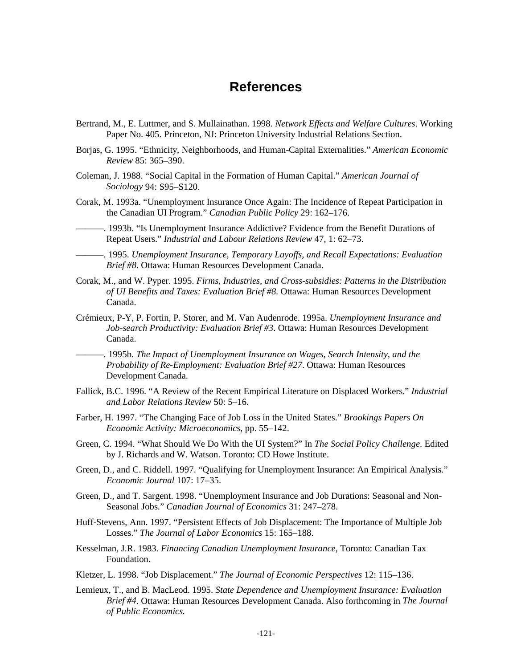## **References**

- Bertrand, M., E. Luttmer, and S. Mullainathan. 1998. *Network Effects and Welfare Cultures*. Working Paper No. 405. Princeton, NJ: Princeton University Industrial Relations Section.
- Borjas, G. 1995. "Ethnicity, Neighborhoods, and Human-Capital Externalities." *American Economic Review* 85: 365–390.
- Coleman, J. 1988. "Social Capital in the Formation of Human Capital." *American Journal of Sociology* 94: S95–S120.
- Corak, M. 1993a. "Unemployment Insurance Once Again: The Incidence of Repeat Participation in the Canadian UI Program." *Canadian Public Policy* 29: 162–176.
- ———. 1993b. "Is Unemployment Insurance Addictive? Evidence from the Benefit Durations of Repeat Users." *Industrial and Labour Relations Review* 47, 1: 62–73.
- ———. 1995. *Unemployment Insurance, Temporary Layoffs, and Recall Expectations: Evaluation Brief #8*. Ottawa: Human Resources Development Canada.
- Corak, M., and W. Pyper. 1995. *Firms, Industries, and Cross-subsidies: Patterns in the Distribution of UI Benefits and Taxes: Evaluation Brief #8*. Ottawa: Human Resources Development Canada.
- Crémieux, P-Y, P. Fortin, P. Storer, and M. Van Audenrode. 1995a. *Unemployment Insurance and Job-search Productivity: Evaluation Brief #3*. Ottawa: Human Resources Development Canada.

———. 1995b. *The Impact of Unemployment Insurance on Wages, Search Intensity, and the Probability of Re-Employment: Evaluation Brief #27*. Ottawa: Human Resources Development Canada.

- Fallick, B.C. 1996. "A Review of the Recent Empirical Literature on Displaced Workers." *Industrial and Labor Relations Review* 50: 5–16.
- Farber, H. 1997. "The Changing Face of Job Loss in the United States." *Brookings Papers On Economic Activity: Microeconomics*, pp. 55–142.
- Green, C. 1994. "What Should We Do With the UI System?" In *The Social Policy Challenge*. Edited by J. Richards and W. Watson. Toronto: CD Howe Institute.
- Green, D., and C. Riddell. 1997. "Qualifying for Unemployment Insurance: An Empirical Analysis." *Economic Journal* 107: 17–35.
- Green, D., and T. Sargent. 1998. "Unemployment Insurance and Job Durations: Seasonal and Non-Seasonal Jobs." *Canadian Journal of Economics* 31: 247–278.
- Huff-Stevens, Ann. 1997. "Persistent Effects of Job Displacement: The Importance of Multiple Job Losses." *The Journal of Labor Economics* 15: 165–188.
- Kesselman, J.R. 1983. *Financing Canadian Unemployment Insurance*, Toronto: Canadian Tax Foundation.
- Kletzer, L. 1998. "Job Displacement." *The Journal of Economic Perspectives* 12: 115–136.
- Lemieux, T., and B. MacLeod. 1995. *State Dependence and Unemployment Insurance: Evaluation Brief #4*. Ottawa: Human Resources Development Canada. Also forthcoming in *The Journal of Public Economics.*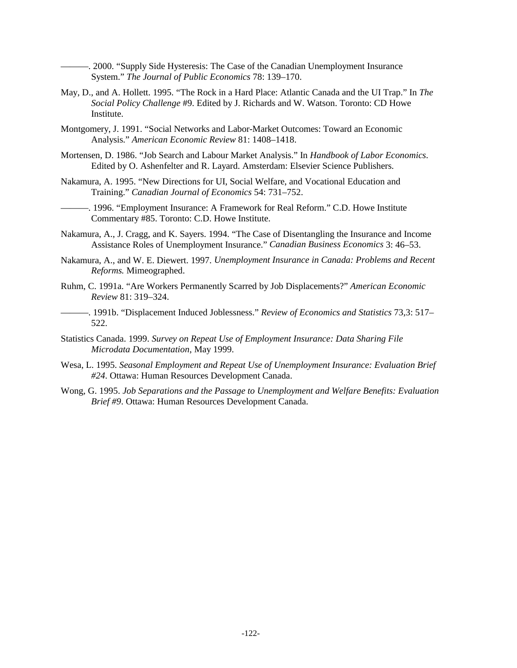———. 2000. "Supply Side Hysteresis: The Case of the Canadian Unemployment Insurance System." *The Journal of Public Economics* 78: 139–170.

- May, D., and A. Hollett. 1995. "The Rock in a Hard Place: Atlantic Canada and the UI Trap." In *The Social Policy Challenge* #9. Edited by J. Richards and W. Watson. Toronto: CD Howe Institute.
- Montgomery, J. 1991. "Social Networks and Labor-Market Outcomes: Toward an Economic Analysis." *American Economic Review* 81: 1408–1418.
- Mortensen, D. 1986. "Job Search and Labour Market Analysis." In *Handbook of Labor Economics*. Edited by O. Ashenfelter and R. Layard. Amsterdam: Elsevier Science Publishers.
- Nakamura, A. 1995. "New Directions for UI, Social Welfare, and Vocational Education and Training." *Canadian Journal of Economics* 54: 731–752.
- -. 1996. "Employment Insurance: A Framework for Real Reform." C.D. Howe Institute Commentary #85. Toronto: C.D. Howe Institute.
- Nakamura, A., J. Cragg, and K. Sayers. 1994. "The Case of Disentangling the Insurance and Income Assistance Roles of Unemployment Insurance." *Canadian Business Economics* 3: 46–53.
- Nakamura, A., and W. E. Diewert. 1997. *Unemployment Insurance in Canada: Problems and Recent Reforms.* Mimeographed.
- Ruhm, C. 1991a. "Are Workers Permanently Scarred by Job Displacements?" *American Economic Review* 81: 319–324.
- ———. 1991b. "Displacement Induced Joblessness." *Review of Economics and Statistics* 73,3: 517– 522.
- Statistics Canada. 1999. *Survey on Repeat Use of Employment Insurance: Data Sharing File Microdata Documentation*, May 1999.
- Wesa, L. 1995. *Seasonal Employment and Repeat Use of Unemployment Insurance: Evaluation Brief #24*. Ottawa: Human Resources Development Canada.
- Wong, G. 1995. *Job Separations and the Passage to Unemployment and Welfare Benefits: Evaluation Brief #9*. Ottawa: Human Resources Development Canada.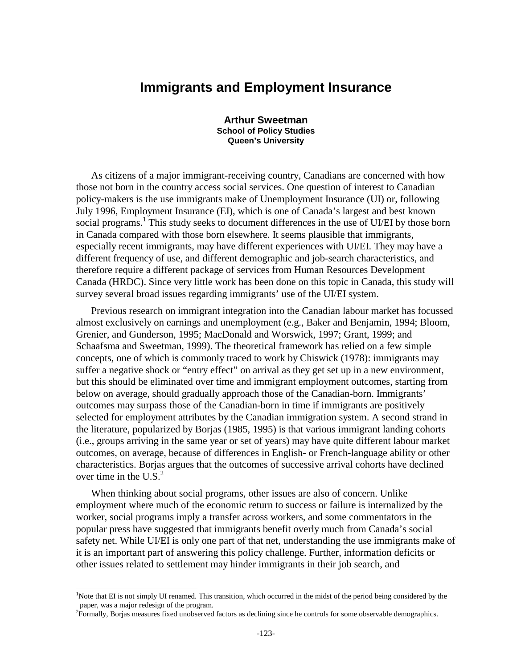## **Immigrants and Employment Insurance**

**Arthur Sweetman School of Policy Studies Queen's University** 

As citizens of a major immigrant-receiving country, Canadians are concerned with how those not born in the country access social services. One question of interest to Canadian policy-makers is the use immigrants make of Unemployment Insurance (UI) or, following July 1996, Employment Insurance (EI), which is one of Canada's largest and best known social programs.<sup>1</sup> This study seeks to document differences in the use of UI/EI by those born in Canada compared with those born elsewhere. It seems plausible that immigrants, especially recent immigrants, may have different experiences with UI/EI. They may have a different frequency of use, and different demographic and job-search characteristics, and therefore require a different package of services from Human Resources Development Canada (HRDC). Since very little work has been done on this topic in Canada, this study will survey several broad issues regarding immigrants' use of the UI/EI system.

Previous research on immigrant integration into the Canadian labour market has focussed almost exclusively on earnings and unemployment (e.g., Baker and Benjamin, 1994; Bloom, Grenier, and Gunderson, 1995; MacDonald and Worswick, 1997; Grant, 1999; and Schaafsma and Sweetman, 1999). The theoretical framework has relied on a few simple concepts, one of which is commonly traced to work by Chiswick (1978): immigrants may suffer a negative shock or "entry effect" on arrival as they get set up in a new environment, but this should be eliminated over time and immigrant employment outcomes, starting from below on average, should gradually approach those of the Canadian-born. Immigrants' outcomes may surpass those of the Canadian-born in time if immigrants are positively selected for employment attributes by the Canadian immigration system. A second strand in the literature, popularized by Borjas (1985, 1995) is that various immigrant landing cohorts (i.e., groups arriving in the same year or set of years) may have quite different labour market outcomes, on average, because of differences in English- or French-language ability or other characteristics. Borjas argues that the outcomes of successive arrival cohorts have declined over time in the  $U.S.<sup>2</sup>$ 

When thinking about social programs, other issues are also of concern. Unlike employment where much of the economic return to success or failure is internalized by the worker, social programs imply a transfer across workers, and some commentators in the popular press have suggested that immigrants benefit overly much from Canada's social safety net. While UI/EI is only one part of that net, understanding the use immigrants make of it is an important part of answering this policy challenge. Further, information deficits or other issues related to settlement may hinder immigrants in their job search, and

<sup>&</sup>lt;sup>1</sup>Note that EI is not simply UI renamed. This transition, which occurred in the midst of the period being considered by the paper, was a major redesign of the program.

<sup>&</sup>lt;sup>2</sup> Formally, Borjas measures fixed unobserved factors as declining since he controls for some observable demographics.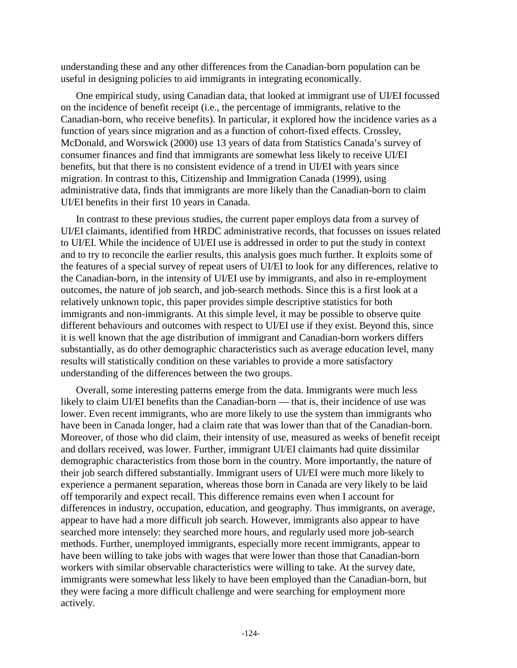understanding these and any other differences from the Canadian-born population can be useful in designing policies to aid immigrants in integrating economically.

One empirical study, using Canadian data, that looked at immigrant use of UI/EI focussed on the incidence of benefit receipt (i.e., the percentage of immigrants, relative to the Canadian-born, who receive benefits). In particular, it explored how the incidence varies as a function of years since migration and as a function of cohort-fixed effects. Crossley, McDonald, and Worswick (2000) use 13 years of data from Statistics Canada's survey of consumer finances and find that immigrants are somewhat less likely to receive UI/EI benefits, but that there is no consistent evidence of a trend in UI/EI with years since migration. In contrast to this, Citizenship and Immigration Canada (1999), using administrative data, finds that immigrants are more likely than the Canadian-born to claim UI/EI benefits in their first 10 years in Canada.

In contrast to these previous studies, the current paper employs data from a survey of UI/EI claimants, identified from HRDC administrative records, that focusses on issues related to UI/EI. While the incidence of UI/EI use is addressed in order to put the study in context and to try to reconcile the earlier results, this analysis goes much further. It exploits some of the features of a special survey of repeat users of UI/EI to look for any differences, relative to the Canadian-born, in the intensity of UI/EI use by immigrants, and also in re-employment outcomes, the nature of job search, and job-search methods. Since this is a first look at a relatively unknown topic, this paper provides simple descriptive statistics for both immigrants and non-immigrants. At this simple level, it may be possible to observe quite different behaviours and outcomes with respect to UI/EI use if they exist. Beyond this, since it is well known that the age distribution of immigrant and Canadian-born workers differs substantially, as do other demographic characteristics such as average education level, many results will statistically condition on these variables to provide a more satisfactory understanding of the differences between the two groups.

Overall, some interesting patterns emerge from the data. Immigrants were much less likely to claim UI/EI benefits than the Canadian-born — that is, their incidence of use was lower. Even recent immigrants, who are more likely to use the system than immigrants who have been in Canada longer, had a claim rate that was lower than that of the Canadian-born. Moreover, of those who did claim, their intensity of use, measured as weeks of benefit receipt and dollars received, was lower. Further, immigrant UI/EI claimants had quite dissimilar demographic characteristics from those born in the country. More importantly, the nature of their job search differed substantially. Immigrant users of UI/EI were much more likely to experience a permanent separation, whereas those born in Canada are very likely to be laid off temporarily and expect recall. This difference remains even when I account for differences in industry, occupation, education, and geography. Thus immigrants, on average, appear to have had a more difficult job search. However, immigrants also appear to have searched more intensely: they searched more hours, and regularly used more job-search methods. Further, unemployed immigrants, especially more recent immigrants, appear to have been willing to take jobs with wages that were lower than those that Canadian-born workers with similar observable characteristics were willing to take. At the survey date, immigrants were somewhat less likely to have been employed than the Canadian-born, but they were facing a more difficult challenge and were searching for employment more actively.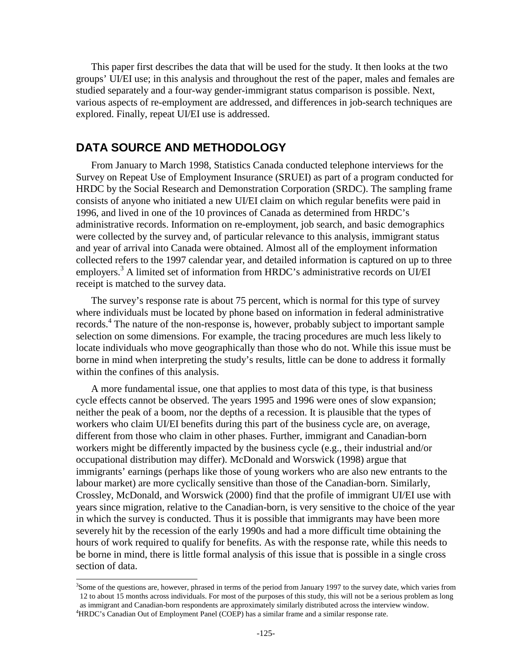This paper first describes the data that will be used for the study. It then looks at the two groups' UI/EI use; in this analysis and throughout the rest of the paper, males and females are studied separately and a four-way gender-immigrant status comparison is possible. Next, various aspects of re-employment are addressed, and differences in job-search techniques are explored. Finally, repeat UI/EI use is addressed.

## **DATA SOURCE AND METHODOLOGY**

From January to March 1998, Statistics Canada conducted telephone interviews for the Survey on Repeat Use of Employment Insurance (SRUEI) as part of a program conducted for HRDC by the Social Research and Demonstration Corporation (SRDC). The sampling frame consists of anyone who initiated a new UI/EI claim on which regular benefits were paid in 1996, and lived in one of the 10 provinces of Canada as determined from HRDC's administrative records. Information on re-employment, job search, and basic demographics were collected by the survey and, of particular relevance to this analysis, immigrant status and year of arrival into Canada were obtained. Almost all of the employment information collected refers to the 1997 calendar year, and detailed information is captured on up to three employers.<sup>3</sup> A limited set of information from HRDC's administrative records on UI/EI receipt is matched to the survey data.

The survey's response rate is about 75 percent, which is normal for this type of survey where individuals must be located by phone based on information in federal administrative records.<sup>4</sup> The nature of the non-response is, however, probably subject to important sample selection on some dimensions. For example, the tracing procedures are much less likely to locate individuals who move geographically than those who do not. While this issue must be borne in mind when interpreting the study's results, little can be done to address it formally within the confines of this analysis.

A more fundamental issue, one that applies to most data of this type, is that business cycle effects cannot be observed. The years 1995 and 1996 were ones of slow expansion; neither the peak of a boom, nor the depths of a recession. It is plausible that the types of workers who claim UI/EI benefits during this part of the business cycle are, on average, different from those who claim in other phases. Further, immigrant and Canadian-born workers might be differently impacted by the business cycle (e.g., their industrial and/or occupational distribution may differ). McDonald and Worswick (1998) argue that immigrants' earnings (perhaps like those of young workers who are also new entrants to the labour market) are more cyclically sensitive than those of the Canadian-born. Similarly, Crossley, McDonald, and Worswick (2000) find that the profile of immigrant UI/EI use with years since migration, relative to the Canadian-born, is very sensitive to the choice of the year in which the survey is conducted. Thus it is possible that immigrants may have been more severely hit by the recession of the early 1990s and had a more difficult time obtaining the hours of work required to qualify for benefits. As with the response rate, while this needs to be borne in mind, there is little formal analysis of this issue that is possible in a single cross section of data.

<sup>&</sup>lt;sup>3</sup>Some of the questions are, however, phrased in terms of the period from January 1997 to the survey date, which varies from 12 to about 15 months across individuals. For most of the purposes of this study, this will not be a serious problem as long as immigrant and Canadian-born respondents are approximately similarly distributed across the interview window.

<sup>&</sup>lt;sup>4</sup>HRDC's Canadian Out of Employment Panel (COEP) has a similar frame and a similar response rate.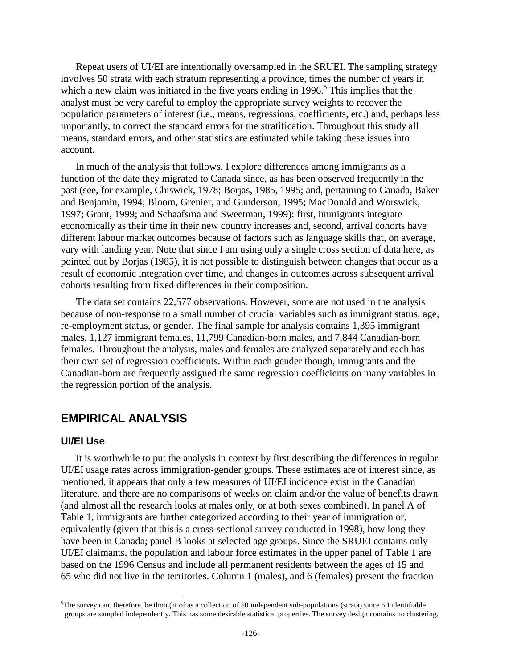Repeat users of UI/EI are intentionally oversampled in the SRUEI. The sampling strategy involves 50 strata with each stratum representing a province, times the number of years in which a new claim was initiated in the five years ending in  $1996$ .<sup>5</sup> This implies that the analyst must be very careful to employ the appropriate survey weights to recover the population parameters of interest (i.e., means, regressions, coefficients, etc.) and, perhaps less importantly, to correct the standard errors for the stratification. Throughout this study all means, standard errors, and other statistics are estimated while taking these issues into account.

In much of the analysis that follows, I explore differences among immigrants as a function of the date they migrated to Canada since, as has been observed frequently in the past (see, for example, Chiswick, 1978; Borjas, 1985, 1995; and, pertaining to Canada, Baker and Benjamin, 1994; Bloom, Grenier, and Gunderson, 1995; MacDonald and Worswick, 1997; Grant, 1999; and Schaafsma and Sweetman, 1999): first, immigrants integrate economically as their time in their new country increases and, second, arrival cohorts have different labour market outcomes because of factors such as language skills that, on average, vary with landing year. Note that since I am using only a single cross section of data here, as pointed out by Borjas (1985), it is not possible to distinguish between changes that occur as a result of economic integration over time, and changes in outcomes across subsequent arrival cohorts resulting from fixed differences in their composition.

The data set contains 22,577 observations. However, some are not used in the analysis because of non-response to a small number of crucial variables such as immigrant status, age, re-employment status, or gender. The final sample for analysis contains 1,395 immigrant males, 1,127 immigrant females, 11,799 Canadian-born males, and 7,844 Canadian-born females. Throughout the analysis, males and females are analyzed separately and each has their own set of regression coefficients. Within each gender though, immigrants and the Canadian-born are frequently assigned the same regression coefficients on many variables in the regression portion of the analysis.

## **EMPIRICAL ANALYSIS**

### **UI/EI Use**

l

It is worthwhile to put the analysis in context by first describing the differences in regular UI/EI usage rates across immigration-gender groups. These estimates are of interest since, as mentioned, it appears that only a few measures of UI/EI incidence exist in the Canadian literature, and there are no comparisons of weeks on claim and/or the value of benefits drawn (and almost all the research looks at males only, or at both sexes combined). In panel A of Table 1, immigrants are further categorized according to their year of immigration or, equivalently (given that this is a cross-sectional survey conducted in 1998), how long they have been in Canada; panel B looks at selected age groups. Since the SRUEI contains only UI/EI claimants, the population and labour force estimates in the upper panel of Table 1 are based on the 1996 Census and include all permanent residents between the ages of 15 and 65 who did not live in the territories. Column 1 (males), and 6 (females) present the fraction

<sup>&</sup>lt;sup>5</sup>The survey can, therefore, be thought of as a collection of 50 independent sub-populations (strata) since 50 identifiable groups are sampled independently. This has some desirable statistical properties. The survey design contains no clustering.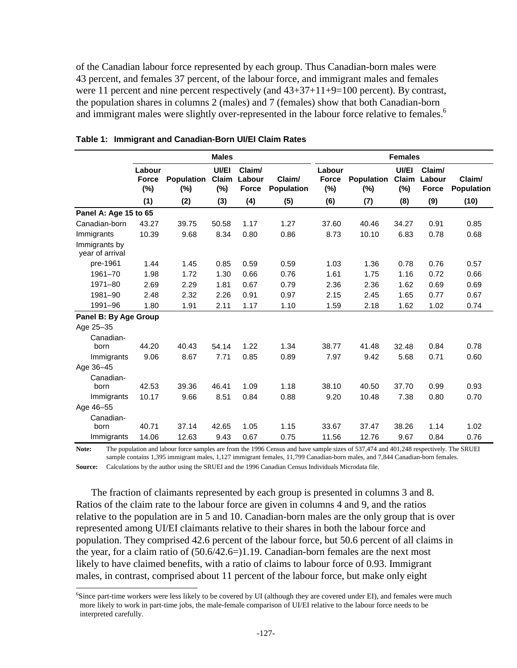of the Canadian labour force represented by each group. Thus Canadian-born males were 43 percent, and females 37 percent, of the labour force, and immigrant males and females were 11 percent and nine percent respectively (and  $43+37+11+9=100$  percent). By contrast, the population shares in columns 2 (males) and 7 (females) show that both Canadian-born and immigrant males were slightly over-represented in the labour force relative to females.<sup>6</sup>

|                                  | <b>Males</b>                     |                          |                          |                                  | <b>Females</b>              |                                  |                             |                          |                                  |                             |
|----------------------------------|----------------------------------|--------------------------|--------------------------|----------------------------------|-----------------------------|----------------------------------|-----------------------------|--------------------------|----------------------------------|-----------------------------|
|                                  | Labour<br><b>Force</b><br>$(\%)$ | <b>Population</b><br>(%) | UI/EI<br>Claim<br>$(\%)$ | Claim/<br>Labour<br><b>Force</b> | Claim/<br><b>Population</b> | Labour<br><b>Force</b><br>$(\%)$ | <b>Population</b><br>$(\%)$ | UI/EI<br>Claim<br>$(\%)$ | Claim/<br>Labour<br><b>Force</b> | Claim/<br><b>Population</b> |
|                                  | (1)                              | (2)                      | (3)                      | (4)                              | (5)                         | (6)                              | (7)                         | (8)                      | (9)                              | (10)                        |
| Panel A: Age 15 to 65            |                                  |                          |                          |                                  |                             |                                  |                             |                          |                                  |                             |
| Canadian-born                    | 43.27                            | 39.75                    | 50.58                    | 1.17                             | 1.27                        | 37.60                            | 40.46                       | 34.27                    | 0.91                             | 0.85                        |
| Immigrants                       | 10.39                            | 9.68                     | 8.34                     | 0.80                             | 0.86                        | 8.73                             | 10.10                       | 6.83                     | 0.78                             | 0.68                        |
| Immigrants by<br>year of arrival |                                  |                          |                          |                                  |                             |                                  |                             |                          |                                  |                             |
| pre-1961                         | 1.44                             | 1.45                     | 0.85                     | 0.59                             | 0.59                        | 1.03                             | 1.36                        | 0.78                     | 0.76                             | 0.57                        |
| 1961-70                          | 1.98                             | 1.72                     | 1.30                     | 0.66                             | 0.76                        | 1.61                             | 1.75                        | 1.16                     | 0.72                             | 0.66                        |
| 1971-80                          | 2.69                             | 2.29                     | 1.81                     | 0.67                             | 0.79                        | 2.36                             | 2.36                        | 1.62                     | 0.69                             | 0.69                        |
| 1981-90                          | 2.48                             | 2.32                     | 2.26                     | 0.91                             | 0.97                        | 2.15                             | 2.45                        | 1.65                     | 0.77                             | 0.67                        |
| 1991-96                          | 1.80                             | 1.91                     | 2.11                     | 1.17                             | 1.10                        | 1.59                             | 2.18                        | 1.62                     | 1.02                             | 0.74                        |
| Panel B: By Age Group            |                                  |                          |                          |                                  |                             |                                  |                             |                          |                                  |                             |
| Age 25-35                        |                                  |                          |                          |                                  |                             |                                  |                             |                          |                                  |                             |
| Canadian-                        |                                  |                          |                          |                                  |                             |                                  |                             |                          |                                  |                             |
| born                             | 44.20                            | 40.43                    | 54.14                    | 1.22                             | 1.34                        | 38.77                            | 41.48                       | 32.48                    | 0.84                             | 0.78                        |
| Immigrants                       | 9.06                             | 8.67                     | 7.71                     | 0.85                             | 0.89                        | 7.97                             | 9.42                        | 5.68                     | 0.71                             | 0.60                        |
| Age 36-45                        |                                  |                          |                          |                                  |                             |                                  |                             |                          |                                  |                             |
| Canadian-                        |                                  |                          |                          |                                  |                             |                                  |                             |                          |                                  |                             |
| born                             | 42.53                            | 39.36                    | 46.41                    | 1.09                             | 1.18                        | 38.10                            | 40.50                       | 37.70                    | 0.99                             | 0.93                        |
| Immigrants                       | 10.17                            | 9.66                     | 8.51                     | 0.84                             | 0.88                        | 9.20                             | 10.48                       | 7.38                     | 0.80                             | 0.70                        |
| Age 46-55                        |                                  |                          |                          |                                  |                             |                                  |                             |                          |                                  |                             |
| Canadian-                        |                                  |                          |                          |                                  |                             |                                  |                             |                          |                                  |                             |
| born                             | 40.71                            | 37.14                    | 42.65                    | 1.05                             | 1.15                        | 33.67                            | 37.47                       | 38.26                    | 1.14                             | 1.02                        |
| Immigrants                       | 14.06                            | 12.63                    | 9.43                     | 0.67                             | 0.75                        | 11.56                            | 12.76                       | 9.67                     | 0.84                             | 0.76                        |

|  |  |  | Table 1: Immigrant and Canadian-Born UI/EI Claim Rates |  |  |  |
|--|--|--|--------------------------------------------------------|--|--|--|
|--|--|--|--------------------------------------------------------|--|--|--|

Note: The population and labour force samples are from the 1996 Census and have sample sizes of 537,474 and 401,248 respectively. The SRUEI sample contains 1,395 immigrant males, 1,127 immigrant females, 11,799 Canadian-born males, and 7,844 Canadian-born females. **Source:** Calculations by the author using the SRUEI and the 1996 Canadian Census Individuals Microdata file.

The fraction of claimants represented by each group is presented in columns 3 and 8. Ratios of the claim rate to the labour force are given in columns 4 and 9, and the ratios relative to the population are in 5 and 10. Canadian-born males are the only group that is over represented among UI/EI claimants relative to their shares in both the labour force and population. They comprised 42.6 percent of the labour force, but 50.6 percent of all claims in the year, for a claim ratio of (50.6/42.6=)1.19. Canadian-born females are the next most likely to have claimed benefits, with a ratio of claims to labour force of 0.93. Immigrant males, in contrast, comprised about 11 percent of the labour force, but make only eight

<sup>6</sup> Since part-time workers were less likely to be covered by UI (although they are covered under EI), and females were much more likely to work in part-time jobs, the male-female comparison of UI/EI relative to the labour force needs to be interpreted carefully.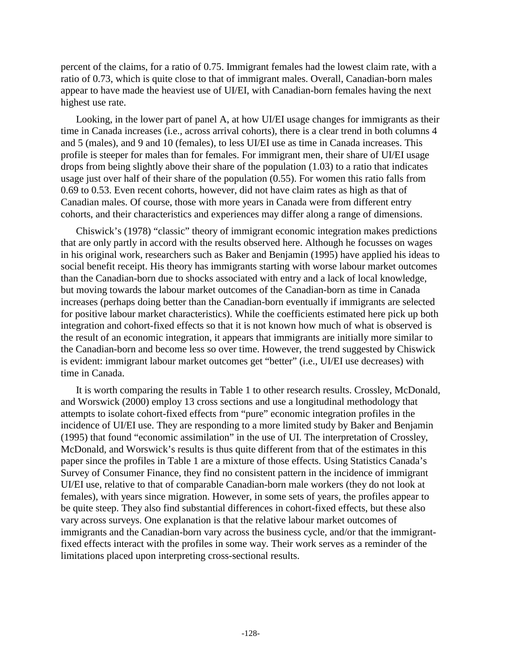percent of the claims, for a ratio of 0.75. Immigrant females had the lowest claim rate, with a ratio of 0.73, which is quite close to that of immigrant males. Overall, Canadian-born males appear to have made the heaviest use of UI/EI, with Canadian-born females having the next highest use rate.

Looking, in the lower part of panel A, at how UI/EI usage changes for immigrants as their time in Canada increases (i.e., across arrival cohorts), there is a clear trend in both columns 4 and 5 (males), and 9 and 10 (females), to less UI/EI use as time in Canada increases. This profile is steeper for males than for females. For immigrant men, their share of UI/EI usage drops from being slightly above their share of the population (1.03) to a ratio that indicates usage just over half of their share of the population (0.55). For women this ratio falls from 0.69 to 0.53. Even recent cohorts, however, did not have claim rates as high as that of Canadian males. Of course, those with more years in Canada were from different entry cohorts, and their characteristics and experiences may differ along a range of dimensions.

Chiswick's (1978) "classic" theory of immigrant economic integration makes predictions that are only partly in accord with the results observed here. Although he focusses on wages in his original work, researchers such as Baker and Benjamin (1995) have applied his ideas to social benefit receipt. His theory has immigrants starting with worse labour market outcomes than the Canadian-born due to shocks associated with entry and a lack of local knowledge, but moving towards the labour market outcomes of the Canadian-born as time in Canada increases (perhaps doing better than the Canadian-born eventually if immigrants are selected for positive labour market characteristics). While the coefficients estimated here pick up both integration and cohort-fixed effects so that it is not known how much of what is observed is the result of an economic integration, it appears that immigrants are initially more similar to the Canadian-born and become less so over time. However, the trend suggested by Chiswick is evident: immigrant labour market outcomes get "better" (i.e., UI/EI use decreases) with time in Canada.

It is worth comparing the results in Table 1 to other research results. Crossley, McDonald, and Worswick (2000) employ 13 cross sections and use a longitudinal methodology that attempts to isolate cohort-fixed effects from "pure" economic integration profiles in the incidence of UI/EI use. They are responding to a more limited study by Baker and Benjamin (1995) that found "economic assimilation" in the use of UI. The interpretation of Crossley, McDonald, and Worswick's results is thus quite different from that of the estimates in this paper since the profiles in Table 1 are a mixture of those effects. Using Statistics Canada's Survey of Consumer Finance, they find no consistent pattern in the incidence of immigrant UI/EI use, relative to that of comparable Canadian-born male workers (they do not look at females), with years since migration. However, in some sets of years, the profiles appear to be quite steep. They also find substantial differences in cohort-fixed effects, but these also vary across surveys. One explanation is that the relative labour market outcomes of immigrants and the Canadian-born vary across the business cycle, and/or that the immigrantfixed effects interact with the profiles in some way. Their work serves as a reminder of the limitations placed upon interpreting cross-sectional results.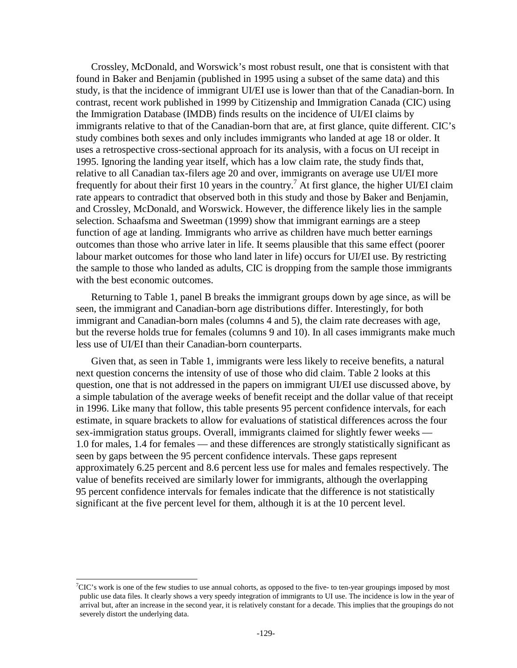Crossley, McDonald, and Worswick's most robust result, one that is consistent with that found in Baker and Benjamin (published in 1995 using a subset of the same data) and this study, is that the incidence of immigrant UI/EI use is lower than that of the Canadian-born. In contrast, recent work published in 1999 by Citizenship and Immigration Canada (CIC) using the Immigration Database (IMDB) finds results on the incidence of UI/EI claims by immigrants relative to that of the Canadian-born that are, at first glance, quite different. CIC's study combines both sexes and only includes immigrants who landed at age 18 or older. It uses a retrospective cross-sectional approach for its analysis, with a focus on UI receipt in 1995. Ignoring the landing year itself, which has a low claim rate, the study finds that, relative to all Canadian tax-filers age 20 and over, immigrants on average use UI/EI more frequently for about their first 10 years in the country.<sup>7</sup> At first glance, the higher UI/EI claim rate appears to contradict that observed both in this study and those by Baker and Benjamin, and Crossley, McDonald, and Worswick. However, the difference likely lies in the sample selection. Schaafsma and Sweetman (1999) show that immigrant earnings are a steep function of age at landing. Immigrants who arrive as children have much better earnings outcomes than those who arrive later in life. It seems plausible that this same effect (poorer labour market outcomes for those who land later in life) occurs for UI/EI use. By restricting the sample to those who landed as adults, CIC is dropping from the sample those immigrants with the best economic outcomes.

Returning to Table 1, panel B breaks the immigrant groups down by age since, as will be seen, the immigrant and Canadian-born age distributions differ. Interestingly, for both immigrant and Canadian-born males (columns 4 and 5), the claim rate decreases with age, but the reverse holds true for females (columns 9 and 10). In all cases immigrants make much less use of UI/EI than their Canadian-born counterparts.

Given that, as seen in Table 1, immigrants were less likely to receive benefits, a natural next question concerns the intensity of use of those who did claim. Table 2 looks at this question, one that is not addressed in the papers on immigrant UI/EI use discussed above, by a simple tabulation of the average weeks of benefit receipt and the dollar value of that receipt in 1996. Like many that follow, this table presents 95 percent confidence intervals, for each estimate, in square brackets to allow for evaluations of statistical differences across the four sex-immigration status groups. Overall, immigrants claimed for slightly fewer weeks — 1.0 for males, 1.4 for females — and these differences are strongly statistically significant as seen by gaps between the 95 percent confidence intervals. These gaps represent approximately 6.25 percent and 8.6 percent less use for males and females respectively. The value of benefits received are similarly lower for immigrants, although the overlapping 95 percent confidence intervals for females indicate that the difference is not statistically significant at the five percent level for them, although it is at the 10 percent level.

<sup>7</sup> CIC's work is one of the few studies to use annual cohorts, as opposed to the five- to ten-year groupings imposed by most public use data files. It clearly shows a very speedy integration of immigrants to UI use. The incidence is low in the year of arrival but, after an increase in the second year, it is relatively constant for a decade. This implies that the groupings do not severely distort the underlying data.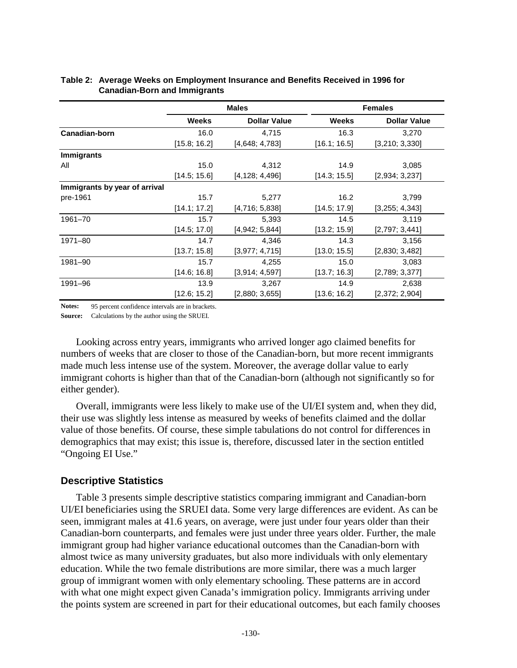|                               |              | <b>Males</b>        |              | <b>Females</b>      |
|-------------------------------|--------------|---------------------|--------------|---------------------|
|                               | <b>Weeks</b> | <b>Dollar Value</b> | <b>Weeks</b> | <b>Dollar Value</b> |
| Canadian-born                 | 16.0         | 4,715               | 16.3         | 3,270               |
|                               | [15.8; 16.2] | [4,648; 4,783]      | [16.1; 16.5] | [3,210; 3,330]      |
| <b>Immigrants</b>             |              |                     |              |                     |
| All                           | 15.0         | 4,312               | 14.9         | 3,085               |
|                               | [14.5; 15.6] | [4, 128; 4, 496]    | [14.3; 15.5] | [2,934; 3,237]      |
| Immigrants by year of arrival |              |                     |              |                     |
| pre-1961                      | 15.7         | 5,277               | 16.2         | 3,799               |
|                               | [14.1; 17.2] | [4,716; 5,838]      | [14.5; 17.9] | [3,255; 4,343]      |
| 1961-70                       | 15.7         | 5,393               | 14.5         | 3,119               |
|                               | [14.5; 17.0] | [4,942; 5,844]      | [13.2; 15.9] | [2,797; 3,441]      |
| 1971-80                       | 14.7         | 4,346               | 14.3         | 3,156               |
|                               | [13.7; 15.8] | [3,977; 4,715]      | [13.0; 15.5] | [2,830; 3,482]      |
| 1981-90                       | 15.7         | 4,255               | 15.0         | 3,083               |
|                               | [14.6; 16.8] | [3,914; 4,597]      | [13.7; 16.3] | [2,789; 3,377]      |
| 1991-96                       | 13.9         | 3,267               | 14.9         | 2,638               |
|                               | [12.6; 15.2] | [2,880; 3,655]      | [13.6; 16.2] | [2,372; 2,904]      |

### **Table 2: Average Weeks on Employment Insurance and Benefits Received in 1996 for Canadian-Born and Immigrants**

**Notes:** 95 percent confidence intervals are in brackets.

**Source:** Calculations by the author using the SRUEI.

Looking across entry years, immigrants who arrived longer ago claimed benefits for numbers of weeks that are closer to those of the Canadian-born, but more recent immigrants made much less intense use of the system. Moreover, the average dollar value to early immigrant cohorts is higher than that of the Canadian-born (although not significantly so for either gender).

Overall, immigrants were less likely to make use of the UI/EI system and, when they did, their use was slightly less intense as measured by weeks of benefits claimed and the dollar value of those benefits. Of course, these simple tabulations do not control for differences in demographics that may exist; this issue is, therefore, discussed later in the section entitled "Ongoing EI Use."

### **Descriptive Statistics**

Table 3 presents simple descriptive statistics comparing immigrant and Canadian-born UI/EI beneficiaries using the SRUEI data. Some very large differences are evident. As can be seen, immigrant males at 41.6 years, on average, were just under four years older than their Canadian-born counterparts, and females were just under three years older. Further, the male immigrant group had higher variance educational outcomes than the Canadian-born with almost twice as many university graduates, but also more individuals with only elementary education. While the two female distributions are more similar, there was a much larger group of immigrant women with only elementary schooling. These patterns are in accord with what one might expect given Canada's immigration policy. Immigrants arriving under the points system are screened in part for their educational outcomes, but each family chooses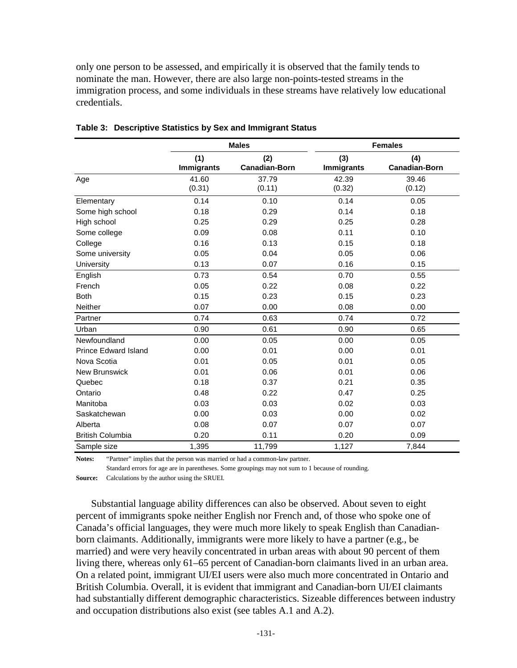only one person to be assessed, and empirically it is observed that the family tends to nominate the man. However, there are also large non-points-tested streams in the immigration process, and some individuals in these streams have relatively low educational credentials.

|                             |                          | <b>Males</b>                |                          | <b>Females</b>              |
|-----------------------------|--------------------------|-----------------------------|--------------------------|-----------------------------|
|                             | (1)<br><b>Immigrants</b> | (2)<br><b>Canadian-Born</b> | (3)<br><b>Immigrants</b> | (4)<br><b>Canadian-Born</b> |
| Age                         | 41.60<br>(0.31)          | 37.79<br>(0.11)             | 42.39<br>(0.32)          | 39.46<br>(0.12)             |
| Elementary                  | 0.14                     | 0.10                        | 0.14                     | 0.05                        |
| Some high school            | 0.18                     | 0.29                        | 0.14                     | 0.18                        |
| High school                 | 0.25                     | 0.29                        | 0.25                     | 0.28                        |
| Some college                | 0.09                     | 0.08                        | 0.11                     | 0.10                        |
| College                     | 0.16                     | 0.13                        | 0.15                     | 0.18                        |
| Some university             | 0.05                     | 0.04                        | 0.05                     | 0.06                        |
| University                  | 0.13                     | 0.07                        | 0.16                     | 0.15                        |
| English                     | 0.73                     | 0.54                        | 0.70                     | 0.55                        |
| French                      | 0.05                     | 0.22                        | 0.08                     | 0.22                        |
| <b>Both</b>                 | 0.15                     | 0.23                        | 0.15                     | 0.23                        |
| <b>Neither</b>              | 0.07                     | 0.00                        | 0.08                     | 0.00                        |
| Partner                     | 0.74                     | 0.63                        | 0.74                     | 0.72                        |
| Urban                       | 0.90                     | 0.61                        | 0.90                     | 0.65                        |
| Newfoundland                | 0.00                     | 0.05                        | 0.00                     | 0.05                        |
| <b>Prince Edward Island</b> | 0.00                     | 0.01                        | 0.00                     | 0.01                        |
| Nova Scotia                 | 0.01                     | 0.05                        | 0.01                     | 0.05                        |
| <b>New Brunswick</b>        | 0.01                     | 0.06                        | 0.01                     | 0.06                        |
| Quebec                      | 0.18                     | 0.37                        | 0.21                     | 0.35                        |
| Ontario                     | 0.48                     | 0.22                        | 0.47                     | 0.25                        |
| Manitoba                    | 0.03                     | 0.03                        | 0.02                     | 0.03                        |
| Saskatchewan                | 0.00                     | 0.03                        | 0.00                     | 0.02                        |
| Alberta                     | 0.08                     | 0.07                        | 0.07                     | 0.07                        |
| <b>British Columbia</b>     | 0.20                     | 0.11                        | 0.20                     | 0.09                        |
| Sample size                 | 1,395                    | 11,799                      | 1,127                    | 7,844                       |

|  |  |  |  | Table 3: Descriptive Statistics by Sex and Immigrant Status |
|--|--|--|--|-------------------------------------------------------------|
|--|--|--|--|-------------------------------------------------------------|

**Notes:** "Partner" implies that the person was married or had a common-law partner.

Standard errors for age are in parentheses. Some groupings may not sum to 1 because of rounding. **Source:** Calculations by the author using the SRUEI.

Substantial language ability differences can also be observed. About seven to eight percent of immigrants spoke neither English nor French and, of those who spoke one of Canada's official languages, they were much more likely to speak English than Canadianborn claimants. Additionally, immigrants were more likely to have a partner (e.g., be married) and were very heavily concentrated in urban areas with about 90 percent of them living there, whereas only 61–65 percent of Canadian-born claimants lived in an urban area. On a related point, immigrant UI/EI users were also much more concentrated in Ontario and British Columbia. Overall, it is evident that immigrant and Canadian-born UI/EI claimants had substantially different demographic characteristics. Sizeable differences between industry and occupation distributions also exist (see tables A.1 and A.2).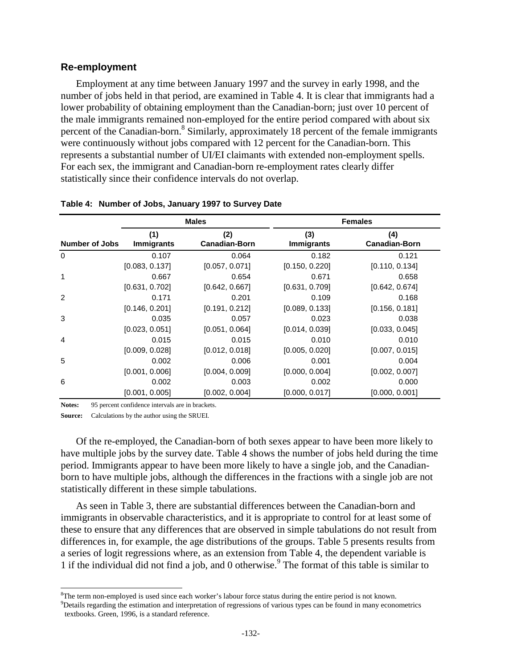### **Re-employment**

Employment at any time between January 1997 and the survey in early 1998, and the number of jobs held in that period, are examined in Table 4. It is clear that immigrants had a lower probability of obtaining employment than the Canadian-born; just over 10 percent of the male immigrants remained non-employed for the entire period compared with about six percent of the Canadian-born.<sup>8</sup> Similarly, approximately 18 percent of the female immigrants were continuously without jobs compared with 12 percent for the Canadian-born. This represents a substantial number of UI/EI claimants with extended non-employment spells. For each sex, the immigrant and Canadian-born re-employment rates clearly differ statistically since their confidence intervals do not overlap.

|                       |                          | <b>Males</b>                | <b>Females</b>           |                             |  |  |
|-----------------------|--------------------------|-----------------------------|--------------------------|-----------------------------|--|--|
| <b>Number of Jobs</b> | (1)<br><b>Immigrants</b> | (2)<br><b>Canadian-Born</b> | (3)<br><b>Immigrants</b> | (4)<br><b>Canadian-Born</b> |  |  |
| 0                     | 0.107                    | 0.064                       | 0.182                    | 0.121                       |  |  |
|                       | [0.083, 0.137]           | [0.057, 0.071]              | [0.150, 0.220]           | [0.110, 0.134]              |  |  |
| 1                     | 0.667                    | 0.654                       | 0.671                    | 0.658                       |  |  |
|                       | [0.631, 0.702]           | [0.642, 0.667]              | [0.631, 0.709]           | [0.642, 0.674]              |  |  |
| 2                     | 0.171                    | 0.201                       | 0.109                    | 0.168                       |  |  |
|                       | [0.146, 0.201]           | [0.191, 0.212]              | [0.089, 0.133]           | [0.156, 0.181]              |  |  |
| 3                     | 0.035                    | 0.057                       | 0.023                    | 0.038                       |  |  |
|                       | [0.023, 0.051]           | [0.051, 0.064]              | [0.014, 0.039]           | [0.033, 0.045]              |  |  |
| 4                     | 0.015                    | 0.015                       | 0.010                    | 0.010                       |  |  |
|                       | [0.009, 0.028]           | [0.012, 0.018]              | [0.005, 0.020]           | [0.007, 0.015]              |  |  |
| 5                     | 0.002                    | 0.006                       | 0.001                    | 0.004                       |  |  |
|                       | [0.001, 0.006]           | [0.004, 0.009]              | [0.000, 0.004]           | [0.002, 0.007]              |  |  |
| 6                     | 0.002                    | 0.003                       | 0.002                    | 0.000                       |  |  |
|                       | [0.001, 0.005]           | [0.002, 0.004]              | [0.000, 0.017]           | [0.000, 0.001]              |  |  |

#### **Table 4: Number of Jobs, January 1997 to Survey Date**

Notes: 95 percent confidence intervals are in brackets.

**Source:** Calculations by the author using the SRUEI.

l

Of the re-employed, the Canadian-born of both sexes appear to have been more likely to have multiple jobs by the survey date. Table 4 shows the number of jobs held during the time period. Immigrants appear to have been more likely to have a single job, and the Canadianborn to have multiple jobs, although the differences in the fractions with a single job are not statistically different in these simple tabulations.

As seen in Table 3, there are substantial differences between the Canadian-born and immigrants in observable characteristics, and it is appropriate to control for at least some of these to ensure that any differences that are observed in simple tabulations do not result from differences in, for example, the age distributions of the groups. Table 5 presents results from a series of logit regressions where, as an extension from Table 4, the dependent variable is 1 if the individual did not find a job, and 0 otherwise.<sup>9</sup> The format of this table is similar to

<sup>&</sup>lt;sup>8</sup>The term non-employed is used since each worker's labour force status during the entire period is not known.  $9$ <br>Potsils regarding the estimation and interpretation of regressions of verious times an be found in many e <sup>9</sup>Details regarding the estimation and interpretation of regressions of various types can be found in many econometrics textbooks. Green, 1996, is a standard reference.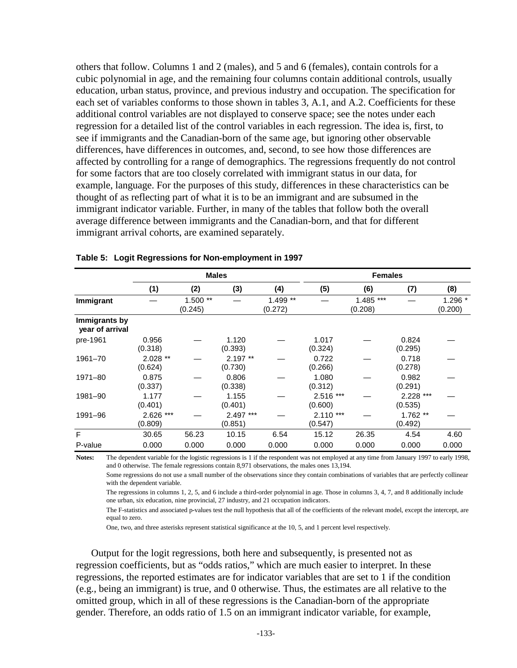others that follow. Columns 1 and 2 (males), and 5 and 6 (females), contain controls for a cubic polynomial in age, and the remaining four columns contain additional controls, usually education, urban status, province, and previous industry and occupation. The specification for each set of variables conforms to those shown in tables 3, A.1, and A.2. Coefficients for these additional control variables are not displayed to conserve space; see the notes under each regression for a detailed list of the control variables in each regression. The idea is, first, to see if immigrants and the Canadian-born of the same age, but ignoring other observable differences, have differences in outcomes, and, second, to see how those differences are affected by controlling for a range of demographics. The regressions frequently do not control for some factors that are too closely correlated with immigrant status in our data, for example, language. For the purposes of this study, differences in these characteristics can be thought of as reflecting part of what it is to be an immigrant and are subsumed in the immigrant indicator variable. Further, in many of the tables that follow both the overall average difference between immigrants and the Canadian-born, and that for different immigrant arrival cohorts, are examined separately.

|                                  | <b>Males</b>         |                      |                      |                     | <b>Females</b>        |                        |                        |                     |  |
|----------------------------------|----------------------|----------------------|----------------------|---------------------|-----------------------|------------------------|------------------------|---------------------|--|
|                                  | (1)                  | (2)                  | (3)                  | (4)                 | (5)                   | (6)                    | (7)                    | (8)                 |  |
| Immigrant                        |                      | $1.500**$<br>(0.245) |                      | 1.499 **<br>(0.272) |                       | $1.485$ ***<br>(0.208) |                        | $1.296*$<br>(0.200) |  |
| Immigrants by<br>year of arrival |                      |                      |                      |                     |                       |                        |                        |                     |  |
| pre-1961                         | 0.956<br>(0.318)     |                      | 1.120<br>(0.393)     |                     | 1.017<br>(0.324)      |                        | 0.824<br>(0.295)       |                     |  |
| 1961-70                          | $2.028**$<br>(0.624) |                      | $2.197**$<br>(0.730) |                     | 0.722<br>(0.266)      |                        | 0.718<br>(0.278)       |                     |  |
| 1971-80                          | 0.875<br>(0.337)     |                      | 0.806<br>(0.338)     |                     | 1.080<br>(0.312)      |                        | 0.982<br>(0.291)       |                     |  |
| 1981-90                          | 1.177<br>(0.401)     |                      | 1.155<br>(0.401)     |                     | 2.516 ***<br>(0.600)  |                        | $2.228$ ***<br>(0.535) |                     |  |
| 1991-96                          | 2.626 ***<br>(0.809) |                      | 2.497 ***<br>(0.851) |                     | $2.110***$<br>(0.547) |                        | $1.762**$<br>(0.492)   |                     |  |
| F                                | 30.65                | 56.23                | 10.15                | 6.54                | 15.12                 | 26.35                  | 4.54                   | 4.60                |  |
| P-value                          | 0.000                | 0.000                | 0.000                | 0.000               | 0.000                 | 0.000                  | 0.000                  | 0.000               |  |

#### **Table 5: Logit Regressions for Non-employment in 1997**

**Notes:** The dependent variable for the logistic regressions is 1 if the respondent was not employed at any time from January 1997 to early 1998, and 0 otherwise. The female regressions contain 8,971 observations, the males ones 13,194.

Some regressions do not use a small number of the observations since they contain combinations of variables that are perfectly collinear with the dependent variable.

The regressions in columns 1, 2, 5, and 6 include a third-order polynomial in age. Those in columns 3, 4, 7, and 8 additionally include one urban, six education, nine provincial, 27 industry, and 21 occupation indicators.

The F-statistics and associated p-values test the null hypothesis that all of the coefficients of the relevant model, except the intercept, are equal to zero.

One, two, and three asterisks represent statistical significance at the 10, 5, and 1 percent level respectively.

Output for the logit regressions, both here and subsequently, is presented not as regression coefficients, but as "odds ratios," which are much easier to interpret. In these regressions, the reported estimates are for indicator variables that are set to 1 if the condition (e.g., being an immigrant) is true, and 0 otherwise. Thus, the estimates are all relative to the omitted group, which in all of these regressions is the Canadian-born of the appropriate gender. Therefore, an odds ratio of 1.5 on an immigrant indicator variable, for example,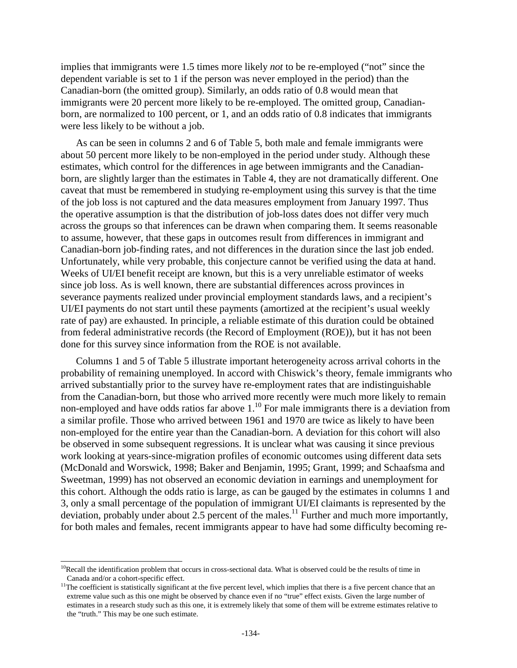implies that immigrants were 1.5 times more likely *not* to be re-employed ("not" since the dependent variable is set to 1 if the person was never employed in the period) than the Canadian-born (the omitted group). Similarly, an odds ratio of 0.8 would mean that immigrants were 20 percent more likely to be re-employed. The omitted group, Canadianborn, are normalized to 100 percent, or 1, and an odds ratio of 0.8 indicates that immigrants were less likely to be without a job.

As can be seen in columns 2 and 6 of Table 5, both male and female immigrants were about 50 percent more likely to be non-employed in the period under study. Although these estimates, which control for the differences in age between immigrants and the Canadianborn, are slightly larger than the estimates in Table 4, they are not dramatically different. One caveat that must be remembered in studying re-employment using this survey is that the time of the job loss is not captured and the data measures employment from January 1997. Thus the operative assumption is that the distribution of job-loss dates does not differ very much across the groups so that inferences can be drawn when comparing them. It seems reasonable to assume, however, that these gaps in outcomes result from differences in immigrant and Canadian-born job-finding rates, and not differences in the duration since the last job ended. Unfortunately, while very probable, this conjecture cannot be verified using the data at hand. Weeks of UI/EI benefit receipt are known, but this is a very unreliable estimator of weeks since job loss. As is well known, there are substantial differences across provinces in severance payments realized under provincial employment standards laws, and a recipient's UI/EI payments do not start until these payments (amortized at the recipient's usual weekly rate of pay) are exhausted. In principle, a reliable estimate of this duration could be obtained from federal administrative records (the Record of Employment (ROE)), but it has not been done for this survey since information from the ROE is not available.

Columns 1 and 5 of Table 5 illustrate important heterogeneity across arrival cohorts in the probability of remaining unemployed. In accord with Chiswick's theory, female immigrants who arrived substantially prior to the survey have re-employment rates that are indistinguishable from the Canadian-born, but those who arrived more recently were much more likely to remain non-employed and have odds ratios far above  $1<sup>10</sup>$  For male immigrants there is a deviation from a similar profile. Those who arrived between 1961 and 1970 are twice as likely to have been non-employed for the entire year than the Canadian-born. A deviation for this cohort will also be observed in some subsequent regressions. It is unclear what was causing it since previous work looking at years-since-migration profiles of economic outcomes using different data sets (McDonald and Worswick, 1998; Baker and Benjamin, 1995; Grant, 1999; and Schaafsma and Sweetman, 1999) has not observed an economic deviation in earnings and unemployment for this cohort. Although the odds ratio is large, as can be gauged by the estimates in columns 1 and 3, only a small percentage of the population of immigrant UI/EI claimants is represented by the deviation, probably under about  $2.5$  percent of the males.<sup>11</sup> Further and much more importantly, for both males and females, recent immigrants appear to have had some difficulty becoming re-

 $10$ Recall the identification problem that occurs in cross-sectional data. What is observed could be the results of time in

Canada and/or a cohort-specific effect.<br><sup>11</sup>The coefficient is statistically significant at the five percent level, which implies that there is a five percent chance that an extreme value such as this one might be observed by chance even if no "true" effect exists. Given the large number of estimates in a research study such as this one, it is extremely likely that some of them will be extreme estimates relative to the "truth." This may be one such estimate.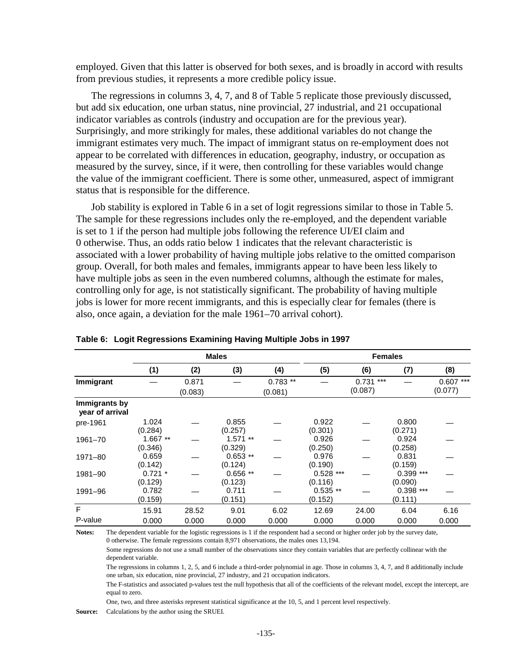employed. Given that this latter is observed for both sexes, and is broadly in accord with results from previous studies, it represents a more credible policy issue.

The regressions in columns 3, 4, 7, and 8 of Table 5 replicate those previously discussed, but add six education, one urban status, nine provincial, 27 industrial, and 21 occupational indicator variables as controls (industry and occupation are for the previous year). Surprisingly, and more strikingly for males, these additional variables do not change the immigrant estimates very much. The impact of immigrant status on re-employment does not appear to be correlated with differences in education, geography, industry, or occupation as measured by the survey, since, if it were, then controlling for these variables would change the value of the immigrant coefficient. There is some other, unmeasured, aspect of immigrant status that is responsible for the difference.

Job stability is explored in Table 6 in a set of logit regressions similar to those in Table 5. The sample for these regressions includes only the re-employed, and the dependent variable is set to 1 if the person had multiple jobs following the reference UI/EI claim and 0 otherwise. Thus, an odds ratio below 1 indicates that the relevant characteristic is associated with a lower probability of having multiple jobs relative to the omitted comparison group. Overall, for both males and females, immigrants appear to have been less likely to have multiple jobs as seen in the even numbered columns, although the estimate for males, controlling only for age, is not statistically significant. The probability of having multiple jobs is lower for more recent immigrants, and this is especially clear for females (there is also, once again, a deviation for the male 1961–70 arrival cohort).

|                                  | <b>Males</b>         |                  |                      |                      | <b>Females</b>         |                       |                        |                       |  |
|----------------------------------|----------------------|------------------|----------------------|----------------------|------------------------|-----------------------|------------------------|-----------------------|--|
|                                  | (1)                  | (2)              | (3)                  | (4)                  | (5)                    | (6)                   | (7)                    | (8)                   |  |
| Immigrant                        |                      | 0.871<br>(0.083) |                      | $0.783**$<br>(0.081) |                        | $0.731***$<br>(0.087) |                        | $0.607***$<br>(0.077) |  |
| Immigrants by<br>year of arrival |                      |                  |                      |                      |                        |                       |                        |                       |  |
| pre-1961                         | 1.024<br>(0.284)     |                  | 0.855<br>(0.257)     |                      | 0.922<br>(0.301)       |                       | 0.800<br>(0.271)       |                       |  |
| 1961-70                          | $1.667**$<br>(0.346) |                  | $1.571**$<br>(0.329) |                      | 0.926<br>(0.250)       |                       | 0.924<br>(0.258)       |                       |  |
| 1971-80                          | 0.659<br>(0.142)     |                  | $0.653**$<br>(0.124) |                      | 0.976<br>(0.190)       |                       | 0.831<br>(0.159)       |                       |  |
| 1981-90                          | $0.721 *$<br>(0.129) |                  | $0.656**$<br>(0.123) |                      | $0.528$ ***<br>(0.116) |                       | $0.399$ ***<br>(0.090) |                       |  |
| 1991-96                          | 0.782<br>(0.159)     |                  | 0.711<br>(0.151)     |                      | $0.535**$<br>(0.152)   |                       | $0.398$ ***<br>(0.111) |                       |  |
| F                                | 15.91                | 28.52            | 9.01                 | 6.02                 | 12.69                  | 24.00                 | 6.04                   | 6.16                  |  |
| P-value                          | 0.000                | 0.000            | 0.000                | 0.000                | 0.000                  | 0.000                 | 0.000                  | 0.000                 |  |

**Table 6: Logit Regressions Examining Having Multiple Jobs in 1997** 

**Notes:** The dependent variable for the logistic regressions is 1 if the respondent had a second or higher order job by the survey date, 0 otherwise. The female regressions contain 8,971 observations, the males ones 13,194.

Some regressions do not use a small number of the observations since they contain variables that are perfectly collinear with the dependent variable.

The regressions in columns 1, 2, 5, and 6 include a third-order polynomial in age. Those in columns 3, 4, 7, and 8 additionally include one urban, six education, nine provincial, 27 industry, and 21 occupation indicators.

The F-statistics and associated p-values test the null hypothesis that all of the coefficients of the relevant model, except the intercept, are equal to zero.

One, two, and three asterisks represent statistical significance at the 10, 5, and 1 percent level respectively.

**Source:** Calculations by the author using the SRUEI.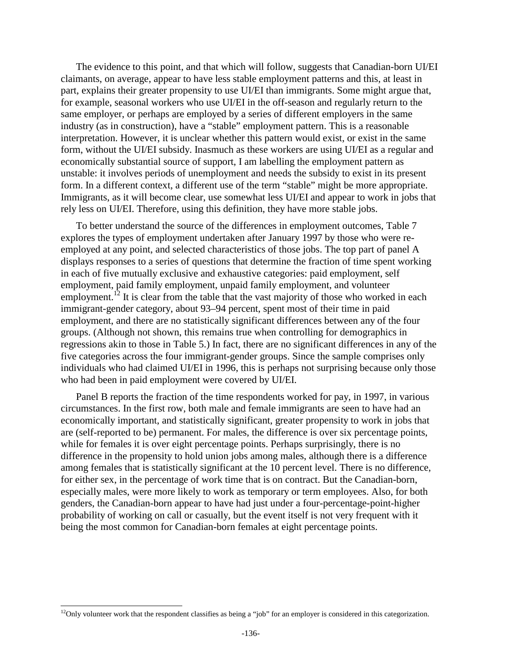The evidence to this point, and that which will follow, suggests that Canadian-born UI/EI claimants, on average, appear to have less stable employment patterns and this, at least in part, explains their greater propensity to use UI/EI than immigrants. Some might argue that, for example, seasonal workers who use UI/EI in the off-season and regularly return to the same employer, or perhaps are employed by a series of different employers in the same industry (as in construction), have a "stable" employment pattern. This is a reasonable interpretation. However, it is unclear whether this pattern would exist, or exist in the same form, without the UI/EI subsidy. Inasmuch as these workers are using UI/EI as a regular and economically substantial source of support, I am labelling the employment pattern as unstable: it involves periods of unemployment and needs the subsidy to exist in its present form. In a different context, a different use of the term "stable" might be more appropriate. Immigrants, as it will become clear, use somewhat less UI/EI and appear to work in jobs that rely less on UI/EI. Therefore, using this definition, they have more stable jobs.

To better understand the source of the differences in employment outcomes, Table 7 explores the types of employment undertaken after January 1997 by those who were reemployed at any point, and selected characteristics of those jobs. The top part of panel A displays responses to a series of questions that determine the fraction of time spent working in each of five mutually exclusive and exhaustive categories: paid employment, self employment, paid family employment, unpaid family employment, and volunteer employment.<sup>12</sup> It is clear from the table that the vast majority of those who worked in each immigrant-gender category, about 93–94 percent, spent most of their time in paid employment, and there are no statistically significant differences between any of the four groups. (Although not shown, this remains true when controlling for demographics in regressions akin to those in Table 5.) In fact, there are no significant differences in any of the five categories across the four immigrant-gender groups. Since the sample comprises only individuals who had claimed UI/EI in 1996, this is perhaps not surprising because only those who had been in paid employment were covered by UI/EI.

Panel B reports the fraction of the time respondents worked for pay, in 1997, in various circumstances. In the first row, both male and female immigrants are seen to have had an economically important, and statistically significant, greater propensity to work in jobs that are (self-reported to be) permanent. For males, the difference is over six percentage points, while for females it is over eight percentage points. Perhaps surprisingly, there is no difference in the propensity to hold union jobs among males, although there is a difference among females that is statistically significant at the 10 percent level. There is no difference, for either sex, in the percentage of work time that is on contract. But the Canadian-born, especially males, were more likely to work as temporary or term employees. Also, for both genders, the Canadian-born appear to have had just under a four-percentage-point-higher probability of working on call or casually, but the event itself is not very frequent with it being the most common for Canadian-born females at eight percentage points.

 $12$ Only volunteer work that the respondent classifies as being a "job" for an employer is considered in this categorization.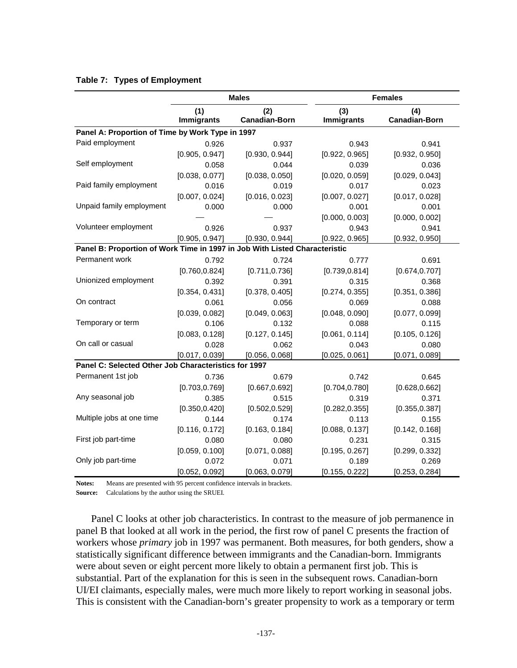|                                                                            |                          | <b>Males</b>                | <b>Females</b>    |                             |  |
|----------------------------------------------------------------------------|--------------------------|-----------------------------|-------------------|-----------------------------|--|
|                                                                            | (1)<br><b>Immigrants</b> | (2)<br><b>Canadian-Born</b> | (3)<br>Immigrants | (4)<br><b>Canadian-Born</b> |  |
| Panel A: Proportion of Time by Work Type in 1997                           |                          |                             |                   |                             |  |
| Paid employment                                                            | 0.926                    | 0.937                       | 0.943             | 0.941                       |  |
|                                                                            | [0.905, 0.947]           | [0.930, 0.944]              | [0.922, 0.965]    | [0.932, 0.950]              |  |
| Self employment                                                            | 0.058                    | 0.044                       | 0.039             | 0.036                       |  |
|                                                                            | [0.038, 0.077]           | [0.038, 0.050]              | [0.020, 0.059]    | [0.029, 0.043]              |  |
| Paid family employment                                                     | 0.016                    | 0.019                       | 0.017             | 0.023                       |  |
|                                                                            | [0.007, 0.024]           | [0.016, 0.023]              | [0.007, 0.027]    | [0.017, 0.028]              |  |
| Unpaid family employment                                                   | 0.000                    | 0.000                       | 0.001             | 0.001                       |  |
|                                                                            |                          |                             | [0.000, 0.003]    | [0.000, 0.002]              |  |
| Volunteer employment                                                       | 0.926                    | 0.937                       | 0.943             | 0.941                       |  |
|                                                                            | [0.905, 0.947]           | [0.930, 0.944]              | [0.922, 0.965]    | [0.932, 0.950]              |  |
| Panel B: Proportion of Work Time in 1997 in Job With Listed Characteristic |                          |                             |                   |                             |  |
| Permanent work                                                             | 0.792                    | 0.724                       | 0.777             | 0.691                       |  |
|                                                                            | [0.760, 0.824]           | [0.711, 0.736]              | [0.739, 0.814]    | [0.674, 0.707]              |  |
| Unionized employment                                                       | 0.392                    | 0.391                       | 0.315             | 0.368                       |  |
|                                                                            | [0.354, 0.431]           | [0.378, 0.405]              | [0.274, 0.355]    | [0.351, 0.386]              |  |
| On contract                                                                | 0.061                    | 0.056                       | 0.069             | 0.088                       |  |
|                                                                            | [0.039, 0.082]           | [0.049, 0.063]              | [0.048, 0.090]    | [0.077, 0.099]              |  |
| Temporary or term                                                          | 0.106                    | 0.132                       | 0.088             | 0.115                       |  |
|                                                                            | [0.083, 0.128]           | [0.127, 0.145]              | [0.061, 0.114]    | [0.105, 0.126]              |  |
| On call or casual                                                          | 0.028                    | 0.062                       | 0.043             | 0.080                       |  |
|                                                                            | [0.017, 0.039]           | [0.056, 0.068]              | [0.025, 0.061]    | [0.071, 0.089]              |  |
| Panel C: Selected Other Job Characteristics for 1997                       |                          |                             |                   |                             |  |
| Permanent 1st job                                                          | 0.736                    | 0.679                       | 0.742             | 0.645                       |  |
|                                                                            | [0.703, 0.769]           | [0.667, 0.692]              | [0.704, 0.780]    | [0.628, 0.662]              |  |
| Any seasonal job                                                           | 0.385                    | 0.515                       | 0.319             | 0.371                       |  |
|                                                                            | [0.350, 0.420]           | [0.502, 0.529]              | [0.282, 0.355]    | [0.355, 0.387]              |  |
| Multiple jobs at one time                                                  | 0.144                    | 0.174                       | 0.113             | 0.155                       |  |
|                                                                            | [0.116, 0.172]           | [0.163, 0.184]              | [0.088, 0.137]    | [0.142, 0.168]              |  |
| First job part-time                                                        | 0.080                    | 0.080                       | 0.231             | 0.315                       |  |
|                                                                            | [0.059, 0.100]           | [0.071, 0.088]              | [0.195, 0.267]    | [0.299, 0.332]              |  |
| Only job part-time                                                         | 0.072                    | 0.071                       | 0.189             | 0.269                       |  |
|                                                                            | [0.052, 0.092]           | [0.063, 0.079]              | [0.155, 0.222]    | [0.253, 0.284]              |  |

## **Table 7: Types of Employment**

**Notes:** Means are presented with 95 percent confidence intervals in brackets.

**Source:** Calculations by the author using the SRUEI.

Panel C looks at other job characteristics. In contrast to the measure of job permanence in panel B that looked at all work in the period, the first row of panel C presents the fraction of workers whose *primary* job in 1997 was permanent. Both measures, for both genders, show a statistically significant difference between immigrants and the Canadian-born. Immigrants were about seven or eight percent more likely to obtain a permanent first job. This is substantial. Part of the explanation for this is seen in the subsequent rows. Canadian-born UI/EI claimants, especially males, were much more likely to report working in seasonal jobs. This is consistent with the Canadian-born's greater propensity to work as a temporary or term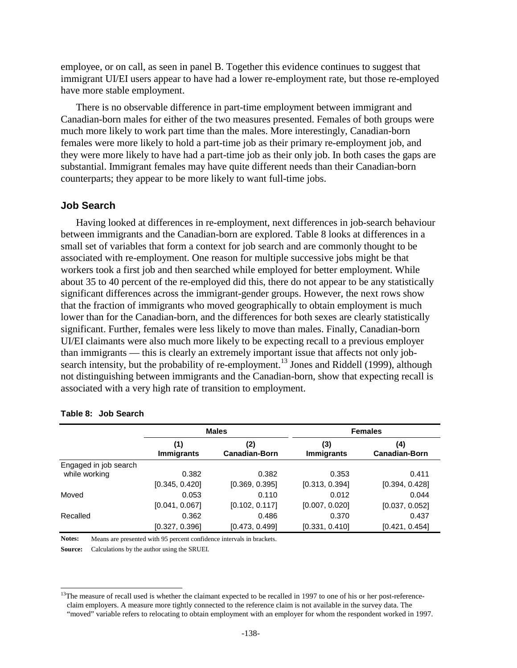employee, or on call, as seen in panel B. Together this evidence continues to suggest that immigrant UI/EI users appear to have had a lower re-employment rate, but those re-employed have more stable employment.

There is no observable difference in part-time employment between immigrant and Canadian-born males for either of the two measures presented. Females of both groups were much more likely to work part time than the males. More interestingly, Canadian-born females were more likely to hold a part-time job as their primary re-employment job, and they were more likely to have had a part-time job as their only job. In both cases the gaps are substantial. Immigrant females may have quite different needs than their Canadian-born counterparts; they appear to be more likely to want full-time jobs.

#### **Job Search**

Having looked at differences in re-employment, next differences in job-search behaviour between immigrants and the Canadian-born are explored. Table 8 looks at differences in a small set of variables that form a context for job search and are commonly thought to be associated with re-employment. One reason for multiple successive jobs might be that workers took a first job and then searched while employed for better employment. While about 35 to 40 percent of the re-employed did this, there do not appear to be any statistically significant differences across the immigrant-gender groups. However, the next rows show that the fraction of immigrants who moved geographically to obtain employment is much lower than for the Canadian-born, and the differences for both sexes are clearly statistically significant. Further, females were less likely to move than males. Finally, Canadian-born UI/EI claimants were also much more likely to be expecting recall to a previous employer than immigrants — this is clearly an extremely important issue that affects not only jobsearch intensity, but the probability of re-employment.<sup>13</sup> Jones and Riddell (1999), although not distinguishing between immigrants and the Canadian-born, show that expecting recall is associated with a very high rate of transition to employment.

|                                        |                          | <b>Males</b>                | <b>Females</b>           |                             |  |
|----------------------------------------|--------------------------|-----------------------------|--------------------------|-----------------------------|--|
|                                        | (1)<br><b>Immigrants</b> | (2)<br><b>Canadian-Born</b> | (3)<br><b>Immigrants</b> | (4)<br><b>Canadian-Born</b> |  |
| Engaged in job search<br>while working | 0.382                    | 0.382                       | 0.353                    | 0.411                       |  |
|                                        | [0.345, 0.420]           | [0.369, 0.395]              | [0.313, 0.394]           | [0.394, 0.428]              |  |
| Moved                                  | 0.053                    | 0.110                       | 0.012                    | 0.044                       |  |
|                                        | [0.041, 0.067]           | [0.102, 0.117]              | [0.007, 0.020]           | [0.037, 0.052]              |  |
| Recalled                               | 0.362                    | 0.486                       | 0.370                    | 0.437                       |  |
|                                        | [0.327, 0.396]           | [0.473, 0.499]              | [0.331, 0.410]           | [0.421, 0.454]              |  |

#### **Table 8: Job Search**

l

**Notes:** Means are presented with 95 percent confidence intervals in brackets.

**Source:** Calculations by the author using the SRUEI.

<sup>&</sup>lt;sup>13</sup>The measure of recall used is whether the claimant expected to be recalled in 1997 to one of his or her post-referenceclaim employers. A measure more tightly connected to the reference claim is not available in the survey data. The "moved" variable refers to relocating to obtain employment with an employer for whom the respondent worked in 1997.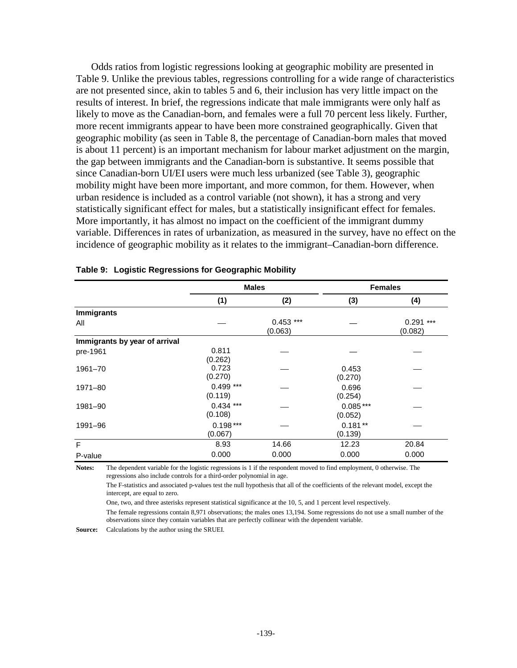Odds ratios from logistic regressions looking at geographic mobility are presented in Table 9. Unlike the previous tables, regressions controlling for a wide range of characteristics are not presented since, akin to tables 5 and 6, their inclusion has very little impact on the results of interest. In brief, the regressions indicate that male immigrants were only half as likely to move as the Canadian-born, and females were a full 70 percent less likely. Further, more recent immigrants appear to have been more constrained geographically. Given that geographic mobility (as seen in Table 8, the percentage of Canadian-born males that moved is about 11 percent) is an important mechanism for labour market adjustment on the margin, the gap between immigrants and the Canadian-born is substantive. It seems possible that since Canadian-born UI/EI users were much less urbanized (see Table 3), geographic mobility might have been more important, and more common, for them. However, when urban residence is included as a control variable (not shown), it has a strong and very statistically significant effect for males, but a statistically insignificant effect for females. More importantly, it has almost no impact on the coefficient of the immigrant dummy variable. Differences in rates of urbanization, as measured in the survey, have no effect on the incidence of geographic mobility as it relates to the immigrant–Canadian-born difference.

|                               |                        | <b>Males</b>           |                       | <b>Females</b>         |
|-------------------------------|------------------------|------------------------|-----------------------|------------------------|
|                               | (1)                    | (2)                    | (3)                   | (4)                    |
| <b>Immigrants</b>             |                        |                        |                       |                        |
| All                           |                        | $0.453$ ***<br>(0.063) |                       | $0.291$ ***<br>(0.082) |
| Immigrants by year of arrival |                        |                        |                       |                        |
| pre-1961                      | 0.811<br>(0.262)       |                        |                       |                        |
| 1961-70                       | 0.723<br>(0.270)       |                        | 0.453<br>(0.270)      |                        |
| 1971-80                       | $0.499$ ***<br>(0.119) |                        | 0.696<br>(0.254)      |                        |
| 1981-90                       | $0.434***$<br>(0.108)  |                        | $0.085***$<br>(0.052) |                        |
| 1991-96                       | $0.198***$<br>(0.067)  |                        | $0.181**$<br>(0.139)  |                        |
| F                             | 8.93                   | 14.66                  | 12.23                 | 20.84                  |
| P-value                       | 0.000                  | 0.000                  | 0.000                 | 0.000                  |

#### **Table 9: Logistic Regressions for Geographic Mobility**

**Notes:** The dependent variable for the logistic regressions is 1 if the respondent moved to find employment, 0 otherwise. The regressions also include controls for a third-order polynomial in age.

The F-statistics and associated p-values test the null hypothesis that all of the coefficients of the relevant model, except the intercept, are equal to zero.

One, two, and three asterisks represent statistical significance at the 10, 5, and 1 percent level respectively.

The female regressions contain 8,971 observations; the males ones 13,194. Some regressions do not use a small number of the observations since they contain variables that are perfectly collinear with the dependent variable.

**Source:** Calculations by the author using the SRUEI.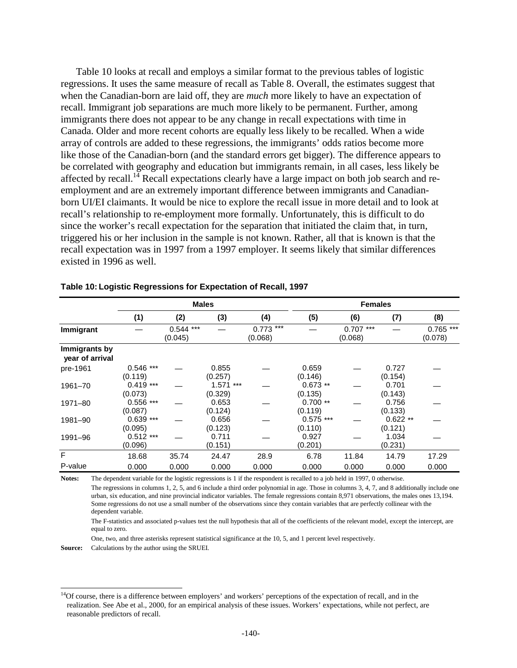Table 10 looks at recall and employs a similar format to the previous tables of logistic regressions. It uses the same measure of recall as Table 8. Overall, the estimates suggest that when the Canadian-born are laid off, they are *much* more likely to have an expectation of recall. Immigrant job separations are much more likely to be permanent. Further, among immigrants there does not appear to be any change in recall expectations with time in Canada. Older and more recent cohorts are equally less likely to be recalled. When a wide array of controls are added to these regressions, the immigrants' odds ratios become more like those of the Canadian-born (and the standard errors get bigger). The difference appears to be correlated with geography and education but immigrants remain, in all cases, less likely be affected by recall.<sup>14</sup> Recall expectations clearly have a large impact on both job search and reemployment and are an extremely important difference between immigrants and Canadianborn UI/EI claimants. It would be nice to explore the recall issue in more detail and to look at recall's relationship to re-employment more formally. Unfortunately, this is difficult to do since the worker's recall expectation for the separation that initiated the claim that, in turn, triggered his or her inclusion in the sample is not known. Rather, all that is known is that the recall expectation was in 1997 from a 1997 employer. It seems likely that similar differences existed in 1996 as well.

|                                  | <b>Males</b>           |                           |                        | <b>Females</b>         |                        |                        |                      |                       |
|----------------------------------|------------------------|---------------------------|------------------------|------------------------|------------------------|------------------------|----------------------|-----------------------|
|                                  | (1)                    | (2)                       | (3)                    | (4)                    | (5)                    | (6)                    | (7)                  | (8)                   |
| Immigrant                        |                        | $***$<br>0.544<br>(0.045) |                        | $0.773$ ***<br>(0.068) |                        | $0.707$ ***<br>(0.068) |                      | $0.765***$<br>(0.078) |
| Immigrants by<br>year of arrival |                        |                           |                        |                        |                        |                        |                      |                       |
| pre-1961                         | $0.546$ ***<br>(0.119) |                           | 0.855<br>(0.257)       |                        | 0.659<br>(0.146)       |                        | 0.727<br>(0.154)     |                       |
| 1961-70                          | $0.419***$<br>(0.073)  |                           | $1.571$ ***<br>(0.329) |                        | $0.673**$<br>(0.135)   |                        | 0.701<br>(0.143)     |                       |
| 1971-80                          | $0.556$ ***<br>(0.087) |                           | 0.653<br>(0.124)       |                        | $0.700**$<br>(0.119)   |                        | 0.756<br>(0.133)     |                       |
| 1981-90                          | $0.639***$<br>(0.095)  |                           | 0.656<br>(0.123)       |                        | $0.575$ ***<br>(0.110) |                        | $0.622**$<br>(0.121) |                       |
| 1991-96                          | $0.512***$<br>(0.096)  |                           | 0.711<br>(0.151)       |                        | 0.927<br>(0.201)       |                        | 1.034<br>(0.231)     |                       |
| F                                | 18.68                  | 35.74                     | 24.47                  | 28.9                   | 6.78                   | 11.84                  | 14.79                | 17.29                 |
| P-value                          | 0.000                  | 0.000                     | 0.000                  | 0.000                  | 0.000                  | 0.000                  | 0.000                | 0.000                 |

#### **Table 10: Logistic Regressions for Expectation of Recall, 1997**

**Notes:** The dependent variable for the logistic regressions is 1 if the respondent is recalled to a job held in 1997, 0 otherwise. The regressions in columns 1, 2, 5, and 6 include a third order polynomial in age. Those in columns 3, 4, 7, and 8 additionally include one urban, six education, and nine provincial indicator variables. The female regressions contain 8,971 observations, the males ones 13,194. Some regressions do not use a small number of the observations since they contain variables that are perfectly collinear with the dependent variable.

The F-statistics and associated p-values test the null hypothesis that all of the coefficients of the relevant model, except the intercept, are equal to zero.

One, two, and three asterisks represent statistical significance at the 10, 5, and 1 percent level respectively.

**Source:** Calculations by the author using the SRUEI.

l

 $<sup>14</sup>$ Of course, there is a difference between employers' and workers' perceptions of the expectation of recall, and in the</sup> realization. See Abe et al., 2000, for an empirical analysis of these issues. Workers' expectations, while not perfect, are reasonable predictors of recall.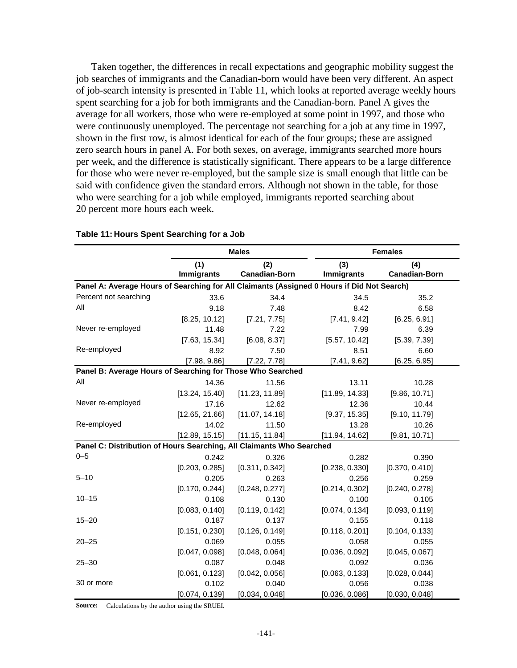Taken together, the differences in recall expectations and geographic mobility suggest the job searches of immigrants and the Canadian-born would have been very different. An aspect of job-search intensity is presented in Table 11, which looks at reported average weekly hours spent searching for a job for both immigrants and the Canadian-born. Panel A gives the average for all workers, those who were re-employed at some point in 1997, and those who were continuously unemployed. The percentage not searching for a job at any time in 1997, shown in the first row, is almost identical for each of the four groups; these are assigned zero search hours in panel A. For both sexes, on average, immigrants searched more hours per week, and the difference is statistically significant. There appears to be a large difference for those who were never re-employed, but the sample size is small enough that little can be said with confidence given the standard errors. Although not shown in the table, for those who were searching for a job while employed, immigrants reported searching about 20 percent more hours each week.

|                                                                                            |                          | <b>Males</b>                |                          | <b>Females</b>              |  |  |
|--------------------------------------------------------------------------------------------|--------------------------|-----------------------------|--------------------------|-----------------------------|--|--|
|                                                                                            | (1)<br><b>Immigrants</b> | (2)<br><b>Canadian-Born</b> | (3)<br><b>Immigrants</b> | (4)<br><b>Canadian-Born</b> |  |  |
| Panel A: Average Hours of Searching for All Claimants (Assigned 0 Hours if Did Not Search) |                          |                             |                          |                             |  |  |
| Percent not searching                                                                      | 33.6                     | 34.4                        | 34.5                     | 35.2                        |  |  |
| All                                                                                        | 9.18                     | 7.48                        | 8.42                     | 6.58                        |  |  |
|                                                                                            | [8.25, 10.12]            | [7.21, 7.75]                | [7.41, 9.42]             | [6.25, 6.91]                |  |  |
| Never re-employed                                                                          | 11.48                    | 7.22                        | 7.99                     | 6.39                        |  |  |
|                                                                                            | [7.63, 15.34]            | [6.08, 8.37]                | [5.57, 10.42]            | [5.39, 7.39]                |  |  |
| Re-employed                                                                                | 8.92                     | 7.50                        | 8.51                     | 6.60                        |  |  |
|                                                                                            | [7.98, 9.86]             | [7.22, 7.78]                | [7.41, 9.62]             | [6.25, 6.95]                |  |  |
| Panel B: Average Hours of Searching for Those Who Searched                                 |                          |                             |                          |                             |  |  |
| All                                                                                        | 14.36                    | 11.56                       | 13.11                    | 10.28                       |  |  |
|                                                                                            | [13.24, 15.40]           | [11.23, 11.89]              | [11.89, 14.33]           | [9.86, 10.71]               |  |  |
| Never re-employed                                                                          | 17.16                    | 12.62                       | 12.36                    | 10.44                       |  |  |
|                                                                                            | [12.65, 21.66]           | [11.07, 14.18]              | [9.37, 15.35]            | [9.10, 11.79]               |  |  |
| Re-employed                                                                                | 14.02                    | 11.50                       | 13.28                    | 10.26                       |  |  |
|                                                                                            | [12.89, 15.15]           | [11.15, 11.84]              | [11.94, 14.62]           | [9.81, 10.71]               |  |  |
| Panel C: Distribution of Hours Searching, All Claimants Who Searched                       |                          |                             |                          |                             |  |  |
| $0 - 5$                                                                                    | 0.242                    | 0.326                       | 0.282                    | 0.390                       |  |  |
|                                                                                            | [0.203, 0.285]           | [0.311, 0.342]              | [0.238, 0.330]           | [0.370, 0.410]              |  |  |
| $5 - 10$                                                                                   | 0.205                    | 0.263                       | 0.256                    | 0.259                       |  |  |
|                                                                                            | [0.170, 0.244]           | [0.248, 0.277]              | [0.214, 0.302]           | [0.240, 0.278]              |  |  |
| $10 - 15$                                                                                  | 0.108                    | 0.130                       | 0.100                    | 0.105                       |  |  |
|                                                                                            | [0.083, 0.140]           | [0.119, 0.142]              | [0.074, 0.134]           | [0.093, 0.119]              |  |  |
| $15 - 20$                                                                                  | 0.187                    | 0.137                       | 0.155                    | 0.118                       |  |  |
|                                                                                            | [0.151, 0.230]           | [0.126, 0.149]              | [0.118, 0.201]           | [0.104, 0.133]              |  |  |
| $20 - 25$                                                                                  | 0.069                    | 0.055                       | 0.058                    | 0.055                       |  |  |
|                                                                                            | [0.047, 0.098]           | [0.048, 0.064]              | [0.036, 0.092]           | [0.045, 0.067]              |  |  |
| $25 - 30$                                                                                  | 0.087                    | 0.048                       | 0.092                    | 0.036                       |  |  |
|                                                                                            | [0.061, 0.123]           | [0.042, 0.056]              | [0.063, 0.133]           | [0.028, 0.044]              |  |  |
| 30 or more                                                                                 | 0.102                    | 0.040                       | 0.056                    | 0.038                       |  |  |
|                                                                                            | [0.074, 0.139]           | [0.034, 0.048]              | [0.036, 0.086]           | [0.030, 0.048]              |  |  |

#### **Table 11: Hours Spent Searching for a Job**

**Source:** Calculations by the author using the SRUEI.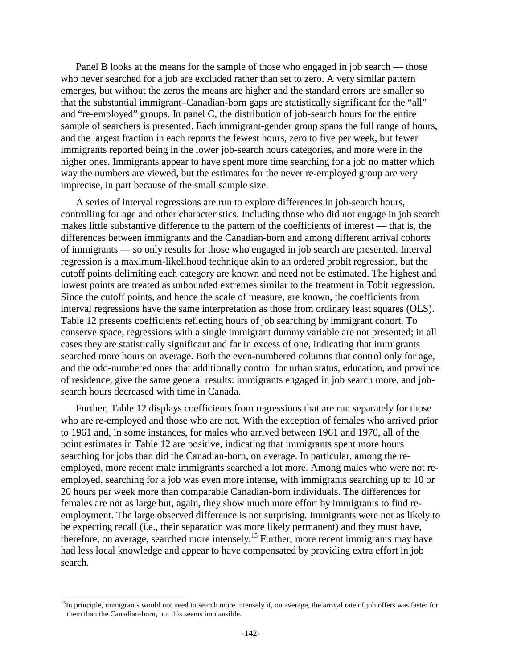Panel B looks at the means for the sample of those who engaged in job search — those who never searched for a job are excluded rather than set to zero. A very similar pattern emerges, but without the zeros the means are higher and the standard errors are smaller so that the substantial immigrant–Canadian-born gaps are statistically significant for the "all" and "re-employed" groups. In panel C, the distribution of job-search hours for the entire sample of searchers is presented. Each immigrant-gender group spans the full range of hours, and the largest fraction in each reports the fewest hours, zero to five per week, but fewer immigrants reported being in the lower job-search hours categories, and more were in the higher ones. Immigrants appear to have spent more time searching for a job no matter which way the numbers are viewed, but the estimates for the never re-employed group are very imprecise, in part because of the small sample size.

A series of interval regressions are run to explore differences in job-search hours, controlling for age and other characteristics. Including those who did not engage in job search makes little substantive difference to the pattern of the coefficients of interest — that is, the differences between immigrants and the Canadian-born and among different arrival cohorts of immigrants — so only results for those who engaged in job search are presented. Interval regression is a maximum-likelihood technique akin to an ordered probit regression, but the cutoff points delimiting each category are known and need not be estimated. The highest and lowest points are treated as unbounded extremes similar to the treatment in Tobit regression. Since the cutoff points, and hence the scale of measure, are known, the coefficients from interval regressions have the same interpretation as those from ordinary least squares (OLS). Table 12 presents coefficients reflecting hours of job searching by immigrant cohort. To conserve space, regressions with a single immigrant dummy variable are not presented; in all cases they are statistically significant and far in excess of one, indicating that immigrants searched more hours on average. Both the even-numbered columns that control only for age, and the odd-numbered ones that additionally control for urban status, education, and province of residence, give the same general results: immigrants engaged in job search more, and jobsearch hours decreased with time in Canada.

Further, Table 12 displays coefficients from regressions that are run separately for those who are re-employed and those who are not. With the exception of females who arrived prior to 1961 and, in some instances, for males who arrived between 1961 and 1970, all of the point estimates in Table 12 are positive, indicating that immigrants spent more hours searching for jobs than did the Canadian-born, on average. In particular, among the reemployed, more recent male immigrants searched a lot more. Among males who were not reemployed, searching for a job was even more intense, with immigrants searching up to 10 or 20 hours per week more than comparable Canadian-born individuals. The differences for females are not as large but, again, they show much more effort by immigrants to find reemployment. The large observed difference is not surprising. Immigrants were not as likely to be expecting recall (i.e., their separation was more likely permanent) and they must have, therefore, on average, searched more intensely.15 Further, more recent immigrants may have had less local knowledge and appear to have compensated by providing extra effort in job search.

l

 $15$ In principle, immigrants would not need to search more intensely if, on average, the arrival rate of job offers was faster for them than the Canadian-born, but this seems implausible.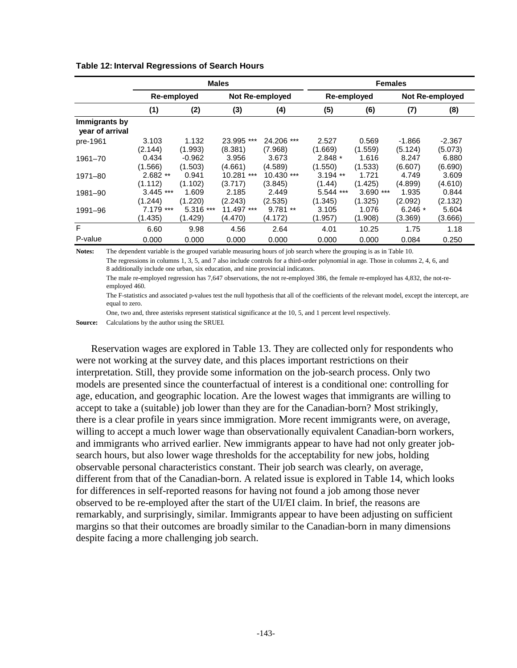|                                  | <b>Males</b>                          |            |                 | <b>Females</b> |           |                        |          |         |
|----------------------------------|---------------------------------------|------------|-----------------|----------------|-----------|------------------------|----------|---------|
|                                  | Re-employed<br><b>Not Re-employed</b> |            |                 | Re-employed    |           | <b>Not Re-employed</b> |          |         |
|                                  | (1)                                   | (2)        | (3)             | (4)            | (5)       | (6)                    | (7)      | (8)     |
| Immigrants by<br>year of arrival |                                       |            |                 |                |           |                        |          |         |
| pre-1961                         | 3.103                                 | 1.132      | 23.995 ***      | 24.206 ***     | 2.527     | 0.569                  | $-1.866$ | -2.367  |
|                                  | (2.144)                               | (1.993)    | (8.381)         | (7.968)        | (1.669)   | (1.559)                | (5.124)  | (5.073) |
| 1961-70                          | 0.434                                 | $-0.962$   | 3.956           | 3.673          | $2.848*$  | 1.616                  | 8.247    | 6.880   |
|                                  | (1.566)                               | (1.503)    | (4.661)         | (4.589)        | (1.550)   | (1.533)                | (6.607)  | (6.690) |
| 1971-80                          | $2.682**$                             | 0.941      | 10.281<br>$***$ | 10.430 ***     | $3.194**$ | 1.721                  | 4.749    | 3.609   |
|                                  | (1.112)                               | (1.102)    | (3.717)         | (3.845)        | (1.44)    | (1.425)                | (4.899)  | (4.610) |
| 1981-90                          | $3.445$ ***                           | 1.609      | 2.185           | 2.449          | 5.544 *** | $3.690$ ***            | 1.935    | 0.844   |
|                                  | (1.244)                               | (1.220)    | (2.243)         | (2.535)        | (1.345)   | (1.325)                | (2.092)  | (2.132) |
| 1991-96                          | $7.179$ ***                           | $5.316***$ | 11.497 ***      | $9.781**$      | 3.105     | 1.076                  | $6.246*$ | 5.604   |
|                                  | (1.435)                               | (1.429)    | (4.470)         | (4.172)        | (1.957)   | (1.908)                | (3.369)  | (3.666) |
| F                                | 6.60                                  | 9.98       | 4.56            | 2.64           | 4.01      | 10.25                  | 1.75     | 1.18    |
| P-value                          | 0.000                                 | 0.000      | 0.000           | 0.000          | 0.000     | 0.000                  | 0.084    | 0.250   |

**Table 12: Interval Regressions of Search Hours** 

**Notes:** The dependent variable is the grouped variable measuring hours of job search where the grouping is as in Table 10. The regressions in columns 1, 3, 5, and 7 also include controls for a third-order polynomial in age. Those in columns 2, 4, 6, and 8 additionally include one urban, six education, and nine provincial indicators.

The male re-employed regression has 7,647 observations, the not re-employed 386, the female re-employed has 4,832, the not-reemployed 460.

The F-statistics and associated p-values test the null hypothesis that all of the coefficients of the relevant model, except the intercept, are equal to zero.

One, two and, three asterisks represent statistical significance at the 10, 5, and 1 percent level respectively.

**Source:** Calculations by the author using the SRUEI.

Reservation wages are explored in Table 13. They are collected only for respondents who were not working at the survey date, and this places important restrictions on their interpretation. Still, they provide some information on the job-search process. Only two models are presented since the counterfactual of interest is a conditional one: controlling for age, education, and geographic location. Are the lowest wages that immigrants are willing to accept to take a (suitable) job lower than they are for the Canadian-born? Most strikingly, there is a clear profile in years since immigration. More recent immigrants were, on average, willing to accept a much lower wage than observationally equivalent Canadian-born workers, and immigrants who arrived earlier. New immigrants appear to have had not only greater jobsearch hours, but also lower wage thresholds for the acceptability for new jobs, holding observable personal characteristics constant. Their job search was clearly, on average, different from that of the Canadian-born. A related issue is explored in Table 14, which looks for differences in self-reported reasons for having not found a job among those never observed to be re-employed after the start of the UI/EI claim. In brief, the reasons are remarkably, and surprisingly, similar. Immigrants appear to have been adjusting on sufficient margins so that their outcomes are broadly similar to the Canadian-born in many dimensions despite facing a more challenging job search.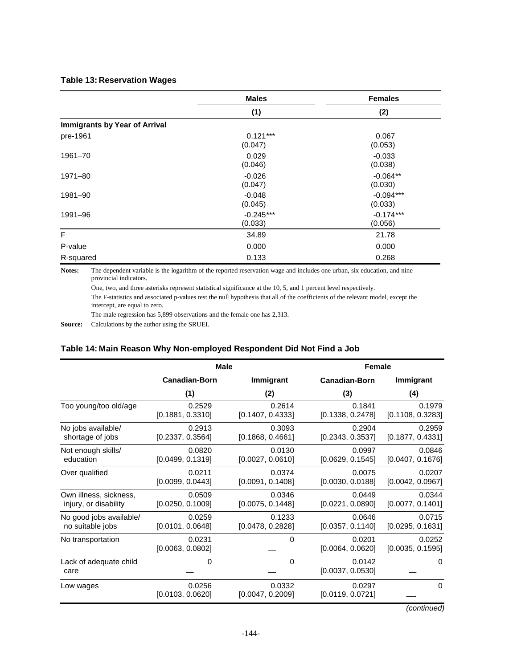#### **Table 13: Reservation Wages**

|                                      | <b>Males</b>           | <b>Females</b>         |
|--------------------------------------|------------------------|------------------------|
|                                      | (1)                    | (2)                    |
| <b>Immigrants by Year of Arrival</b> |                        |                        |
| pre-1961                             | $0.121***$<br>(0.047)  | 0.067<br>(0.053)       |
| 1961-70                              | 0.029<br>(0.046)       | $-0.033$<br>(0.038)    |
| 1971-80                              | $-0.026$<br>(0.047)    | $-0.064**$<br>(0.030)  |
| 1981-90                              | $-0.048$<br>(0.045)    | $-0.094***$<br>(0.033) |
| 1991-96                              | $-0.245***$<br>(0.033) | $-0.174***$<br>(0.056) |
| F                                    | 34.89                  | 21.78                  |
| P-value                              | 0.000                  | 0.000                  |
| R-squared                            | 0.133                  | 0.268                  |

**Notes:** The dependent variable is the logarithm of the reported reservation wage and includes one urban, six education, and nine provincial indicators.

One, two, and three asterisks represent statistical significance at the 10, 5, and 1 percent level respectively.

The F-statistics and associated p-values test the null hypothesis that all of the coefficients of the relevant model, except the intercept, are equal to zero.

The male regression has 5,899 observations and the female one has 2,313.

**Source:** Calculations by the author using the SRUEI.

#### **Table 14: Main Reason Why Non-employed Respondent Did Not Find a Job**

|                                | Male                       |                            | <b>Female</b>              |                            |
|--------------------------------|----------------------------|----------------------------|----------------------------|----------------------------|
|                                | <b>Canadian-Born</b>       | Immigrant                  | <b>Canadian-Born</b>       | Immigrant                  |
|                                | (1)                        | (2)                        | (3)                        | (4)                        |
| Too young/too old/age          | 0.2529                     | 0.2614                     | 0.1841                     | 0.1979                     |
|                                | [0.1881, 0.3310]           | [0.1407, 0.4333]           | [0.1338, 0.2478]           | [0.1108, 0.3283]           |
| No jobs available/             | 0.2913                     | 0.3093                     | 0.2904                     | 0.2959                     |
| shortage of jobs               | [0.2337, 0.3564]           | [0.1868, 0.4661]           | [0.2343, 0.3537]           | [0.1877, 0.4331]           |
| Not enough skills/             | 0.0820                     | 0.0130                     | 0.0997                     | 0.0846                     |
| education                      | [0.0499, 0.1319]           | [0.0027, 0.0610]           | [0.0629, 0.1545]           | [0.0407, 0.1676]           |
| Over qualified                 | 0.0211                     | 0.0374                     | 0.0075                     | 0.0207                     |
|                                | [0.0099, 0.0443]           | [0.0091, 0.1408]           | [0.0030, 0.0188]           | [0.0042, 0.0967]           |
| Own illness, sickness,         | 0.0509                     | 0.0346                     | 0.0449                     | 0.0344                     |
| injury, or disability          | [0.0250, 0.1009]           | [0.0075, 0.1448]           | [0.0221, 0.0890]           | [0.0077, 0.1401]           |
| No good jobs available/        | 0.0259                     | 0.1233                     | 0.0646                     | 0.0715                     |
| no suitable jobs               | [0.0101, 0.0648]           | [0.0478, 0.2828]           | [0.0357, 0.1140]           | [0.0295, 0.1631]           |
| No transportation              | 0.0231<br>[0.0063, 0.0802] | $\Omega$                   | 0.0201<br>[0.0064, 0.0620] | 0.0252<br>[0.0035, 0.1595] |
| Lack of adequate child<br>care | 0                          | $\Omega$                   | 0.0142<br>[0.0037, 0.0530] | $\Omega$                   |
| Low wages                      | 0.0256<br>[0.0103, 0.0620] | 0.0332<br>[0.0047, 0.2009] | 0.0297<br>[0.0119, 0.0721] | $\Omega$                   |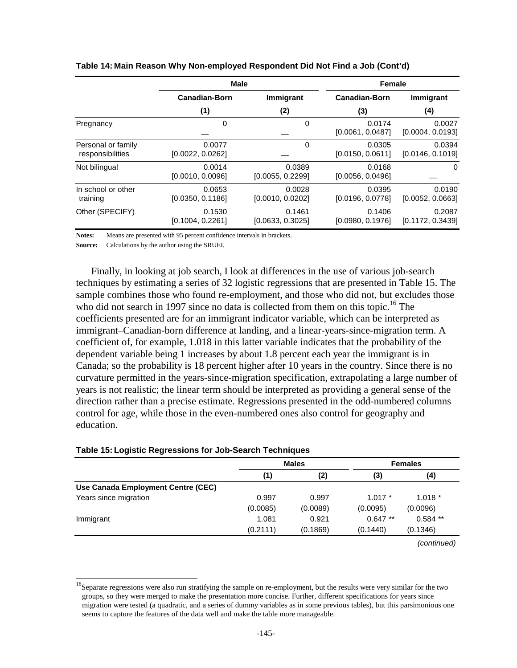|                                        | <b>Male</b>                |                            | <b>Female</b>              |                            |  |
|----------------------------------------|----------------------------|----------------------------|----------------------------|----------------------------|--|
|                                        | <b>Canadian-Born</b>       | Immigrant                  | <b>Canadian-Born</b>       | Immigrant                  |  |
|                                        | (1)                        | (2)                        | (3)                        | (4)                        |  |
| Pregnancy                              | 0                          | 0                          | 0.0174<br>[0.0061, 0.0487] | 0.0027<br>[0.0004, 0.0193] |  |
| Personal or family<br>responsibilities | 0.0077<br>[0.0022, 0.0262] | $\Omega$                   | 0.0305<br>[0.0150, 0.0611] | 0.0394<br>[0.0146, 0.1019] |  |
| Not bilingual                          | 0.0014<br>[0.0010, 0.0096] | 0.0389<br>[0.0055, 0.2299] | 0.0168<br>[0.0056, 0.0496] | 0                          |  |
| In school or other<br>training         | 0.0653<br>[0.0350, 0.1186] | 0.0028<br>[0.0010, 0.0202] | 0.0395<br>[0.0196, 0.0778] | 0.0190<br>[0.0052, 0.0663] |  |
| Other (SPECIFY)                        | 0.1530<br>[0.1004, 0.2261] | 0.1461<br>[0.0633, 0.3025] | 0.1406<br>[0.0980, 0.1976] | 0.2087<br>[0.1172, 0.3439] |  |

#### **Table 14: Main Reason Why Non-employed Respondent Did Not Find a Job (Cont'd)**

**Notes:** Means are presented with 95 percent confidence intervals in brackets.

**Source:** Calculations by the author using the SRUEI.

Finally, in looking at job search, I look at differences in the use of various job-search techniques by estimating a series of 32 logistic regressions that are presented in Table 15. The sample combines those who found re-employment, and those who did not, but excludes those who did not search in 1997 since no data is collected from them on this topic.<sup>16</sup> The coefficients presented are for an immigrant indicator variable, which can be interpreted as immigrant–Canadian-born difference at landing, and a linear-years-since-migration term. A coefficient of, for example, 1.018 in this latter variable indicates that the probability of the dependent variable being 1 increases by about 1.8 percent each year the immigrant is in Canada; so the probability is 18 percent higher after 10 years in the country. Since there is no curvature permitted in the years-since-migration specification, extrapolating a large number of years is not realistic; the linear term should be interpreted as providing a general sense of the direction rather than a precise estimate. Regressions presented in the odd-numbered columns control for age, while those in the even-numbered ones also control for geography and education.

| Table 15: Logistic Regressions for Job-Search Techniques |  |
|----------------------------------------------------------|--|
|----------------------------------------------------------|--|

l

|                                    |          | <b>Males</b> |           | <b>Females</b> |
|------------------------------------|----------|--------------|-----------|----------------|
|                                    | (1)      | (2)          | (3)       | (4)            |
| Use Canada Employment Centre (CEC) |          |              |           |                |
| Years since migration              | 0.997    | 0.997        | $1.017*$  | $1.018*$       |
|                                    | (0.0085) | (0.0089)     | (0.0095)  | (0.0096)       |
| Immigrant                          | 1.081    | 0.921        | $0.647**$ | $0.584$ **     |
|                                    | (0.2111) | (0.1869)     | (0.1440)  | (0.1346)       |
|                                    |          |              |           | (continued)    |

<sup>&</sup>lt;sup>16</sup>Separate regressions were also run stratifying the sample on re-employment, but the results were very similar for the two groups, so they were merged to make the presentation more concise. Further, different specifications for years since migration were tested (a quadratic, and a series of dummy variables as in some previous tables), but this parsimonious one seems to capture the features of the data well and make the table more manageable.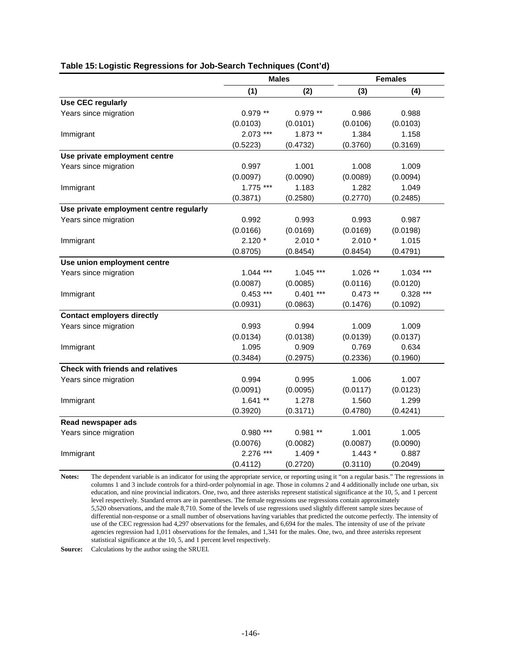|                                         | <b>Males</b> |            | <b>Females</b> |             |
|-----------------------------------------|--------------|------------|----------------|-------------|
|                                         | (1)          | (2)        | (3)            | (4)         |
| <b>Use CEC regularly</b>                |              |            |                |             |
| Years since migration                   | $0.979**$    | $0.979**$  | 0.986          | 0.988       |
|                                         | (0.0103)     | (0.0101)   | (0.0106)       | (0.0103)    |
| Immigrant                               | $2.073$ ***  | $1.873**$  | 1.384          | 1.158       |
|                                         | (0.5223)     | (0.4732)   | (0.3760)       | (0.3169)    |
| Use private employment centre           |              |            |                |             |
| Years since migration                   | 0.997        | 1.001      | 1.008          | 1.009       |
|                                         | (0.0097)     | (0.0090)   | (0.0089)       | (0.0094)    |
| Immigrant                               | $1.775***$   | 1.183      | 1.282          | 1.049       |
|                                         | (0.3871)     | (0.2580)   | (0.2770)       | (0.2485)    |
| Use private employment centre regularly |              |            |                |             |
| Years since migration                   | 0.992        | 0.993      | 0.993          | 0.987       |
|                                         | (0.0166)     | (0.0169)   | (0.0169)       | (0.0198)    |
| Immigrant                               | $2.120*$     | $2.010*$   | $2.010*$       | 1.015       |
|                                         | (0.8705)     | (0.8454)   | (0.8454)       | (0.4791)    |
| Use union employment centre             |              |            |                |             |
| Years since migration                   | $1.044$ ***  | $1.045***$ | $1.026$ **     | $1.034$ *** |
|                                         | (0.0087)     | (0.0085)   | (0.0116)       | (0.0120)    |
| Immigrant                               | $0.453$ ***  | $0.401***$ | $0.473**$      | $0.328$ *** |
|                                         | (0.0931)     | (0.0863)   | (0.1476)       | (0.1092)    |
| <b>Contact employers directly</b>       |              |            |                |             |
| Years since migration                   | 0.993        | 0.994      | 1.009          | 1.009       |
|                                         | (0.0134)     | (0.0138)   | (0.0139)       | (0.0137)    |
| Immigrant                               | 1.095        | 0.909      | 0.769          | 0.634       |
|                                         | (0.3484)     | (0.2975)   | (0.2336)       | (0.1960)    |
| <b>Check with friends and relatives</b> |              |            |                |             |
| Years since migration                   | 0.994        | 0.995      | 1.006          | 1.007       |
|                                         | (0.0091)     | (0.0095)   | (0.0117)       | (0.0123)    |
| Immigrant                               | $1.641**$    | 1.278      | 1.560          | 1.299       |
|                                         | (0.3920)     | (0.3171)   | (0.4780)       | (0.4241)    |
| Read newspaper ads                      |              |            |                |             |
| Years since migration                   | $0.980$ ***  | $0.981**$  | 1.001          | 1.005       |
|                                         | (0.0076)     | (0.0082)   | (0.0087)       | (0.0090)    |
| Immigrant                               | 2.276 ***    | $1.409*$   | $1.443*$       | 0.887       |
|                                         | (0.4112)     | (0.2720)   | (0.3110)       | (0.2049)    |

#### **Table 15: Logistic Regressions for Job-Search Techniques (Cont'd)**

**Notes:** The dependent variable is an indicator for using the appropriate service, or reporting using it "on a regular basis." The regressions in columns 1 and 3 include controls for a third-order polynomial in age. Those in columns 2 and 4 additionally include one urban, six education, and nine provincial indicators. One, two, and three asterisks represent statistical significance at the 10, 5, and 1 percent level respectively. Standard errors are in parentheses. The female regressions use regressions contain approximately 5,520 observations, and the male 8,710. Some of the levels of use regressions used slightly different sample sizes because of differential non-response or a small number of observations having variables that predicted the outcome perfectly. The intensity of use of the CEC regression had 4,297 observations for the females, and 6,694 for the males. The intensity of use of the private agencies regression had 1,011 observations for the females, and 1,341 for the males. One, two, and three asterisks represent statistical significance at the 10, 5, and 1 percent level respectively.

**Source:** Calculations by the author using the SRUEI.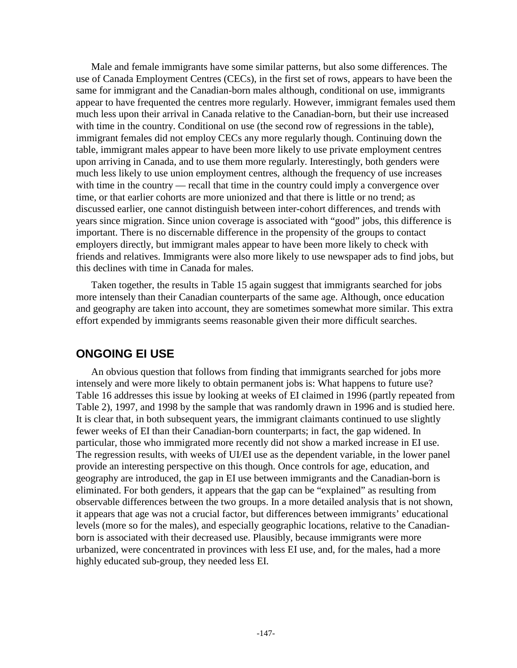Male and female immigrants have some similar patterns, but also some differences. The use of Canada Employment Centres (CECs), in the first set of rows, appears to have been the same for immigrant and the Canadian-born males although, conditional on use, immigrants appear to have frequented the centres more regularly. However, immigrant females used them much less upon their arrival in Canada relative to the Canadian-born, but their use increased with time in the country. Conditional on use (the second row of regressions in the table), immigrant females did not employ CECs any more regularly though. Continuing down the table, immigrant males appear to have been more likely to use private employment centres upon arriving in Canada, and to use them more regularly. Interestingly, both genders were much less likely to use union employment centres, although the frequency of use increases with time in the country — recall that time in the country could imply a convergence over time, or that earlier cohorts are more unionized and that there is little or no trend; as discussed earlier, one cannot distinguish between inter-cohort differences, and trends with years since migration. Since union coverage is associated with "good" jobs, this difference is important. There is no discernable difference in the propensity of the groups to contact employers directly, but immigrant males appear to have been more likely to check with friends and relatives. Immigrants were also more likely to use newspaper ads to find jobs, but this declines with time in Canada for males.

Taken together, the results in Table 15 again suggest that immigrants searched for jobs more intensely than their Canadian counterparts of the same age. Although, once education and geography are taken into account, they are sometimes somewhat more similar. This extra effort expended by immigrants seems reasonable given their more difficult searches.

# **ONGOING EI USE**

An obvious question that follows from finding that immigrants searched for jobs more intensely and were more likely to obtain permanent jobs is: What happens to future use? Table 16 addresses this issue by looking at weeks of EI claimed in 1996 (partly repeated from Table 2), 1997, and 1998 by the sample that was randomly drawn in 1996 and is studied here. It is clear that, in both subsequent years, the immigrant claimants continued to use slightly fewer weeks of EI than their Canadian-born counterparts; in fact, the gap widened. In particular, those who immigrated more recently did not show a marked increase in EI use. The regression results, with weeks of UI/EI use as the dependent variable, in the lower panel provide an interesting perspective on this though. Once controls for age, education, and geography are introduced, the gap in EI use between immigrants and the Canadian-born is eliminated. For both genders, it appears that the gap can be "explained" as resulting from observable differences between the two groups. In a more detailed analysis that is not shown, it appears that age was not a crucial factor, but differences between immigrants' educational levels (more so for the males), and especially geographic locations, relative to the Canadianborn is associated with their decreased use. Plausibly, because immigrants were more urbanized, were concentrated in provinces with less EI use, and, for the males, had a more highly educated sub-group, they needed less EI.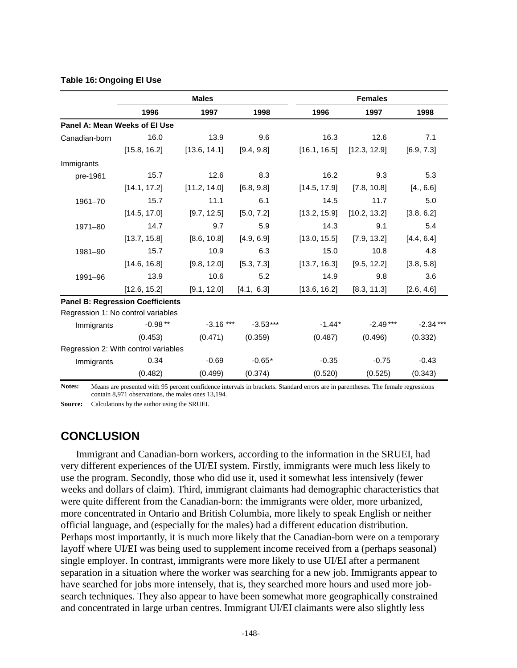|                               | <b>Males</b>                            |              | <b>Females</b> |              |              |            |
|-------------------------------|-----------------------------------------|--------------|----------------|--------------|--------------|------------|
|                               | 1996                                    | 1997         | 1998           | 1996         | 1997         | 1998       |
| Panel A: Mean Weeks of El Use |                                         |              |                |              |              |            |
| Canadian-born                 | 16.0                                    | 13.9         | 9.6            | 16.3         | 12.6         | 7.1        |
|                               | [15.8, 16.2]                            | [13.6, 14.1] | [9.4, 9.8]     | [16.1, 16.5] | [12.3, 12.9] | [6.9, 7.3] |
| Immigrants                    |                                         |              |                |              |              |            |
| pre-1961                      | 15.7                                    | 12.6         | 8.3            | 16.2         | 9.3          | 5.3        |
|                               | [14.1, 17.2]                            | [11.2, 14.0] | [6.8, 9.8]     | [14.5, 17.9] | [7.8, 10.8]  | [4., 6.6]  |
| 1961-70                       | 15.7                                    | 11.1         | 6.1            | 14.5         | 11.7         | 5.0        |
|                               | [14.5, 17.0]                            | [9.7, 12.5]  | [5.0, 7.2]     | [13.2, 15.9] | [10.2, 13.2] | [3.8, 6.2] |
| 1971-80                       | 14.7                                    | 9.7          | 5.9            | 14.3         | 9.1          | 5.4        |
|                               | [13.7, 15.8]                            | [8.6, 10.8]  | [4.9, 6.9]     | [13.0, 15.5] | [7.9, 13.2]  | [4.4, 6.4] |
| 1981-90                       | 15.7                                    | 10.9         | 6.3            | 15.0         | 10.8         | 4.8        |
|                               | [14.6, 16.8]                            | [9.8, 12.0]  | [5.3, 7.3]     | [13.7, 16.3] | [9.5, 12.2]  | [3.8, 5.8] |
| 1991-96                       | 13.9                                    | 10.6         | 5.2            | 14.9         | 9.8          | 3.6        |
|                               | [12.6, 15.2]                            | [9.1, 12.0]  | [4.1, 6.3]     | [13.6, 16.2] | [8.3, 11.3]  | [2.6, 4.6] |
|                               | <b>Panel B: Regression Coefficients</b> |              |                |              |              |            |
|                               | Regression 1: No control variables      |              |                |              |              |            |
| Immigrants                    | $-0.98**$                               | $-3.16$ ***  | $-3.53***$     | $-1.44*$     | $-2.49***$   | $-2.34***$ |
|                               | (0.453)                                 | (0.471)      | (0.359)        | (0.487)      | (0.496)      | (0.332)    |
|                               | Regression 2: With control variables    |              |                |              |              |            |
| Immigrants                    | 0.34                                    | $-0.69$      | $-0.65*$       | $-0.35$      | $-0.75$      | $-0.43$    |
|                               | (0.482)                                 | (0.499)      | (0.374)        | (0.520)      | (0.525)      | (0.343)    |

#### **Table 16: Ongoing EI Use**

**Notes:** Means are presented with 95 percent confidence intervals in brackets. Standard errors are in parentheses. The female regressions contain 8,971 observations, the males ones 13,194.

**Source:** Calculations by the author using the SRUEI.

## **CONCLUSION**

Immigrant and Canadian-born workers, according to the information in the SRUEI, had very different experiences of the UI/EI system. Firstly, immigrants were much less likely to use the program. Secondly, those who did use it, used it somewhat less intensively (fewer weeks and dollars of claim). Third, immigrant claimants had demographic characteristics that were quite different from the Canadian-born: the immigrants were older, more urbanized, more concentrated in Ontario and British Columbia, more likely to speak English or neither official language, and (especially for the males) had a different education distribution. Perhaps most importantly, it is much more likely that the Canadian-born were on a temporary layoff where UI/EI was being used to supplement income received from a (perhaps seasonal) single employer. In contrast, immigrants were more likely to use UI/EI after a permanent separation in a situation where the worker was searching for a new job. Immigrants appear to have searched for jobs more intensely, that is, they searched more hours and used more jobsearch techniques. They also appear to have been somewhat more geographically constrained and concentrated in large urban centres. Immigrant UI/EI claimants were also slightly less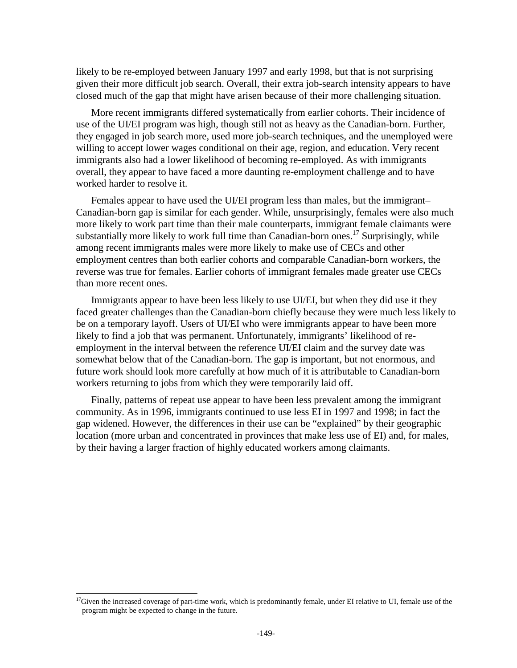likely to be re-employed between January 1997 and early 1998, but that is not surprising given their more difficult job search. Overall, their extra job-search intensity appears to have closed much of the gap that might have arisen because of their more challenging situation.

More recent immigrants differed systematically from earlier cohorts. Their incidence of use of the UI/EI program was high, though still not as heavy as the Canadian-born. Further, they engaged in job search more, used more job-search techniques, and the unemployed were willing to accept lower wages conditional on their age, region, and education. Very recent immigrants also had a lower likelihood of becoming re-employed. As with immigrants overall, they appear to have faced a more daunting re-employment challenge and to have worked harder to resolve it.

Females appear to have used the UI/EI program less than males, but the immigrant– Canadian-born gap is similar for each gender. While, unsurprisingly, females were also much more likely to work part time than their male counterparts, immigrant female claimants were substantially more likely to work full time than Canadian-born ones.<sup>17</sup> Surprisingly, while among recent immigrants males were more likely to make use of CECs and other employment centres than both earlier cohorts and comparable Canadian-born workers, the reverse was true for females. Earlier cohorts of immigrant females made greater use CECs than more recent ones.

Immigrants appear to have been less likely to use UI/EI, but when they did use it they faced greater challenges than the Canadian-born chiefly because they were much less likely to be on a temporary layoff. Users of UI/EI who were immigrants appear to have been more likely to find a job that was permanent. Unfortunately, immigrants' likelihood of reemployment in the interval between the reference UI/EI claim and the survey date was somewhat below that of the Canadian-born. The gap is important, but not enormous, and future work should look more carefully at how much of it is attributable to Canadian-born workers returning to jobs from which they were temporarily laid off.

Finally, patterns of repeat use appear to have been less prevalent among the immigrant community. As in 1996, immigrants continued to use less EI in 1997 and 1998; in fact the gap widened. However, the differences in their use can be "explained" by their geographic location (more urban and concentrated in provinces that make less use of EI) and, for males, by their having a larger fraction of highly educated workers among claimants.

l

 $17$ Given the increased coverage of part-time work, which is predominantly female, under EI relative to UI, female use of the program might be expected to change in the future.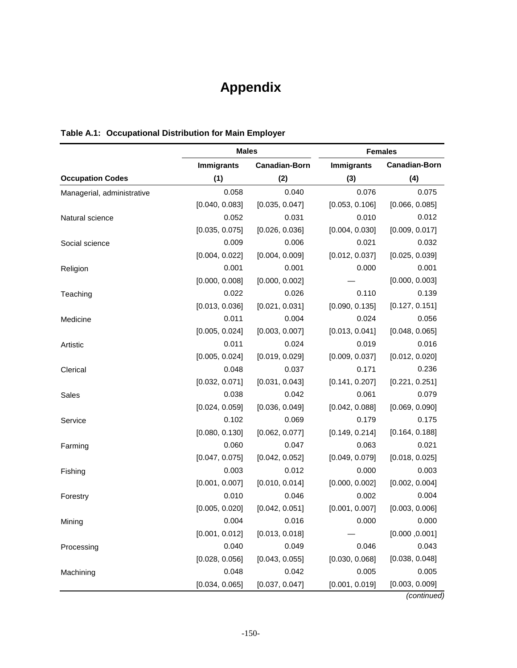# **Appendix**

|                            | <b>Males</b>      |                      | <b>Females</b>    |                      |  |
|----------------------------|-------------------|----------------------|-------------------|----------------------|--|
|                            | <b>Immigrants</b> | <b>Canadian-Born</b> | <b>Immigrants</b> | <b>Canadian-Born</b> |  |
| <b>Occupation Codes</b>    | (1)               | (2)                  | (3)               | (4)                  |  |
| Managerial, administrative | 0.058             | 0.040                | 0.076             | 0.075                |  |
|                            | [0.040, 0.083]    | [0.035, 0.047]       | [0.053, 0.106]    | [0.066, 0.085]       |  |
| Natural science            | 0.052             | 0.031                | 0.010             | 0.012                |  |
|                            | [0.035, 0.075]    | [0.026, 0.036]       | [0.004, 0.030]    | [0.009, 0.017]       |  |
| Social science             | 0.009             | 0.006                | 0.021             | 0.032                |  |
|                            | [0.004, 0.022]    | [0.004, 0.009]       | [0.012, 0.037]    | [0.025, 0.039]       |  |
| Religion                   | 0.001             | 0.001                | 0.000             | 0.001                |  |
|                            | [0.000, 0.008]    | [0.000, 0.002]       |                   | [0.000, 0.003]       |  |
| Teaching                   | 0.022             | 0.026                | 0.110             | 0.139                |  |
|                            | [0.013, 0.036]    | [0.021, 0.031]       | [0.090, 0.135]    | [0.127, 0.151]       |  |
| Medicine                   | 0.011             | 0.004                | 0.024             | 0.056                |  |
|                            | [0.005, 0.024]    | [0.003, 0.007]       | [0.013, 0.041]    | [0.048, 0.065]       |  |
| Artistic                   | 0.011             | 0.024                | 0.019             | 0.016                |  |
|                            | [0.005, 0.024]    | [0.019, 0.029]       | [0.009, 0.037]    | [0.012, 0.020]       |  |
| Clerical                   | 0.048             | 0.037                | 0.171             | 0.236                |  |
|                            | [0.032, 0.071]    | [0.031, 0.043]       | [0.141, 0.207]    | [0.221, 0.251]       |  |
| Sales                      | 0.038             | 0.042                | 0.061             | 0.079                |  |
|                            | [0.024, 0.059]    | [0.036, 0.049]       | [0.042, 0.088]    | [0.069, 0.090]       |  |
| Service                    | 0.102             | 0.069                | 0.179             | 0.175                |  |
|                            | [0.080, 0.130]    | [0.062, 0.077]       | [0.149, 0.214]    | [0.164, 0.188]       |  |
| Farming                    | 0.060             | 0.047                | 0.063             | 0.021                |  |
|                            | [0.047, 0.075]    | [0.042, 0.052]       | [0.049, 0.079]    | [0.018, 0.025]       |  |
| Fishing                    | 0.003             | 0.012                | 0.000             | 0.003                |  |
|                            | [0.001, 0.007]    | [0.010, 0.014]       | [0.000, 0.002]    | [0.002, 0.004]       |  |
| Forestry                   | 0.010             | 0.046                | 0.002             | 0.004                |  |
|                            | [0.005, 0.020]    | [0.042, 0.051]       | [0.001, 0.007]    | [0.003, 0.006]       |  |
| Mining                     | 0.004             | 0.016                | 0.000             | 0.000                |  |
|                            | [0.001, 0.012]    | [0.013, 0.018]       |                   | [0.000, 0.001]       |  |
| Processing                 | 0.040             | 0.049                | 0.046             | 0.043                |  |
|                            | [0.028, 0.056]    | [0.043, 0.055]       | [0.030, 0.068]    | [0.038, 0.048]       |  |
| Machining                  | 0.048             | 0.042                | 0.005             | 0.005                |  |
|                            | [0.034, 0.065]    | [0.037, 0.047]       | [0.001, 0.019]    | [0.003, 0.009]       |  |

## **Table A.1: Occupational Distribution for Main Employer**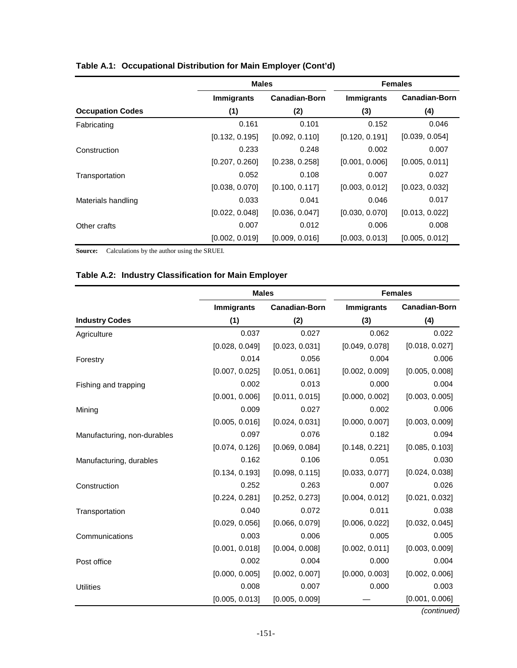|                         | <b>Males</b>      |                      |                   | <b>Females</b>       |
|-------------------------|-------------------|----------------------|-------------------|----------------------|
|                         | <b>Immigrants</b> | <b>Canadian-Born</b> | <b>Immigrants</b> | <b>Canadian-Born</b> |
| <b>Occupation Codes</b> | (1)               | (2)                  | (3)               | (4)                  |
| Fabricating             | 0.161             | 0.101                | 0.152             | 0.046                |
|                         | [0.132, 0.195]    | [0.092, 0.110]       | [0.120, 0.191]    | [0.039, 0.054]       |
| Construction            | 0.233             | 0.248                | 0.002             | 0.007                |
|                         | [0.207, 0.260]    | [0.238, 0.258]       | [0.001, 0.006]    | [0.005, 0.011]       |
| Transportation          | 0.052             | 0.108                | 0.007             | 0.027                |
|                         | [0.038, 0.070]    | [0.100, 0.117]       | [0.003, 0.012]    | [0.023, 0.032]       |
| Materials handling      | 0.033             | 0.041                | 0.046             | 0.017                |
|                         | [0.022, 0.048]    | [0.036, 0.047]       | [0.030, 0.070]    | [0.013, 0.022]       |
| Other crafts            | 0.007             | 0.012                | 0.006             | 0.008                |
|                         | [0.002, 0.019]    | [0.009, 0.016]       | [0.003, 0.013]    | [0.005, 0.012]       |

## **Table A.1: Occupational Distribution for Main Employer (Cont'd)**

**Source:** Calculations by the author using the SRUEI.

## **Table A.2: Industry Classification for Main Employer**

|                             | <b>Males</b>      |                      |                | <b>Females</b>       |
|-----------------------------|-------------------|----------------------|----------------|----------------------|
|                             | <b>Immigrants</b> | <b>Canadian-Born</b> | Immigrants     | <b>Canadian-Born</b> |
| <b>Industry Codes</b>       | (1)               | (2)                  | (3)            | (4)                  |
| Agriculture                 | 0.037             | 0.027                | 0.062          | 0.022                |
|                             | [0.028, 0.049]    | [0.023, 0.031]       | [0.049, 0.078] | [0.018, 0.027]       |
| Forestry                    | 0.014             | 0.056                | 0.004          | 0.006                |
|                             | [0.007, 0.025]    | [0.051, 0.061]       | [0.002, 0.009] | [0.005, 0.008]       |
| Fishing and trapping        | 0.002             | 0.013                | 0.000          | 0.004                |
|                             | [0.001, 0.006]    | [0.011, 0.015]       | [0.000, 0.002] | [0.003, 0.005]       |
| Mining                      | 0.009             | 0.027                | 0.002          | 0.006                |
|                             | [0.005, 0.016]    | [0.024, 0.031]       | [0.000, 0.007] | [0.003, 0.009]       |
| Manufacturing, non-durables | 0.097             | 0.076                | 0.182          | 0.094                |
|                             | [0.074, 0.126]    | [0.069, 0.084]       | [0.148, 0.221] | [0.085, 0.103]       |
| Manufacturing, durables     | 0.162             | 0.106                | 0.051          | 0.030                |
|                             | [0.134, 0.193]    | [0.098, 0.115]       | [0.033, 0.077] | [0.024, 0.038]       |
| Construction                | 0.252             | 0.263                | 0.007          | 0.026                |
|                             | [0.224, 0.281]    | [0.252, 0.273]       | [0.004, 0.012] | [0.021, 0.032]       |
| Transportation              | 0.040             | 0.072                | 0.011          | 0.038                |
|                             | [0.029, 0.056]    | [0.066, 0.079]       | [0.006, 0.022] | [0.032, 0.045]       |
| Communications              | 0.003             | 0.006                | 0.005          | 0.005                |
|                             | [0.001, 0.018]    | [0.004, 0.008]       | [0.002, 0.011] | [0.003, 0.009]       |
| Post office                 | 0.002             | 0.004                | 0.000          | 0.004                |
|                             | [0.000, 0.005]    | [0.002, 0.007]       | [0.000, 0.003] | [0.002, 0.006]       |
| <b>Utilities</b>            | 0.008             | 0.007                | 0.000          | 0.003                |
|                             | [0.005, 0.013]    | [0.005, 0.009]       |                | [0.001, 0.006]       |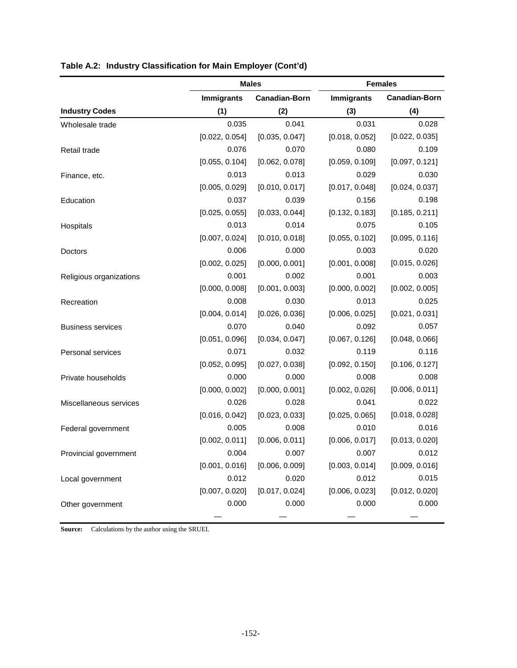|                          | <b>Males</b>      |                      |                   | <b>Females</b>       |
|--------------------------|-------------------|----------------------|-------------------|----------------------|
|                          | <b>Immigrants</b> | <b>Canadian-Born</b> | <b>Immigrants</b> | <b>Canadian-Born</b> |
| <b>Industry Codes</b>    | (1)               | (2)                  | (3)               | (4)                  |
| Wholesale trade          | 0.035             | 0.041                | 0.031             | 0.028                |
|                          | [0.022, 0.054]    | [0.035, 0.047]       | [0.018, 0.052]    | [0.022, 0.035]       |
| Retail trade             | 0.076             | 0.070                | 0.080             | 0.109                |
|                          | [0.055, 0.104]    | [0.062, 0.078]       | [0.059, 0.109]    | [0.097, 0.121]       |
| Finance, etc.            | 0.013             | 0.013                | 0.029             | 0.030                |
|                          | [0.005, 0.029]    | [0.010, 0.017]       | [0.017, 0.048]    | [0.024, 0.037]       |
| Education                | 0.037             | 0.039                | 0.156             | 0.198                |
|                          | [0.025, 0.055]    | [0.033, 0.044]       | [0.132, 0.183]    | [0.185, 0.211]       |
| Hospitals                | 0.013             | 0.014                | 0.075             | 0.105                |
|                          | [0.007, 0.024]    | [0.010, 0.018]       | [0.055, 0.102]    | [0.095, 0.116]       |
| Doctors                  | 0.006             | 0.000                | 0.003             | 0.020                |
|                          | [0.002, 0.025]    | [0.000, 0.001]       | [0.001, 0.008]    | [0.015, 0.026]       |
| Religious organizations  | 0.001             | 0.002                | 0.001             | 0.003                |
|                          | [0.000, 0.008]    | [0.001, 0.003]       | [0.000, 0.002]    | [0.002, 0.005]       |
| Recreation               | 0.008             | 0.030                | 0.013             | 0.025                |
|                          | [0.004, 0.014]    | [0.026, 0.036]       | [0.006, 0.025]    | [0.021, 0.031]       |
| <b>Business services</b> | 0.070             | 0.040                | 0.092             | 0.057                |
|                          | [0.051, 0.096]    | [0.034, 0.047]       | [0.067, 0.126]    | [0.048, 0.066]       |
| Personal services        | 0.071             | 0.032                | 0.119             | 0.116                |
|                          | [0.052, 0.095]    | [0.027, 0.038]       | [0.092, 0.150]    | [0.106, 0.127]       |
| Private households       | 0.000             | 0.000                | 0.008             | 0.008                |
|                          | [0.000, 0.002]    | [0.000, 0.001]       | [0.002, 0.026]    | [0.006, 0.011]       |
| Miscellaneous services   | 0.026             | 0.028                | 0.041             | 0.022                |
|                          | [0.016, 0.042]    | [0.023, 0.033]       | [0.025, 0.065]    | [0.018, 0.028]       |
| Federal government       | 0.005             | 0.008                | 0.010             | 0.016                |
|                          | [0.002, 0.011]    | [0.006, 0.011]       | [0.006, 0.017]    | [0.013, 0.020]       |
| Provincial government    |                   | $0.004$ 0.007        |                   | $0.007$ 0.012        |
|                          | [0.001, 0.016]    | [0.006, 0.009]       | [0.003, 0.014]    | [0.009, 0.016]       |
| Local government         | 0.012             | 0.020                | 0.012             | 0.015                |
|                          | [0.007, 0.020]    | [0.017, 0.024]       | [0.006, 0.023]    | [0.012, 0.020]       |
| Other government         | 0.000             | 0.000                | 0.000             | 0.000                |
|                          |                   |                      |                   |                      |

## **Table A.2: Industry Classification for Main Employer (Cont'd)**

**Source:** Calculations by the author using the SRUEI.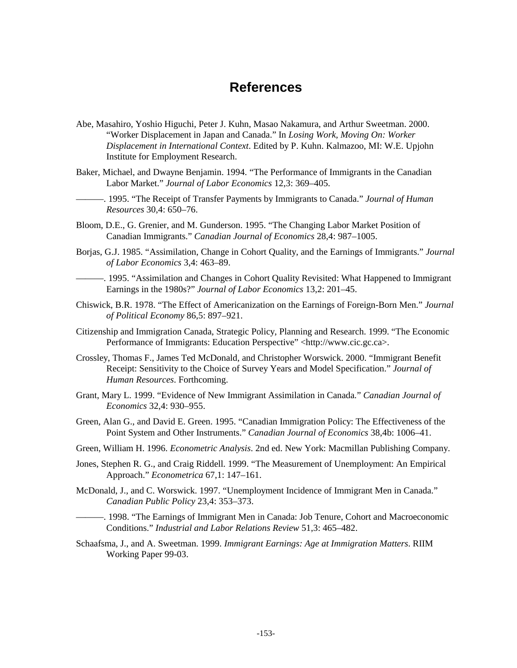# **References**

- Abe, Masahiro, Yoshio Higuchi, Peter J. Kuhn, Masao Nakamura, and Arthur Sweetman. 2000. "Worker Displacement in Japan and Canada." In *Losing Work, Moving On: Worker Displacement in International Context*. Edited by P. Kuhn. Kalmazoo, MI: W.E. Upjohn Institute for Employment Research.
- Baker, Michael, and Dwayne Benjamin. 1994. "The Performance of Immigrants in the Canadian Labor Market." *Journal of Labor Economics* 12,3: 369–405.
- ———. 1995. "The Receipt of Transfer Payments by Immigrants to Canada." *Journal of Human Resources* 30,4: 650–76.
- Bloom, D.E., G. Grenier, and M. Gunderson. 1995. "The Changing Labor Market Position of Canadian Immigrants." *Canadian Journal of Economics* 28,4: 987–1005.
- Borjas, G.J. 1985. "Assimilation, Change in Cohort Quality, and the Earnings of Immigrants." *Journal of Labor Economics* 3,4: 463–89.
- ———. 1995. "Assimilation and Changes in Cohort Quality Revisited: What Happened to Immigrant Earnings in the 1980s?" *Journal of Labor Economics* 13,2: 201–45.
- Chiswick, B.R. 1978. "The Effect of Americanization on the Earnings of Foreign-Born Men." *Journal of Political Economy* 86,5: 897–921.
- Citizenship and Immigration Canada, Strategic Policy, Planning and Research. 1999. "The Economic Performance of Immigrants: Education Perspective" <http://www.cic.gc.ca>.
- Crossley, Thomas F., James Ted McDonald, and Christopher Worswick. 2000. "Immigrant Benefit Receipt: Sensitivity to the Choice of Survey Years and Model Specification." *Journal of Human Resources*. Forthcoming.
- Grant, Mary L. 1999. "Evidence of New Immigrant Assimilation in Canada*.*" *Canadian Journal of Economics* 32,4: 930–955.
- Green, Alan G., and David E. Green. 1995. "Canadian Immigration Policy: The Effectiveness of the Point System and Other Instruments." *Canadian Journal of Economics* 38,4b: 1006–41.
- Green, William H. 1996. *Econometric Analysis*. 2nd ed. New York: Macmillan Publishing Company.
- Jones, Stephen R. G., and Craig Riddell. 1999. "The Measurement of Unemployment: An Empirical Approach." *Econometrica* 67,1: 147–161.
- McDonald, J., and C. Worswick. 1997. "Unemployment Incidence of Immigrant Men in Canada." *Canadian Public Policy* 23,4: 353–373.
- ———. 1998. "The Earnings of Immigrant Men in Canada: Job Tenure, Cohort and Macroeconomic Conditions." *Industrial and Labor Relations Review* 51,3: 465–482.
- Schaafsma, J., and A. Sweetman. 1999. *Immigrant Earnings: Age at Immigration Matters*. RIIM Working Paper 99-03.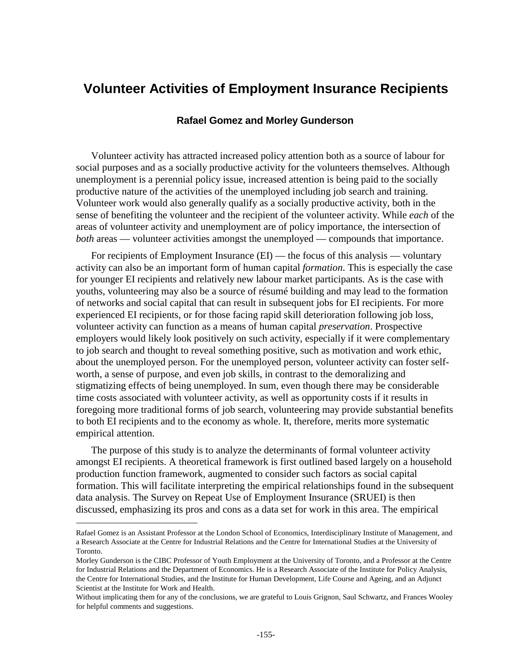# **Volunteer Activities of Employment Insurance Recipients**

## **Rafael Gomez and Morley Gunderson**

Volunteer activity has attracted increased policy attention both as a source of labour for social purposes and as a socially productive activity for the volunteers themselves. Although unemployment is a perennial policy issue, increased attention is being paid to the socially productive nature of the activities of the unemployed including job search and training. Volunteer work would also generally qualify as a socially productive activity, both in the sense of benefiting the volunteer and the recipient of the volunteer activity. While *each* of the areas of volunteer activity and unemployment are of policy importance, the intersection of *both* areas — volunteer activities amongst the unemployed — compounds that importance.

For recipients of Employment Insurance (EI) — the focus of this analysis — voluntary activity can also be an important form of human capital *formation*. This is especially the case for younger EI recipients and relatively new labour market participants. As is the case with youths, volunteering may also be a source of résumé building and may lead to the formation of networks and social capital that can result in subsequent jobs for EI recipients. For more experienced EI recipients, or for those facing rapid skill deterioration following job loss, volunteer activity can function as a means of human capital *preservation*. Prospective employers would likely look positively on such activity, especially if it were complementary to job search and thought to reveal something positive, such as motivation and work ethic, about the unemployed person. For the unemployed person, volunteer activity can foster selfworth, a sense of purpose, and even job skills, in contrast to the demoralizing and stigmatizing effects of being unemployed. In sum, even though there may be considerable time costs associated with volunteer activity, as well as opportunity costs if it results in foregoing more traditional forms of job search, volunteering may provide substantial benefits to both EI recipients and to the economy as whole. It, therefore, merits more systematic empirical attention.

The purpose of this study is to analyze the determinants of formal volunteer activity amongst EI recipients. A theoretical framework is first outlined based largely on a household production function framework, augmented to consider such factors as social capital formation. This will facilitate interpreting the empirical relationships found in the subsequent data analysis. The Survey on Repeat Use of Employment Insurance (SRUEI) is then discussed, emphasizing its pros and cons as a data set for work in this area. The empirical

j

Rafael Gomez is an Assistant Professor at the London School of Economics, Interdisciplinary Institute of Management, and a Research Associate at the Centre for Industrial Relations and the Centre for International Studies at the University of Toronto.

Morley Gunderson is the CIBC Professor of Youth Employment at the University of Toronto, and a Professor at the Centre for Industrial Relations and the Department of Economics. He is a Research Associate of the Institute for Policy Analysis, the Centre for International Studies, and the Institute for Human Development, Life Course and Ageing, and an Adjunct Scientist at the Institute for Work and Health.

Without implicating them for any of the conclusions, we are grateful to Louis Grignon, Saul Schwartz, and Frances Wooley for helpful comments and suggestions.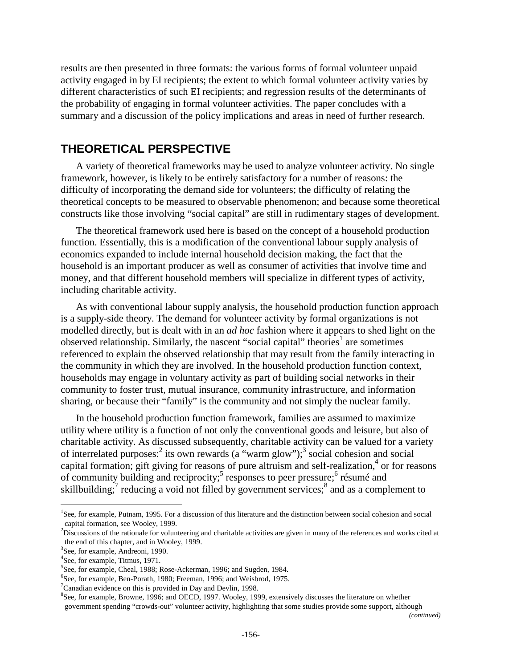results are then presented in three formats: the various forms of formal volunteer unpaid activity engaged in by EI recipients; the extent to which formal volunteer activity varies by different characteristics of such EI recipients; and regression results of the determinants of the probability of engaging in formal volunteer activities. The paper concludes with a summary and a discussion of the policy implications and areas in need of further research.

## **THEORETICAL PERSPECTIVE**

A variety of theoretical frameworks may be used to analyze volunteer activity. No single framework, however, is likely to be entirely satisfactory for a number of reasons: the difficulty of incorporating the demand side for volunteers; the difficulty of relating the theoretical concepts to be measured to observable phenomenon; and because some theoretical constructs like those involving "social capital" are still in rudimentary stages of development.

The theoretical framework used here is based on the concept of a household production function. Essentially, this is a modification of the conventional labour supply analysis of economics expanded to include internal household decision making, the fact that the household is an important producer as well as consumer of activities that involve time and money, and that different household members will specialize in different types of activity, including charitable activity.

As with conventional labour supply analysis, the household production function approach is a supply-side theory. The demand for volunteer activity by formal organizations is not modelled directly, but is dealt with in an *ad hoc* fashion where it appears to shed light on the observed relationship. Similarly, the nascent "social capital" theories<sup>1</sup> are sometimes referenced to explain the observed relationship that may result from the family interacting in the community in which they are involved. In the household production function context, households may engage in voluntary activity as part of building social networks in their community to foster trust, mutual insurance, community infrastructure, and information sharing, or because their "family" is the community and not simply the nuclear family.

In the household production function framework, families are assumed to maximize utility where utility is a function of not only the conventional goods and leisure, but also of charitable activity. As discussed subsequently, charitable activity can be valued for a variety of interrelated purposes:<sup>2</sup> its own rewards (a "warm glow");<sup>3</sup> social cohesion and social capital formation; gift giving for reasons of pure altruism and self-realization, $4$  or for reasons of community building and reciprocity;<sup>5</sup> responses to peer pressure;<sup>6</sup> résumé and skillbuilding; $\frac{7}{7}$  reducing a void not filled by government services;  $\frac{8}{7}$  and as a complement to

j

<sup>8</sup>See, for example, Browne, 1996; and OECD, 1997. Wooley, 1999, extensively discusses the literature on whether government spending "crowds-out" volunteer activity, highlighting that some studies provide some support, although

<sup>&</sup>lt;sup>1</sup>See, for example, Putnam, 1995. For a discussion of this literature and the distinction between social cohesion and social capital formation, see Wooley, 1999.

 $2^{2}$ Discussions of the rationale for volunteering and charitable activities are given in many of the references and works cited at the end of this chapter, and in Wooley, 1999.

<sup>3</sup> See, for example, Andreoni, 1990.

<sup>4</sup> See, for example, Titmus, 1971.

<sup>&</sup>lt;sup>5</sup>See, for example, Cheal, 1988; Rose-Ackerman, 1996; and Sugden, 1984.

<sup>6</sup> See, for example, Ben-Porath, 1980; Freeman, 1996; and Weisbrod, 1975.

 $7$ Canadian evidence on this is provided in Day and Devlin, 1998.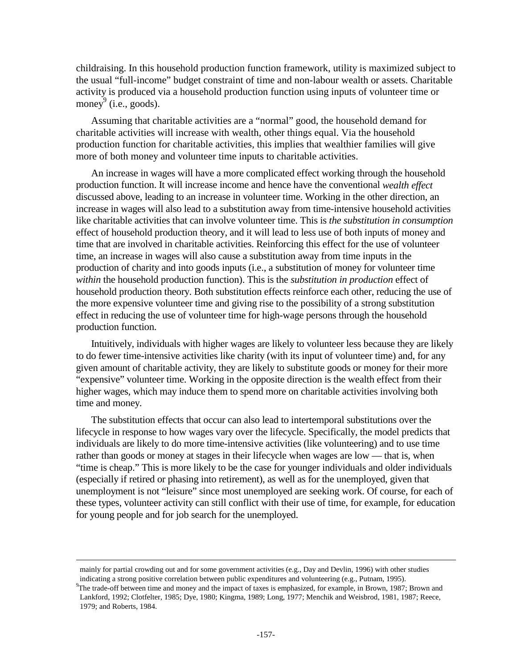childraising. In this household production function framework, utility is maximized subject to the usual "full-income" budget constraint of time and non-labour wealth or assets. Charitable activity is produced via a household production function using inputs of volunteer time or money  $(i.e., goods)$ .

Assuming that charitable activities are a "normal" good, the household demand for charitable activities will increase with wealth, other things equal. Via the household production function for charitable activities, this implies that wealthier families will give more of both money and volunteer time inputs to charitable activities.

An increase in wages will have a more complicated effect working through the household production function. It will increase income and hence have the conventional *wealth effect* discussed above, leading to an increase in volunteer time. Working in the other direction, an increase in wages will also lead to a substitution away from time-intensive household activities like charitable activities that can involve volunteer time. This is *the substitution in consumption* effect of household production theory, and it will lead to less use of both inputs of money and time that are involved in charitable activities. Reinforcing this effect for the use of volunteer time, an increase in wages will also cause a substitution away from time inputs in the production of charity and into goods inputs (i.e., a substitution of money for volunteer time *within* the household production function). This is the *substitution in production* effect of household production theory. Both substitution effects reinforce each other, reducing the use of the more expensive volunteer time and giving rise to the possibility of a strong substitution effect in reducing the use of volunteer time for high-wage persons through the household production function.

Intuitively, individuals with higher wages are likely to volunteer less because they are likely to do fewer time-intensive activities like charity (with its input of volunteer time) and, for any given amount of charitable activity, they are likely to substitute goods or money for their more "expensive" volunteer time. Working in the opposite direction is the wealth effect from their higher wages, which may induce them to spend more on charitable activities involving both time and money.

The substitution effects that occur can also lead to intertemporal substitutions over the lifecycle in response to how wages vary over the lifecycle. Specifically, the model predicts that individuals are likely to do more time-intensive activities (like volunteering) and to use time rather than goods or money at stages in their lifecycle when wages are low — that is, when "time is cheap." This is more likely to be the case for younger individuals and older individuals (especially if retired or phasing into retirement), as well as for the unemployed, given that unemployment is not "leisure" since most unemployed are seeking work. Of course, for each of these types, volunteer activity can still conflict with their use of time, for example, for education for young people and for job search for the unemployed.

j

mainly for partial crowding out and for some government activities (e.g., Day and Devlin, 1996) with other studies indicating a strong positive correlation between public expenditures and volunteering (e.g., Putnam, 1995).

<sup>&</sup>lt;sup>9</sup>The trade-off between time and money and the impact of taxes is emphasized, for example, in Brown, 1987; Brown and Lankford, 1992; Clotfelter, 1985; Dye, 1980; Kingma, 1989; Long, 1977; Menchik and Weisbrod, 1981, 1987; Reece, 1979; and Roberts, 1984.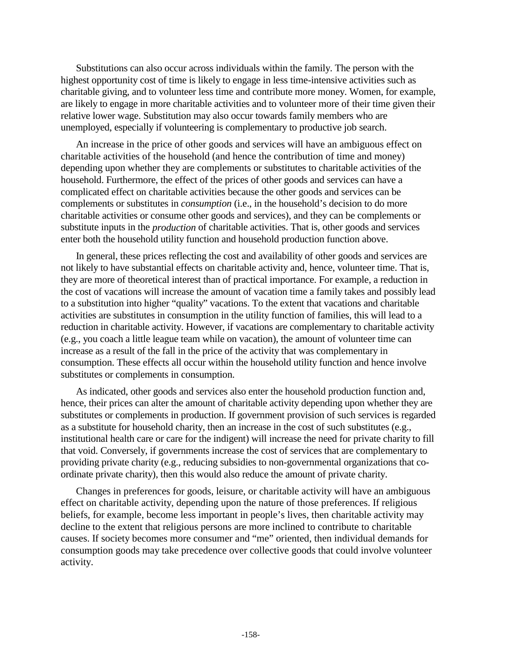Substitutions can also occur across individuals within the family. The person with the highest opportunity cost of time is likely to engage in less time-intensive activities such as charitable giving, and to volunteer less time and contribute more money. Women, for example, are likely to engage in more charitable activities and to volunteer more of their time given their relative lower wage. Substitution may also occur towards family members who are unemployed, especially if volunteering is complementary to productive job search.

An increase in the price of other goods and services will have an ambiguous effect on charitable activities of the household (and hence the contribution of time and money) depending upon whether they are complements or substitutes to charitable activities of the household. Furthermore, the effect of the prices of other goods and services can have a complicated effect on charitable activities because the other goods and services can be complements or substitutes in *consumption* (i.e., in the household's decision to do more charitable activities or consume other goods and services), and they can be complements or substitute inputs in the *production* of charitable activities. That is, other goods and services enter both the household utility function and household production function above.

In general, these prices reflecting the cost and availability of other goods and services are not likely to have substantial effects on charitable activity and, hence, volunteer time. That is, they are more of theoretical interest than of practical importance. For example, a reduction in the cost of vacations will increase the amount of vacation time a family takes and possibly lead to a substitution into higher "quality" vacations. To the extent that vacations and charitable activities are substitutes in consumption in the utility function of families, this will lead to a reduction in charitable activity. However, if vacations are complementary to charitable activity (e.g., you coach a little league team while on vacation), the amount of volunteer time can increase as a result of the fall in the price of the activity that was complementary in consumption. These effects all occur within the household utility function and hence involve substitutes or complements in consumption.

As indicated, other goods and services also enter the household production function and, hence, their prices can alter the amount of charitable activity depending upon whether they are substitutes or complements in production. If government provision of such services is regarded as a substitute for household charity, then an increase in the cost of such substitutes (e.g., institutional health care or care for the indigent) will increase the need for private charity to fill that void. Conversely, if governments increase the cost of services that are complementary to providing private charity (e.g., reducing subsidies to non-governmental organizations that coordinate private charity), then this would also reduce the amount of private charity.

Changes in preferences for goods, leisure, or charitable activity will have an ambiguous effect on charitable activity, depending upon the nature of those preferences. If religious beliefs, for example, become less important in people's lives, then charitable activity may decline to the extent that religious persons are more inclined to contribute to charitable causes. If society becomes more consumer and "me" oriented, then individual demands for consumption goods may take precedence over collective goods that could involve volunteer activity.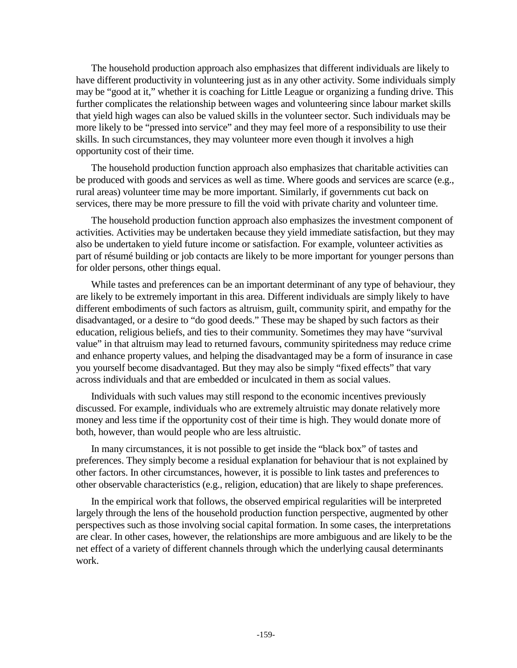The household production approach also emphasizes that different individuals are likely to have different productivity in volunteering just as in any other activity. Some individuals simply may be "good at it," whether it is coaching for Little League or organizing a funding drive. This further complicates the relationship between wages and volunteering since labour market skills that yield high wages can also be valued skills in the volunteer sector. Such individuals may be more likely to be "pressed into service" and they may feel more of a responsibility to use their skills. In such circumstances, they may volunteer more even though it involves a high opportunity cost of their time.

The household production function approach also emphasizes that charitable activities can be produced with goods and services as well as time. Where goods and services are scarce (e.g., rural areas) volunteer time may be more important. Similarly, if governments cut back on services, there may be more pressure to fill the void with private charity and volunteer time.

The household production function approach also emphasizes the investment component of activities. Activities may be undertaken because they yield immediate satisfaction, but they may also be undertaken to yield future income or satisfaction. For example, volunteer activities as part of résumé building or job contacts are likely to be more important for younger persons than for older persons, other things equal.

While tastes and preferences can be an important determinant of any type of behaviour, they are likely to be extremely important in this area. Different individuals are simply likely to have different embodiments of such factors as altruism, guilt, community spirit, and empathy for the disadvantaged, or a desire to "do good deeds." These may be shaped by such factors as their education, religious beliefs, and ties to their community. Sometimes they may have "survival value" in that altruism may lead to returned favours, community spiritedness may reduce crime and enhance property values, and helping the disadvantaged may be a form of insurance in case you yourself become disadvantaged. But they may also be simply "fixed effects" that vary across individuals and that are embedded or inculcated in them as social values.

Individuals with such values may still respond to the economic incentives previously discussed. For example, individuals who are extremely altruistic may donate relatively more money and less time if the opportunity cost of their time is high. They would donate more of both, however, than would people who are less altruistic.

In many circumstances, it is not possible to get inside the "black box" of tastes and preferences. They simply become a residual explanation for behaviour that is not explained by other factors. In other circumstances, however, it is possible to link tastes and preferences to other observable characteristics (e.g., religion, education) that are likely to shape preferences.

In the empirical work that follows, the observed empirical regularities will be interpreted largely through the lens of the household production function perspective, augmented by other perspectives such as those involving social capital formation. In some cases, the interpretations are clear. In other cases, however, the relationships are more ambiguous and are likely to be the net effect of a variety of different channels through which the underlying causal determinants work.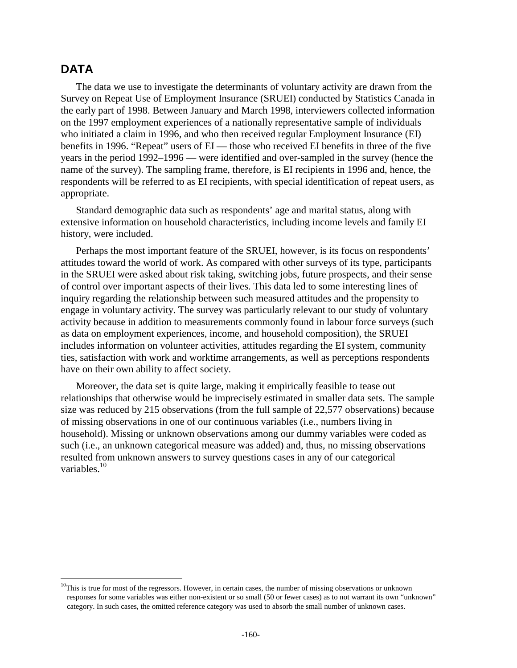## **DATA**

j

The data we use to investigate the determinants of voluntary activity are drawn from the Survey on Repeat Use of Employment Insurance (SRUEI) conducted by Statistics Canada in the early part of 1998. Between January and March 1998, interviewers collected information on the 1997 employment experiences of a nationally representative sample of individuals who initiated a claim in 1996, and who then received regular Employment Insurance (EI) benefits in 1996. "Repeat" users of EI — those who received EI benefits in three of the five years in the period 1992–1996 — were identified and over-sampled in the survey (hence the name of the survey). The sampling frame, therefore, is EI recipients in 1996 and, hence, the respondents will be referred to as EI recipients, with special identification of repeat users, as appropriate.

Standard demographic data such as respondents' age and marital status, along with extensive information on household characteristics, including income levels and family EI history, were included.

Perhaps the most important feature of the SRUEI, however, is its focus on respondents' attitudes toward the world of work. As compared with other surveys of its type, participants in the SRUEI were asked about risk taking, switching jobs, future prospects, and their sense of control over important aspects of their lives. This data led to some interesting lines of inquiry regarding the relationship between such measured attitudes and the propensity to engage in voluntary activity. The survey was particularly relevant to our study of voluntary activity because in addition to measurements commonly found in labour force surveys (such as data on employment experiences, income, and household composition), the SRUEI includes information on volunteer activities, attitudes regarding the EI system, community ties, satisfaction with work and worktime arrangements, as well as perceptions respondents have on their own ability to affect society.

Moreover, the data set is quite large, making it empirically feasible to tease out relationships that otherwise would be imprecisely estimated in smaller data sets. The sample size was reduced by 215 observations (from the full sample of 22,577 observations) because of missing observations in one of our continuous variables (i.e., numbers living in household). Missing or unknown observations among our dummy variables were coded as such (i.e., an unknown categorical measure was added) and, thus, no missing observations resulted from unknown answers to survey questions cases in any of our categorical variables.<sup>10</sup>

 $10$ This is true for most of the regressors. However, in certain cases, the number of missing observations or unknown responses for some variables was either non-existent or so small (50 or fewer cases) as to not warrant its own "unknown" category. In such cases, the omitted reference category was used to absorb the small number of unknown cases.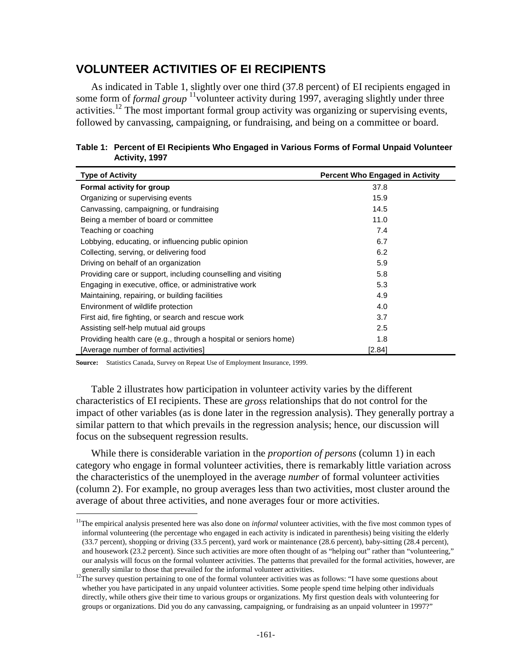## **VOLUNTEER ACTIVITIES OF EI RECIPIENTS**

As indicated in Table 1, slightly over one third (37.8 percent) of EI recipients engaged in some form of *formal group* <sup>11</sup> volunteer activity during 1997, averaging slightly under three activities.<sup>12</sup> The most important formal group activity was organizing or supervising events, followed by canvassing, campaigning, or fundraising, and being on a committee or board.

| <b>Type of Activity</b>                                          | <b>Percent Who Engaged in Activity</b> |
|------------------------------------------------------------------|----------------------------------------|
| Formal activity for group                                        | 37.8                                   |
| Organizing or supervising events                                 | 15.9                                   |
| Canvassing, campaigning, or fundraising                          | 14.5                                   |
| Being a member of board or committee                             | 11.0                                   |
| Teaching or coaching                                             | 7.4                                    |
| Lobbying, educating, or influencing public opinion               | 6.7                                    |
| Collecting, serving, or delivering food                          | 6.2                                    |
| Driving on behalf of an organization                             | 5.9                                    |
| Providing care or support, including counselling and visiting    | 5.8                                    |
| Engaging in executive, office, or administrative work            | 5.3                                    |
| Maintaining, repairing, or building facilities                   | 4.9                                    |
| Environment of wildlife protection                               | 4.0                                    |
| First aid, fire fighting, or search and rescue work              | 3.7                                    |
| Assisting self-help mutual aid groups                            | 2.5                                    |
| Providing health care (e.g., through a hospital or seniors home) | 1.8                                    |
| [Average number of formal activities]                            | [2.84]                                 |

**Table 1: Percent of EI Recipients Who Engaged in Various Forms of Formal Unpaid Volunteer Activity, 1997**

**Source:** Statistics Canada, Survey on Repeat Use of Employment Insurance, 1999.

j

Table 2 illustrates how participation in volunteer activity varies by the different characteristics of EI recipients. These are *gross* relationships that do not control for the impact of other variables (as is done later in the regression analysis). They generally portray a similar pattern to that which prevails in the regression analysis; hence, our discussion will focus on the subsequent regression results.

While there is considerable variation in the *proportion of persons* (column 1) in each category who engage in formal volunteer activities, there is remarkably little variation across the characteristics of the unemployed in the average *number* of formal volunteer activities (column 2). For example, no group averages less than two activities, most cluster around the average of about three activities, and none averages four or more activities.

<sup>&</sup>lt;sup>11</sup>The empirical analysis presented here was also done on *informal* volunteer activities, with the five most common types of informal volunteering (the percentage who engaged in each activity is indicated in parenthesis) being visiting the elderly (33.7 percent), shopping or driving (33.5 percent), yard work or maintenance (28.6 percent), baby-sitting (28.4 percent), and housework (23.2 percent). Since such activities are more often thought of as "helping out" rather than "volunteering," our analysis will focus on the formal volunteer activities. The patterns that prevailed for the formal activities, however, are

generally similar to those that prevailed for the informal volunteer activities.<br><sup>12</sup>The survey question pertaining to one of the formal volunteer activities was as follows: "I have some questions about whether you have participated in any unpaid volunteer activities. Some people spend time helping other individuals directly, while others give their time to various groups or organizations. My first question deals with volunteering for groups or organizations. Did you do any canvassing, campaigning, or fundraising as an unpaid volunteer in 1997?"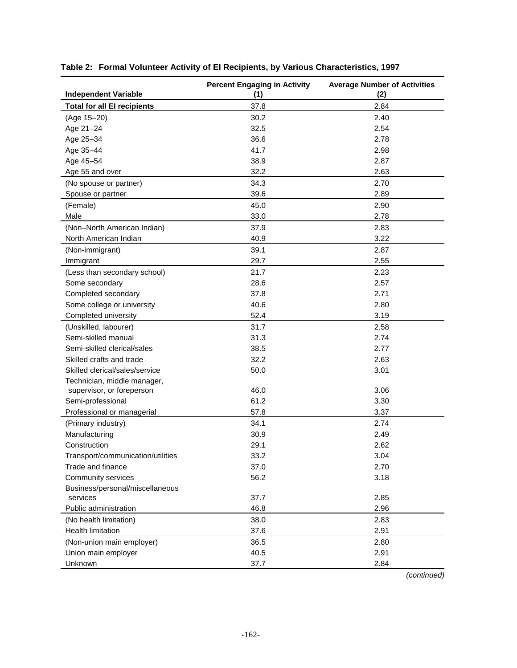| <b>Independent Variable</b>        | <b>Percent Engaging in Activity</b><br>(1) | <b>Average Number of Activities</b><br>(2) |
|------------------------------------|--------------------------------------------|--------------------------------------------|
| <b>Total for all El recipients</b> | 37.8                                       | 2.84                                       |
| (Age 15-20)                        | 30.2                                       | 2.40                                       |
| Age 21-24                          | 32.5                                       | 2.54                                       |
| Age 25-34                          | 36.6                                       | 2.78                                       |
| Age 35-44                          | 41.7                                       | 2.98                                       |
| Age 45-54                          | 38.9                                       | 2.87                                       |
| Age 55 and over                    | 32.2                                       | 2.63                                       |
| (No spouse or partner)             | 34.3                                       | 2.70                                       |
| Spouse or partner                  | 39.6                                       | 2.89                                       |
| (Female)                           | 45.0                                       | 2.90                                       |
| Male                               | 33.0                                       | 2.78                                       |
| (Non-North American Indian)        | 37.9                                       | 2.83                                       |
| North American Indian              | 40.9                                       | 3.22                                       |
| (Non-immigrant)                    | 39.1                                       | 2.87                                       |
| Immigrant                          | 29.7                                       | 2.55                                       |
| (Less than secondary school)       | 21.7                                       | 2.23                                       |
| Some secondary                     | 28.6                                       | 2.57                                       |
| Completed secondary                | 37.8                                       | 2.71                                       |
| Some college or university         | 40.6                                       | 2.80                                       |
| Completed university               | 52.4                                       | 3.19                                       |
| (Unskilled, labourer)              | 31.7                                       | 2.58                                       |
| Semi-skilled manual                | 31.3                                       | 2.74                                       |
| Semi-skilled clerical/sales        | 38.5                                       | 2.77                                       |
| Skilled crafts and trade           | 32.2                                       | 2.63                                       |
| Skilled clerical/sales/service     | 50.0                                       | 3.01                                       |
| Technician, middle manager,        |                                            |                                            |
| supervisor, or foreperson          | 46.0                                       | 3.06                                       |
| Semi-professional                  | 61.2                                       | 3.30                                       |
| Professional or managerial         | 57.8                                       | 3.37                                       |
| (Primary industry)                 | 34.1                                       | 2.74                                       |
| Manufacturing                      | 30.9                                       | 2.49                                       |
| Construction                       | 29.1                                       | 2.62                                       |
| Transport/communication/utilities  | 33.2                                       | 3.04                                       |
| Trade and finance                  | 37.0                                       | 2.70                                       |
| Community services                 | 56.2                                       | 3.18                                       |
| Business/personal/miscellaneous    |                                            |                                            |
| services                           | 37.7                                       | 2.85                                       |
| Public administration              | 46.8                                       | 2.96                                       |
| (No health limitation)             | 38.0                                       | 2.83                                       |
| Health limitation                  | 37.6                                       | 2.91                                       |
| (Non-union main employer)          | 36.5                                       | 2.80                                       |
| Union main employer                | 40.5                                       | 2.91                                       |
| Unknown                            | 37.7                                       | 2.84                                       |

| Table 2: Formal Volunteer Activity of El Recipients, by Various Characteristics, 1997 |  |  |  |  |  |  |  |
|---------------------------------------------------------------------------------------|--|--|--|--|--|--|--|
|---------------------------------------------------------------------------------------|--|--|--|--|--|--|--|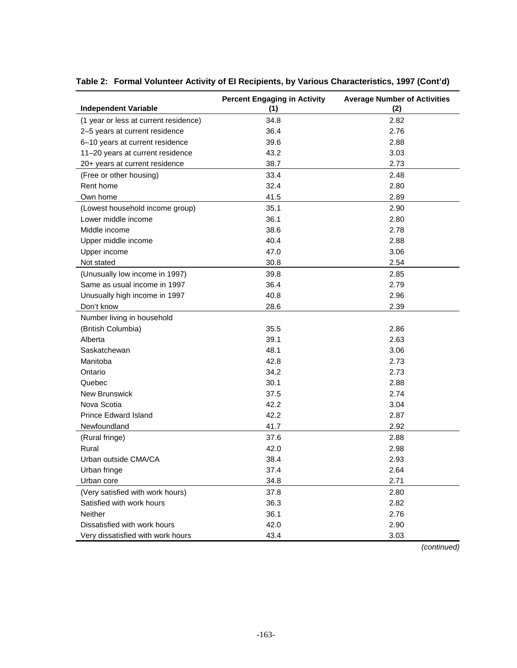| <b>Independent Variable</b>           | <b>Percent Engaging in Activity</b><br>(1) | <b>Average Number of Activities</b><br>(2) |
|---------------------------------------|--------------------------------------------|--------------------------------------------|
| (1 year or less at current residence) | 34.8                                       | 2.82                                       |
| 2-5 years at current residence        | 36.4                                       | 2.76                                       |
| 6-10 years at current residence       | 39.6                                       | 2.88                                       |
| 11-20 years at current residence      | 43.2                                       | 3.03                                       |
| 20+ years at current residence        | 38.7                                       | 2.73                                       |
| (Free or other housing)               | 33.4                                       | 2.48                                       |
| Rent home                             | 32.4                                       | 2.80                                       |
| Own home                              | 41.5                                       | 2.89                                       |
|                                       | 35.1                                       | 2.90                                       |
| (Lowest household income group)       | 36.1                                       |                                            |
| Lower middle income                   |                                            | 2.80                                       |
| Middle income                         | 38.6                                       | 2.78                                       |
| Upper middle income                   | 40.4                                       | 2.88                                       |
| Upper income                          | 47.0                                       | 3.06                                       |
| Not stated                            | 30.8                                       | 2.54                                       |
| (Unusually low income in 1997)        | 39.8                                       | 2.85                                       |
| Same as usual income in 1997          | 36.4                                       | 2.79                                       |
| Unusually high income in 1997         | 40.8                                       | 2.96                                       |
| Don't know                            | 28.6                                       | 2.39                                       |
| Number living in household            |                                            |                                            |
| (British Columbia)                    | 35.5                                       | 2.86                                       |
| Alberta                               | 39.1                                       | 2.63                                       |
| Saskatchewan                          | 48.1                                       | 3.06                                       |
| Manitoba                              | 42.8                                       | 2.73                                       |
| Ontario                               | 34.2                                       | 2.73                                       |
| Quebec                                | 30.1                                       | 2.88                                       |
| <b>New Brunswick</b>                  | 37.5                                       | 2.74                                       |
| Nova Scotia                           | 42.2                                       | 3.04                                       |
| <b>Prince Edward Island</b>           | 42.2                                       | 2.87                                       |
| Newfoundland                          | 41.7                                       | 2.92                                       |
| (Rural fringe)                        | 37.6                                       | 2.88                                       |
| Rural                                 | 42.0                                       | 2.98                                       |
| Urban outside CMA/CA                  | 38.4                                       | 2.93                                       |
| Urban fringe                          | 37.4                                       | 2.64                                       |
| Urban core                            | 34.8                                       | 2.71                                       |
| (Very satisfied with work hours)      | 37.8                                       | 2.80                                       |
| Satisfied with work hours             | 36.3                                       | 2.82                                       |
| Neither                               | 36.1                                       | 2.76                                       |
| Dissatisfied with work hours          | 42.0                                       | 2.90                                       |
| Very dissatisfied with work hours     | 43.4                                       | 3.03                                       |

**Table 2: Formal Volunteer Activity of EI Recipients, by Various Characteristics, 1997 (Cont'd)**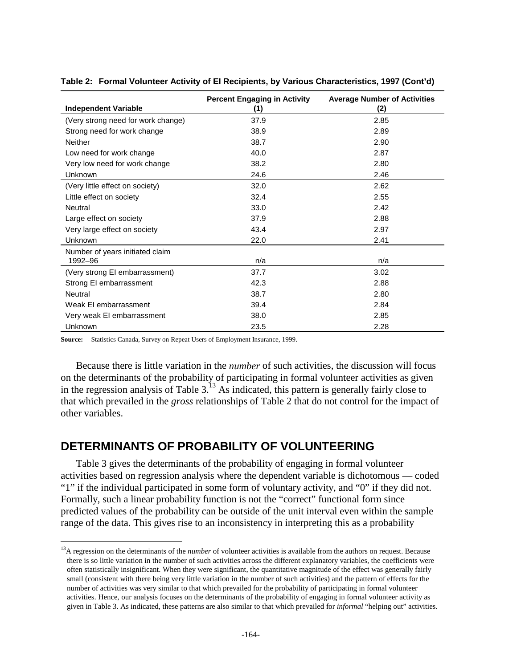|                                    | <b>Percent Engaging in Activity</b> | <b>Average Number of Activities</b> |
|------------------------------------|-------------------------------------|-------------------------------------|
| <b>Independent Variable</b>        | (1)                                 | (2)                                 |
| (Very strong need for work change) | 37.9                                | 2.85                                |
| Strong need for work change        | 38.9                                | 2.89                                |
| <b>Neither</b>                     | 38.7                                | 2.90                                |
| Low need for work change           | 40.0                                | 2.87                                |
| Very low need for work change      | 38.2                                | 2.80                                |
| Unknown                            | 24.6                                | 2.46                                |
| (Very little effect on society)    | 32.0                                | 2.62                                |
| Little effect on society           | 32.4                                | 2.55                                |
| <b>Neutral</b>                     | 33.0                                | 2.42                                |
| Large effect on society            | 37.9                                | 2.88                                |
| Very large effect on society       | 43.4                                | 2.97                                |
| Unknown                            | 22.0                                | 2.41                                |
| Number of years initiated claim    |                                     |                                     |
| 1992-96                            | n/a                                 | n/a                                 |
| (Very strong EI embarrassment)     | 37.7                                | 3.02                                |
| Strong EI embarrassment            | 42.3                                | 2.88                                |
| Neutral                            | 38.7                                | 2.80                                |
| Weak EI embarrassment              | 39.4                                | 2.84                                |
| Very weak EI embarrassment         | 38.0                                | 2.85                                |
| Unknown                            | 23.5                                | 2.28                                |

| Table 2: Formal Volunteer Activity of El Recipients, by Various Characteristics, 1997 (Cont'd) |  |  |  |  |  |  |  |  |
|------------------------------------------------------------------------------------------------|--|--|--|--|--|--|--|--|
|------------------------------------------------------------------------------------------------|--|--|--|--|--|--|--|--|

**Source:** Statistics Canada, Survey on Repeat Users of Employment Insurance, 1999.

j

Because there is little variation in the *number* of such activities, the discussion will focus on the determinants of the probability of participating in formal volunteer activities as given in the regression analysis of Table  $3<sup>13</sup>$  As indicated, this pattern is generally fairly close to that which prevailed in the *gross* relationships of Table 2 that do not control for the impact of other variables.

# **DETERMINANTS OF PROBABILITY OF VOLUNTEERING**

Table 3 gives the determinants of the probability of engaging in formal volunteer activities based on regression analysis where the dependent variable is dichotomous — coded "1" if the individual participated in some form of voluntary activity, and "0" if they did not. Formally, such a linear probability function is not the "correct" functional form since predicted values of the probability can be outside of the unit interval even within the sample range of the data. This gives rise to an inconsistency in interpreting this as a probability

<sup>&</sup>lt;sup>13</sup>A regression on the determinants of the *number* of volunteer activities is available from the authors on request. Because there is so little variation in the number of such activities across the different explanatory variables, the coefficients were often statistically insignificant. When they were significant, the quantitative magnitude of the effect was generally fairly small (consistent with there being very little variation in the number of such activities) and the pattern of effects for the number of activities was very similar to that which prevailed for the probability of participating in formal volunteer activities. Hence, our analysis focuses on the determinants of the probability of engaging in formal volunteer activity as given in Table 3. As indicated, these patterns are also similar to that which prevailed for *informal* "helping out" activities.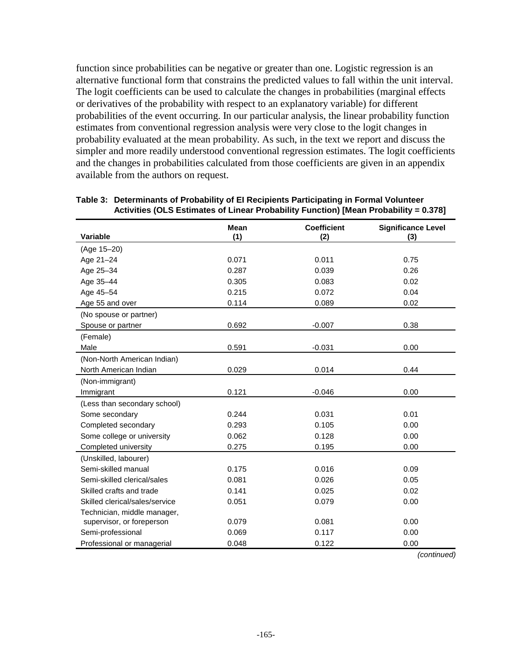function since probabilities can be negative or greater than one. Logistic regression is an alternative functional form that constrains the predicted values to fall within the unit interval. The logit coefficients can be used to calculate the changes in probabilities (marginal effects or derivatives of the probability with respect to an explanatory variable) for different probabilities of the event occurring. In our particular analysis, the linear probability function estimates from conventional regression analysis were very close to the logit changes in probability evaluated at the mean probability. As such, in the text we report and discuss the simpler and more readily understood conventional regression estimates. The logit coefficients and the changes in probabilities calculated from those coefficients are given in an appendix available from the authors on request.

| <b>Variable</b>                | <b>Mean</b><br>(1) | <b>Coefficient</b> | <b>Significance Level</b> |
|--------------------------------|--------------------|--------------------|---------------------------|
|                                |                    | (2)                | (3)                       |
| (Age 15-20)                    |                    |                    |                           |
| Age 21-24                      | 0.071              | 0.011              | 0.75                      |
| Age 25-34                      | 0.287              | 0.039              | 0.26                      |
| Age 35-44                      | 0.305              | 0.083              | 0.02                      |
| Age 45-54                      | 0.215              | 0.072              | 0.04                      |
| Age 55 and over                | 0.114              | 0.089              | 0.02                      |
| (No spouse or partner)         |                    |                    |                           |
| Spouse or partner              | 0.692              | $-0.007$           | 0.38                      |
| (Female)                       |                    |                    |                           |
| Male                           | 0.591              | $-0.031$           | 0.00                      |
| (Non-North American Indian)    |                    |                    |                           |
| North American Indian          | 0.029              | 0.014              | 0.44                      |
| (Non-immigrant)                |                    |                    |                           |
| Immigrant                      | 0.121              | $-0.046$           | 0.00                      |
| (Less than secondary school)   |                    |                    |                           |
| Some secondary                 | 0.244              | 0.031              | 0.01                      |
| Completed secondary            | 0.293              | 0.105              | 0.00                      |
| Some college or university     | 0.062              | 0.128              | 0.00                      |
| Completed university           | 0.275              | 0.195              | 0.00                      |
| (Unskilled, labourer)          |                    |                    |                           |
| Semi-skilled manual            | 0.175              | 0.016              | 0.09                      |
| Semi-skilled clerical/sales    | 0.081              | 0.026              | 0.05                      |
| Skilled crafts and trade       | 0.141              | 0.025              | 0.02                      |
| Skilled clerical/sales/service | 0.051              | 0.079              | 0.00                      |
| Technician, middle manager,    |                    |                    |                           |
| supervisor, or foreperson      | 0.079              | 0.081              | 0.00                      |
| Semi-professional              | 0.069              | 0.117              | 0.00                      |
| Professional or managerial     | 0.048              | 0.122              | 0.00                      |

#### **Table 3: Determinants of Probability of EI Recipients Participating in Formal Volunteer Activities (OLS Estimates of Linear Probability Function) [Mean Probability = 0.378]**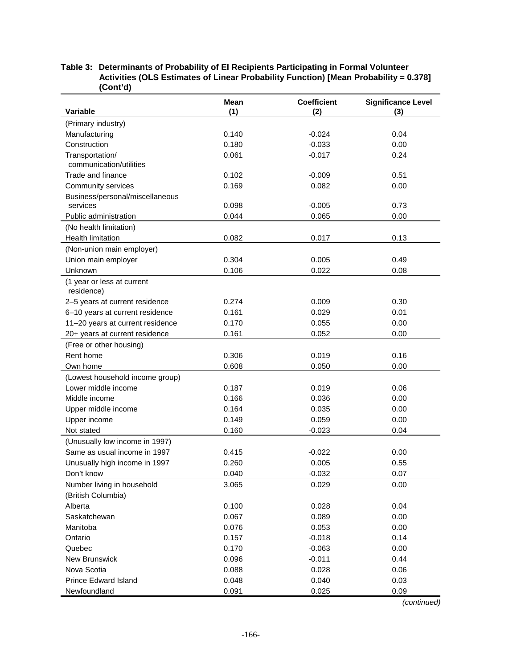|                                          | <b>Mean</b> | <b>Coefficient</b> | <b>Significance Level</b> |
|------------------------------------------|-------------|--------------------|---------------------------|
| Variable                                 | (1)         | (2)                | (3)                       |
| (Primary industry)                       |             |                    |                           |
| Manufacturing                            | 0.140       | $-0.024$           | 0.04                      |
| Construction                             | 0.180       | $-0.033$           | 0.00                      |
| Transportation/                          | 0.061       | $-0.017$           | 0.24                      |
| communication/utilities                  |             |                    |                           |
| Trade and finance                        | 0.102       | $-0.009$           | 0.51                      |
| Community services                       | 0.169       | 0.082              | 0.00                      |
| Business/personal/miscellaneous          |             |                    |                           |
| services                                 | 0.098       | $-0.005$           | 0.73                      |
| Public administration                    | 0.044       | 0.065              | 0.00                      |
| (No health limitation)                   |             |                    |                           |
| Health limitation                        | 0.082       | 0.017              | 0.13                      |
| (Non-union main employer)                |             |                    |                           |
| Union main employer                      | 0.304       | 0.005              | 0.49                      |
| Unknown                                  | 0.106       | 0.022              | 0.08                      |
| (1 year or less at current<br>residence) |             |                    |                           |
| 2-5 years at current residence           | 0.274       | 0.009              | 0.30                      |
| 6-10 years at current residence          | 0.161       | 0.029              | 0.01                      |
| 11-20 years at current residence         | 0.170       | 0.055              | 0.00                      |
| 20+ years at current residence           | 0.161       | 0.052              | 0.00                      |
| (Free or other housing)                  |             |                    |                           |
| Rent home                                | 0.306       | 0.019              | 0.16                      |
| Own home                                 | 0.608       | 0.050              | 0.00                      |
| (Lowest household income group)          |             |                    |                           |
| Lower middle income                      | 0.187       | 0.019              | 0.06                      |
| Middle income                            | 0.166       | 0.036              | 0.00                      |
| Upper middle income                      | 0.164       | 0.035              | 0.00                      |
| Upper income                             | 0.149       | 0.059              | 0.00                      |
| Not stated                               | 0.160       | $-0.023$           | 0.04                      |
| (Unusually low income in 1997)           |             |                    |                           |
| Same as usual income in 1997             | 0.415       | $-0.022$           | 0.00                      |
| Unusually high income in 1997            | 0.260       | 0.005              | 0.55                      |
| Don't know                               | 0.040       | $-0.032$           | 0.07                      |
| Number living in household               | 3.065       | 0.029              | 0.00                      |
| (British Columbia)                       |             |                    |                           |
| Alberta                                  | 0.100       | 0.028              | 0.04                      |
| Saskatchewan                             | 0.067       | 0.089              | 0.00                      |
|                                          |             |                    |                           |
| Manitoba                                 | 0.076       | 0.053              | 0.00                      |
| Ontario                                  | 0.157       | $-0.018$           | 0.14                      |
| Quebec                                   | 0.170       | $-0.063$           | 0.00                      |
| <b>New Brunswick</b>                     | 0.096       | $-0.011$           | 0.44                      |
| Nova Scotia                              | 0.088       | 0.028              | 0.06                      |
| <b>Prince Edward Island</b>              | 0.048       | 0.040              | 0.03                      |
| Newfoundland                             | 0.091       | 0.025              | 0.09                      |

#### **Table 3: Determinants of Probability of EI Recipients Participating in Formal Volunteer Activities (OLS Estimates of Linear Probability Function) [Mean Probability = 0.378] (Cont'd)**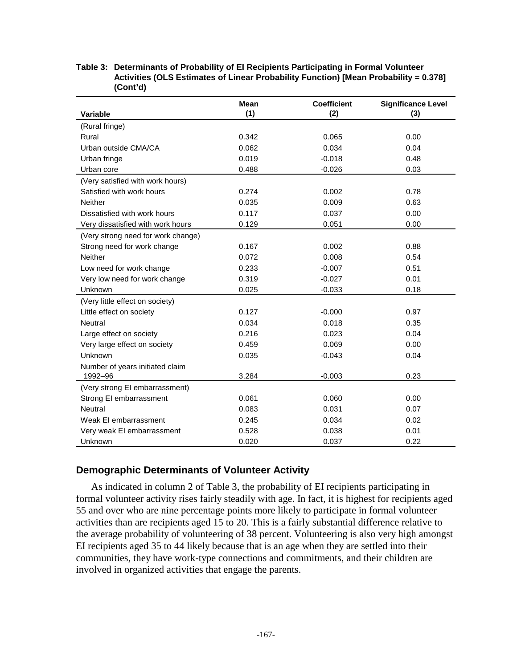|                                    | <b>Mean</b> | <b>Coefficient</b> | <b>Significance Level</b> |
|------------------------------------|-------------|--------------------|---------------------------|
| Variable                           | (1)         | (2)                | (3)                       |
| (Rural fringe)                     |             |                    |                           |
| Rural                              | 0.342       | 0.065              | 0.00                      |
| Urban outside CMA/CA               | 0.062       | 0.034              | 0.04                      |
| Urban fringe                       | 0.019       | $-0.018$           | 0.48                      |
| Urban core                         | 0.488       | $-0.026$           | 0.03                      |
| (Very satisfied with work hours)   |             |                    |                           |
| Satisfied with work hours          | 0.274       | 0.002              | 0.78                      |
| <b>Neither</b>                     | 0.035       | 0.009              | 0.63                      |
| Dissatisfied with work hours       | 0.117       | 0.037              | 0.00                      |
| Very dissatisfied with work hours  | 0.129       | 0.051              | 0.00                      |
| (Very strong need for work change) |             |                    |                           |
| Strong need for work change        | 0.167       | 0.002              | 0.88                      |
| <b>Neither</b>                     | 0.072       | 0.008              | 0.54                      |
| Low need for work change           | 0.233       | $-0.007$           | 0.51                      |
| Very low need for work change      | 0.319       | $-0.027$           | 0.01                      |
| Unknown                            | 0.025       | $-0.033$           | 0.18                      |
| (Very little effect on society)    |             |                    |                           |
| Little effect on society           | 0.127       | $-0.000$           | 0.97                      |
| Neutral                            | 0.034       | 0.018              | 0.35                      |
| Large effect on society            | 0.216       | 0.023              | 0.04                      |
| Very large effect on society       | 0.459       | 0.069              | 0.00                      |
| Unknown                            | 0.035       | $-0.043$           | 0.04                      |
| Number of years initiated claim    |             |                    |                           |
| 1992-96                            | 3.284       | $-0.003$           | 0.23                      |
| (Very strong EI embarrassment)     |             |                    |                           |
| Strong EI embarrassment            | 0.061       | 0.060              | 0.00                      |
| Neutral                            | 0.083       | 0.031              | 0.07                      |
| Weak EI embarrassment              | 0.245       | 0.034              | 0.02                      |
| Very weak EI embarrassment         | 0.528       | 0.038              | 0.01                      |
| Unknown                            | 0.020       | 0.037              | 0.22                      |

#### **Table 3: Determinants of Probability of EI Recipients Participating in Formal Volunteer Activities (OLS Estimates of Linear Probability Function) [Mean Probability = 0.378] (Cont'd)**

## **Demographic Determinants of Volunteer Activity**

As indicated in column 2 of Table 3, the probability of EI recipients participating in formal volunteer activity rises fairly steadily with age. In fact, it is highest for recipients aged 55 and over who are nine percentage points more likely to participate in formal volunteer activities than are recipients aged 15 to 20. This is a fairly substantial difference relative to the average probability of volunteering of 38 percent. Volunteering is also very high amongst EI recipients aged 35 to 44 likely because that is an age when they are settled into their communities, they have work-type connections and commitments, and their children are involved in organized activities that engage the parents.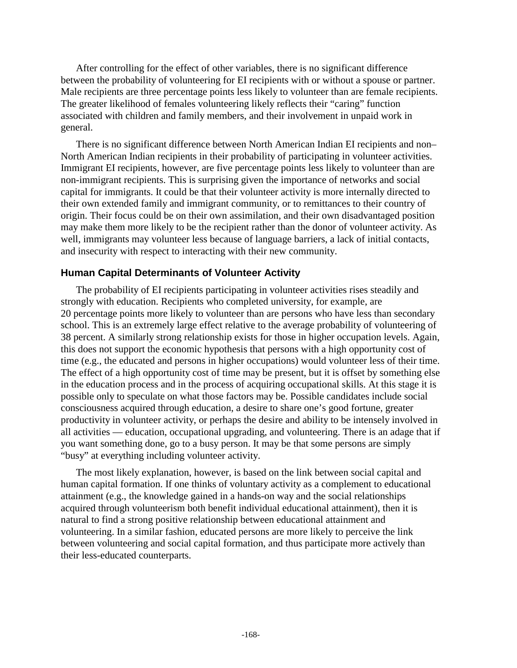After controlling for the effect of other variables, there is no significant difference between the probability of volunteering for EI recipients with or without a spouse or partner. Male recipients are three percentage points less likely to volunteer than are female recipients. The greater likelihood of females volunteering likely reflects their "caring" function associated with children and family members, and their involvement in unpaid work in general.

There is no significant difference between North American Indian EI recipients and non– North American Indian recipients in their probability of participating in volunteer activities. Immigrant EI recipients, however, are five percentage points less likely to volunteer than are non-immigrant recipients. This is surprising given the importance of networks and social capital for immigrants. It could be that their volunteer activity is more internally directed to their own extended family and immigrant community, or to remittances to their country of origin. Their focus could be on their own assimilation, and their own disadvantaged position may make them more likely to be the recipient rather than the donor of volunteer activity. As well, immigrants may volunteer less because of language barriers, a lack of initial contacts, and insecurity with respect to interacting with their new community.

## **Human Capital Determinants of Volunteer Activity**

The probability of EI recipients participating in volunteer activities rises steadily and strongly with education. Recipients who completed university, for example, are 20 percentage points more likely to volunteer than are persons who have less than secondary school. This is an extremely large effect relative to the average probability of volunteering of 38 percent. A similarly strong relationship exists for those in higher occupation levels. Again, this does not support the economic hypothesis that persons with a high opportunity cost of time (e.g., the educated and persons in higher occupations) would volunteer less of their time. The effect of a high opportunity cost of time may be present, but it is offset by something else in the education process and in the process of acquiring occupational skills. At this stage it is possible only to speculate on what those factors may be. Possible candidates include social consciousness acquired through education, a desire to share one's good fortune, greater productivity in volunteer activity, or perhaps the desire and ability to be intensely involved in all activities — education, occupational upgrading, and volunteering. There is an adage that if you want something done, go to a busy person. It may be that some persons are simply "busy" at everything including volunteer activity.

The most likely explanation, however, is based on the link between social capital and human capital formation. If one thinks of voluntary activity as a complement to educational attainment (e.g., the knowledge gained in a hands-on way and the social relationships acquired through volunteerism both benefit individual educational attainment), then it is natural to find a strong positive relationship between educational attainment and volunteering. In a similar fashion, educated persons are more likely to perceive the link between volunteering and social capital formation, and thus participate more actively than their less-educated counterparts.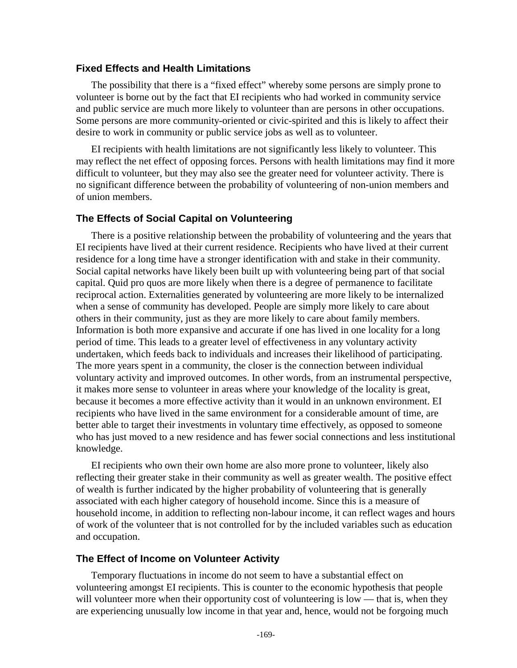#### **Fixed Effects and Health Limitations**

The possibility that there is a "fixed effect" whereby some persons are simply prone to volunteer is borne out by the fact that EI recipients who had worked in community service and public service are much more likely to volunteer than are persons in other occupations. Some persons are more community-oriented or civic-spirited and this is likely to affect their desire to work in community or public service jobs as well as to volunteer.

EI recipients with health limitations are not significantly less likely to volunteer. This may reflect the net effect of opposing forces. Persons with health limitations may find it more difficult to volunteer, but they may also see the greater need for volunteer activity. There is no significant difference between the probability of volunteering of non-union members and of union members.

### **The Effects of Social Capital on Volunteering**

There is a positive relationship between the probability of volunteering and the years that EI recipients have lived at their current residence. Recipients who have lived at their current residence for a long time have a stronger identification with and stake in their community. Social capital networks have likely been built up with volunteering being part of that social capital. Quid pro quos are more likely when there is a degree of permanence to facilitate reciprocal action. Externalities generated by volunteering are more likely to be internalized when a sense of community has developed. People are simply more likely to care about others in their community, just as they are more likely to care about family members. Information is both more expansive and accurate if one has lived in one locality for a long period of time. This leads to a greater level of effectiveness in any voluntary activity undertaken, which feeds back to individuals and increases their likelihood of participating. The more years spent in a community, the closer is the connection between individual voluntary activity and improved outcomes. In other words, from an instrumental perspective, it makes more sense to volunteer in areas where your knowledge of the locality is great, because it becomes a more effective activity than it would in an unknown environment. EI recipients who have lived in the same environment for a considerable amount of time, are better able to target their investments in voluntary time effectively, as opposed to someone who has just moved to a new residence and has fewer social connections and less institutional knowledge.

EI recipients who own their own home are also more prone to volunteer, likely also reflecting their greater stake in their community as well as greater wealth. The positive effect of wealth is further indicated by the higher probability of volunteering that is generally associated with each higher category of household income. Since this is a measure of household income, in addition to reflecting non-labour income, it can reflect wages and hours of work of the volunteer that is not controlled for by the included variables such as education and occupation.

## **The Effect of Income on Volunteer Activity**

Temporary fluctuations in income do not seem to have a substantial effect on volunteering amongst EI recipients. This is counter to the economic hypothesis that people will volunteer more when their opportunity cost of volunteering is low — that is, when they are experiencing unusually low income in that year and, hence, would not be forgoing much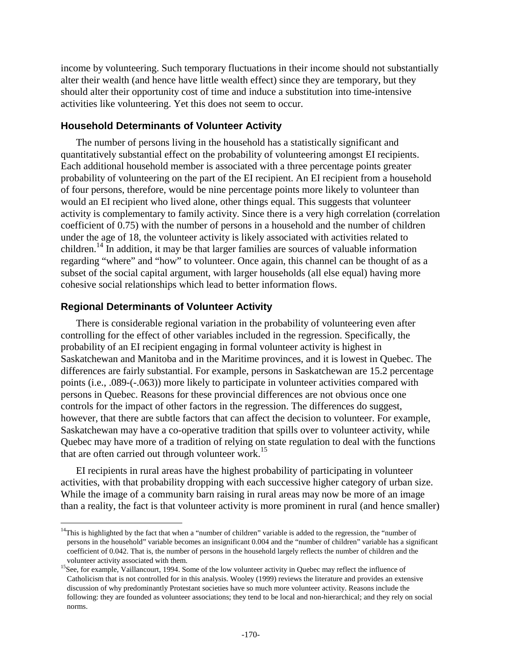income by volunteering. Such temporary fluctuations in their income should not substantially alter their wealth (and hence have little wealth effect) since they are temporary, but they should alter their opportunity cost of time and induce a substitution into time-intensive activities like volunteering. Yet this does not seem to occur.

## **Household Determinants of Volunteer Activity**

The number of persons living in the household has a statistically significant and quantitatively substantial effect on the probability of volunteering amongst EI recipients. Each additional household member is associated with a three percentage points greater probability of volunteering on the part of the EI recipient. An EI recipient from a household of four persons, therefore, would be nine percentage points more likely to volunteer than would an EI recipient who lived alone, other things equal. This suggests that volunteer activity is complementary to family activity. Since there is a very high correlation (correlation coefficient of 0.75) with the number of persons in a household and the number of children under the age of 18, the volunteer activity is likely associated with activities related to children.<sup>14</sup> In addition, it may be that larger families are sources of valuable information regarding "where" and "how" to volunteer. Once again, this channel can be thought of as a subset of the social capital argument, with larger households (all else equal) having more cohesive social relationships which lead to better information flows.

## **Regional Determinants of Volunteer Activity**

j

There is considerable regional variation in the probability of volunteering even after controlling for the effect of other variables included in the regression. Specifically, the probability of an EI recipient engaging in formal volunteer activity is highest in Saskatchewan and Manitoba and in the Maritime provinces, and it is lowest in Quebec. The differences are fairly substantial. For example, persons in Saskatchewan are 15.2 percentage points (i.e., .089-(-.063)) more likely to participate in volunteer activities compared with persons in Quebec. Reasons for these provincial differences are not obvious once one controls for the impact of other factors in the regression. The differences do suggest, however, that there are subtle factors that can affect the decision to volunteer. For example, Saskatchewan may have a co-operative tradition that spills over to volunteer activity, while Quebec may have more of a tradition of relying on state regulation to deal with the functions that are often carried out through volunteer work.<sup>15</sup>

EI recipients in rural areas have the highest probability of participating in volunteer activities, with that probability dropping with each successive higher category of urban size. While the image of a community barn raising in rural areas may now be more of an image than a reality, the fact is that volunteer activity is more prominent in rural (and hence smaller)

 $14$ This is highlighted by the fact that when a "number of children" variable is added to the regression, the "number of persons in the household" variable becomes an insignificant 0.004 and the "number of children" variable has a significant coefficient of 0.042. That is, the number of persons in the household largely reflects the number of children and the

volunteer activity associated with them.<br><sup>15</sup>See, for example, Vaillancourt, 1994. Some of the low volunteer activity in Quebec may reflect the influence of Catholicism that is not controlled for in this analysis. Wooley (1999) reviews the literature and provides an extensive discussion of why predominantly Protestant societies have so much more volunteer activity. Reasons include the following: they are founded as volunteer associations; they tend to be local and non-hierarchical; and they rely on social norms.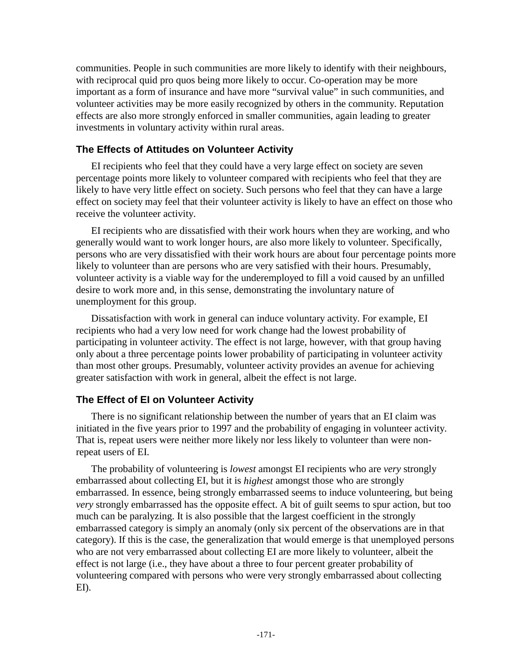communities. People in such communities are more likely to identify with their neighbours, with reciprocal quid pro quos being more likely to occur. Co-operation may be more important as a form of insurance and have more "survival value" in such communities, and volunteer activities may be more easily recognized by others in the community. Reputation effects are also more strongly enforced in smaller communities, again leading to greater investments in voluntary activity within rural areas.

## **The Effects of Attitudes on Volunteer Activity**

EI recipients who feel that they could have a very large effect on society are seven percentage points more likely to volunteer compared with recipients who feel that they are likely to have very little effect on society. Such persons who feel that they can have a large effect on society may feel that their volunteer activity is likely to have an effect on those who receive the volunteer activity.

EI recipients who are dissatisfied with their work hours when they are working, and who generally would want to work longer hours, are also more likely to volunteer. Specifically, persons who are very dissatisfied with their work hours are about four percentage points more likely to volunteer than are persons who are very satisfied with their hours. Presumably, volunteer activity is a viable way for the underemployed to fill a void caused by an unfilled desire to work more and, in this sense, demonstrating the involuntary nature of unemployment for this group.

Dissatisfaction with work in general can induce voluntary activity. For example, EI recipients who had a very low need for work change had the lowest probability of participating in volunteer activity. The effect is not large, however, with that group having only about a three percentage points lower probability of participating in volunteer activity than most other groups. Presumably, volunteer activity provides an avenue for achieving greater satisfaction with work in general, albeit the effect is not large.

## **The Effect of EI on Volunteer Activity**

There is no significant relationship between the number of years that an EI claim was initiated in the five years prior to 1997 and the probability of engaging in volunteer activity. That is, repeat users were neither more likely nor less likely to volunteer than were nonrepeat users of EI.

The probability of volunteering is *lowest* amongst EI recipients who are *very* strongly embarrassed about collecting EI, but it is *highest* amongst those who are strongly embarrassed. In essence, being strongly embarrassed seems to induce volunteering, but being *very* strongly embarrassed has the opposite effect. A bit of guilt seems to spur action, but too much can be paralyzing. It is also possible that the largest coefficient in the strongly embarrassed category is simply an anomaly (only six percent of the observations are in that category). If this is the case, the generalization that would emerge is that unemployed persons who are not very embarrassed about collecting EI are more likely to volunteer, albeit the effect is not large (i.e., they have about a three to four percent greater probability of volunteering compared with persons who were very strongly embarrassed about collecting EI).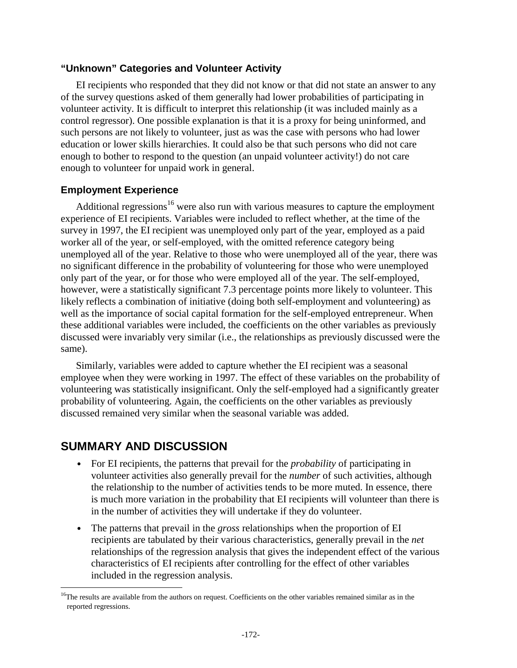## **"Unknown" Categories and Volunteer Activity**

EI recipients who responded that they did not know or that did not state an answer to any of the survey questions asked of them generally had lower probabilities of participating in volunteer activity. It is difficult to interpret this relationship (it was included mainly as a control regressor). One possible explanation is that it is a proxy for being uninformed, and such persons are not likely to volunteer, just as was the case with persons who had lower education or lower skills hierarchies. It could also be that such persons who did not care enough to bother to respond to the question (an unpaid volunteer activity!) do not care enough to volunteer for unpaid work in general.

## **Employment Experience**

Additional regressions<sup>16</sup> were also run with various measures to capture the employment experience of EI recipients. Variables were included to reflect whether, at the time of the survey in 1997, the EI recipient was unemployed only part of the year, employed as a paid worker all of the year, or self-employed, with the omitted reference category being unemployed all of the year. Relative to those who were unemployed all of the year, there was no significant difference in the probability of volunteering for those who were unemployed only part of the year, or for those who were employed all of the year. The self-employed, however, were a statistically significant 7.3 percentage points more likely to volunteer. This likely reflects a combination of initiative (doing both self-employment and volunteering) as well as the importance of social capital formation for the self-employed entrepreneur. When these additional variables were included, the coefficients on the other variables as previously discussed were invariably very similar (i.e., the relationships as previously discussed were the same).

Similarly, variables were added to capture whether the EI recipient was a seasonal employee when they were working in 1997. The effect of these variables on the probability of volunteering was statistically insignificant. Only the self-employed had a significantly greater probability of volunteering. Again, the coefficients on the other variables as previously discussed remained very similar when the seasonal variable was added.

## **SUMMARY AND DISCUSSION**

j

- For EI recipients, the patterns that prevail for the *probability* of participating in volunteer activities also generally prevail for the *number* of such activities, although the relationship to the number of activities tends to be more muted. In essence, there is much more variation in the probability that EI recipients will volunteer than there is in the number of activities they will undertake if they do volunteer.
- The patterns that prevail in the *gross* relationships when the proportion of EI recipients are tabulated by their various characteristics, generally prevail in the *net*  relationships of the regression analysis that gives the independent effect of the various characteristics of EI recipients after controlling for the effect of other variables included in the regression analysis.

<sup>&</sup>lt;sup>16</sup>The results are available from the authors on request. Coefficients on the other variables remained similar as in the reported regressions.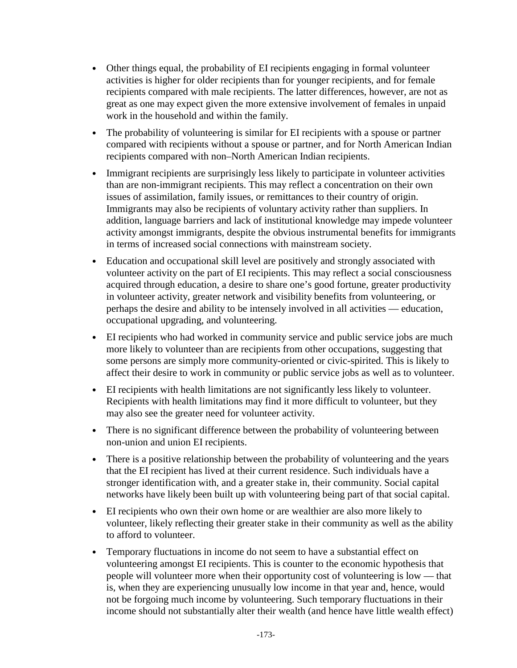- Other things equal, the probability of EI recipients engaging in formal volunteer activities is higher for older recipients than for younger recipients, and for female recipients compared with male recipients. The latter differences, however, are not as great as one may expect given the more extensive involvement of females in unpaid work in the household and within the family.
- The probability of volunteering is similar for EI recipients with a spouse or partner compared with recipients without a spouse or partner, and for North American Indian recipients compared with non–North American Indian recipients.
- Immigrant recipients are surprisingly less likely to participate in volunteer activities than are non-immigrant recipients. This may reflect a concentration on their own issues of assimilation, family issues, or remittances to their country of origin. Immigrants may also be recipients of voluntary activity rather than suppliers. In addition, language barriers and lack of institutional knowledge may impede volunteer activity amongst immigrants, despite the obvious instrumental benefits for immigrants in terms of increased social connections with mainstream society.
- Education and occupational skill level are positively and strongly associated with volunteer activity on the part of EI recipients. This may reflect a social consciousness acquired through education, a desire to share one's good fortune, greater productivity in volunteer activity, greater network and visibility benefits from volunteering, or perhaps the desire and ability to be intensely involved in all activities — education, occupational upgrading, and volunteering.
- EI recipients who had worked in community service and public service jobs are much more likely to volunteer than are recipients from other occupations, suggesting that some persons are simply more community-oriented or civic-spirited. This is likely to affect their desire to work in community or public service jobs as well as to volunteer.
- EI recipients with health limitations are not significantly less likely to volunteer. Recipients with health limitations may find it more difficult to volunteer, but they may also see the greater need for volunteer activity.
- There is no significant difference between the probability of volunteering between non-union and union EI recipients.
- There is a positive relationship between the probability of volunteering and the years that the EI recipient has lived at their current residence. Such individuals have a stronger identification with, and a greater stake in, their community. Social capital networks have likely been built up with volunteering being part of that social capital.
- EI recipients who own their own home or are wealthier are also more likely to volunteer, likely reflecting their greater stake in their community as well as the ability to afford to volunteer.
- Temporary fluctuations in income do not seem to have a substantial effect on volunteering amongst EI recipients. This is counter to the economic hypothesis that people will volunteer more when their opportunity cost of volunteering is low — that is, when they are experiencing unusually low income in that year and, hence, would not be forgoing much income by volunteering. Such temporary fluctuations in their income should not substantially alter their wealth (and hence have little wealth effect)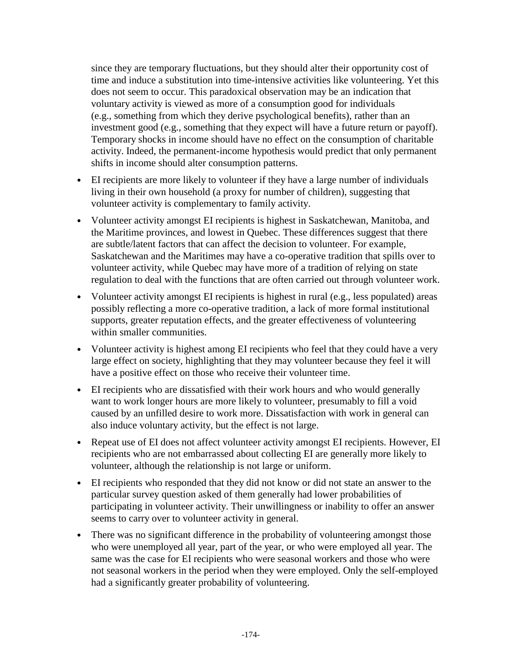since they are temporary fluctuations, but they should alter their opportunity cost of time and induce a substitution into time-intensive activities like volunteering. Yet this does not seem to occur. This paradoxical observation may be an indication that voluntary activity is viewed as more of a consumption good for individuals (e.g., something from which they derive psychological benefits), rather than an investment good (e.g., something that they expect will have a future return or payoff). Temporary shocks in income should have no effect on the consumption of charitable activity. Indeed, the permanent-income hypothesis would predict that only permanent shifts in income should alter consumption patterns.

- EI recipients are more likely to volunteer if they have a large number of individuals living in their own household (a proxy for number of children), suggesting that volunteer activity is complementary to family activity.
- Volunteer activity amongst EI recipients is highest in Saskatchewan, Manitoba, and the Maritime provinces, and lowest in Quebec. These differences suggest that there are subtle/latent factors that can affect the decision to volunteer. For example, Saskatchewan and the Maritimes may have a co-operative tradition that spills over to volunteer activity, while Quebec may have more of a tradition of relying on state regulation to deal with the functions that are often carried out through volunteer work.
- Volunteer activity amongst EI recipients is highest in rural (e.g., less populated) areas possibly reflecting a more co-operative tradition, a lack of more formal institutional supports, greater reputation effects, and the greater effectiveness of volunteering within smaller communities.
- Volunteer activity is highest among EI recipients who feel that they could have a very large effect on society, highlighting that they may volunteer because they feel it will have a positive effect on those who receive their volunteer time.
- EI recipients who are dissatisfied with their work hours and who would generally want to work longer hours are more likely to volunteer, presumably to fill a void caused by an unfilled desire to work more. Dissatisfaction with work in general can also induce voluntary activity, but the effect is not large.
- Repeat use of EI does not affect volunteer activity amongst EI recipients. However, EI recipients who are not embarrassed about collecting EI are generally more likely to volunteer, although the relationship is not large or uniform.
- EI recipients who responded that they did not know or did not state an answer to the particular survey question asked of them generally had lower probabilities of participating in volunteer activity. Their unwillingness or inability to offer an answer seems to carry over to volunteer activity in general.
- There was no significant difference in the probability of volunteering amongst those who were unemployed all year, part of the year, or who were employed all year. The same was the case for EI recipients who were seasonal workers and those who were not seasonal workers in the period when they were employed. Only the self-employed had a significantly greater probability of volunteering.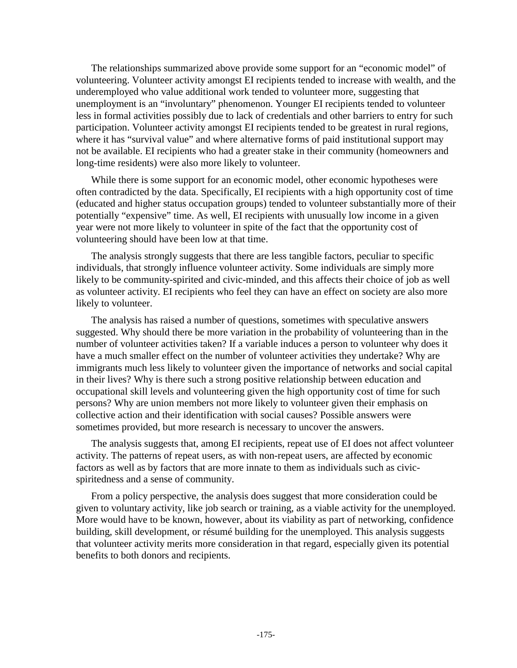The relationships summarized above provide some support for an "economic model" of volunteering. Volunteer activity amongst EI recipients tended to increase with wealth, and the underemployed who value additional work tended to volunteer more, suggesting that unemployment is an "involuntary" phenomenon. Younger EI recipients tended to volunteer less in formal activities possibly due to lack of credentials and other barriers to entry for such participation. Volunteer activity amongst EI recipients tended to be greatest in rural regions, where it has "survival value" and where alternative forms of paid institutional support may not be available. EI recipients who had a greater stake in their community (homeowners and long-time residents) were also more likely to volunteer.

While there is some support for an economic model, other economic hypotheses were often contradicted by the data. Specifically, EI recipients with a high opportunity cost of time (educated and higher status occupation groups) tended to volunteer substantially more of their potentially "expensive" time. As well, EI recipients with unusually low income in a given year were not more likely to volunteer in spite of the fact that the opportunity cost of volunteering should have been low at that time.

The analysis strongly suggests that there are less tangible factors, peculiar to specific individuals, that strongly influence volunteer activity. Some individuals are simply more likely to be community-spirited and civic-minded, and this affects their choice of job as well as volunteer activity. EI recipients who feel they can have an effect on society are also more likely to volunteer.

The analysis has raised a number of questions, sometimes with speculative answers suggested. Why should there be more variation in the probability of volunteering than in the number of volunteer activities taken? If a variable induces a person to volunteer why does it have a much smaller effect on the number of volunteer activities they undertake? Why are immigrants much less likely to volunteer given the importance of networks and social capital in their lives? Why is there such a strong positive relationship between education and occupational skill levels and volunteering given the high opportunity cost of time for such persons? Why are union members not more likely to volunteer given their emphasis on collective action and their identification with social causes? Possible answers were sometimes provided, but more research is necessary to uncover the answers.

The analysis suggests that, among EI recipients, repeat use of EI does not affect volunteer activity. The patterns of repeat users, as with non-repeat users, are affected by economic factors as well as by factors that are more innate to them as individuals such as civicspiritedness and a sense of community.

From a policy perspective, the analysis does suggest that more consideration could be given to voluntary activity, like job search or training, as a viable activity for the unemployed. More would have to be known, however, about its viability as part of networking, confidence building, skill development, or résumé building for the unemployed. This analysis suggests that volunteer activity merits more consideration in that regard, especially given its potential benefits to both donors and recipients.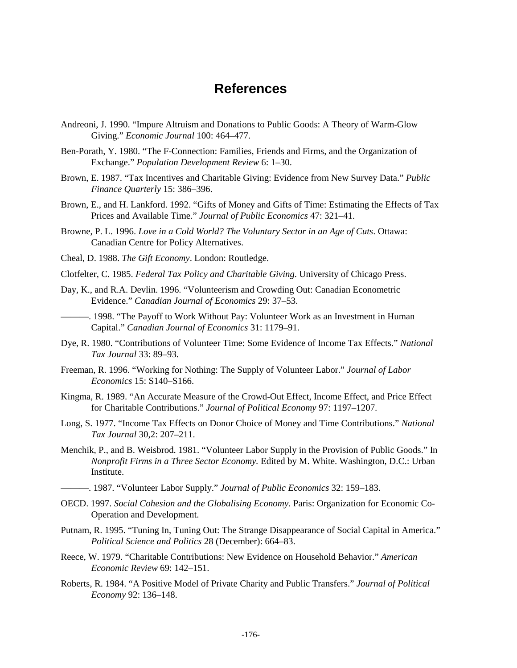## **References**

- Andreoni, J. 1990. "Impure Altruism and Donations to Public Goods: A Theory of Warm-Glow Giving." *Economic Journal* 100: 464–477.
- Ben-Porath, Y. 1980. "The F-Connection: Families, Friends and Firms, and the Organization of Exchange." *Population Development Review* 6: 1–30.
- Brown, E. 1987. "Tax Incentives and Charitable Giving: Evidence from New Survey Data." *Public Finance Quarterly* 15: 386–396.
- Brown, E., and H. Lankford. 1992. "Gifts of Money and Gifts of Time: Estimating the Effects of Tax Prices and Available Time." *Journal of Public Economics* 47: 321–41.
- Browne, P. L. 1996. *Love in a Cold World? The Voluntary Sector in an Age of Cuts*. Ottawa: Canadian Centre for Policy Alternatives.
- Cheal, D. 1988. *The Gift Economy*. London: Routledge.
- Clotfelter, C. 1985. *Federal Tax Policy and Charitable Giving*. University of Chicago Press.
- Day, K., and R.A. Devlin. 1996. "Volunteerism and Crowding Out: Canadian Econometric Evidence." *Canadian Journal of Economics* 29: 37–53.
- ———. 1998. "The Payoff to Work Without Pay: Volunteer Work as an Investment in Human Capital." *Canadian Journal of Economics* 31: 1179–91.
- Dye, R. 1980. "Contributions of Volunteer Time: Some Evidence of Income Tax Effects." *National Tax Journal* 33: 89–93.
- Freeman, R. 1996. "Working for Nothing: The Supply of Volunteer Labor." *Journal of Labor Economics* 15: S140–S166.
- Kingma, R. 1989. "An Accurate Measure of the Crowd-Out Effect, Income Effect, and Price Effect for Charitable Contributions." *Journal of Political Economy* 97: 1197–1207.
- Long, S. 1977. "Income Tax Effects on Donor Choice of Money and Time Contributions." *National Tax Journal* 30,2: 207–211.
- Menchik, P., and B. Weisbrod. 1981. "Volunteer Labor Supply in the Provision of Public Goods." In *Nonprofit Firms in a Three Sector Economy.* Edited by M. White. Washington, D.C.: Urban Institute.
- ———. 1987. "Volunteer Labor Supply." *Journal of Public Economics* 32: 159–183.
- OECD. 1997. *Social Cohesion and the Globalising Economy*. Paris: Organization for Economic Co-Operation and Development.
- Putnam, R. 1995. "Tuning In, Tuning Out: The Strange Disappearance of Social Capital in America." *Political Science and Politics* 28 (December): 664–83.
- Reece, W. 1979. "Charitable Contributions: New Evidence on Household Behavior." *American Economic Review* 69: 142–151.
- Roberts, R. 1984. "A Positive Model of Private Charity and Public Transfers." *Journal of Political Economy* 92: 136–148.